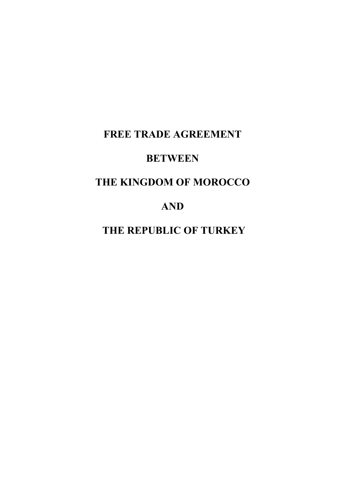# **FREE TRADE AGREEMENT**

# **BETWEEN**

# **THE KINGDOM OF MOROCCO**

# **AND**

 **THE REPUBLIC OF TURKEY**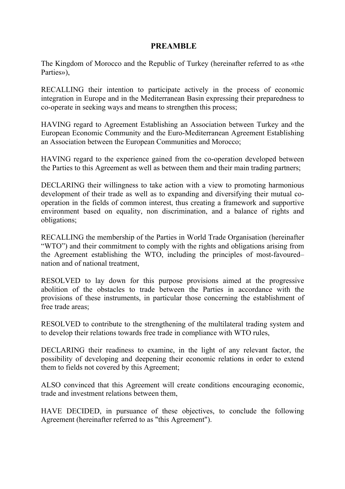## **PREAMBLE**

The Kingdom of Morocco and the Republic of Turkey (hereinafter referred to as «the Parties»),

RECALLING their intention to participate actively in the process of economic integration in Europe and in the Mediterranean Basin expressing their preparedness to co-operate in seeking ways and means to strengthen this process;

HAVING regard to Agreement Establishing an Association between Turkey and the European Economic Community and the Euro-Mediterranean Agreement Establishing an Association between the European Communities and Morocco;

HAVING regard to the experience gained from the co-operation developed between the Parties to this Agreement as well as between them and their main trading partners;

DECLARING their willingness to take action with a view to promoting harmonious development of their trade as well as to expanding and diversifying their mutual cooperation in the fields of common interest, thus creating a framework and supportive environment based on equality, non discrimination, and a balance of rights and obligations;

RECALLING the membership of the Parties in World Trade Organisation (hereinafter "WTO") and their commitment to comply with the rights and obligations arising from the Agreement establishing the WTO, including the principles of most-favoured– nation and of national treatment,

RESOLVED to lay down for this purpose provisions aimed at the progressive abolition of the obstacles to trade between the Parties in accordance with the provisions of these instruments, in particular those concerning the establishment of free trade areas;

RESOLVED to contribute to the strengthening of the multilateral trading system and to develop their relations towards free trade in compliance with WTO rules,

DECLARING their readiness to examine, in the light of any relevant factor, the possibility of developing and deepening their economic relations in order to extend them to fields not covered by this Agreement;

ALSO convinced that this Agreement will create conditions encouraging economic, trade and investment relations between them,

HAVE DECIDED, in pursuance of these objectives, to conclude the following Agreement (hereinafter referred to as "this Agreement").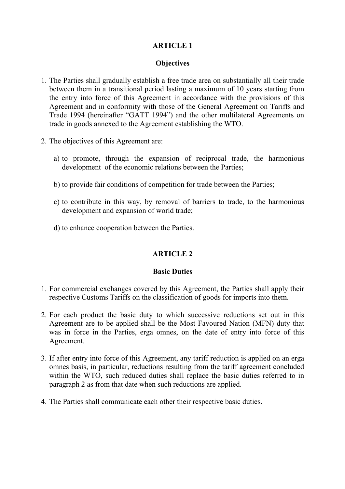## **Objectives**

- 1. The Parties shall gradually establish a free trade area on substantially all their trade between them in a transitional period lasting a maximum of 10 years starting from the entry into force of this Agreement in accordance with the provisions of this Agreement and in conformity with those of the General Agreement on Tariffs and Trade 1994 (hereinafter "GATT 1994") and the other multilateral Agreements on trade in goods annexed to the Agreement establishing the WTO.
- 2. The objectives of this Agreement are:
	- a) to promote, through the expansion of reciprocal trade, the harmonious development of the economic relations between the Parties;
	- b) to provide fair conditions of competition for trade between the Parties;
	- c) to contribute in this way, by removal of barriers to trade, to the harmonious development and expansion of world trade;
	- d) to enhance cooperation between the Parties.

# **ARTICLE 2**

#### **Basic Duties**

- 1. For commercial exchanges covered by this Agreement, the Parties shall apply their respective Customs Tariffs on the classification of goods for imports into them.
- 2. For each product the basic duty to which successive reductions set out in this Agreement are to be applied shall be the Most Favoured Nation (MFN) duty that was in force in the Parties, erga omnes, on the date of entry into force of this Agreement.
- 3. If after entry into force of this Agreement, any tariff reduction is applied on an erga omnes basis, in particular, reductions resulting from the tariff agreement concluded within the WTO, such reduced duties shall replace the basic duties referred to in paragraph 2 as from that date when such reductions are applied.
- 4. The Parties shall communicate each other their respective basic duties.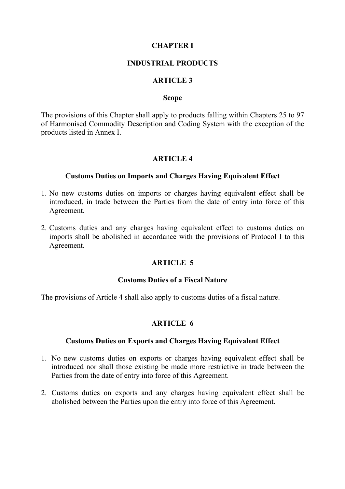#### **CHAPTER I**

#### **INDUSTRIAL PRODUCTS**

## **ARTICLE 3**

#### **Scope**

The provisions of this Chapter shall apply to products falling within Chapters 25 to 97 of Harmonised Commodity Description and Coding System with the exception of the products listed in Annex I.

### **ARTICLE 4**

#### **Customs Duties on Imports and Charges Having Equivalent Effect**

- 1. No new customs duties on imports or charges having equivalent effect shall be introduced, in trade between the Parties from the date of entry into force of this Agreement.
- 2. Customs duties and any charges having equivalent effect to customs duties on imports shall be abolished in accordance with the provisions of Protocol I to this Agreement.

## **ARTICLE 5**

## **Customs Duties of a Fiscal Nature**

The provisions of Article 4 shall also apply to customs duties of a fiscal nature.

## **ARTICLE 6**

#### **Customs Duties on Exports and Charges Having Equivalent Effect**

- 1. No new customs duties on exports or charges having equivalent effect shall be introduced nor shall those existing be made more restrictive in trade between the Parties from the date of entry into force of this Agreement.
- 2. Customs duties on exports and any charges having equivalent effect shall be abolished between the Parties upon the entry into force of this Agreement.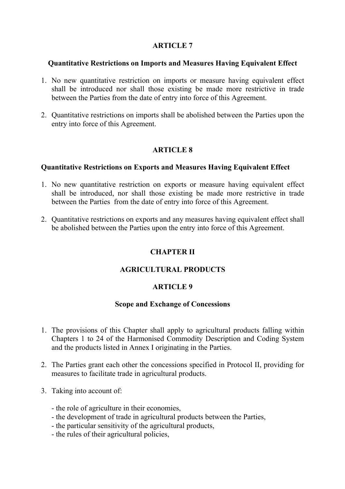## **Quantitative Restrictions on Imports and Measures Having Equivalent Effect**

- 1. No new quantitative restriction on imports or measure having equivalent effect shall be introduced nor shall those existing be made more restrictive in trade between the Parties from the date of entry into force of this Agreement.
- 2. Quantitative restrictions on imports shall be abolished between the Parties upon the entry into force of this Agreement.

# **ARTICLE 8**

### **Quantitative Restrictions on Exports and Measures Having Equivalent Effect**

- 1. No new quantitative restriction on exports or measure having equivalent effect shall be introduced, nor shall those existing be made more restrictive in trade between the Parties from the date of entry into force of this Agreement.
- 2. Quantitative restrictions on exports and any measures having equivalent effect shall be abolished between the Parties upon the entry into force of this Agreement.

## **CHAPTER II**

## **AGRICULTURAL PRODUCTS**

## **ARTICLE 9**

#### **Scope and Exchange of Concessions**

- 1. The provisions of this Chapter shall apply to agricultural products falling within Chapters 1 to 24 of the Harmonised Commodity Description and Coding System and the products listed in Annex I originating in the Parties.
- 2. The Parties grant each other the concessions specified in Protocol II, providing for measures to facilitate trade in agricultural products.
- 3. Taking into account of:
	- the role of agriculture in their economies,
	- the development of trade in agricultural products between the Parties,
	- the particular sensitivity of the agricultural products,
	- the rules of their agricultural policies,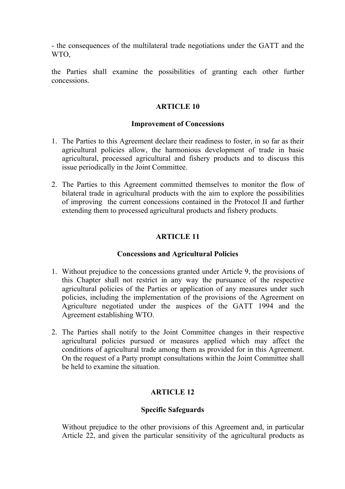- the consequences of the multilateral trade negotiations under the GATT and the WTO,

the Parties shall examine the possibilities of granting each other further concessions.

### **ARTICLE 10**

#### **Improvement of Concessions**

- 1. The Parties to this Agreement declare their readiness to foster, in so far as their agricultural policies allow, the harmonious development of trade in basic agricultural, processed agricultural and fishery products and to discuss this issue periodically in the Joint Committee.
- 2. The Parties to this Agreement committed themselves to monitor the flow of bilateral trade in agricultural products with the aim to explore the possibilities of improving the current concessions contained in the Protocol II and further extending them to processed agricultural products and fishery products.

## **ARTICLE 11**

## **Concessions and Agricultural Policies**

- 1. Without prejudice to the concessions granted under Article 9, the provisions of this Chapter shall not restrict in any way the pursuance of the respective agricultural policies of the Parties or application of any measures under such policies, including the implementation of the provisions of the Agreement on Agriculture negotiated under the auspices of the GATT 1994 and the Agreement establishing WTO.
- 2. The Parties shall notify to the Joint Committee changes in their respective agricultural policies pursued or measures applied which may affect the conditions of agricultural trade among them as provided for in this Agreement. On the request of a Party prompt consultations within the Joint Committee shall be held to examine the situation.

# **ARTICLE 12**

## **Specific Safeguards**

Without prejudice to the other provisions of this Agreement and, in particular Article 22, and given the particular sensitivity of the agricultural products as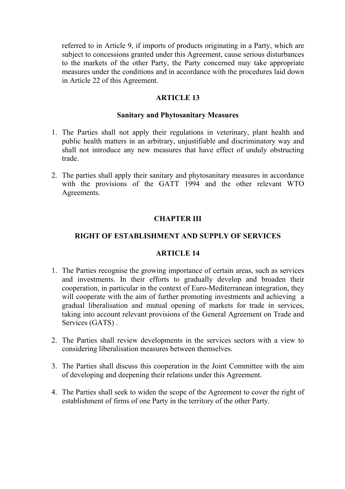referred to in Article 9, if imports of products originating in a Party, which are subject to concessions granted under this Agreement, cause serious disturbances to the markets of the other Party, the Party concerned may take appropriate measures under the conditions and in accordance with the procedures laid down in Article 22 of this Agreement.

## **ARTICLE 13**

#### **Sanitary and Phytosanitary Measures**

- 1. The Parties shall not apply their regulations in veterinary, plant health and public health matters in an arbitrary, unjustifiable and discriminatory way and shall not introduce any new measures that have effect of unduly obstructing trade.
- 2. The parties shall apply their sanitary and phytosanitary measures in accordance with the provisions of the GATT 1994 and the other relevant WTO Agreements.

# **CHAPTER III**

## **RIGHT OF ESTABLISHMENT AND SUPPLY OF SERVICES**

#### **ARTICLE 14**

- 1. The Parties recognise the growing importance of certain areas, such as services and investments. In their efforts to gradually develop and broaden their cooperation, in particular in the context of Euro-Mediterranean integration, they will cooperate with the aim of further promoting investments and achieving a gradual liberalisation and mutual opening of markets for trade in services, taking into account relevant provisions of the General Agreement on Trade and Services (GATS) .
- 2. The Parties shall review developments in the services sectors with a view to considering liberalisation measures between themselves.
- 3. The Parties shall discuss this cooperation in the Joint Committee with the aim of developing and deepening their relations under this Agreement.
- 4. The Parties shall seek to widen the scope of the Agreement to cover the right of establishment of firms of one Party in the territory of the other Party.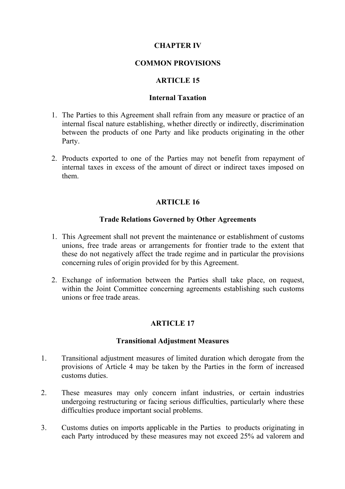## **CHAPTER IV**

#### **COMMON PROVISIONS**

## **ARTICLE 15**

#### **Internal Taxation**

- 1. The Parties to this Agreement shall refrain from any measure or practice of an internal fiscal nature establishing, whether directly or indirectly, discrimination between the products of one Party and like products originating in the other Party.
- 2. Products exported to one of the Parties may not benefit from repayment of internal taxes in excess of the amount of direct or indirect taxes imposed on them.

### **ARTICLE 16**

#### **Trade Relations Governed by Other Agreements**

- 1. This Agreement shall not prevent the maintenance or establishment of customs unions, free trade areas or arrangements for frontier trade to the extent that these do not negatively affect the trade regime and in particular the provisions concerning rules of origin provided for by this Agreement.
- 2. Exchange of information between the Parties shall take place, on request, within the Joint Committee concerning agreements establishing such customs unions or free trade areas.

## **ARTICLE 17**

#### **Transitional Adjustment Measures**

- 1. Transitional adjustment measures of limited duration which derogate from the provisions of Article 4 may be taken by the Parties in the form of increased customs duties.
- 2. These measures may only concern infant industries, or certain industries undergoing restructuring or facing serious difficulties, particularly where these difficulties produce important social problems.
- 3. Customs duties on imports applicable in the Parties to products originating in each Party introduced by these measures may not exceed 25% ad valorem and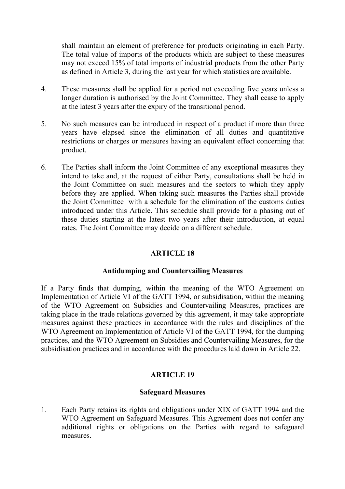shall maintain an element of preference for products originating in each Party. The total value of imports of the products which are subject to these measures may not exceed 15% of total imports of industrial products from the other Party as defined in Article 3, during the last year for which statistics are available.

- 4. These measures shall be applied for a period not exceeding five years unless a longer duration is authorised by the Joint Committee. They shall cease to apply at the latest 3 years after the expiry of the transitional period.
- 5. No such measures can be introduced in respect of a product if more than three years have elapsed since the elimination of all duties and quantitative restrictions or charges or measures having an equivalent effect concerning that product.
- 6. The Parties shall inform the Joint Committee of any exceptional measures they intend to take and, at the request of either Party, consultations shall be held in the Joint Committee on such measures and the sectors to which they apply before they are applied. When taking such measures the Parties shall provide the Joint Committee with a schedule for the elimination of the customs duties introduced under this Article. This schedule shall provide for a phasing out of these duties starting at the latest two years after their introduction, at equal rates. The Joint Committee may decide on a different schedule.

# **ARTICLE 18**

## **Antidumping and Countervailing Measures**

If a Party finds that dumping, within the meaning of the WTO Agreement on Implementation of Article VI of the GATT 1994, or subsidisation, within the meaning of the WTO Agreement on Subsidies and Countervailing Measures, practices are taking place in the trade relations governed by this agreement, it may take appropriate measures against these practices in accordance with the rules and disciplines of the WTO Agreement on Implementation of Article VI of the GATT 1994, for the dumping practices, and the WTO Agreement on Subsidies and Countervailing Measures, for the subsidisation practices and in accordance with the procedures laid down in Article 22.

## **ARTICLE 19**

## **Safeguard Measures**

1. Each Party retains its rights and obligations under XIX of GATT 1994 and the WTO Agreement on Safeguard Measures. This Agreement does not confer any additional rights or obligations on the Parties with regard to safeguard measures.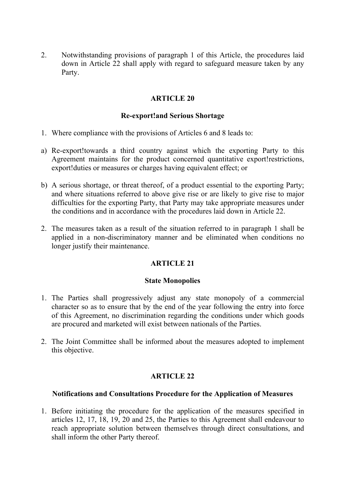2. Notwithstanding provisions of paragraph 1 of this Article, the procedures laid down in Article 22 shall apply with regard to safeguard measure taken by any Party.

## **ARTICLE 20**

## **Re-export!and Serious Shortage**

- 1. Where compliance with the provisions of Articles 6 and 8 leads to:
- a) Re-export!towards a third country against which the exporting Party to this Agreement maintains for the product concerned quantitative export!restrictions, export!duties or measures or charges having equivalent effect; or
- b) A serious shortage, or threat thereof, of a product essential to the exporting Party; and where situations referred to above give rise or are likely to give rise to major difficulties for the exporting Party, that Party may take appropriate measures under the conditions and in accordance with the procedures laid down in Article 22.
- 2. The measures taken as a result of the situation referred to in paragraph 1 shall be applied in a non-discriminatory manner and be eliminated when conditions no longer justify their maintenance.

## **ARTICLE 21**

#### **State Monopolies**

- 1. The Parties shall progressively adjust any state monopoly of a commercial character so as to ensure that by the end of the year following the entry into force of this Agreement, no discrimination regarding the conditions under which goods are procured and marketed will exist between nationals of the Parties.
- 2. The Joint Committee shall be informed about the measures adopted to implement this objective.

## **ARTICLE 22**

#### **Notifications and Consultations Procedure for the Application of Measures**

1. Before initiating the procedure for the application of the measures specified in articles 12, 17, 18, 19, 20 and 25, the Parties to this Agreement shall endeavour to reach appropriate solution between themselves through direct consultations, and shall inform the other Party thereof.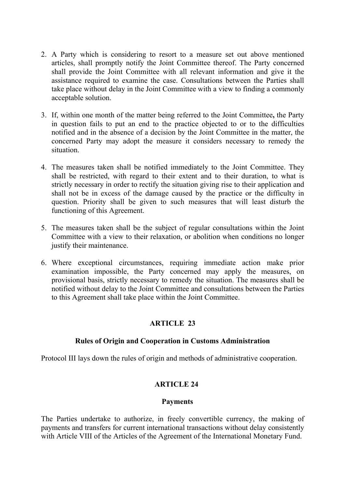- 2. A Party which is considering to resort to a measure set out above mentioned articles, shall promptly notify the Joint Committee thereof. The Party concerned shall provide the Joint Committee with all relevant information and give it the assistance required to examine the case. Consultations between the Parties shall take place without delay in the Joint Committee with a view to finding a commonly acceptable solution.
- 3. If, within one month of the matter being referred to the Joint Committee**,** the Party in question fails to put an end to the practice objected to or to the difficulties notified and in the absence of a decision by the Joint Committee in the matter, the concerned Party may adopt the measure it considers necessary to remedy the situation.
- 4. The measures taken shall be notified immediately to the Joint Committee. They shall be restricted, with regard to their extent and to their duration, to what is strictly necessary in order to rectify the situation giving rise to their application and shall not be in excess of the damage caused by the practice or the difficulty in question. Priority shall be given to such measures that will least disturb the functioning of this Agreement.
- 5. The measures taken shall be the subject of regular consultations within the Joint Committee with a view to their relaxation, or abolition when conditions no longer justify their maintenance.
- 6. Where exceptional circumstances, requiring immediate action make prior examination impossible, the Party concerned may apply the measures, on provisional basis, strictly necessary to remedy the situation. The measures shall be notified without delay to the Joint Committee and consultations between the Parties to this Agreement shall take place within the Joint Committee.

## **Rules of Origin and Cooperation in Customs Administration**

Protocol III lays down the rules of origin and methods of administrative cooperation.

## **ARTICLE 24**

## **Payments**

The Parties undertake to authorize, in freely convertible currency, the making of payments and transfers for current international transactions without delay consistently with Article VIII of the Articles of the Agreement of the International Monetary Fund.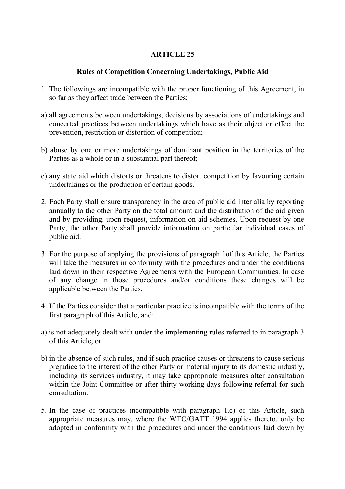## **Rules of Competition Concerning Undertakings, Public Aid**

- 1. The followings are incompatible with the proper functioning of this Agreement, in so far as they affect trade between the Parties:
- a) all agreements between undertakings, decisions by associations of undertakings and concerted practices between undertakings which have as their object or effect the prevention, restriction or distortion of competition;
- b) abuse by one or more undertakings of dominant position in the territories of the Parties as a whole or in a substantial part thereof;
- c) any state aid which distorts or threatens to distort competition by favouring certain undertakings or the production of certain goods.
- 2. Each Party shall ensure transparency in the area of public aid inter alia by reporting annually to the other Party on the total amount and the distribution of the aid given and by providing, upon request, information on aid schemes. Upon request by one Party, the other Party shall provide information on particular individual cases of public aid.
- 3. For the purpose of applying the provisions of paragraph 1of this Article, the Parties will take the measures in conformity with the procedures and under the conditions laid down in their respective Agreements with the European Communities. In case of any change in those procedures and/or conditions these changes will be applicable between the Parties.
- 4. If the Parties consider that a particular practice is incompatible with the terms of the first paragraph of this Article, and:
- a) is not adequately dealt with under the implementing rules referred to in paragraph 3 of this Article, or
- b) in the absence of such rules, and if such practice causes or threatens to cause serious prejudice to the interest of the other Party or material injury to its domestic industry, including its services industry, it may take appropriate measures after consultation within the Joint Committee or after thirty working days following referral for such consultation.
- 5. In the case of practices incompatible with paragraph 1.c) of this Article, such appropriate measures may, where the WTO/GATT 1994 applies thereto, only be adopted in conformity with the procedures and under the conditions laid down by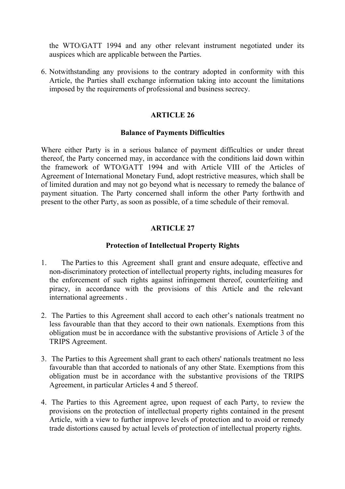the WTO/GATT 1994 and any other relevant instrument negotiated under its auspices which are applicable between the Parties.

6. Notwithstanding any provisions to the contrary adopted in conformity with this Article, the Parties shall exchange information taking into account the limitations imposed by the requirements of professional and business secrecy.

## **ARTICLE 26**

#### **Balance of Payments Difficulties**

Where either Party is in a serious balance of payment difficulties or under threat thereof, the Party concerned may, in accordance with the conditions laid down within the framework of WTO/GATT 1994 and with Article VIII of the Articles of Agreement of International Monetary Fund, adopt restrictive measures, which shall be of limited duration and may not go beyond what is necessary to remedy the balance of payment situation. The Party concerned shall inform the other Party forthwith and present to the other Party, as soon as possible, of a time schedule of their removal.

# **ARTICLE 27**

## **Protection of Intellectual Property Rights**

- 1. The Parties to this Agreement shall grant and ensure adequate, effective and non-discriminatory protection of intellectual property rights, including measures for the enforcement of such rights against infringement thereof, counterfeiting and piracy, in accordance with the provisions of this Article and the relevant international agreements .
- 2. The Parties to this Agreement shall accord to each other's nationals treatment no less favourable than that they accord to their own nationals. Exemptions from this obligation must be in accordance with the substantive provisions of Article 3 of the TRIPS Agreement.
- 3. The Parties to this Agreement shall grant to each others' nationals treatment no less favourable than that accorded to nationals of any other State. Exemptions from this obligation must be in accordance with the substantive provisions of the TRIPS Agreement, in particular Articles 4 and 5 thereof.
- 4. The Parties to this Agreement agree, upon request of each Party, to review the provisions on the protection of intellectual property rights contained in the present Article, with a view to further improve levels of protection and to avoid or remedy trade distortions caused by actual levels of protection of intellectual property rights.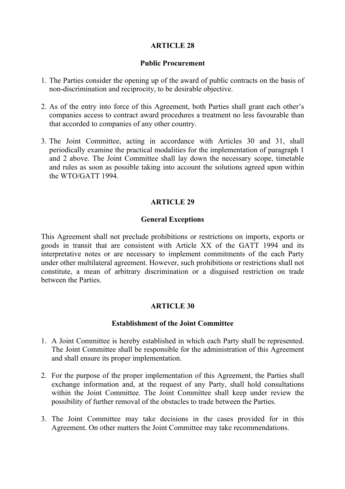#### **Public Procurement**

- 1. The Parties consider the opening up of the award of public contracts on the basis of non-discrimination and reciprocity, to be desirable objective.
- 2. As of the entry into force of this Agreement, both Parties shall grant each other's companies access to contract award procedures a treatment no less favourable than that accorded to companies of any other country.
- 3. The Joint Committee, acting in accordance with Articles 30 and 31, shall periodically examine the practical modalities for the implementation of paragraph 1 and 2 above. The Joint Committee shall lay down the necessary scope, timetable and rules as soon as possible taking into account the solutions agreed upon within the WTO/GATT 1994.

## **ARTICLE 29**

### **General Exceptions**

This Agreement shall not preclude prohibitions or restrictions on imports, exports or goods in transit that are consistent with Article XX of the GATT 1994 and its interpretative notes or are necessary to implement commitments of the each Party under other multilateral agreement. However, such prohibitions or restrictions shall not constitute, a mean of arbitrary discrimination or a disguised restriction on trade between the Parties.

## **ARTICLE 30**

#### **Establishment of the Joint Committee**

- 1. A Joint Committee is hereby established in which each Party shall be represented. The Joint Committee shall be responsible for the administration of this Agreement and shall ensure its proper implementation.
- 2. For the purpose of the proper implementation of this Agreement, the Parties shall exchange information and, at the request of any Party, shall hold consultations within the Joint Committee. The Joint Committee shall keep under review the possibility of further removal of the obstacles to trade between the Parties.
- 3. The Joint Committee may take decisions in the cases provided for in this Agreement. On other matters the Joint Committee may take recommendations.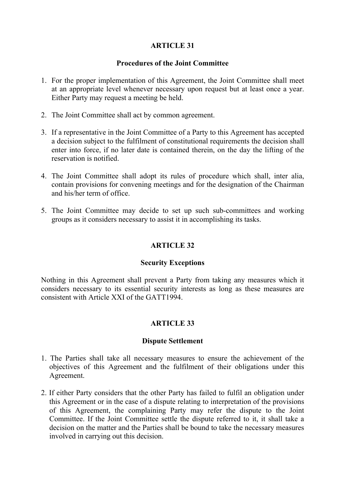### **Procedures of the Joint Committee**

- 1. For the proper implementation of this Agreement, the Joint Committee shall meet at an appropriate level whenever necessary upon request but at least once a year. Either Party may request a meeting be held.
- 2. The Joint Committee shall act by common agreement.
- 3. If a representative in the Joint Committee of a Party to this Agreement has accepted a decision subject to the fulfilment of constitutional requirements the decision shall enter into force, if no later date is contained therein, on the day the lifting of the reservation is notified.
- 4. The Joint Committee shall adopt its rules of procedure which shall, inter alia, contain provisions for convening meetings and for the designation of the Chairman and his/her term of office.
- 5. The Joint Committee may decide to set up such sub-committees and working groups as it considers necessary to assist it in accomplishing its tasks.

## **ARTICLE 32**

## **Security Exceptions**

Nothing in this Agreement shall prevent a Party from taking any measures which it considers necessary to its essential security interests as long as these measures are consistent with Article XXI of the GATT1994.

## **ARTICLE 33**

## **Dispute Settlement**

- 1. The Parties shall take all necessary measures to ensure the achievement of the objectives of this Agreement and the fulfilment of their obligations under this Agreement.
- 2. If either Party considers that the other Party has failed to fulfil an obligation under this Agreement or in the case of a dispute relating to interpretation of the provisions of this Agreement, the complaining Party may refer the dispute to the Joint Committee. If the Joint Committee settle the dispute referred to it, it shall take a decision on the matter and the Parties shall be bound to take the necessary measures involved in carrying out this decision.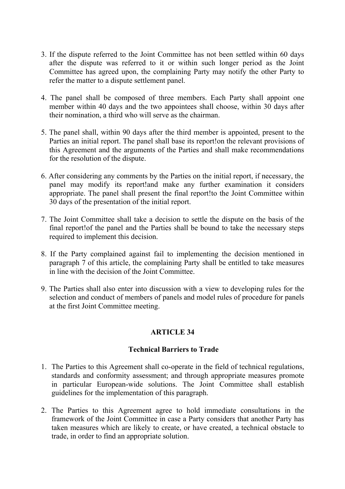- 3. If the dispute referred to the Joint Committee has not been settled within 60 days after the dispute was referred to it or within such longer period as the Joint Committee has agreed upon, the complaining Party may notify the other Party to refer the matter to a dispute settlement panel.
- 4. The panel shall be composed of three members. Each Party shall appoint one member within 40 days and the two appointees shall choose, within 30 days after their nomination, a third who will serve as the chairman.
- 5. The panel shall, within 90 days after the third member is appointed, present to the Parties an initial report. The panel shall base its report!on the relevant provisions of this Agreement and the arguments of the Parties and shall make recommendations for the resolution of the dispute.
- 6. After considering any comments by the Parties on the initial report, if necessary, the panel may modify its report!and make any further examination it considers appropriate. The panel shall present the final report!to the Joint Committee within 30 days of the presentation of the initial report.
- 7. The Joint Committee shall take a decision to settle the dispute on the basis of the final report!of the panel and the Parties shall be bound to take the necessary steps required to implement this decision.
- 8. If the Party complained against fail to implementing the decision mentioned in paragraph 7 of this article, the complaining Party shall be entitled to take measures in line with the decision of the Joint Committee.
- 9. The Parties shall also enter into discussion with a view to developing rules for the selection and conduct of members of panels and model rules of procedure for panels at the first Joint Committee meeting.

## **Technical Barriers to Trade**

- 1. The Parties to this Agreement shall co-operate in the field of technical regulations, standards and conformity assessment; and through appropriate measures promote in particular European-wide solutions. The Joint Committee shall establish guidelines for the implementation of this paragraph.
- 2. The Parties to this Agreement agree to hold immediate consultations in the framework of the Joint Committee in case a Party considers that another Party has taken measures which are likely to create, or have created, a technical obstacle to trade, in order to find an appropriate solution.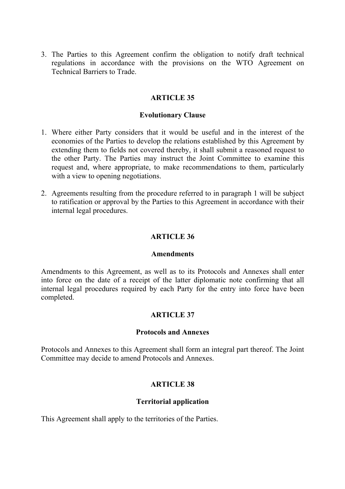3. The Parties to this Agreement confirm the obligation to notify draft technical regulations in accordance with the provisions on the WTO Agreement on Technical Barriers to Trade.

### **ARTICLE 35**

#### **Evolutionary Clause**

- 1. Where either Party considers that it would be useful and in the interest of the economies of the Parties to develop the relations established by this Agreement by extending them to fields not covered thereby, it shall submit a reasoned request to the other Party. The Parties may instruct the Joint Committee to examine this request and, where appropriate, to make recommendations to them, particularly with a view to opening negotiations.
- 2. Agreements resulting from the procedure referred to in paragraph 1 will be subject to ratification or approval by the Parties to this Agreement in accordance with their internal legal procedures.

## **ARTICLE 36**

#### **Amendments**

Amendments to this Agreement, as well as to its Protocols and Annexes shall enter into force on the date of a receipt of the latter diplomatic note confirming that all internal legal procedures required by each Party for the entry into force have been completed.

## **ARTICLE 37**

#### **Protocols and Annexes**

Protocols and Annexes to this Agreement shall form an integral part thereof. The Joint Committee may decide to amend Protocols and Annexes.

## **ARTICLE 38**

## **Territorial application**

This Agreement shall apply to the territories of the Parties.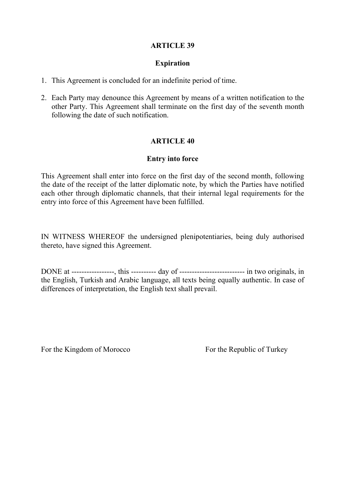#### **Expiration**

- 1. This Agreement is concluded for an indefinite period of time.
- 2. Each Party may denounce this Agreement by means of a written notification to the other Party. This Agreement shall terminate on the first day of the seventh month following the date of such notification.

## **ARTICLE 40**

## **Entry into force**

This Agreement shall enter into force on the first day of the second month, following the date of the receipt of the latter diplomatic note, by which the Parties have notified each other through diplomatic channels, that their internal legal requirements for the entry into force of this Agreement have been fulfilled.

IN WITNESS WHEREOF the undersigned plenipotentiaries, being duly authorised thereto, have signed this Agreement.

DONE at -----------------, this ---------- day of ------------------------------ in two originals, in the English, Turkish and Arabic language, all texts being equally authentic. In case of differences of interpretation, the English text shall prevail.

For the Kingdom of Morocco<br>For the Republic of Turkey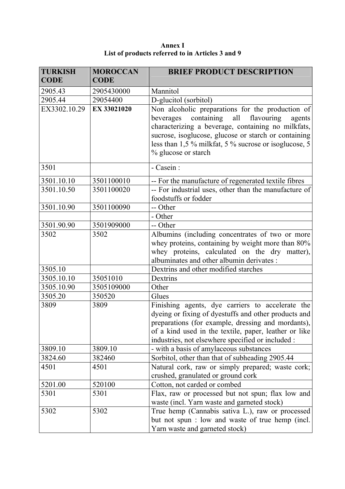**Annex I List of products referred to in Articles 3 and 9** 

| <b>TURKISH</b><br><b>CODE</b> | <b>MOROCCAN</b><br><b>CODE</b> | <b>BRIEF PRODUCT DESCRIPTION</b>                                                                              |
|-------------------------------|--------------------------------|---------------------------------------------------------------------------------------------------------------|
| 2905.43                       | 2905430000                     | Mannitol                                                                                                      |
| 2905.44                       | 29054400                       | D-glucitol (sorbitol)                                                                                         |
| EX3302.10.29                  | EX 33021020                    | Non alcoholic preparations for the production of<br>beverages containing all flavouring<br>agents             |
|                               |                                | characterizing a beverage, containing no milkfats,                                                            |
|                               |                                | sucrose, isoglucose, glucose or starch or containing<br>less than 1,5 % milkfat, 5 % sucrose or isoglucose, 5 |
|                               |                                | % glucose or starch                                                                                           |
| 3501                          |                                | - Casein :                                                                                                    |
| 3501.10.10                    | 3501100010                     | -- For the manufacture of regenerated textile fibres                                                          |
| 3501.10.50                    | 3501100020                     | -- For industrial uses, other than the manufacture of<br>foodstuffs or fodder                                 |
| 3501.10.90                    | 3501100090                     | -- Other                                                                                                      |
|                               |                                | - Other                                                                                                       |
| 3501.90.90                    | 3501909000                     | -- Other                                                                                                      |
| 3502                          | 3502                           | Albumins (including concentrates of two or more                                                               |
|                               |                                | whey proteins, containing by weight more than 80%                                                             |
|                               |                                | whey proteins, calculated on the dry matter),                                                                 |
|                               |                                | albuminates and other albumin derivates :                                                                     |
| 3505.10                       |                                | Dextrins and other modified starches                                                                          |
| 3505.10.10                    | 35051010                       | Dextrins                                                                                                      |
| 3505.10.90                    | 3505109000                     | Other                                                                                                         |
| 3505.20                       | 350520                         | Glues                                                                                                         |
| 3809                          | 3809                           | Finishing agents, dye carriers to accelerate the                                                              |
|                               |                                | dyeing or fixing of dyestuffs and other products and                                                          |
|                               |                                | preparations (for example, dressing and mordants),                                                            |
|                               |                                | of a kind used in the textile, paper, leather or like                                                         |
|                               |                                | industries, not elsewhere specified or included :                                                             |
| 3809.10                       | 3809.10                        | - with a basis of amylaceous substances                                                                       |
| 3824.60                       | 382460                         | Sorbitol, other than that of subheading 2905.44                                                               |
| 4501                          | 4501                           | Natural cork, raw or simply prepared; waste cork;<br>crushed, granulated or ground cork                       |
| 5201.00                       | 520100                         | Cotton, not carded or combed                                                                                  |
| 5301                          | 5301                           | Flax, raw or processed but not spun; flax low and                                                             |
|                               |                                | waste (incl. Yarn waste and garneted stock)                                                                   |
| 5302                          | 5302                           | True hemp (Cannabis sativa L.), raw or processed                                                              |
|                               |                                | but not spun: low and waste of true hemp (incl.                                                               |
|                               |                                | Yarn waste and garneted stock)                                                                                |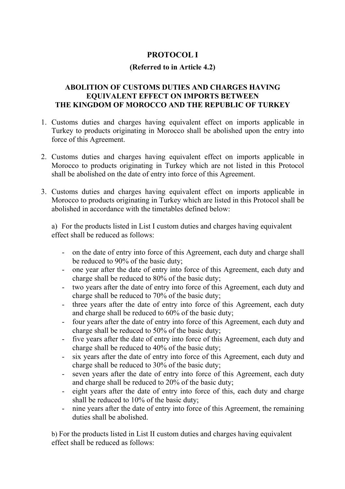# **PROTOCOL I**

## **(Referred to in Article 4.2)**

## **ABOLITION OF CUSTOMS DUTIES AND CHARGES HAVING EQUIVALENT EFFECT ON IMPORTS BETWEEN THE KINGDOM OF MOROCCO AND THE REPUBLIC OF TURKEY**

- 1. Customs duties and charges having equivalent effect on imports applicable in Turkey to products originating in Morocco shall be abolished upon the entry into force of this Agreement.
- 2. Customs duties and charges having equivalent effect on imports applicable in Morocco to products originating in Turkey which are not listed in this Protocol shall be abolished on the date of entry into force of this Agreement.
- 3. Customs duties and charges having equivalent effect on imports applicable in Morocco to products originating in Turkey which are listed in this Protocol shall be abolished in accordance with the timetables defined below:

a) For the products listed in List I custom duties and charges having equivalent effect shall be reduced as follows:

- on the date of entry into force of this Agreement, each duty and charge shall be reduced to 90% of the basic duty;
- one year after the date of entry into force of this Agreement, each duty and charge shall be reduced to 80% of the basic duty;
- two years after the date of entry into force of this Agreement, each duty and charge shall be reduced to 70% of the basic duty;
- three years after the date of entry into force of this Agreement, each duty and charge shall be reduced to 60% of the basic duty;
- four years after the date of entry into force of this Agreement, each duty and charge shall be reduced to 50% of the basic duty;
- five years after the date of entry into force of this Agreement, each duty and charge shall be reduced to 40% of the basic duty;
- six years after the date of entry into force of this Agreement, each duty and charge shall be reduced to 30% of the basic duty;
- seven years after the date of entry into force of this Agreement, each duty and charge shall be reduced to 20% of the basic duty;
- eight years after the date of entry into force of this, each duty and charge shall be reduced to 10% of the basic duty;
- nine years after the date of entry into force of this Agreement, the remaining duties shall be abolished.

b) For the products listed in List II custom duties and charges having equivalent effect shall be reduced as follows: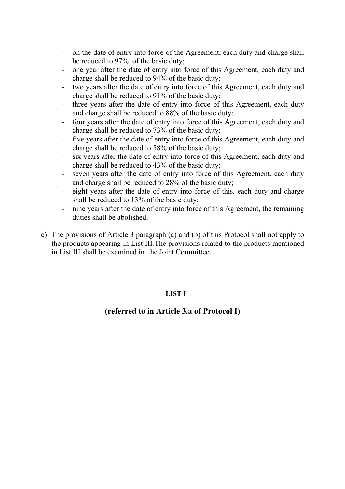- on the date of entry into force of the Agreement, each duty and charge shall be reduced to 97% of the basic duty;
- one year after the date of entry into force of this Agreement, each duty and charge shall be reduced to 94% of the basic duty;
- two years after the date of entry into force of this Agreement, each duty and charge shall be reduced to 91% of the basic duty;
- three years after the date of entry into force of this Agreement, each duty and charge shall be reduced to 88% of the basic duty;
- four years after the date of entry into force of this Agreement, each duty and charge shall be reduced to 73% of the basic duty;
- five years after the date of entry into force of this Agreement, each duty and charge shall be reduced to 58% of the basic duty;
- six years after the date of entry into force of this Agreement, each duty and charge shall be reduced to 43% of the basic duty;
- seven years after the date of entry into force of this Agreement, each duty and charge shall be reduced to 28% of the basic duty;
- eight years after the date of entry into force of this, each duty and charge shall be reduced to 13% of the basic duty;
- nine years after the date of entry into force of this Agreement, the remaining duties shall be abolished.
- c) The provisions of Article 3 paragraph (a) and (b) of this Protocol shall not apply to the products appearing in List III*.*The provisions related to the products mentioned in List III shall be examined in the Joint Committee.

-----------------------------------------------

#### **LIST I**

## **(referred to in Article 3.a of Protocol I)**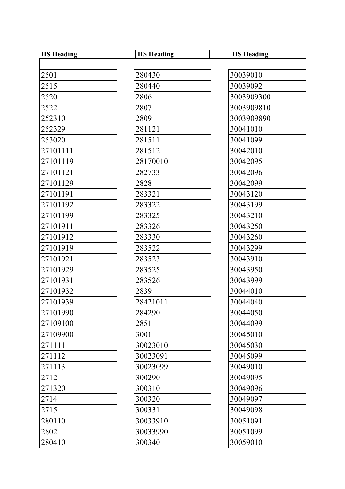| <b>HS Heading</b> | <b>HS Heading</b> | <b>HS Heading</b> |
|-------------------|-------------------|-------------------|
|                   |                   |                   |
| 2501              | 280430            | 30039010          |
| 2515              | 280440            | 30039092          |
| 2520              | 2806              | 3003909300        |
| 2522              | 2807              | 3003909810        |
| 252310            | 2809              | 3003909890        |
| 252329            | 281121            | 30041010          |
| 253020            | 281511            | 30041099          |
| 27101111          | 281512            | 30042010          |
| 27101119          | 28170010          | 30042095          |
| 27101121          | 282733            | 30042096          |
| 27101129          | 2828              | 30042099          |
| 27101191          | 283321            | 30043120          |
| 27101192          | 283322            | 30043199          |
| 27101199          | 283325            | 30043210          |
| 27101911          | 283326            | 30043250          |
| 27101912          | 283330            | 30043260          |
| 27101919          | 283522            | 30043299          |
| 27101921          | 283523            | 30043910          |
| 27101929          | 283525            | 30043950          |
| 27101931          | 283526            | 30043999          |
| 27101932          | 2839              | 30044010          |
| 27101939          | 28421011          | 30044040          |
| 27101990          | 284290            | 30044050          |
| 27109100          | 2851              | 30044099          |
| 27109900          | 3001              | 30045010          |
| 271111            | 30023010          | 30045030          |
| 271112            | 30023091          | 30045099          |
| 271113            | 30023099          | 30049010          |
| 2712              | 300290            | 30049095          |
| 271320            | 300310            | 30049096          |
| 2714              | 300320            | 30049097          |
| 2715              | 300331            | 30049098          |
| 280110            | 30033910          | 30051091          |
| 2802              | 30033990          | 30051099          |
| 280410            | 300340            | 30059010          |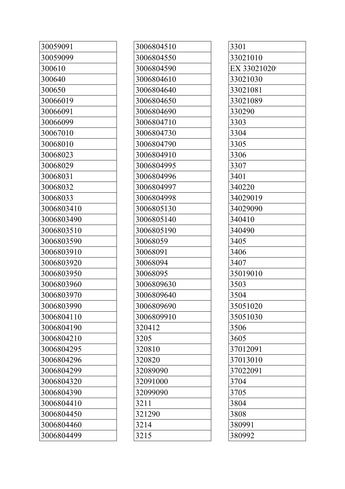| 30059091   |
|------------|
| 30059099   |
| 300610     |
| 300640     |
| 300650     |
| 30066019   |
| 30066091   |
| 30066099   |
| 30067010   |
| 30068010   |
| 30068023   |
| 30068029   |
| 30068031   |
| 30068032   |
| 30068033   |
| 3006803410 |
| 3006803490 |
| 3006803510 |
| 3006803590 |
| 3006803910 |
| 3006803920 |
| 3006803950 |
| 3006803960 |
| 3006803970 |
| 3006803990 |
| 3006804110 |
| 3006804190 |
| 3006804210 |
| 3006804295 |
| 3006804296 |
| 3006804299 |
| 3006804320 |
| 3006804390 |
| 3006804410 |
| 3006804450 |
| 3006804460 |
| 3006804499 |

| 3006804510 |
|------------|
| 3006804550 |
| 3006804590 |
| 3006804610 |
| 3006804640 |
| 3006804650 |
| 3006804690 |
| 3006804710 |
| 3006804730 |
| 3006804790 |
| 3006804910 |
| 3006804995 |
| 3006804996 |
| 3006804997 |
| 3006804998 |
| 3006805130 |
| 3006805140 |
| 3006805190 |
| 30068059   |
| 30068091   |
| 30068094   |
| 30068095   |
| 3006809630 |
| 3006809640 |
| 3006809690 |
| 3006809910 |
| 320412     |
| 3205       |
| 320810     |
| 320820     |
| 32089090   |
| 32091000   |
| 32099090   |
| 3211       |
| 321290     |
| 3214       |
| 3215       |
|            |

| 3301        |
|-------------|
| 33021010    |
| EX 33021020 |
| 33021030    |
| 33021081    |
| 33021089    |
| 330290      |
| 3303        |
| 3304        |
| 3305        |
| 3306        |
| 3307        |
| 3401        |
| 340220      |
| 34029019    |
| 34029090    |
| 340410      |
| 340490      |
| 3405        |
| 3406        |
| 3407        |
| 35019010    |
| 3503        |
| 3504        |
| 35051020    |
| 35051030    |
| 3506        |
| 3605        |
| 37012091    |
| 37013010    |
| 37022091    |
| 3704        |
| 3705        |
| 3804        |
| 3808        |
| 380991      |
| 380992      |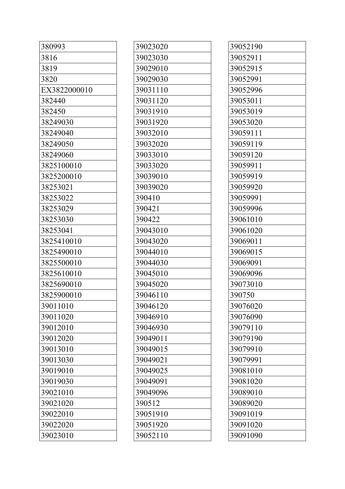| 380993       |
|--------------|
| 3816         |
| 3819         |
| 3820         |
| EX3822000010 |
| 382440       |
| 382450       |
| 38249030     |
| 38249040     |
| 38249050     |
| 38249060     |
| 3825100010   |
| 3825200010   |
| 38253021     |
| 38253022     |
| 38253029     |
| 38253030     |
| 38253041     |
| 3825410010   |
| 3825490010   |
| 3825500010   |
| 3825610010   |
| 3825690010   |
| 3825900010   |
| 39011010     |
| 39011020     |
| 39012010     |
| 39012020     |
| 39013010     |
| 39013030     |
| 39019010     |
| 39019030     |
| 39021010     |
| 39021020     |
| 39022010     |
| 39022020     |
| 39023010     |

| 39023020 |
|----------|
| 39023030 |
| 39029010 |
| 39029030 |
| 39031110 |
| 39031120 |
| 39031910 |
| 39031920 |
| 39032010 |
| 39032020 |
| 39033010 |
| 39033020 |
| 39039010 |
| 39039020 |
| 390410   |
| 390421   |
| 390422   |
| 39043010 |
| 39043020 |
| 39044010 |
| 39044030 |
| 39045010 |
| 39045020 |
| 39046110 |
| 39046120 |
| 39046910 |
| 39046930 |
| 39049011 |
| 39049015 |
| 39049021 |
| 39049025 |
| 39049091 |
| 39049096 |
| 390512   |
| 39051910 |
| 39051920 |
| 39052110 |

| 39052190 |
|----------|
| 39052911 |
| 39052915 |
| 39052991 |
| 39052996 |
| 39053011 |
| 39053019 |
| 39053020 |
| 39059111 |
| 39059119 |
| 39059120 |
| 39059911 |
| 39059919 |
| 39059920 |
| 39059991 |
| 39059996 |
| 39061010 |
| 39061020 |
| 39069011 |
| 39069015 |
| 39069091 |
| 39069096 |
| 39073010 |
| 390750   |
| 39076020 |
| 39076090 |
| 39079110 |
| 39079190 |
| 39079910 |
| 39079991 |
| 39081010 |
| 39081020 |
| 39089010 |
| 39089020 |
| 39091019 |
| 39091020 |
| 39091090 |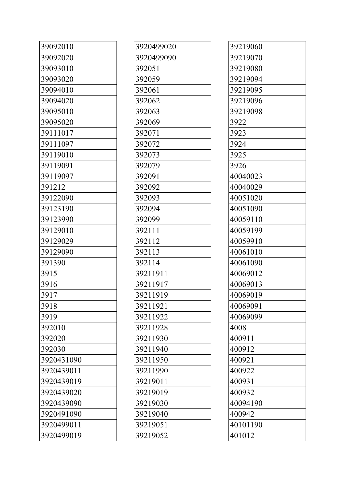| 39092010   |
|------------|
| 39092020   |
| 39093010   |
| 39093020   |
| 39094010   |
| 39094020   |
| 39095010   |
| 39095020   |
| 39111017   |
| 39111097   |
| 39119010   |
| 39119091   |
| 39119097   |
| 391212     |
| 39122090   |
| 39123190   |
| 39123990   |
| 39129010   |
| 39129029   |
| 39129090   |
| 391390     |
| 3915       |
| 3916       |
| 3917       |
| 3918       |
| 3919       |
| 392010     |
| 392020     |
| 392030     |
| 3920431090 |
| 3920439011 |
| 3920439019 |
| 3920439020 |
| 3920439090 |
| 3920491090 |
| 3920499011 |
| 3920499019 |

| 3920499020 |
|------------|
| 3920499090 |
| 392051     |
| 392059     |
| 392061     |
| 392062     |
| 392063     |
| 392069     |
| 392071     |
| 392072     |
| 392073     |
| 392079     |
| 392091     |
| 392092     |
| 392093     |
| 392094     |
| 392099     |
| 392111     |
| 392112     |
| 392113     |
| 392114     |
| 39211911   |
| 39211917   |
| 39211919   |
| 39211921   |
| 39211922   |
| 39211928   |
| 39211930   |
| 39211940   |
| 39211950   |
| 39211990   |
| 39219011   |
| 39219019   |
| 39219030   |
| 39219040   |
| 39219051   |
| 39219052   |
|            |

| 39219060 |
|----------|
| 39219070 |
| 39219080 |
| 39219094 |
| 39219095 |
| 39219096 |
| 39219098 |
| 3922     |
| 3923     |
| 3924     |
| 3925     |
| 3926     |
| 40040023 |
| 40040029 |
| 40051020 |
| 40051090 |
| 40059110 |
| 40059199 |
| 40059910 |
| 40061010 |
| 40061090 |
| 40069012 |
| 40069013 |
| 40069019 |
| 40069091 |
| 40069099 |
| 4008     |
| 400911   |
| 400912   |
| 400921   |
| 400922   |
| 400931   |
| 400932   |
| 40094190 |
| 400942   |
| 40101190 |
| 401012   |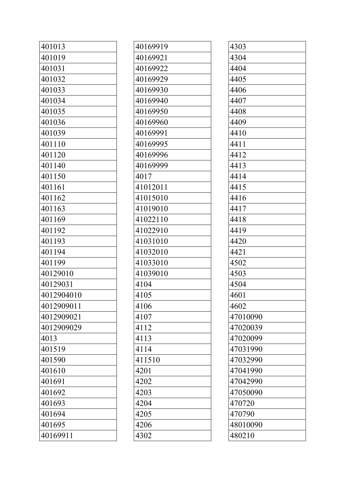| 401013     |
|------------|
| 401019     |
| 401031     |
| 401032     |
| 401033     |
| 401034     |
| 401035     |
| 401036     |
| 401039     |
| 401110     |
| 401120     |
| 401140     |
| 401150     |
| 401161     |
| 401162     |
| 401163     |
| 401169     |
| 401192     |
| 401193     |
| 401194     |
| 401199     |
| 40129010   |
| 40129031   |
| 4012904010 |
| 4012909011 |
| 4012909021 |
| 4012909029 |
| 4013       |
| 401519     |
| 401590     |
| 401610     |
| 401691     |
| 401692     |
| 401693     |
| 401694     |
| 401695     |
| 40169911   |

| 40169919 |
|----------|
| 40169921 |
| 40169922 |
| 40169929 |
| 40169930 |
| 40169940 |
| 40169950 |
| 40169960 |
| 40169991 |
| 40169995 |
| 40169996 |
| 40169999 |
| 4017     |
| 41012011 |
| 41015010 |
| 41019010 |
| 41022110 |
| 41022910 |
| 41031010 |
| 41032010 |
| 41033010 |
| 41039010 |
| 4104     |
| 4105     |
| 4106     |
| 4107     |
| 4112     |
| 4113     |
| 4114     |
| 411510   |
| 4201     |
| 4202     |
| 4203     |
| 4204     |
| 4205     |
| 4206     |
| 4302     |
|          |

| 4303     |
|----------|
| 4304     |
| 4404     |
| 4405     |
| 4406     |
| 4407     |
| 4408     |
| 4409     |
| 4410     |
| 4411     |
| 4412     |
| 4413     |
| 4414     |
| 4415     |
| 4416     |
| 4417     |
| 4418     |
| 4419     |
| 4420     |
| 4421     |
| 4502     |
| 4503     |
| 4504     |
| 4601     |
| 4602     |
| 47010090 |
| 47020039 |
| 47020099 |
| 47031990 |
| 47032990 |
| 47041990 |
| 47042990 |
| 47050090 |
| 470720   |
| 470790   |
| 48010090 |
| 480210   |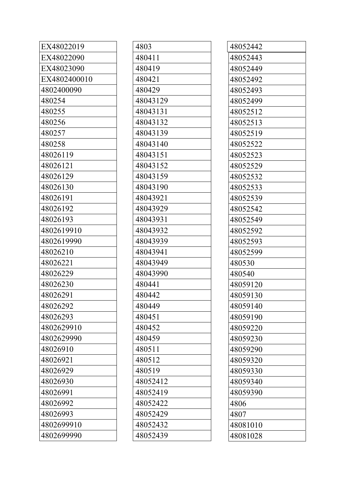| EX48022019   |
|--------------|
| EX48022090   |
| EX48023090   |
| EX4802400010 |
| 4802400090   |
| 480254       |
| 480255       |
| 480256       |
| 480257       |
| 480258       |
| 48026119     |
| 48026121     |
| 48026129     |
| 48026130     |
| 48026191     |
| 48026192     |
| 48026193     |
| 4802619910   |
| 4802619990   |
| 48026210     |
| 48026221     |
| 48026229     |
| 48026230     |
| 48026291     |
| 48026292     |
| 48026293     |
| 4802629910   |
| 4802629990   |
| 48026910     |
| 48026921     |
| 48026929     |
| 48026930     |
| 48026991     |
| 48026992     |
| 48026993     |
| 4802699910   |
| 4802699990   |

| 4803     |
|----------|
| 480411   |
| 480419   |
| 480421   |
| 480429   |
| 48043129 |
| 48043131 |
| 48043132 |
| 48043139 |
| 48043140 |
| 48043151 |
| 48043152 |
| 48043159 |
| 48043190 |
| 48043921 |
| 48043929 |
| 48043931 |
| 48043932 |
| 48043939 |
| 48043941 |
| 48043949 |
| 48043990 |
| 480441   |
| 480442   |
| 480449   |
| 480451   |
| 480452   |
| 480459   |
| 480511   |
| 480512   |
| 480519   |
| 48052412 |
| 48052419 |
| 48052422 |
| 48052429 |
| 48052432 |
| 48052439 |
|          |

| 48052442 |
|----------|
| 48052443 |
| 48052449 |
| 48052492 |
| 48052493 |
| 48052499 |
| 48052512 |
| 48052513 |
| 48052519 |
| 48052522 |
| 48052523 |
| 48052529 |
| 48052532 |
| 48052533 |
| 48052539 |
| 48052542 |
| 48052549 |
| 48052592 |
| 48052593 |
| 48052599 |
| 480530   |
| 480540   |
| 48059120 |
| 48059130 |
| 48059140 |
| 48059190 |
| 48059220 |
| 48059230 |
| 48059290 |
| 48059320 |
| 48059330 |
| 48059340 |
| 48059390 |
| 4806     |
| 4807     |
| 48081010 |
| 48081028 |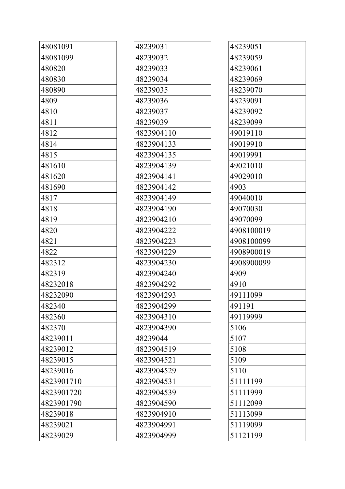| 48081091   |
|------------|
| 48081099   |
| 480820     |
| 480830     |
| 480890     |
| 4809       |
| 4810       |
| 4811       |
| 4812       |
| 4814       |
| 4815       |
| 481610     |
| 481620     |
| 481690     |
| 4817       |
| 4818       |
| 4819       |
| 4820       |
| 4821       |
| 4822       |
| 482312     |
| 482319     |
| 48232018   |
| 48232090   |
| 482340     |
| 482360     |
| 482370     |
| 48239011   |
| 48239012   |
| 48239015   |
| 48239016   |
| 4823901710 |
| 4823901720 |
| 4823901790 |
| 48239018   |
| 48239021   |
| 48239029   |

| 48239031   |
|------------|
| 48239032   |
| 48239033   |
| 48239034   |
| 48239035   |
| 48239036   |
| 48239037   |
| 48239039   |
| 4823904110 |
| 4823904133 |
| 4823904135 |
| 4823904139 |
| 4823904141 |
| 4823904142 |
| 4823904149 |
| 4823904190 |
| 4823904210 |
| 4823904222 |
| 4823904223 |
| 4823904229 |
| 4823904230 |
| 4823904240 |
| 4823904292 |
| 4823904293 |
| 4823904299 |
| 4823904310 |
| 4823904390 |
| 48239044   |
| 4823904519 |
| 4823904521 |
| 4823904529 |
| 4823904531 |
| 4823904539 |
| 4823904590 |
| 4823904910 |
| 4823904991 |
| 4823904999 |
|            |

| 48239051   |
|------------|
| 48239059   |
| 48239061   |
| 48239069   |
| 48239070   |
| 48239091   |
| 48239092   |
| 48239099   |
| 49019110   |
| 49019910   |
| 49019991   |
| 49021010   |
| 49029010   |
| 4903       |
| 49040010   |
| 49070030   |
| 49070099   |
| 4908100019 |
| 4908100099 |
| 4908900019 |
| 4908900099 |
| 4909       |
| 4910       |
| 49111099   |
| 491191     |
| 49119999   |
| 5106       |
| 5107       |
| 5108       |
| 5109       |
| 5110       |
| 51111199   |
| 51111999   |
| 51112099   |
| 51113099   |
| 51119099   |
| 51121199   |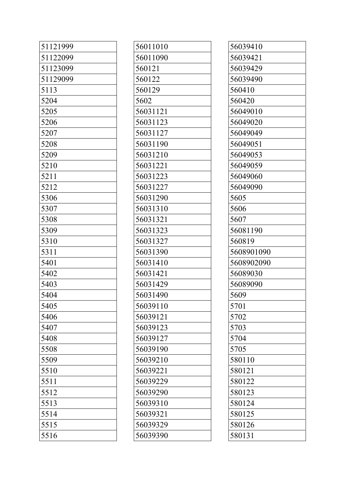| 51121999 |
|----------|
| 51122099 |
| 51123099 |
| 51129099 |
| 5113     |
| 5204     |
| 5205     |
| 5206     |
| 5207     |
| 5208     |
| 5209     |
| 5210     |
| 5211     |
| 5212     |
| 5306     |
| 5307     |
| 5308     |
| 5309     |
| 5310     |
| 5311     |
| 5401     |
| 5402     |
| 5403     |
| 5404     |
| 5405     |
| 5406     |
| 5407     |
| 5408     |
| 5508     |
| 5509     |
| 5510     |
| 5511     |
| 5512     |
| 5513     |
| 5514     |
| 5515     |
| 5516     |

| 56011010 |
|----------|
| 56011090 |
| 560121   |
| 560122   |
| 560129   |
| 5602     |
| 56031121 |
| 56031123 |
| 56031127 |
| 56031190 |
| 56031210 |
| 56031221 |
| 56031223 |
| 56031227 |
| 56031290 |
| 56031310 |
| 56031321 |
| 56031323 |
| 56031327 |
| 56031390 |
| 56031410 |
| 56031421 |
| 56031429 |
| 56031490 |
| 56039110 |
| 56039121 |
| 56039123 |
| 56039127 |
| 56039190 |
| 56039210 |
| 56039221 |
| 56039229 |
| 56039290 |
| 56039310 |
| 56039321 |
| 56039329 |
| 56039390 |

| 56039410   |
|------------|
| 56039421   |
| 56039429   |
| 56039490   |
| 560410     |
| 560420     |
| 56049010   |
| 56049020   |
| 56049049   |
| 56049051   |
| 56049053   |
| 56049059   |
| 56049060   |
| 56049090   |
| 5605       |
| 5606       |
| 5607       |
| 56081190   |
| 560819     |
| 5608901090 |
| 5608902090 |
| 56089030   |
| 56089090   |
| 5609       |
| 5701       |
| 5702       |
| 5703       |
| 5704       |
| 5705       |
| 580110     |
| 580121     |
| 580122     |
| 580123     |
| 580124     |
| 580125     |
| 580126     |
| 580131     |
|            |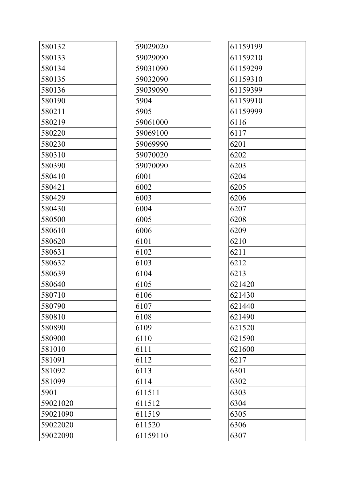| 580132   |
|----------|
| 580133   |
| 580134   |
| 580135   |
| 580136   |
| 580190   |
| 580211   |
| 580219   |
| 580220   |
| 580230   |
| 580310   |
| 580390   |
| 580410   |
| 580421   |
| 580429   |
| 580430   |
| 580500   |
| 580610   |
| 580620   |
| 580631   |
| 580632   |
| 580639   |
| 580640   |
| 580710   |
| 580790   |
| 580810   |
| 580890   |
| 580900   |
| 581010   |
| 581091   |
| 581092   |
| 581099   |
| 5901     |
| 59021020 |
| 59021090 |
| 59022020 |
| 59022090 |

| 61159199 |
|----------|
| 61159210 |
| 61159299 |
| 61159310 |
| 61159399 |
| 61159910 |
| 61159999 |
| 6116     |
| 6117     |
| 6201     |
| 6202     |
| 6203     |
| 6204     |
| 6205     |
| 6206     |
| 6207     |
| 6208     |
| 6209     |
| 6210     |
| 6211     |
| 6212     |
| 6213     |
| 621420   |
| 621430   |
| 621440   |
| 621490   |
| 621520   |
| 621590   |
| 621600   |
| 6217     |
| 6301     |
| 6302     |
| 6303     |
| 6304     |
| 6305     |
| 6306     |
| 6307     |
|          |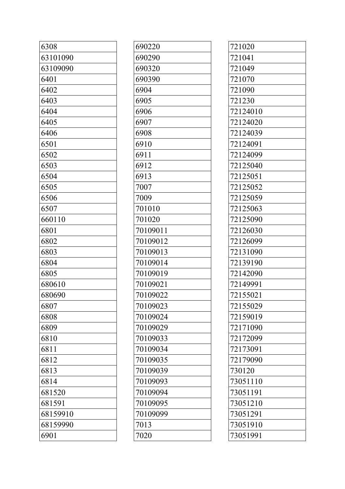| 6308     |
|----------|
| 63101090 |
| 63109090 |
| 6401     |
| 6402     |
| 6403     |
| 6404     |
| 6405     |
| 6406     |
| 6501     |
| 6502     |
| 6503     |
| 6504     |
| 6505     |
| 6506     |
| 6507     |
| 660110   |
| 6801     |
| 6802     |
| 6803     |
| 6804     |
| 6805     |
| 680610   |
| 680690   |
| 6807     |
| 6808     |
| 6809     |
| 6810     |
| 6811     |
| 6812     |
| 6813     |
| 6814     |
| 681520   |
| 681591   |
| 68159910 |
| 68159990 |
| 6901     |

| 690220   |
|----------|
| 690290   |
| 690320   |
| 690390   |
| 6904     |
| 6905     |
| 6906     |
| 6907     |
| 6908     |
| 6910     |
| 6911     |
| 6912     |
| 6913     |
| 7007     |
| 7009     |
| 701010   |
| 701020   |
| 70109011 |
| 70109012 |
| 70109013 |
| 70109014 |
| 70109019 |
| 70109021 |
| 70109022 |
| 70109023 |
| 70109024 |
| 70109029 |
| 70109033 |
| 70109034 |
| 70109035 |
| 70109039 |
| 70109093 |
| 70109094 |
| 70109095 |
| 70109099 |
| 7013     |
| 7020     |
|          |

| 721020   |  |
|----------|--|
| 721041   |  |
| 721049   |  |
| 721070   |  |
| 721090   |  |
| 721230   |  |
| 72124010 |  |
| 72124020 |  |
| 72124039 |  |
| 72124091 |  |
| 72124099 |  |
| 72125040 |  |
| 72125051 |  |
| 72125052 |  |
| 72125059 |  |
| 72125063 |  |
| 72125090 |  |
| 72126030 |  |
| 72126099 |  |
| 72131090 |  |
| 72139190 |  |
| 72142090 |  |
| 72149991 |  |
| 72155021 |  |
| 72155029 |  |
| 72159019 |  |
| 72171090 |  |
| 72172099 |  |
| 72173091 |  |
| 72179090 |  |
| 730120   |  |
| 73051110 |  |
| 73051191 |  |
| 73051210 |  |
| 73051291 |  |
| 73051910 |  |
| 73051991 |  |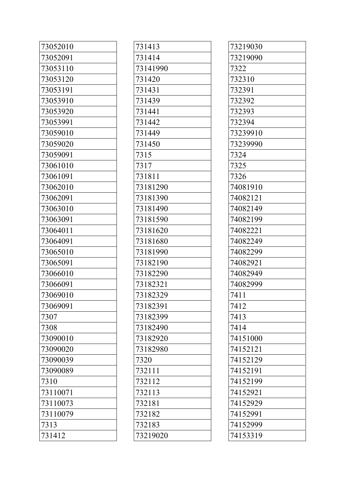| 73052010 |
|----------|
| 73052091 |
| 73053110 |
| 73053120 |
| 73053191 |
| 73053910 |
| 73053920 |
| 73053991 |
| 73059010 |
| 73059020 |
| 73059091 |
| 73061010 |
| 73061091 |
| 73062010 |
| 73062091 |
| 73063010 |
| 73063091 |
| 73064011 |
| 73064091 |
| 73065010 |
| 73065091 |
| 73066010 |
| 73066091 |
| 73069010 |
| 73069091 |
| 7307     |
| 7308     |
| 73090010 |
| 73090020 |
| 73090039 |
| 73090089 |
| 7310     |
| 73110071 |
| 73110073 |
| 73110079 |
| 7313     |
| 731412   |

| 731413         |  |
|----------------|--|
| 731414         |  |
| 73141990       |  |
| 731420         |  |
| 731431         |  |
| 731439         |  |
| 731441         |  |
| 731442         |  |
| 731449         |  |
| 731450         |  |
| 7315           |  |
| 7317           |  |
| 731811         |  |
| 73181290       |  |
| 73181390       |  |
| 73181490       |  |
| 73181590       |  |
| 73181620       |  |
| 73181680       |  |
| 73181990       |  |
| 73182190       |  |
| 73182290       |  |
| 73182321       |  |
| 73182329       |  |
| 73182391       |  |
| 73182399       |  |
| 73182490       |  |
| 73182920       |  |
| 73182980       |  |
| 7320<br>732111 |  |
| 732112         |  |
| 732113         |  |
| 732181         |  |
| 732182         |  |
| 732183         |  |
| 73219020       |  |
|                |  |

| 73219030 |  |
|----------|--|
| 73219090 |  |
| 7322     |  |
| 732310   |  |
| 732391   |  |
| 732392   |  |
| 732393   |  |
| 732394   |  |
| 73239910 |  |
| 73239990 |  |
| 7324     |  |
| 7325     |  |
| 7326     |  |
| 74081910 |  |
| 74082121 |  |
| 74082149 |  |
| 74082199 |  |
| 74082221 |  |
| 74082249 |  |
| 74082299 |  |
| 74082921 |  |
| 74082949 |  |
| 74082999 |  |
| 7411     |  |
| 7412     |  |
| 7413     |  |
| 7414     |  |
| 74151000 |  |
| 74152121 |  |
| 74152129 |  |
| 74152191 |  |
| 74152199 |  |
| 74152921 |  |
| 74152929 |  |
| 74152991 |  |
| 74152999 |  |
| 74153319 |  |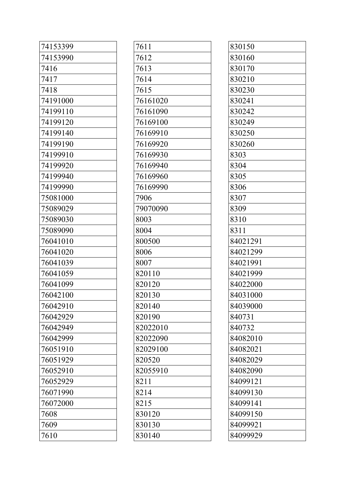| 74153399 |
|----------|
| 74153990 |
| 7416     |
| 7417     |
| 7418     |
| 74191000 |
| 74199110 |
| 74199120 |
| 74199140 |
| 74199190 |
| 74199910 |
| 74199920 |
| 74199940 |
| 74199990 |
| 75081000 |
| 75089029 |
| 75089030 |
| 75089090 |
| 76041010 |
| 76041020 |
| 76041039 |
| 76041059 |
| 76041099 |
| 76042100 |
| 76042910 |
| 76042929 |
| 76042949 |
| 76042999 |
| 76051910 |
| 76051929 |
| 76052910 |
| 76052929 |
| 76071990 |
| 76072000 |
| 7608     |
| 7609     |
| 7610     |

| 7611     |
|----------|
| 7612     |
| 7613     |
| 7614     |
| 7615     |
| 76161020 |
| 76161090 |
| 76169100 |
| 76169910 |
| 76169920 |
| 76169930 |
| 76169940 |
| 76169960 |
| 76169990 |
| 7906     |
| 79070090 |
| 8003     |
| 8004     |
| 800500   |
| 8006     |
| 8007     |
| 820110   |
| 820120   |
| 820130   |
| 820140   |
| 820190   |
| 82022010 |
| 82022090 |
| 82029100 |
| 820520   |
| 82055910 |
| 8211     |
| 8214     |
| 8215     |
| 830120   |
| 830130   |
| 830140   |

| 830150   |
|----------|
| 830160   |
| 830170   |
| 830210   |
| 830230   |
| 830241   |
| 830242   |
| 830249   |
| 830250   |
| 830260   |
| 8303     |
| 8304     |
| 8305     |
| 8306     |
| 8307     |
| 8309     |
| 8310     |
| 8311     |
| 84021291 |
| 84021299 |
| 84021991 |
| 84021999 |
| 84022000 |
| 84031000 |
| 84039000 |
| 840731   |
| 840732   |
| 84082010 |
| 84082021 |
| 84082029 |
| 84082090 |
| 84099121 |
| 84099130 |
| 84099141 |
| 84099150 |
| 84099921 |
| 84099929 |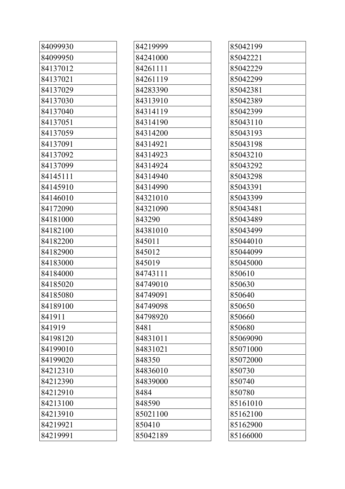| 84099930 |
|----------|
| 84099950 |
| 84137012 |
| 84137021 |
| 84137029 |
| 84137030 |
| 84137040 |
| 84137051 |
| 84137059 |
| 84137091 |
| 84137092 |
| 84137099 |
| 84145111 |
| 84145910 |
| 84146010 |
| 84172090 |
| 84181000 |
| 84182100 |
| 84182200 |
| 84182900 |
| 84183000 |
| 84184000 |
| 84185020 |
| 84185080 |
| 84189100 |
| 841911   |
| 841919   |
| 84198120 |
| 84199010 |
| 84199020 |
| 84212310 |
| 84212390 |
| 84212910 |
| 84213100 |
| 84213910 |
| 84219921 |
| 84219991 |

| 84219999 |
|----------|
| 84241000 |
| 84261111 |
| 84261119 |
| 84283390 |
| 84313910 |
| 84314119 |
| 84314190 |
| 84314200 |
| 84314921 |
| 84314923 |
| 84314924 |
| 84314940 |
| 84314990 |
| 84321010 |
| 84321090 |
| 843290   |
| 84381010 |
| 845011   |
| 845012   |
| 845019   |
| 84743111 |
| 84749010 |
| 84749091 |
| 84749098 |
| 84798920 |
| 8481     |
| 84831011 |
| 84831021 |
| 848350   |
| 84836010 |
| 84839000 |
| 8484     |
| 848590   |
| 85021100 |
| 850410   |
| 85042189 |
|          |

| 85042199 |
|----------|
| 85042221 |
| 85042229 |
| 85042299 |
| 85042381 |
| 85042389 |
| 85042399 |
| 85043110 |
| 85043193 |
| 85043198 |
| 85043210 |
| 85043292 |
| 85043298 |
| 85043391 |
| 85043399 |
| 85043481 |
| 85043489 |
| 85043499 |
| 85044010 |
| 85044099 |
| 85045000 |
| 850610   |
| 850630   |
| 850640   |
| 850650   |
| 850660   |
| 850680   |
| 85069090 |
| 85071000 |
| 85072000 |
| 850730   |
| 850740   |
| 850780   |
| 85161010 |
| 85162100 |
| 85162900 |
| 85166000 |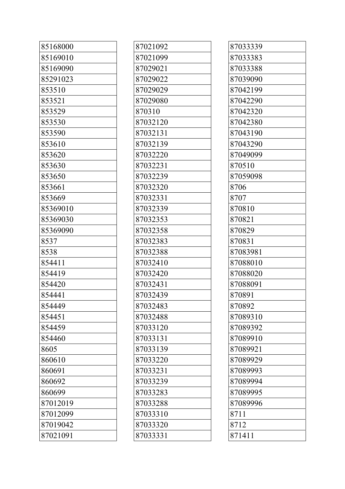| 85168000 |
|----------|
| 85169010 |
| 85169090 |
| 85291023 |
| 853510   |
| 853521   |
| 853529   |
| 853530   |
| 853590   |
| 853610   |
| 853620   |
| 853630   |
| 853650   |
| 853661   |
| 853669   |
| 85369010 |
| 85369030 |
| 85369090 |
| 8537     |
| 8538     |
| 854411   |
| 854419   |
| 854420   |
| 854441   |
| 854449   |
| 854451   |
| 854459   |
| 854460   |
| 8605     |
| 860610   |
| 860691   |
| 860692   |
| 860699   |
| 87012019 |
| 87012099 |
| 87019042 |
| 87021091 |

| 87021092<br>87021099<br>87029021<br>87029022<br>87029029<br>87029080<br>870310<br>87032120<br>87032131 |  |
|--------------------------------------------------------------------------------------------------------|--|
|                                                                                                        |  |
|                                                                                                        |  |
|                                                                                                        |  |
|                                                                                                        |  |
|                                                                                                        |  |
|                                                                                                        |  |
|                                                                                                        |  |
|                                                                                                        |  |
|                                                                                                        |  |
| 87032139                                                                                               |  |
| 87032220                                                                                               |  |
| 87032231                                                                                               |  |
| 87032239                                                                                               |  |
| 87032320                                                                                               |  |
| 87032331                                                                                               |  |
| 87032339                                                                                               |  |
| 87032353                                                                                               |  |
| 87032358                                                                                               |  |
| 87032383                                                                                               |  |
| 87032388                                                                                               |  |
| 87032410                                                                                               |  |
| 87032420                                                                                               |  |
| 87032431                                                                                               |  |
| 87032439                                                                                               |  |
| 87032483                                                                                               |  |
| 87032488                                                                                               |  |
| 87033120                                                                                               |  |
| 87033131                                                                                               |  |
| 87033139                                                                                               |  |
|                                                                                                        |  |
| 87033220                                                                                               |  |
| 87033231                                                                                               |  |
| 87033239                                                                                               |  |
| 87033283                                                                                               |  |
| 87033288                                                                                               |  |
| 87033310                                                                                               |  |
| 87033320<br>87033331                                                                                   |  |

| 87033339 |  |
|----------|--|
| 87033383 |  |
| 87033388 |  |
| 87039090 |  |
| 87042199 |  |
| 87042290 |  |
| 87042320 |  |
| 87042380 |  |
| 87043190 |  |
| 87043290 |  |
| 87049099 |  |
| 870510   |  |
| 87059098 |  |
| 8706     |  |
| 8707     |  |
| 870810   |  |
| 870821   |  |
| 870829   |  |
| 870831   |  |
| 87083981 |  |
| 87088010 |  |
| 87088020 |  |
| 87088091 |  |
| 870891   |  |
| 870892   |  |
| 87089310 |  |
| 87089392 |  |
| 87089910 |  |
| 87089921 |  |
| 87089929 |  |
| 87089993 |  |
| 87089994 |  |
| 87089995 |  |
| 87089996 |  |
| 8711     |  |
| 8712     |  |
| 871411   |  |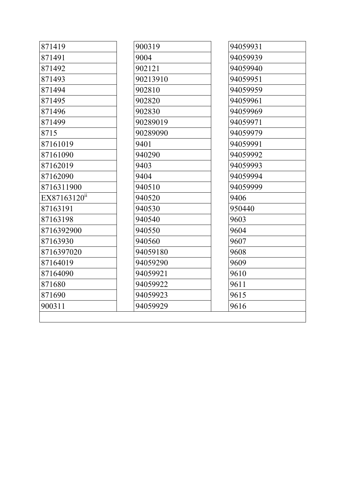| 871419                   |
|--------------------------|
| 871491                   |
| 871492                   |
| 871493                   |
| 871494                   |
| 871495                   |
| 871496                   |
| 871499                   |
| 8715                     |
| 87161019                 |
| 87161090                 |
| 87162019                 |
| 87162090                 |
| 8716311900               |
| EX87163120 <sup>ii</sup> |
| 87163191                 |
| 87163198                 |
| 8716392900               |
| 87163930                 |
| 8716397020               |
| 87164019                 |
| 87164090                 |
| 871680                   |
| 871690                   |
| 900311                   |

| 900319   |
|----------|
| 9004     |
| 902121   |
| 90213910 |
| 902810   |
| 902820   |
| 902830   |
| 90289019 |
| 90289090 |
| 9401     |
| 940290   |
| 9403     |
| 9404     |
| 940510   |
| 940520   |
| 940530   |
| 940540   |
| 940550   |
| 940560   |
| 94059180 |
| 94059290 |
| 94059921 |
| 94059922 |
| 94059923 |
| 94059929 |

| 94059931 |
|----------|
| 94059939 |
| 94059940 |
| 94059951 |
| 94059959 |
| 94059961 |
| 94059969 |
| 94059971 |
| 94059979 |
| 94059991 |
| 94059992 |
| 94059993 |
| 94059994 |
| 94059999 |
| 9406     |
| 950440   |
| 9603     |
| 9604     |
| 9607     |
| 9608     |
| 9609     |
| 9610     |
| 9611     |
| 9615     |
| 9616     |
|          |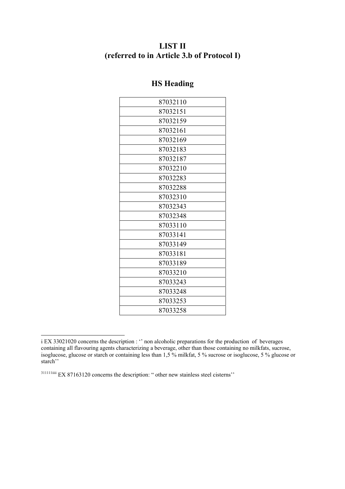# **LIST II (referred to in Article 3.b of Protocol I)**

| 87032110 |
|----------|
| 87032151 |
| 87032159 |
| 87032161 |
| 87032169 |
| 87032183 |
| 87032187 |
| 87032210 |
| 87032283 |
| 87032288 |
| 87032310 |
| 87032343 |
| 87032348 |
| 87033110 |
| 87033141 |
| 87033149 |
| 87033181 |
| 87033189 |
| 87033210 |
| 87033243 |
| 87033248 |
| 87033253 |
| 87033258 |
|          |

# **HS Heading**

i EX 33021020 concerns the description : '' non alcoholic preparations for the production of beverages containing all flavouring agents characterizing a beverage, other than those containing no milkfats, sucrose, isoglucose, glucose or starch or containing less than 1,5 % milkfat, 5 % sucrose or isoglucose, 5 % glucose or starch''

<sup>&</sup>lt;sup>311111iiii</sup> EX 87163120 concerns the description: " other new stainless steel cisterns"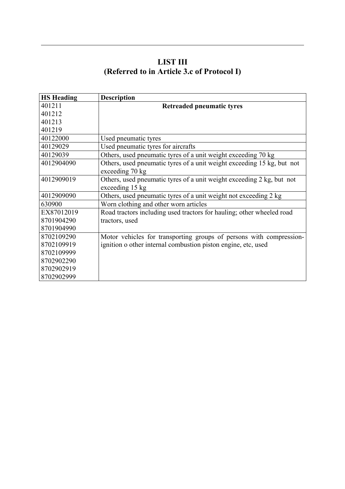# **LIST III (Referred to in Article 3.c of Protocol I)**

| <b>HS Heading</b> | <b>Description</b>                                                                        |  |  |
|-------------------|-------------------------------------------------------------------------------------------|--|--|
| 401211            | <b>Retreaded pneumatic tyres</b>                                                          |  |  |
| 401212            |                                                                                           |  |  |
| 401213            |                                                                                           |  |  |
| 401219            |                                                                                           |  |  |
| 40122000          | Used pneumatic tyres                                                                      |  |  |
| 40129029          | Used pneumatic tyres for aircrafts                                                        |  |  |
| 40129039          | Others, used pneumatic tyres of a unit weight exceeding 70 kg                             |  |  |
| 4012904090        | Others, used pneumatic tyres of a unit weight exceeding 15 kg, but not<br>exceeding 70 kg |  |  |
| 4012909019        | Others, used pneumatic tyres of a unit weight exceeding 2 kg, but not<br>exceeding 15 kg  |  |  |
| 4012909090        | Others, used pneumatic tyres of a unit weight not exceeding 2 kg                          |  |  |
| 630900            | Worn clothing and other worn articles                                                     |  |  |
| EX87012019        | Road tractors including used tractors for hauling; other wheeled road                     |  |  |
| 8701904290        | tractors, used                                                                            |  |  |
| 8701904990        |                                                                                           |  |  |
| 8702109290        | Motor vehicles for transporting groups of persons with compression-                       |  |  |
| 8702109919        | ignition o other internal combustion piston engine, etc, used                             |  |  |
| 8702109999        |                                                                                           |  |  |
| 8702902290        |                                                                                           |  |  |
| 8702902919        |                                                                                           |  |  |
| 8702902999        |                                                                                           |  |  |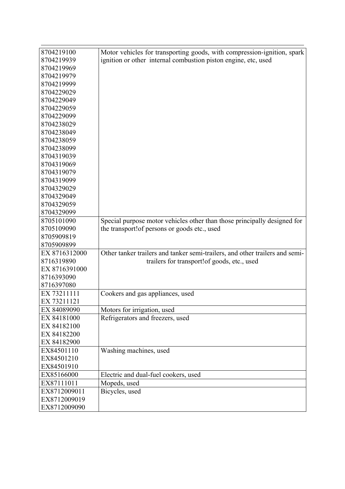| 8704219100    | Motor vehicles for transporting goods, with compression-ignition, spark      |
|---------------|------------------------------------------------------------------------------|
| 8704219939    | ignition or other internal combustion piston engine, etc, used               |
| 8704219969    |                                                                              |
| 8704219979    |                                                                              |
| 8704219999    |                                                                              |
| 8704229029    |                                                                              |
| 8704229049    |                                                                              |
| 8704229059    |                                                                              |
| 8704229099    |                                                                              |
| 8704238029    |                                                                              |
| 8704238049    |                                                                              |
| 8704238059    |                                                                              |
| 8704238099    |                                                                              |
| 8704319039    |                                                                              |
| 8704319069    |                                                                              |
| 8704319079    |                                                                              |
| 8704319099    |                                                                              |
| 8704329029    |                                                                              |
| 8704329049    |                                                                              |
| 8704329059    |                                                                              |
| 8704329099    |                                                                              |
| 8705101090    | Special purpose motor vehicles other than those principally designed for     |
| 8705109090    | the transport! of persons or goods etc., used                                |
| 8705909819    |                                                                              |
| 8705909899    |                                                                              |
| EX 8716312000 | Other tanker trailers and tanker semi-trailers, and other trailers and semi- |
| 8716319890    | trailers for transport! of goods, etc., used                                 |
| EX 8716391000 |                                                                              |
| 8716393090    |                                                                              |
| 8716397080    |                                                                              |
| EX 73211111   | Cookers and gas appliances, used                                             |
| EX 73211121   |                                                                              |
| EX 84089090   | Motors for irrigation, used                                                  |
| EX 84181000   | Refrigerators and freezers, used                                             |
| EX 84182100   |                                                                              |
| EX 84182200   |                                                                              |
| EX 84182900   |                                                                              |
| EX84501110    | Washing machines, used                                                       |
| EX84501210    |                                                                              |
| EX84501910    |                                                                              |
| EX85166000    | Electric and dual-fuel cookers, used                                         |
| EX87111011    | Mopeds, used                                                                 |
| EX8712009011  | Bicycles, used                                                               |
| EX8712009019  |                                                                              |
| EX8712009090  |                                                                              |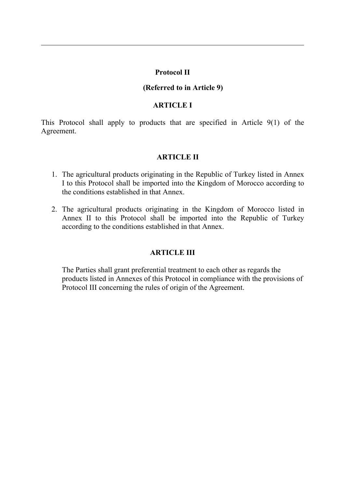#### **Protocol II**

-

#### **(Referred to in Article 9)**

#### **ARTICLE I**

This Protocol shall apply to products that are specified in Article 9(1) of the Agreement.

#### **ARTICLE II**

- 1. The agricultural products originating in the Republic of Turkey listed in Annex I to this Protocol shall be imported into the Kingdom of Morocco according to the conditions established in that Annex.
- 2. The agricultural products originating in the Kingdom of Morocco listed in Annex II to this Protocol shall be imported into the Republic of Turkey according to the conditions established in that Annex.

### **ARTICLE III**

The Parties shall grant preferential treatment to each other as regards the products listed in Annexes of this Protocol in compliance with the provisions of Protocol III concerning the rules of origin of the Agreement.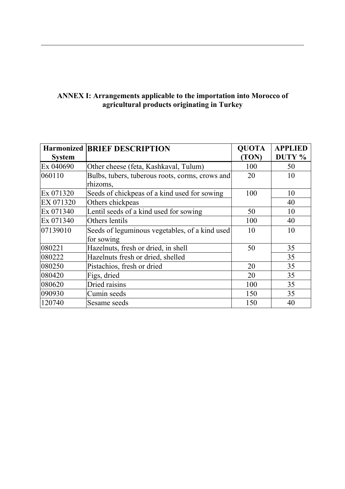# **ANNEX I: Arrangements applicable to the importation into Morocco of agricultural products originating in Turkey**

|               | <b>Harmonized BRIEF DESCRIPTION</b>             | <b>QUOTA</b> | <b>APPLIED</b> |
|---------------|-------------------------------------------------|--------------|----------------|
| <b>System</b> |                                                 | (TON)        | DUTY %         |
| Ex 040690     | Other cheese (feta, Kashkaval, Tulum)           | 100          | 50             |
| 060110        | Bulbs, tubers, tuberous roots, corms, crows and | 20           | 10             |
|               | rhizoms.                                        |              |                |
| Ex 071320     | Seeds of chickpeas of a kind used for sowing    | 100          | 10             |
| EX 071320     | Others chickpeas                                |              | 40             |
| Ex 071340     | Lentil seeds of a kind used for sowing          | 50           | 10             |
| Ex 071340     | Others lentils                                  | 100          | 40             |
| 07139010      | Seeds of leguminous vegetables, of a kind used  | 10           | 10             |
|               | for sowing                                      |              |                |
| 080221        | Hazelnuts, fresh or dried, in shell             | 50           | 35             |
| 080222        | Hazelnuts fresh or dried, shelled               |              | 35             |
| 080250        | Pistachios, fresh or dried                      | 20           | 35             |
| 080420        | Figs, dried                                     | 20           | 35             |
| 080620        | Dried raisins                                   | 100          | 35             |
| 090930        | Cumin seeds                                     | 150          | 35             |
| 120740        | Sesame seeds                                    | 150          | 40             |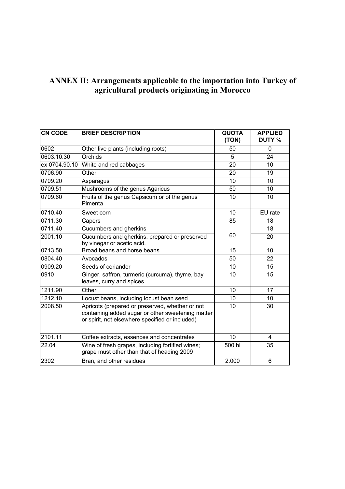| <b>CN CODE</b> | <b>BRIEF DESCRIPTION</b>                                                                                                                                | <b>QUOTA</b><br>(TON) | <b>APPLIED</b><br><b>DUTY %</b> |
|----------------|---------------------------------------------------------------------------------------------------------------------------------------------------------|-----------------------|---------------------------------|
| 0602           | Other live plants (including roots)                                                                                                                     | 50                    | 0                               |
| 0603.10.30     | Orchids                                                                                                                                                 | 5                     | 24                              |
| ex 0704.90.10  | White and red cabbages                                                                                                                                  | 20                    | 10                              |
| 0706.90        | Other                                                                                                                                                   | 20                    | 19                              |
| 0709.20        | Asparagus                                                                                                                                               | 10                    | 10                              |
| 0709.51        | Mushrooms of the genus Agaricus                                                                                                                         | 50                    | 10                              |
| 0709.60        | Fruits of the genus Capsicum or of the genus<br>Pimenta                                                                                                 | 10                    | 10                              |
| 0710.40        | Sweet corn                                                                                                                                              | 10                    | EU rate                         |
| 0711.30        | Capers                                                                                                                                                  | 85                    | 18                              |
| 0711.40        | Cucumbers and gherkins                                                                                                                                  | 60                    | 18                              |
| 2001.10        | Cucumbers and gherkins, prepared or preserved<br>by vinegar or acetic acid.                                                                             |                       | 20                              |
| 0713.50        | Broad beans and horse beans                                                                                                                             | 15                    | 10                              |
| 0804.40        | Avocados                                                                                                                                                | 50                    | 22                              |
| 0909.20        | Seeds of coriander                                                                                                                                      | 10                    | 15                              |
| 0910           | Ginger, saffron, turmeric (curcuma), thyme, bay<br>leaves, curry and spices                                                                             | 10                    | 15                              |
| 1211.90        | Other                                                                                                                                                   | 10                    | 17                              |
| 1212.10        | Locust beans, including locust bean seed                                                                                                                | 10                    | 10                              |
| 2008.50        | Apricots (prepared or preserved, whether or not<br>containing added sugar or other sweetening matter<br>or spirit, not elsewhere specified or included) | 10                    | 30                              |
| 2101.11        | Coffee extracts, essences and concentrates                                                                                                              | 10                    | 4                               |
| 22.04          | Wine of fresh grapes, including fortified wines;<br>grape must other than that of heading 2009                                                          | 500 hl                | 35                              |
| 2302           | Bran, and other residues                                                                                                                                | 2.000                 | 6                               |

# **ANNEX II: Arrangements applicable to the importation into Turkey of agricultural products originating in Morocco**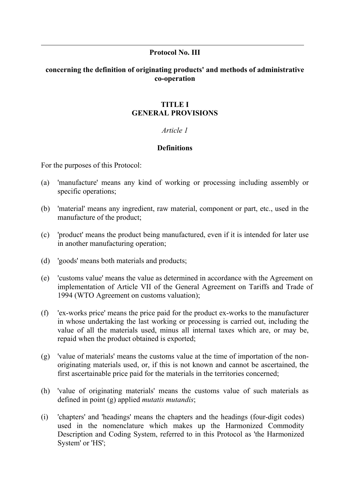#### **Protocol No. III**

#### **concerning the definition of originating products' and methods of administrative co-operation**

#### **TITLE I GENERAL PROVISIONS**

### *Article 1*

#### **Definitions**

For the purposes of this Protocol:

- (a) 'manufacture' means any kind of working or processing including assembly or specific operations;
- (b) 'material' means any ingredient, raw material, component or part, etc., used in the manufacture of the product;
- (c) 'product' means the product being manufactured, even if it is intended for later use in another manufacturing operation;
- (d) 'goods' means both materials and products;
- (e) 'customs value' means the value as determined in accordance with the Agreement on implementation of Article VII of the General Agreement on Tariffs and Trade of 1994 (WTO Agreement on customs valuation);
- (f) 'ex-works price' means the price paid for the product ex-works to the manufacturer in whose undertaking the last working or processing is carried out, including the value of all the materials used, minus all internal taxes which are, or may be, repaid when the product obtained is exported;
- (g) 'value of materials' means the customs value at the time of importation of the nonoriginating materials used, or, if this is not known and cannot be ascertained, the first ascertainable price paid for the materials in the territories concerned;
- (h) 'value of originating materials' means the customs value of such materials as defined in point (g) applied *mutatis mutandis*;
- (i) 'chapters' and 'headings' means the chapters and the headings (four-digit codes) used in the nomenclature which makes up the Harmonized Commodity Description and Coding System, referred to in this Protocol as 'the Harmonized System' or 'HS';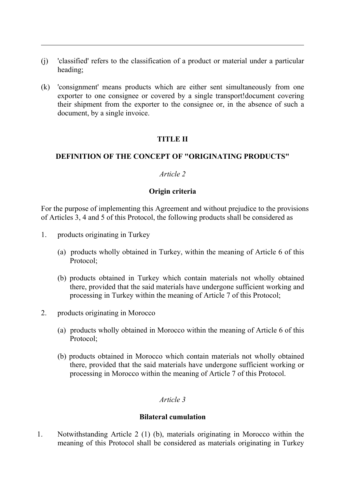- (j) 'classified' refers to the classification of a product or material under a particular heading;
- (k) 'consignment' means products which are either sent simultaneously from one exporter to one consignee or covered by a single transport!document covering their shipment from the exporter to the consignee or, in the absence of such a document, by a single invoice.

# **TITLE II**

# **DEFINITION OF THE CONCEPT OF "ORIGINATING PRODUCTS"**

#### *Article 2*

### **Origin criteria**

For the purpose of implementing this Agreement and without prejudice to the provisions of Articles 3, 4 and 5 of this Protocol, the following products shall be considered as

1. products originating in Turkey

-

- (a) products wholly obtained in Turkey, within the meaning of Article 6 of this Protocol;
- (b) products obtained in Turkey which contain materials not wholly obtained there, provided that the said materials have undergone sufficient working and processing in Turkey within the meaning of Article 7 of this Protocol;
- 2. products originating in Morocco
	- (a) products wholly obtained in Morocco within the meaning of Article 6 of this Protocol;
	- (b) products obtained in Morocco which contain materials not wholly obtained there, provided that the said materials have undergone sufficient working or processing in Morocco within the meaning of Article 7 of this Protocol.

### *Article 3*

#### **Bilateral cumulation**

1. Notwithstanding Article 2 (1) (b), materials originating in Morocco within the meaning of this Protocol shall be considered as materials originating in Turkey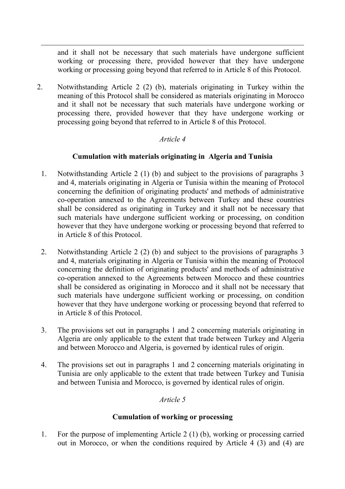and it shall not be necessary that such materials have undergone sufficient working or processing there, provided however that they have undergone working or processing going beyond that referred to in Article 8 of this Protocol.

2. Notwithstanding Article 2 (2) (b), materials originating in Turkey within the meaning of this Protocol shall be considered as materials originating in Morocco and it shall not be necessary that such materials have undergone working or processing there, provided however that they have undergone working or processing going beyond that referred to in Article 8 of this Protocol.

-

### *Article 4*

# **Cumulation with materials originating in Algeria and Tunisia**

- 1. Notwithstanding Article 2 (1) (b) and subject to the provisions of paragraphs 3 and 4, materials originating in Algeria or Tunisia within the meaning of Protocol concerning the definition of originating products' and methods of administrative co-operation annexed to the Agreements between Turkey and these countries shall be considered as originating in Turkey and it shall not be necessary that such materials have undergone sufficient working or processing, on condition however that they have undergone working or processing beyond that referred to in Article 8 of this Protocol.
- 2. Notwithstanding Article 2 (2) (b) and subject to the provisions of paragraphs 3 and 4, materials originating in Algeria or Tunisia within the meaning of Protocol concerning the definition of originating products' and methods of administrative co-operation annexed to the Agreements between Morocco and these countries shall be considered as originating in Morocco and it shall not be necessary that such materials have undergone sufficient working or processing, on condition however that they have undergone working or processing beyond that referred to in Article 8 of this Protocol.
- 3. The provisions set out in paragraphs 1 and 2 concerning materials originating in Algeria are only applicable to the extent that trade between Turkey and Algeria and between Morocco and Algeria, is governed by identical rules of origin.
- 4. The provisions set out in paragraphs 1 and 2 concerning materials originating in Tunisia are only applicable to the extent that trade between Turkey and Tunisia and between Tunisia and Morocco, is governed by identical rules of origin.

### *Article 5*

# **Cumulation of working or processing**

1. For the purpose of implementing Article 2 (1) (b), working or processing carried out in Morocco, or when the conditions required by Article 4 (3) and (4) are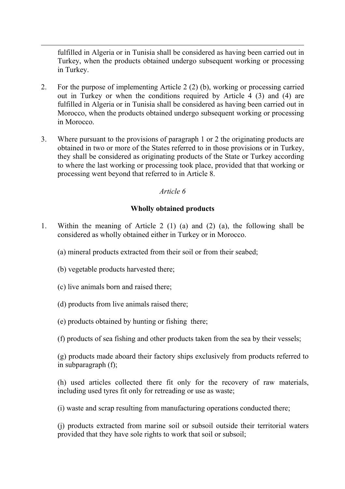fulfilled in Algeria or in Tunisia shall be considered as having been carried out in Turkey, when the products obtained undergo subsequent working or processing in Turkey.

- 2. For the purpose of implementing Article 2 (2) (b), working or processing carried out in Turkey or when the conditions required by Article 4 (3) and (4) are fulfilled in Algeria or in Tunisia shall be considered as having been carried out in Morocco, when the products obtained undergo subsequent working or processing in Morocco.
- 3. Where pursuant to the provisions of paragraph 1 or 2 the originating products are obtained in two or more of the States referred to in those provisions or in Turkey, they shall be considered as originating products of the State or Turkey according to where the last working or processing took place, provided that that working or processing went beyond that referred to in Article 8.

# *Article 6*

# **Wholly obtained products**

- 1. Within the meaning of Article 2 (1) (a) and (2) (a), the following shall be considered as wholly obtained either in Turkey or in Morocco.
	- (a) mineral products extracted from their soil or from their seabed;
	- (b) vegetable products harvested there;

-

- (c) live animals born and raised there;
- (d) products from live animals raised there;
- (e) products obtained by hunting or fishing there;

(f) products of sea fishing and other products taken from the sea by their vessels;

 (g) products made aboard their factory ships exclusively from products referred to in subparagraph (f);

 (h) used articles collected there fit only for the recovery of raw materials, including used tyres fit only for retreading or use as waste;

(i) waste and scrap resulting from manufacturing operations conducted there;

 (j) products extracted from marine soil or subsoil outside their territorial waters provided that they have sole rights to work that soil or subsoil;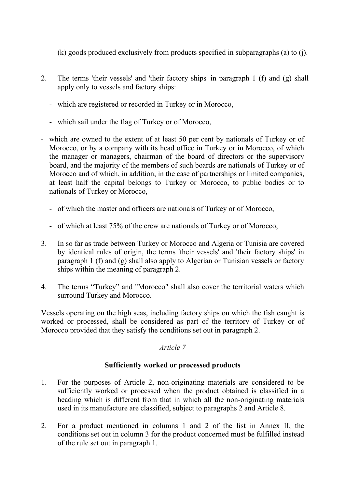(k) goods produced exclusively from products specified in subparagraphs (a) to (j).

- 2. The terms 'their vessels' and 'their factory ships' in paragraph 1 (f) and (g) shall apply only to vessels and factory ships:
	- which are registered or recorded in Turkey or in Morocco,
	- which sail under the flag of Turkey or of Morocco,

-

- which are owned to the extent of at least 50 per cent by nationals of Turkey or of Morocco, or by a company with its head office in Turkey or in Morocco, of which the manager or managers, chairman of the board of directors or the supervisory board, and the majority of the members of such boards are nationals of Turkey or of Morocco and of which, in addition, in the case of partnerships or limited companies, at least half the capital belongs to Turkey or Morocco, to public bodies or to nationals of Turkey or Morocco,
	- of which the master and officers are nationals of Turkey or of Morocco,
	- of which at least 75% of the crew are nationals of Turkey or of Morocco,
- 3. In so far as trade between Turkey or Morocco and Algeria or Tunisia are covered by identical rules of origin, the terms 'their vessels' and 'their factory ships' in paragraph 1 (f) and (g) shall also apply to Algerian or Tunisian vessels or factory ships within the meaning of paragraph 2.
- 4. The terms "Turkey" and "Morocco" shall also cover the territorial waters which surround Turkey and Morocco.

Vessels operating on the high seas, including factory ships on which the fish caught is worked or processed, shall be considered as part of the territory of Turkey or of Morocco provided that they satisfy the conditions set out in paragraph 2.

# *Article 7*

### **Sufficiently worked or processed products**

- 1. For the purposes of Article 2, non-originating materials are considered to be sufficiently worked or processed when the product obtained is classified in a heading which is different from that in which all the non-originating materials used in its manufacture are classified, subject to paragraphs 2 and Article 8.
- 2. For a product mentioned in columns 1 and 2 of the list in Annex II, the conditions set out in column 3 for the product concerned must be fulfilled instead of the rule set out in paragraph 1.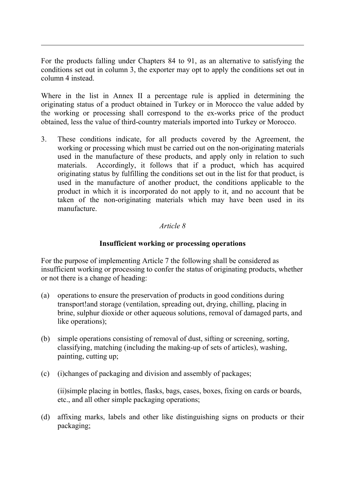For the products falling under Chapters 84 to 91, as an alternative to satisfying the conditions set out in column 3, the exporter may opt to apply the conditions set out in column 4 instead.

-

Where in the list in Annex II a percentage rule is applied in determining the originating status of a product obtained in Turkey or in Morocco the value added by the working or processing shall correspond to the ex-works price of the product obtained, less the value of third-country materials imported into Turkey or Morocco.

3. These conditions indicate, for all products covered by the Agreement, the working or processing which must be carried out on the non-originating materials used in the manufacture of these products, and apply only in relation to such materials. Accordingly, it follows that if a product, which has acquired originating status by fulfilling the conditions set out in the list for that product, is used in the manufacture of another product, the conditions applicable to the product in which it is incorporated do not apply to it, and no account that be taken of the non-originating materials which may have been used in its manufacture.

# *Article 8*

# **Insufficient working or processing operations**

For the purpose of implementing Article 7 the following shall be considered as insufficient working or processing to confer the status of originating products, whether or not there is a change of heading:

- (a) operations to ensure the preservation of products in good conditions during transport!and storage (ventilation, spreading out, drying, chilling, placing in brine, sulphur dioxide or other aqueous solutions, removal of damaged parts, and like operations);
- (b) simple operations consisting of removal of dust, sifting or screening, sorting, classifying, matching (including the making-up of sets of articles), washing, painting, cutting up;
- (c) (i)changes of packaging and division and assembly of packages;

 (ii)simple placing in bottles, flasks, bags, cases, boxes, fixing on cards or boards, etc., and all other simple packaging operations;

(d) affixing marks, labels and other like distinguishing signs on products or their packaging;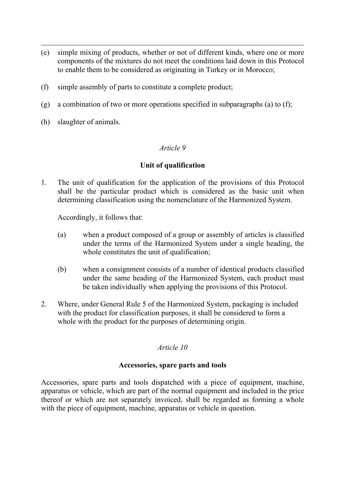- (e) simple mixing of products, whether or not of different kinds, where one or more components of the mixtures do not meet the conditions laid down in this Protocol to enable them to be considered as originating in Turkey or in Morocco;
- (f) simple assembly of parts to constitute a complete product;
- (g) a combination of two or more operations specified in subparagraphs (a) to (f);
- (h) slaughter of animals.

-

### *Article 9*

### **Unit of qualification**

1. The unit of qualification for the application of the provisions of this Protocol shall be the particular product which is considered as the basic unit when determining classification using the nomenclature of the Harmonized System.

Accordingly, it follows that:

- (a) when a product composed of a group or assembly of articles is classified under the terms of the Harmonized System under a single heading, the whole constitutes the unit of qualification:
- (b) when a consignment consists of a number of identical products classified under the same heading of the Harmonized System, each product must be taken individually when applying the provisions of this Protocol.
- 2. Where, under General Rule 5 of the Harmonized System, packaging is included with the product for classification purposes, it shall be considered to form a whole with the product for the purposes of determining origin.

# *Article 10*

### **Accessories, spare parts and tools**

Accessories, spare parts and tools dispatched with a piece of equipment, machine, apparatus or vehicle, which are part of the normal equipment and included in the price thereof or which are not separately invoiced, shall be regarded as forming a whole with the piece of equipment, machine, apparatus or vehicle in question.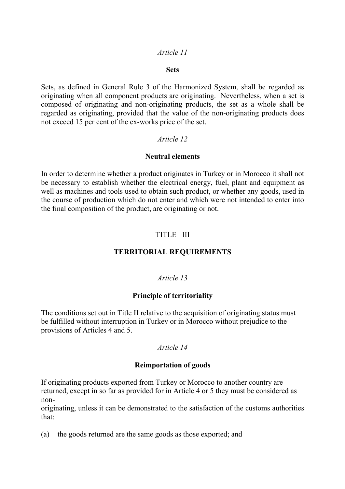#### *Article 11*

-

#### **Sets**

Sets, as defined in General Rule 3 of the Harmonized System, shall be regarded as originating when all component products are originating. Nevertheless, when a set is composed of originating and non-originating products, the set as a whole shall be regarded as originating, provided that the value of the non-originating products does not exceed 15 per cent of the ex-works price of the set.

#### *Article 12*

#### **Neutral elements**

In order to determine whether a product originates in Turkey or in Morocco it shall not be necessary to establish whether the electrical energy, fuel, plant and equipment as well as machines and tools used to obtain such product, or whether any goods, used in the course of production which do not enter and which were not intended to enter into the final composition of the product, are originating or not.

### TITLE III

#### **TERRITORIAL REQUIREMENTS**

#### *Article 13*

#### **Principle of territoriality**

The conditions set out in Title II relative to the acquisition of originating status must be fulfilled without interruption in Turkey or in Morocco without prejudice to the provisions of Articles 4 and 5.

#### *Article 14*

#### **Reimportation of goods**

If originating products exported from Turkey or Morocco to another country are returned, except in so far as provided for in Article 4 or 5 they must be considered as non-

originating, unless it can be demonstrated to the satisfaction of the customs authorities that:

(a) the goods returned are the same goods as those exported; and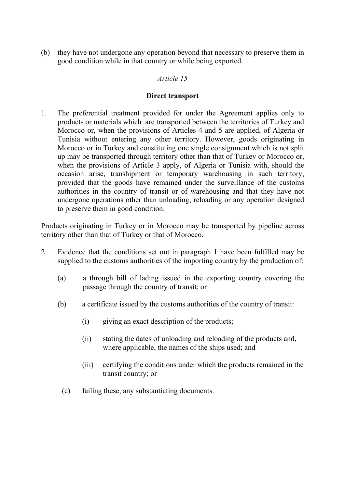(b) they have not undergone any operation beyond that necessary to preserve them in good condition while in that country or while being exported.

-

# *Article 15*

### **Direct transport**

1. The preferential treatment provided for under the Agreement applies only to products or materials which are transported between the territories of Turkey and Morocco or, when the provisions of Articles 4 and 5 are applied, of Algeria or Tunisia without entering any other territory. However, goods originating in Morocco or in Turkey and constituting one single consignment which is not split up may be transported through territory other than that of Turkey or Morocco or, when the provisions of Article 3 apply, of Algeria or Tunisia with, should the occasion arise, transhipment or temporary warehousing in such territory, provided that the goods have remained under the surveillance of the customs authorities in the country of transit or of warehousing and that they have not undergone operations other than unloading, reloading or any operation designed to preserve them in good condition.

Products originating in Turkey or in Morocco may be transported by pipeline across territory other than that of Turkey or that of Morocco.

- 2. Evidence that the conditions set out in paragraph 1 have been fulfilled may be supplied to the customs authorities of the importing country by the production of:
	- (a) a through bill of lading issued in the exporting country covering the passage through the country of transit; or
	- (b) a certificate issued by the customs authorities of the country of transit:
		- (i) giving an exact description of the products;
		- (ii) stating the dates of unloading and reloading of the products and, where applicable, the names of the ships used; and
		- (iii) certifying the conditions under which the products remained in the transit country; or
		- (c) failing these, any substantiating documents.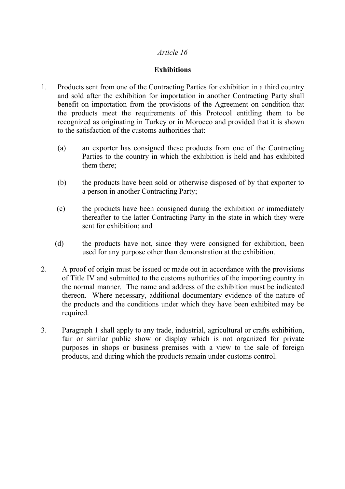# *Article 16*

-

# **Exhibitions**

- 1. Products sent from one of the Contracting Parties for exhibition in a third country and sold after the exhibition for importation in another Contracting Party shall benefit on importation from the provisions of the Agreement on condition that the products meet the requirements of this Protocol entitling them to be recognized as originating in Turkey or in Morocco and provided that it is shown to the satisfaction of the customs authorities that:
	- (a) an exporter has consigned these products from one of the Contracting Parties to the country in which the exhibition is held and has exhibited them there;
	- (b) the products have been sold or otherwise disposed of by that exporter to a person in another Contracting Party;
	- (c) the products have been consigned during the exhibition or immediately thereafter to the latter Contracting Party in the state in which they were sent for exhibition; and
	- (d) the products have not, since they were consigned for exhibition, been used for any purpose other than demonstration at the exhibition.
- 2. A proof of origin must be issued or made out in accordance with the provisions of Title IV and submitted to the customs authorities of the importing country in the normal manner. The name and address of the exhibition must be indicated thereon. Where necessary, additional documentary evidence of the nature of the products and the conditions under which they have been exhibited may be required.
- 3. Paragraph 1 shall apply to any trade, industrial, agricultural or crafts exhibition, fair or similar public show or display which is not organized for private purposes in shops or business premises with a view to the sale of foreign products, and during which the products remain under customs control.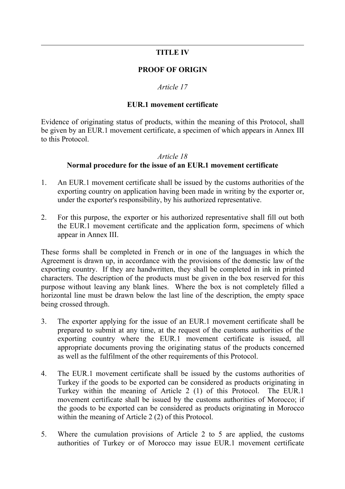# **TITLE IV**

-

# **PROOF OF ORIGIN**

# *Article 17*

### **EUR.1 movement certificate**

Evidence of originating status of products, within the meaning of this Protocol, shall be given by an EUR.1 movement certificate, a specimen of which appears in Annex III to this Protocol.

#### *Article 18*  **Normal procedure for the issue of an EUR.1 movement certificate**

- 1. An EUR.1 movement certificate shall be issued by the customs authorities of the exporting country on application having been made in writing by the exporter or, under the exporter's responsibility, by his authorized representative.
- 2. For this purpose, the exporter or his authorized representative shall fill out both the EUR.1 movement certificate and the application form, specimens of which appear in Annex III.

These forms shall be completed in French or in one of the languages in which the Agreement is drawn up, in accordance with the provisions of the domestic law of the exporting country. If they are handwritten, they shall be completed in ink in printed characters. The description of the products must be given in the box reserved for this purpose without leaving any blank lines. Where the box is not completely filled a horizontal line must be drawn below the last line of the description, the empty space being crossed through.

- 3. The exporter applying for the issue of an EUR.1 movement certificate shall be prepared to submit at any time, at the request of the customs authorities of the exporting country where the EUR.1 movement certificate is issued, all appropriate documents proving the originating status of the products concerned as well as the fulfilment of the other requirements of this Protocol.
- 4. The EUR.1 movement certificate shall be issued by the customs authorities of Turkey if the goods to be exported can be considered as products originating in Turkey within the meaning of Article 2 (1) of this Protocol. The EUR.1 movement certificate shall be issued by the customs authorities of Morocco; if the goods to be exported can be considered as products originating in Morocco within the meaning of Article 2 (2) of this Protocol.
- 5. Where the cumulation provisions of Article 2 to 5 are applied, the customs authorities of Turkey or of Morocco may issue EUR.1 movement certificate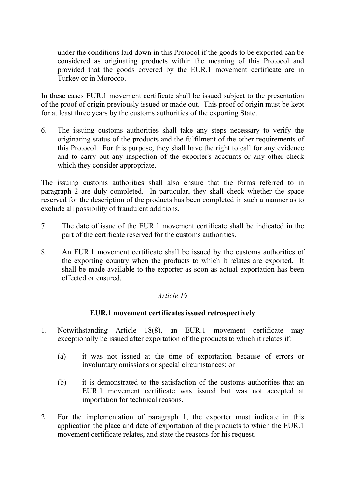under the conditions laid down in this Protocol if the goods to be exported can be considered as originating products within the meaning of this Protocol and provided that the goods covered by the EUR.1 movement certificate are in Turkey or in Morocco.

In these cases EUR.1 movement certificate shall be issued subject to the presentation of the proof of origin previously issued or made out. This proof of origin must be kept for at least three years by the customs authorities of the exporting State.

-

6. The issuing customs authorities shall take any steps necessary to verify the originating status of the products and the fulfilment of the other requirements of this Protocol. For this purpose, they shall have the right to call for any evidence and to carry out any inspection of the exporter's accounts or any other check which they consider appropriate.

The issuing customs authorities shall also ensure that the forms referred to in paragraph 2 are duly completed. In particular, they shall check whether the space reserved for the description of the products has been completed in such a manner as to exclude all possibility of fraudulent additions.

- 7. The date of issue of the EUR.1 movement certificate shall be indicated in the part of the certificate reserved for the customs authorities.
- 8. An EUR.1 movement certificate shall be issued by the customs authorities of the exporting country when the products to which it relates are exported. It shall be made available to the exporter as soon as actual exportation has been effected or ensured.

### *Article 19*

### **EUR.1 movement certificates issued retrospectively**

- 1. Notwithstanding Article 18(8), an EUR.1 movement certificate may exceptionally be issued after exportation of the products to which it relates if:
	- (a) it was not issued at the time of exportation because of errors or involuntary omissions or special circumstances; or
	- (b) it is demonstrated to the satisfaction of the customs authorities that an EUR.1 movement certificate was issued but was not accepted at importation for technical reasons.
- 2. For the implementation of paragraph 1, the exporter must indicate in this application the place and date of exportation of the products to which the EUR.1 movement certificate relates, and state the reasons for his request.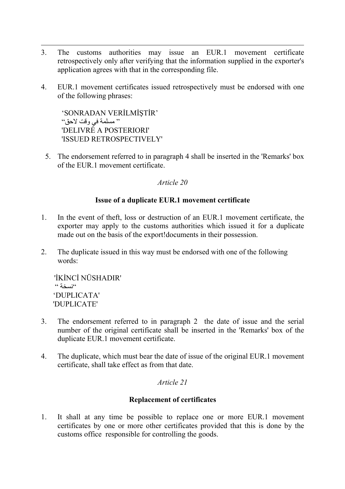- -3. The customs authorities may issue an EUR.1 movement certificate retrospectively only after verifying that the information supplied in the exporter's application agrees with that in the corresponding file.
- 4. EUR.1 movement certificates issued retrospectively must be endorsed with one of the following phrases:

 'SONRADAN VERİLMİŞTİR' " مسلمة في وقت لاحق" 'DELIVRÉ A POSTERIORI' 'ISSUED RETROSPECTIVELY'

5. The endorsement referred to in paragraph 4 shall be inserted in the 'Remarks' box of the EUR.1 movement certificate.

### *Article 20*

# **Issue of a duplicate EUR.1 movement certificate**

- 1. In the event of theft, loss or destruction of an EUR.1 movement certificate, the exporter may apply to the customs authorities which issued it for a duplicate made out on the basis of the export!documents in their possession.
- 2. The duplicate issued in this way must be endorsed with one of the following words:

 'İKİNCİ NÜSHADIR'  $(3.1)$  'DUPLICATA' 'DUPLICATE'

- 3. The endorsement referred to in paragraph 2 the date of issue and the serial number of the original certificate shall be inserted in the 'Remarks' box of the duplicate EUR.1 movement certificate.
- 4. The duplicate, which must bear the date of issue of the original EUR.1 movement certificate, shall take effect as from that date.

### *Article 21*

### **Replacement of certificates**

1. It shall at any time be possible to replace one or more EUR.1 movement certificates by one or more other certificates provided that this is done by the customs office responsible for controlling the goods.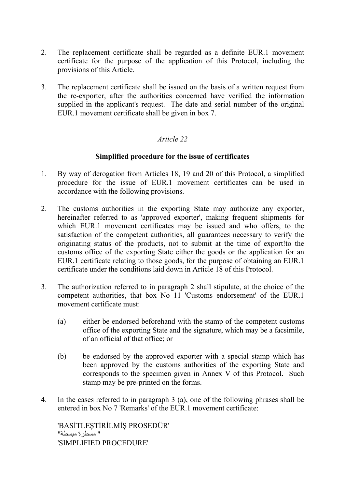- -2. The replacement certificate shall be regarded as a definite EUR.1 movement certificate for the purpose of the application of this Protocol, including the provisions of this Article.
- 3. The replacement certificate shall be issued on the basis of a written request from the re-exporter, after the authorities concerned have verified the information supplied in the applicant's request. The date and serial number of the original EUR.1 movement certificate shall be given in box 7.

# *Article 22*

### **Simplified procedure for the issue of certificates**

- 1. By way of derogation from Articles 18, 19 and 20 of this Protocol, a simplified procedure for the issue of EUR.1 movement certificates can be used in accordance with the following provisions.
- 2. The customs authorities in the exporting State may authorize any exporter, hereinafter referred to as 'approved exporter', making frequent shipments for which EUR.1 movement certificates may be issued and who offers, to the satisfaction of the competent authorities, all guarantees necessary to verify the originating status of the products, not to submit at the time of export!to the customs office of the exporting State either the goods or the application for an EUR.1 certificate relating to those goods, for the purpose of obtaining an EUR.1 certificate under the conditions laid down in Article 18 of this Protocol.
- 3. The authorization referred to in paragraph 2 shall stipulate, at the choice of the competent authorities, that box No 11 'Customs endorsement' of the EUR.1 movement certificate must:
	- (a) either be endorsed beforehand with the stamp of the competent customs office of the exporting State and the signature, which may be a facsimile, of an official of that office; or
	- (b) be endorsed by the approved exporter with a special stamp which has been approved by the customs authorities of the exporting State and corresponds to the specimen given in Annex V of this Protocol. Such stamp may be pre-printed on the forms.
- 4. In the cases referred to in paragraph 3 (a), one of the following phrases shall be entered in box No 7 'Remarks' of the EUR.1 movement certificate:

 'BASİTLEŞTİRİLMİŞ PROSEDÜR' مسطرة مبسطة '' " 'SIMPLIFIED PROCEDURE'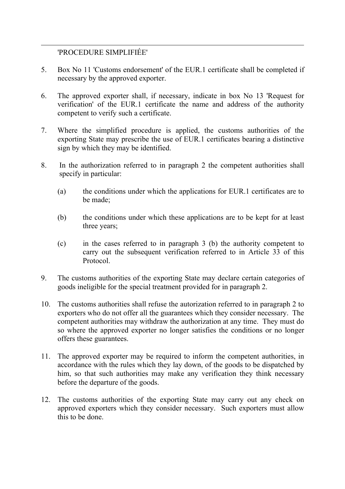'PROCEDURE SIMPLIFIÉE'

- 5. Box No 11 'Customs endorsement' of the EUR.1 certificate shall be completed if necessary by the approved exporter.
- 6. The approved exporter shall, if necessary, indicate in box No 13 'Request for verification' of the EUR.1 certificate the name and address of the authority competent to verify such a certificate.
- 7. Where the simplified procedure is applied, the customs authorities of the exporting State may prescribe the use of EUR.1 certificates bearing a distinctive sign by which they may be identified.
- 8. In the authorization referred to in paragraph 2 the competent authorities shall specify in particular:
	- (a) the conditions under which the applications for EUR.1 certificates are to be made;
	- (b) the conditions under which these applications are to be kept for at least three years;
	- (c) in the cases referred to in paragraph 3 (b) the authority competent to carry out the subsequent verification referred to in Article 33 of this Protocol.
- 9. The customs authorities of the exporting State may declare certain categories of goods ineligible for the special treatment provided for in paragraph 2.
- 10. The customs authorities shall refuse the autorization referred to in paragraph 2 to exporters who do not offer all the guarantees which they consider necessary. The competent authorities may withdraw the authorization at any time. They must do so where the approved exporter no longer satisfies the conditions or no longer offers these guarantees.
- 11. The approved exporter may be required to inform the competent authorities, in accordance with the rules which they lay down, of the goods to be dispatched by him, so that such authorities may make any verification they think necessary before the departure of the goods.
- 12. The customs authorities of the exporting State may carry out any check on approved exporters which they consider necessary. Such exporters must allow this to be done.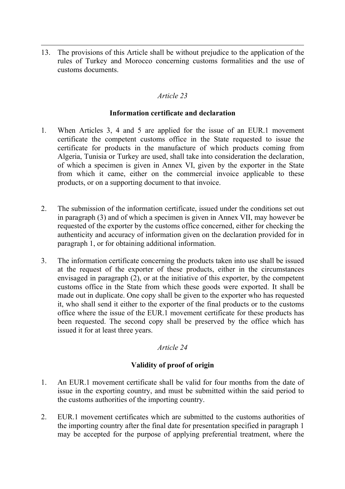13. The provisions of this Article shall be without prejudice to the application of the rules of Turkey and Morocco concerning customs formalities and the use of customs documents.

-

# *Article 23*

### **Information certificate and declaration**

- 1*.* When Articles 3, 4 and 5 are applied for the issue of an EUR.1 movement certificate the competent customs office in the State requested to issue the certificate for products in the manufacture of which products coming from Algeria, Tunisia or Turkey are used, shall take into consideration the declaration, of which a specimen is given in Annex VI, given by the exporter in the State from which it came, either on the commercial invoice applicable to these products, or on a supporting document to that invoice.
- 2. The submission of the information certificate, issued under the conditions set out in paragraph (3) and of which a specimen is given in Annex VII, may however be requested of the exporter by the customs office concerned, either for checking the authenticity and accuracy of information given on the declaration provided for in paragraph 1, or for obtaining additional information.
- 3. The information certificate concerning the products taken into use shall be issued at the request of the exporter of these products, either in the circumstances envisaged in paragraph (2), or at the initiative of this exporter, by the competent customs office in the State from which these goods were exported. It shall be made out in duplicate. One copy shall be given to the exporter who has requested it, who shall send it either to the exporter of the final products or to the customs office where the issue of the EUR.1 movement certificate for these products has been requested. The second copy shall be preserved by the office which has issued it for at least three years.

### *Article 24*

### **Validity of proof of origin**

- 1. An EUR.1 movement certificate shall be valid for four months from the date of issue in the exporting country, and must be submitted within the said period to the customs authorities of the importing country.
- 2. EUR.1 movement certificates which are submitted to the customs authorities of the importing country after the final date for presentation specified in paragraph 1 may be accepted for the purpose of applying preferential treatment, where the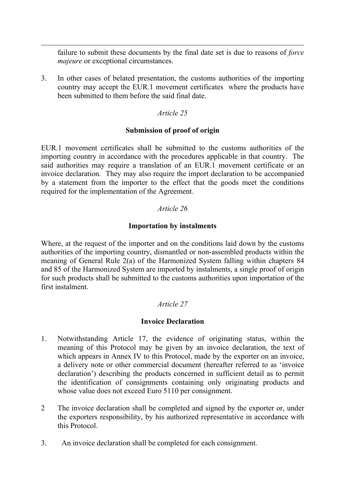failure to submit these documents by the final date set is due to reasons of *force majeure* or exceptional circumstances.

3. In other cases of belated presentation, the customs authorities of the importing country may accept the EUR.1 movement certificates where the products have been submitted to them before the said final date.

-

# *Article 25*

### **Submission of proof of origin**

EUR.1 movement certificates shall be submitted to the customs authorities of the importing country in accordance with the procedures applicable in that country. The said authorities may require a translation of an EUR.1 movement certificate or an invoice declaration. They may also require the import declaration to be accompanied by a statement from the importer to the effect that the goods meet the conditions required for the implementation of the Agreement.

### *Article 26*

### **Importation by instalments**

Where, at the request of the importer and on the conditions laid down by the customs authorities of the importing country, dismantled or non-assembled products within the meaning of General Rule 2(a) of the Harmonized System falling within chapters 84 and 85 of the Harmonized System are imported by instalments, a single proof of origin for such products shall be submitted to the customs authorities upon importation of the first instalment.

### *Article 27*

### **Invoice Declaration**

- 1. Notwithstanding Article 17, the evidence of originating status, within the meaning of this Protocol may be given by an invoice declaration, the text of which appears in Annex IV to this Protocol, made by the exporter on an invoice, a delivery note or other commercial document (hereafter referred to as 'invoice declaration') describing the products concerned in sufficient detail as to permit the identification of consignments containing only originating products and whose value does not exceed Euro 5110 per consignment.
- 2 The invoice declaration shall be completed and signed by the exporter or, under the exporters responsibility, by his authorized representative in accordance with this Protocol.
- 3. An invoice declaration shall be completed for each consignment.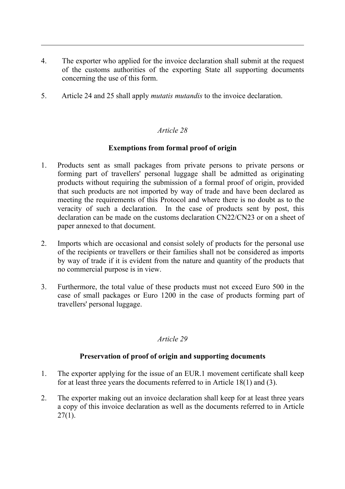- 4. The exporter who applied for the invoice declaration shall submit at the request of the customs authorities of the exporting State all supporting documents concerning the use of this form.
- 5. Article 24 and 25 shall apply *mutatis mutandis* to the invoice declaration.

-

# *Article 28*

# **Exemptions from formal proof of origin**

- 1. Products sent as small packages from private persons to private persons or forming part of travellers' personal luggage shall be admitted as originating products without requiring the submission of a formal proof of origin, provided that such products are not imported by way of trade and have been declared as meeting the requirements of this Protocol and where there is no doubt as to the veracity of such a declaration. In the case of products sent by post, this declaration can be made on the customs declaration CN22/CN23 or on a sheet of paper annexed to that document.
- 2. Imports which are occasional and consist solely of products for the personal use of the recipients or travellers or their families shall not be considered as imports by way of trade if it is evident from the nature and quantity of the products that no commercial purpose is in view.
- 3. Furthermore, the total value of these products must not exceed Euro 500 in the case of small packages or Euro 1200 in the case of products forming part of travellers' personal luggage.

### *Article 29*

### **Preservation of proof of origin and supporting documents**

- 1. The exporter applying for the issue of an EUR.1 movement certificate shall keep for at least three years the documents referred to in Article 18(1) and (3).
- 2. The exporter making out an invoice declaration shall keep for at least three years a copy of this invoice declaration as well as the documents referred to in Article  $27(1)$ .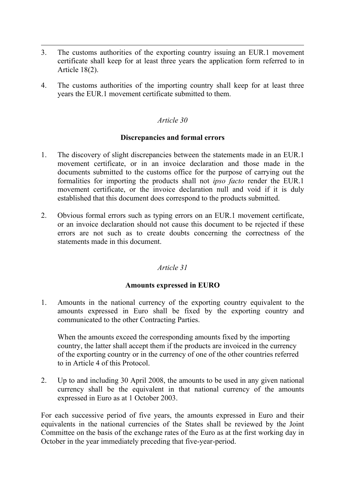- -3. The customs authorities of the exporting country issuing an EUR.1 movement certificate shall keep for at least three years the application form referred to in Article 18(2).
- 4. The customs authorities of the importing country shall keep for at least three years the EUR.1 movement certificate submitted to them.

### *Article 30*

#### **Discrepancies and formal errors**

- 1. The discovery of slight discrepancies between the statements made in an EUR.1 movement certificate, or in an invoice declaration and those made in the documents submitted to the customs office for the purpose of carrying out the formalities for importing the products shall not *ipso facto* render the EUR.1 movement certificate, or the invoice declaration null and void if it is duly established that this document does correspond to the products submitted.
- 2. Obvious formal errors such as typing errors on an EUR.1 movement certificate, or an invoice declaration should not cause this document to be rejected if these errors are not such as to create doubts concerning the correctness of the statements made in this document.

### *Article 31*

### **Amounts expressed in EURO**

1. Amounts in the national currency of the exporting country equivalent to the amounts expressed in Euro shall be fixed by the exporting country and communicated to the other Contracting Parties.

 When the amounts exceed the corresponding amounts fixed by the importing country, the latter shall accept them if the products are invoiced in the currency of the exporting country or in the currency of one of the other countries referred to in Article 4 of this Protocol.

2. Up to and including 30 April 2008, the amounts to be used in any given national currency shall be the equivalent in that national currency of the amounts expressed in Euro as at 1 October 2003.

For each successive period of five years, the amounts expressed in Euro and their equivalents in the national currencies of the States shall be reviewed by the Joint Committee on the basis of the exchange rates of the Euro as at the first working day in October in the year immediately preceding that five-year-period.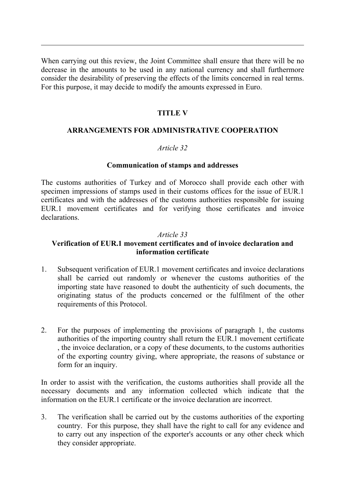When carrying out this review, the Joint Committee shall ensure that there will be no decrease in the amounts to be used in any national currency and shall furthermore consider the desirability of preserving the effects of the limits concerned in real terms. For this purpose, it may decide to modify the amounts expressed in Euro.

-

### **TITLE V**

# **ARRANGEMENTS FOR ADMINISTRATIVE COOPERATION**

### *Article 32*

#### **Communication of stamps and addresses**

The customs authorities of Turkey and of Morocco shall provide each other with specimen impressions of stamps used in their customs offices for the issue of EUR.1 certificates and with the addresses of the customs authorities responsible for issuing EUR.1 movement certificates and for verifying those certificates and invoice declarations.

#### *Article 33*

### **Verification of EUR.1 movement certificates and of invoice declaration and information certificate**

- 1. Subsequent verification of EUR.1 movement certificates and invoice declarations shall be carried out randomly or whenever the customs authorities of the importing state have reasoned to doubt the authenticity of such documents, the originating status of the products concerned or the fulfilment of the other requirements of this Protocol.
- 2. For the purposes of implementing the provisions of paragraph 1, the customs authorities of the importing country shall return the EUR.1 movement certificate , the invoice declaration, or a copy of these documents, to the customs authorities of the exporting country giving, where appropriate, the reasons of substance or form for an inquiry.

In order to assist with the verification, the customs authorities shall provide all the necessary documents and any information collected which indicate that the information on the EUR.1 certificate or the invoice declaration are incorrect.

3. The verification shall be carried out by the customs authorities of the exporting country. For this purpose, they shall have the right to call for any evidence and to carry out any inspection of the exporter's accounts or any other check which they consider appropriate.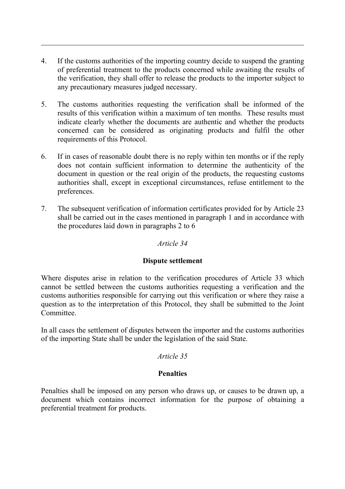4. If the customs authorities of the importing country decide to suspend the granting of preferential treatment to the products concerned while awaiting the results of the verification, they shall offer to release the products to the importer subject to any precautionary measures judged necessary.

-

- 5. The customs authorities requesting the verification shall be informed of the results of this verification within a maximum of ten months. These results must indicate clearly whether the documents are authentic and whether the products concerned can be considered as originating products and fulfil the other requirements of this Protocol.
- 6. If in cases of reasonable doubt there is no reply within ten months or if the reply does not contain sufficient information to determine the authenticity of the document in question or the real origin of the products, the requesting customs authorities shall, except in exceptional circumstances, refuse entitlement to the preferences.
- 7. The subsequent verification of information certificates provided for by Article 23 shall be carried out in the cases mentioned in paragraph 1 and in accordance with the procedures laid down in paragraphs 2 to 6

### *Article 34*

### **Dispute settlement**

Where disputes arise in relation to the verification procedures of Article 33 which cannot be settled between the customs authorities requesting a verification and the customs authorities responsible for carrying out this verification or where they raise a question as to the interpretation of this Protocol, they shall be submitted to the Joint **Committee** 

In all cases the settlement of disputes between the importer and the customs authorities of the importing State shall be under the legislation of the said State.

### *Article 35*

### **Penalties**

Penalties shall be imposed on any person who draws up, or causes to be drawn up, a document which contains incorrect information for the purpose of obtaining a preferential treatment for products.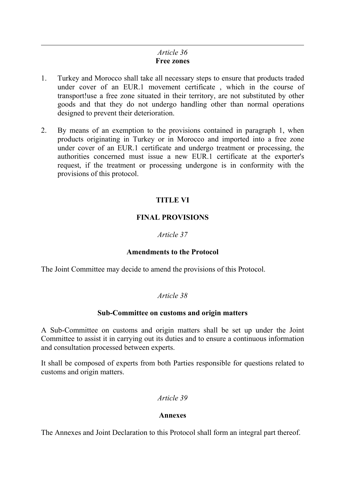# *Article 36*  **Free zones**

-

- 1. Turkey and Morocco shall take all necessary steps to ensure that products traded under cover of an EUR.1 movement certificate , which in the course of transport!use a free zone situated in their territory, are not substituted by other goods and that they do not undergo handling other than normal operations designed to prevent their deterioration.
- 2. By means of an exemption to the provisions contained in paragraph 1, when products originating in Turkey or in Morocco and imported into a free zone under cover of an EUR.1 certificate and undergo treatment or processing, the authorities concerned must issue a new EUR.1 certificate at the exporter's request, if the treatment or processing undergone is in conformity with the provisions of this protocol.

# **TITLE VI**

### **FINAL PROVISIONS**

### *Article 37*

### **Amendments to the Protocol**

The Joint Committee may decide to amend the provisions of this Protocol.

### *Article 38*

#### **Sub-Committee on customs and origin matters**

A Sub-Committee on customs and origin matters shall be set up under the Joint Committee to assist it in carrying out its duties and to ensure a continuous information and consultation processed between experts.

It shall be composed of experts from both Parties responsible for questions related to customs and origin matters.

#### *Article 39*

#### **Annexes**

The Annexes and Joint Declaration to this Protocol shall form an integral part thereof.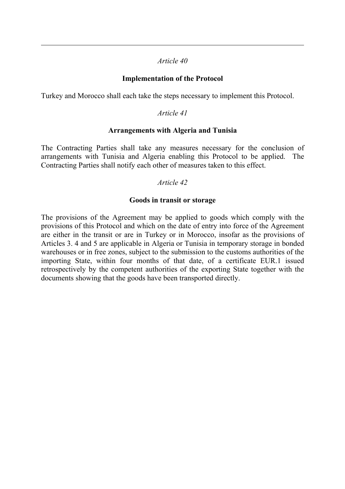#### *Article 40*

-

#### **Implementation of the Protocol**

Turkey and Morocco shall each take the steps necessary to implement this Protocol.

#### *Article 41*

#### **Arrangements with Algeria and Tunisia**

The Contracting Parties shall take any measures necessary for the conclusion of arrangements with Tunisia and Algeria enabling this Protocol to be applied. The Contracting Parties shall notify each other of measures taken to this effect.

#### *Article 42*

#### **Goods in transit or storage**

The provisions of the Agreement may be applied to goods which comply with the provisions of this Protocol and which on the date of entry into force of the Agreement are either in the transit or are in Turkey or in Morocco, insofar as the provisions of Articles 3. 4 and 5 are applicable in Algeria or Tunisia in temporary storage in bonded warehouses or in free zones, subject to the submission to the customs authorities of the importing State, within four months of that date, of a certificate EUR.1 issued retrospectively by the competent authorities of the exporting State together with the documents showing that the goods have been transported directly.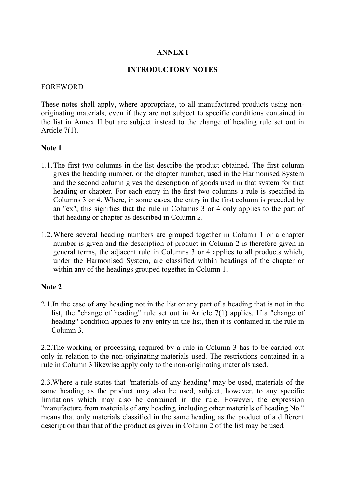# **ANNEX I**

# **INTRODUCTORY NOTES**

#### FOREWORD

-

These notes shall apply, where appropriate, to all manufactured products using nonoriginating materials, even if they are not subject to specific conditions contained in the list in Annex II but are subject instead to the change of heading rule set out in Article 7(1).

### **Note 1**

- 1.1.The first two columns in the list describe the product obtained. The first column gives the heading number, or the chapter number, used in the Harmonised System and the second column gives the description of goods used in that system for that heading or chapter. For each entry in the first two columns a rule is specified in Columns 3 or 4. Where, in some cases, the entry in the first column is preceded by an "ex", this signifies that the rule in Columns 3 or 4 only applies to the part of that heading or chapter as described in Column 2.
- 1.2.Where several heading numbers are grouped together in Column 1 or a chapter number is given and the description of product in Column 2 is therefore given in general terms, the adjacent rule in Columns 3 or 4 applies to all products which, under the Harmonised System, are classified within headings of the chapter or within any of the headings grouped together in Column 1.

### **Note 2**

2.1.In the case of any heading not in the list or any part of a heading that is not in the list, the "change of heading" rule set out in Article 7(1) applies. If a "change of heading" condition applies to any entry in the list, then it is contained in the rule in Column 3.

2.2.The working or processing required by a rule in Column 3 has to be carried out only in relation to the non-originating materials used. The restrictions contained in a rule in Column 3 likewise apply only to the non-originating materials used.

2.3.Where a rule states that "materials of any heading" may be used, materials of the same heading as the product may also be used, subject, however, to any specific limitations which may also be contained in the rule. However, the expression "manufacture from materials of any heading, including other materials of heading No " means that only materials classified in the same heading as the product of a different description than that of the product as given in Column 2 of the list may be used.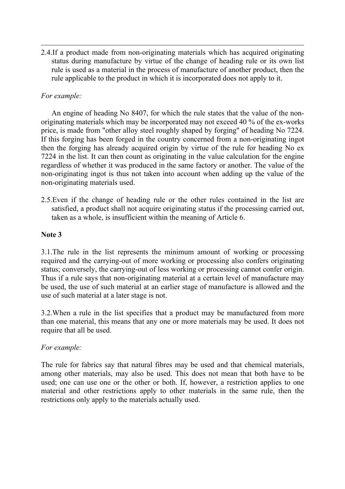2.4.If a product made from non-originating materials which has acquired originating status during manufacture by virtue of the change of heading rule or its own list rule is used as a material in the process of manufacture of another product, then the rule applicable to the product in which it is incorporated does not apply to it.

# *For example:*

-

An engine of heading No 8407, for which the rule states that the value of the nonoriginating materials which may be incorporated may not exceed 40 % of the ex-works price, is made from "other alloy steel roughly shaped by forging" of heading No 7224. If this forging has been forged in the country concerned from a non-originating ingot then the forging has already acquired origin by virtue of the rule for heading No ex 7224 in the list. It can then count as originating in the value calculation for the engine regardless of whether it was produced in the same factory or another. The value of the non-originating ingot is thus not taken into account when adding up the value of the non-originating materials used.

2.5.Even if the change of heading rule or the other rules contained in the list are satisfied, a product shall not acquire originating status if the processing carried out, taken as a whole, is insufficient within the meaning of Article 6.

### **Note 3**

3.1.The rule in the list represents the minimum amount of working or processing required and the carrying-out of more working or processing also confers originating status; conversely, the carrying-out of less working or processing cannot confer origin. Thus if a rule says that non-originating material at a certain level of manufacture may be used, the use of such material at an earlier stage of manufacture is allowed and the use of such material at a later stage is not.

3.2.When a rule in the list specifies that a product may be manufactured from more than one material, this means that any one or more materials may be used. It does not require that all be used.

### *For example:*

The rule for fabrics say that natural fibres may be used and that chemical materials, among other materials, may also be used. This does not mean that both have to be used; one can use one or the other or both. If, however, a restriction applies to one material and other restrictions apply to other materials in the same rule, then the restrictions only apply to the materials actually used.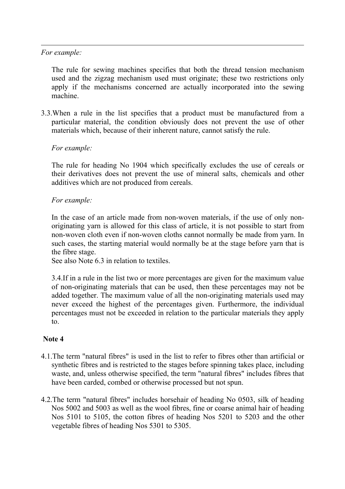*For example:* 

-

The rule for sewing machines specifies that both the thread tension mechanism used and the zigzag mechanism used must originate; these two restrictions only apply if the mechanisms concerned are actually incorporated into the sewing machine.

3.3.When a rule in the list specifies that a product must be manufactured from a particular material, the condition obviously does not prevent the use of other materials which, because of their inherent nature, cannot satisfy the rule.

### *For example:*

The rule for heading No 1904 which specifically excludes the use of cereals or their derivatives does not prevent the use of mineral salts, chemicals and other additives which are not produced from cereals.

### *For example:*

In the case of an article made from non-woven materials, if the use of only nonoriginating yarn is allowed for this class of article, it is not possible to start from non-woven cloth even if non-woven cloths cannot normally be made from yarn. In such cases, the starting material would normally be at the stage before yarn that is the fibre stage.

See also Note 6.3 in relation to textiles.

3.4.If in a rule in the list two or more percentages are given for the maximum value of non-originating materials that can be used, then these percentages may not be added together. The maximum value of all the non-originating materials used may never exceed the highest of the percentages given. Furthermore, the individual percentages must not be exceeded in relation to the particular materials they apply to.

#### **Note 4**

- 4.1.The term "natural fibres" is used in the list to refer to fibres other than artificial or synthetic fibres and is restricted to the stages before spinning takes place, including waste, and, unless otherwise specified, the term "natural fibres" includes fibres that have been carded, combed or otherwise processed but not spun.
- 4.2.The term "natural fibres" includes horsehair of heading No 0503, silk of heading Nos 5002 and 5003 as well as the wool fibres, fine or coarse animal hair of heading Nos 5101 to 5105, the cotton fibres of heading Nos 5201 to 5203 and the other vegetable fibres of heading Nos 5301 to 5305.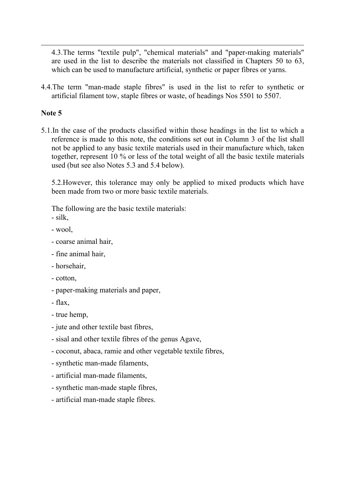4.3.The terms "textile pulp", "chemical materials" and "paper-making materials" are used in the list to describe the materials not classified in Chapters 50 to 63, which can be used to manufacture artificial, synthetic or paper fibres or yarns.

4.4.The term "man-made staple fibres" is used in the list to refer to synthetic or artificial filament tow, staple fibres or waste, of headings Nos 5501 to 5507.

### **Note 5**

-

5.1.In the case of the products classified within those headings in the list to which a reference is made to this note, the conditions set out in Column 3 of the list shall not be applied to any basic textile materials used in their manufacture which, taken together, represent 10 % or less of the total weight of all the basic textile materials used (but see also Notes 5.3 and 5.4 below).

5.2.However, this tolerance may only be applied to mixed products which have been made from two or more basic textile materials.

The following are the basic textile materials:

- silk,

- wool,
- coarse animal hair,
- fine animal hair,
- horsehair,
- cotton,
- paper-making materials and paper,
- flax,
- true hemp,
- jute and other textile bast fibres,
- sisal and other textile fibres of the genus Agave,
- coconut, abaca, ramie and other vegetable textile fibres,
- synthetic man-made filaments,
- artificial man-made filaments,
- synthetic man-made staple fibres,
- artificial man-made staple fibres.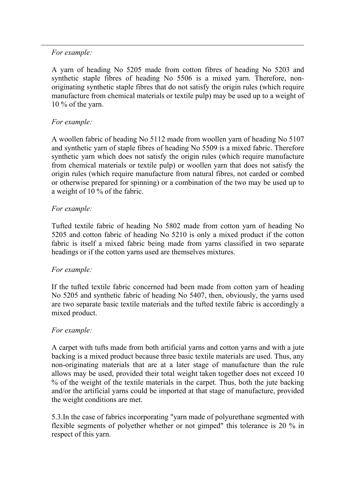#### *For example:*

-

A yarn of heading No 5205 made from cotton fibres of heading No 5203 and synthetic staple fibres of heading No 5506 is a mixed yarn. Therefore, nonoriginating synthetic staple fibres that do not satisfy the origin rules (which require manufacture from chemical materials or textile pulp) may be used up to a weight of 10 % of the yarn.

### *For example:*

A woollen fabric of heading No 5112 made from woollen yarn of heading No 5107 and synthetic yarn of staple fibres of heading No 5509 is a mixed fabric. Therefore synthetic yarn which does not satisfy the origin rules (which require manufacture from chemical materials or textile pulp) or woollen yarn that does not satisfy the origin rules (which require manufacture from natural fibres, not carded or combed or otherwise prepared for spinning) or a combination of the two may be used up to a weight of 10 % of the fabric.

### *For example:*

Tufted textile fabric of heading No 5802 made from cotton yarn of heading No 5205 and cotton fabric of heading No 5210 is only a mixed product if the cotton fabric is itself a mixed fabric being made from yarns classified in two separate headings or if the cotton yarns used are themselves mixtures.

### *For example:*

If the tufted textile fabric concerned had been made from cotton yarn of heading No 5205 and synthetic fabric of heading No 5407, then, obviously, the yarns used are two separate basic textile materials and the tufted textile fabric is accordingly a mixed product.

### *For example:*

A carpet with tufts made from both artificial yarns and cotton yarns and with a jute backing is a mixed product because three basic textile materials are used. Thus, any non-originating materials that are at a later stage of manufacture than the rule allows may be used, provided their total weight taken together does not exceed 10 % of the weight of the textile materials in the carpet. Thus, both the jute backing and/or the artificial yarns could be imported at that stage of manufacture, provided the weight conditions are met.

5.3.In the case of fabrics incorporating "yarn made of polyurethane segmented with flexible segments of polyether whether or not gimped" this tolerance is 20 % in respect of this yarn.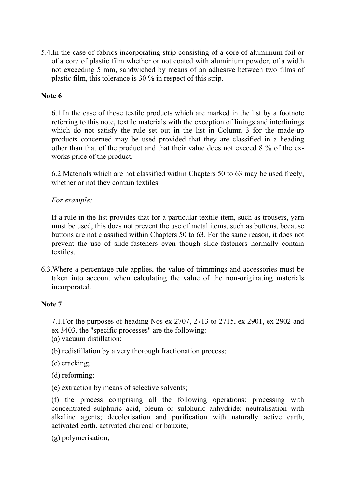5.4.In the case of fabrics incorporating strip consisting of a core of aluminium foil or of a core of plastic film whether or not coated with aluminium powder, of a width not exceeding 5 mm, sandwiched by means of an adhesive between two films of plastic film, this tolerance is 30 % in respect of this strip.

# **Note 6**

-

6.1.In the case of those textile products which are marked in the list by a footnote referring to this note, textile materials with the exception of linings and interlinings which do not satisfy the rule set out in the list in Column 3 for the made-up products concerned may be used provided that they are classified in a heading other than that of the product and that their value does not exceed 8 % of the exworks price of the product.

6.2.Materials which are not classified within Chapters 50 to 63 may be used freely, whether or not they contain textiles.

*For example:* 

If a rule in the list provides that for a particular textile item, such as trousers, yarn must be used, this does not prevent the use of metal items, such as buttons, because buttons are not classified within Chapters 50 to 63. For the same reason, it does not prevent the use of slide-fasteners even though slide-fasteners normally contain textiles.

6.3.Where a percentage rule applies, the value of trimmings and accessories must be taken into account when calculating the value of the non-originating materials incorporated.

### **Note 7**

7.1.For the purposes of heading Nos ex 2707, 2713 to 2715, ex 2901, ex 2902 and ex 3403, the "specific processes" are the following:

- (a) vacuum distillation;
- (b) redistillation by a very thorough fractionation process;
- (c) cracking;
- (d) reforming;
- (e) extraction by means of selective solvents;

(f) the process comprising all the following operations: processing with concentrated sulphuric acid, oleum or sulphuric anhydride; neutralisation with alkaline agents; decolorisation and purification with naturally active earth, activated earth, activated charcoal or bauxite;

(g) polymerisation;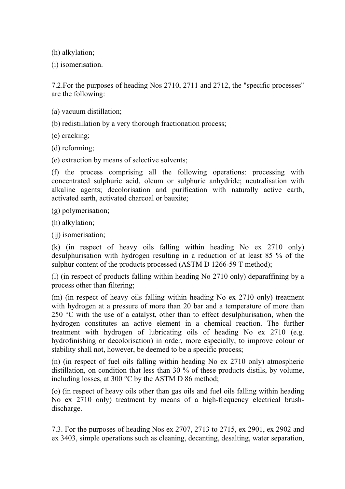(h) alkylation;

-

(i) isomerisation.

7.2.For the purposes of heading Nos 2710, 2711 and 2712, the "specific processes" are the following:

- (a) vacuum distillation;
- (b) redistillation by a very thorough fractionation process;

(c) cracking;

(d) reforming;

(e) extraction by means of selective solvents;

(f) the process comprising all the following operations: processing with concentrated sulphuric acid, oleum or sulphuric anhydride; neutralisation with alkaline agents; decolorisation and purification with naturally active earth, activated earth, activated charcoal or bauxite;

(g) polymerisation;

(h) alkylation;

(ij) isomerisation;

(k) (in respect of heavy oils falling within heading No ex 2710 only) desulphurisation with hydrogen resulting in a reduction of at least 85 % of the sulphur content of the products processed (ASTM D 1266-59 T method);

(l) (in respect of products falling within heading No 2710 only) deparaffining by a process other than filtering;

(m) (in respect of heavy oils falling within heading No ex 2710 only) treatment with hydrogen at a pressure of more than 20 bar and a temperature of more than 250  $\degree$ C with the use of a catalyst, other than to effect desulphurisation, when the hydrogen constitutes an active element in a chemical reaction. The further treatment with hydrogen of lubricating oils of heading No ex 2710 (e.g. hydrofinishing or decolorisation) in order, more especially, to improve colour or stability shall not, however, be deemed to be a specific process;

(n) (in respect of fuel oils falling within heading No ex 2710 only) atmospheric distillation, on condition that less than 30 % of these products distils, by volume, including losses, at 300 °C by the ASTM D 86 method;

(o) (in respect of heavy oils other than gas oils and fuel oils falling within heading No ex 2710 only) treatment by means of a high-frequency electrical brushdischarge.

7.3. For the purposes of heading Nos ex 2707, 2713 to 2715, ex 2901, ex 2902 and ex 3403, simple operations such as cleaning, decanting, desalting, water separation,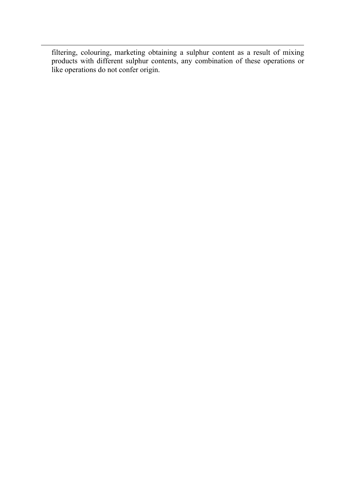filtering, colouring, marketing obtaining a sulphur content as a result of mixing products with different sulphur contents, any combination of these operations or like operations do not confer origin.

-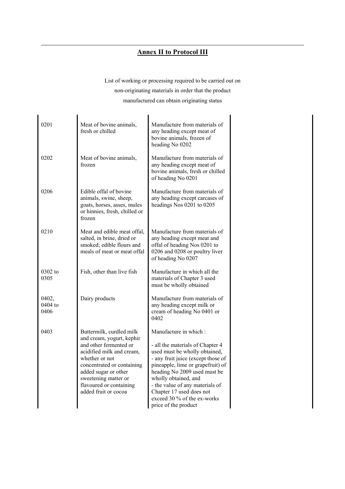## **Annex II to Protocol III**

-

List of working or processing required to be carried out on

non-originating materials in order that the product

manufactured can obtain originating status

| 0201                     | Meat of bovine animals,<br>fresh or chilled                                                                                                                                                                                                                     | Manufacture from materials of<br>any heading except meat of<br>bovine animals, frozen of<br>heading No 0202                                                                                                                                                                                                                                         |
|--------------------------|-----------------------------------------------------------------------------------------------------------------------------------------------------------------------------------------------------------------------------------------------------------------|-----------------------------------------------------------------------------------------------------------------------------------------------------------------------------------------------------------------------------------------------------------------------------------------------------------------------------------------------------|
| 0202                     | Meat of bovine animals,<br>frozen                                                                                                                                                                                                                               | Manufacture from materials of<br>any heading except meat of<br>bovine animals, fresh or chilled<br>of heading No 0201                                                                                                                                                                                                                               |
| 0206                     | Edible offal of bovine<br>animals, swine, sheep,<br>goats, horses, asses, mules<br>or hinnies, fresh, chilled or<br>frozen                                                                                                                                      | Manufacture from materials of<br>any heading except carcases of<br>headings Nos 0201 to 0205                                                                                                                                                                                                                                                        |
| 0210                     | Meat and edible meat offal,<br>salted, in brine, dried or<br>smoked; edible flours and<br>meals of meat or meat offal                                                                                                                                           | Manufacture from materials of<br>any heading except meat and<br>offal of heading Nos 0201 to<br>0206 and 0208 or poultry liver<br>of heading No 0207                                                                                                                                                                                                |
| $0302$ to<br>0305        | Fish, other than live fish                                                                                                                                                                                                                                      | Manufacture in which all the<br>materials of Chapter 3 used<br>must be wholly obtained                                                                                                                                                                                                                                                              |
| 0402,<br>0404 to<br>0406 | Dairy products                                                                                                                                                                                                                                                  | Manufacture from materials of<br>any heading except milk or<br>cream of heading No 0401 or<br>0402                                                                                                                                                                                                                                                  |
| 0403                     | Buttermilk, curdled milk<br>and cream, yogurt, kephir<br>and other fermented or<br>acidified milk and cream.<br>whether or not<br>concentrated or containing<br>added sugar or other<br>sweetening matter or<br>flavoured or containing<br>added fruit or cocoa | Manufacture in which:<br>- all the materials of Chapter 4<br>used must be wholly obtained,<br>- any fruit juice (except those of<br>pineapple, lime or grapefruit) of<br>heading No 2009 used must be<br>wholly obtained, and<br>- the value of any materials of<br>Chapter 17 used does not<br>exceed 30 % of the ex-works<br>price of the product |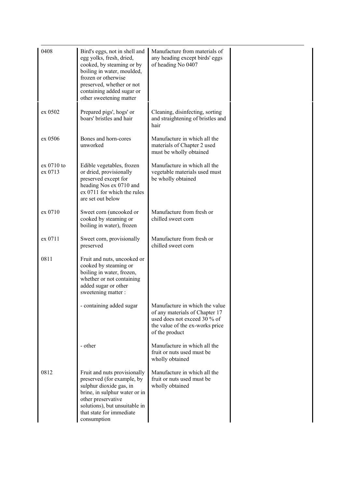| 0408                  | Bird's eggs, not in shell and<br>egg yolks, fresh, dried,<br>cooked, by steaming or by<br>boiling in water, moulded,<br>frozen or otherwise<br>preserved, whether or not<br>containing added sugar or<br>other sweetening matter | Manufacture from materials of<br>any heading except birds' eggs<br>of heading No 0407                                                                 |  |
|-----------------------|----------------------------------------------------------------------------------------------------------------------------------------------------------------------------------------------------------------------------------|-------------------------------------------------------------------------------------------------------------------------------------------------------|--|
| ex 0502               | Prepared pigs', hogs' or<br>boars' bristles and hair                                                                                                                                                                             | Cleaning, disinfecting, sorting<br>and straightening of bristles and<br>hair                                                                          |  |
| ex 0506               | Bones and horn-cores<br>unworked                                                                                                                                                                                                 | Manufacture in which all the<br>materials of Chapter 2 used<br>must be wholly obtained                                                                |  |
| ex 0710 to<br>ex 0713 | Edible vegetables, frozen<br>or dried, provisionally<br>preserved except for<br>heading Nos ex 0710 and<br>ex 0711 for which the rules<br>are set out below                                                                      | Manufacture in which all the<br>vegetable materials used must<br>be wholly obtained                                                                   |  |
| ex 0710               | Sweet corn (uncooked or<br>cooked by steaming or<br>boiling in water), frozen                                                                                                                                                    | Manufacture from fresh or<br>chilled sweet corn                                                                                                       |  |
| ex 0711               | Sweet corn, provisionally<br>preserved                                                                                                                                                                                           | Manufacture from fresh or<br>chilled sweet corn                                                                                                       |  |
| 0811                  | Fruit and nuts, uncooked or<br>cooked by steaming or<br>boiling in water, frozen,<br>whether or not containing<br>added sugar or other<br>sweetening matter :                                                                    |                                                                                                                                                       |  |
|                       | - containing added sugar                                                                                                                                                                                                         | Manufacture in which the value<br>of any materials of Chapter 17<br>used does not exceed 30 % of<br>the value of the ex-works price<br>of the product |  |
|                       | - other                                                                                                                                                                                                                          | Manufacture in which all the<br>fruit or nuts used must be<br>wholly obtained                                                                         |  |
| 0812                  | Fruit and nuts provisionally<br>preserved (for example, by<br>sulphur dioxide gas, in<br>brine, in sulphur water or in<br>other preservative<br>solutions), but unsuitable in<br>that state for immediate<br>consumption         | Manufacture in which all the<br>fruit or nuts used must be<br>wholly obtained                                                                         |  |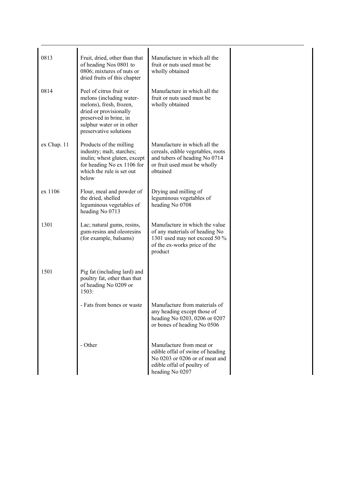| 0813        | Fruit, dried, other than that<br>of heading Nos 0801 to<br>0806; mixtures of nuts or<br>dried fruits of this chapter                                                                      | Manufacture in which all the<br>fruit or nuts used must be<br>wholly obtained                                                                   |  |
|-------------|-------------------------------------------------------------------------------------------------------------------------------------------------------------------------------------------|-------------------------------------------------------------------------------------------------------------------------------------------------|--|
| 0814        | Peel of citrus fruit or<br>melons (including water-<br>melons), fresh, frozen,<br>dried or provisionally<br>preserved in brine, in<br>sulphur water or in other<br>preservative solutions | Manufacture in which all the<br>fruit or nuts used must be<br>wholly obtained                                                                   |  |
| ex Chap. 11 | Products of the milling<br>industry; malt, starches;<br>inulin; whest gluten, except<br>for heading No ex 1106 for<br>which the rule is set out<br>below                                  | Manufacture in which all the<br>cereals, edible vegetables, roots<br>and tubers of heading No 0714<br>or fruit used must be wholly<br>obtained  |  |
| ex 1106     | Flour, meal and powder of<br>the dried, shelled<br>leguminous vegetables of<br>heading No 0713                                                                                            | Drying and milling of<br>leguminous vegetables of<br>heading No 0708                                                                            |  |
| 1301        | Lac; natural gums, resins,<br>gum-resins and oleoresins<br>(for example, balsams)                                                                                                         | Manufacture in which the value<br>of any materials of heading No<br>1301 used may not exceed 50 %<br>of the ex-works price of the<br>product    |  |
| 1501        | Pig fat (including lard) and<br>poultry fat, other than that<br>of heading No 0209 or<br>1503:                                                                                            |                                                                                                                                                 |  |
|             | - Fats from bones or waste                                                                                                                                                                | Manufacture from materials of<br>any heading except those of<br>heading No 0203, 0206 or 0207<br>or bones of heading No 0506                    |  |
|             | - Other                                                                                                                                                                                   | Manufacture from meat or<br>edible offal of swine of heading<br>No 0203 or 0206 or of meat and<br>edible offal of poultry of<br>heading No 0207 |  |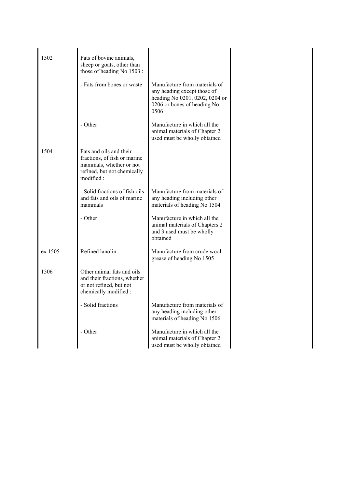| 1502    | Fats of bovine animals,<br>sheep or goats, other than<br>those of heading No 1503 :                                            |                                                                                                                                       |  |
|---------|--------------------------------------------------------------------------------------------------------------------------------|---------------------------------------------------------------------------------------------------------------------------------------|--|
|         | - Fats from bones or waste                                                                                                     | Manufacture from materials of<br>any heading except those of<br>heading No 0201, 0202, 0204 or<br>0206 or bones of heading No<br>0506 |  |
|         | - Other                                                                                                                        | Manufacture in which all the<br>animal materials of Chapter 2<br>used must be wholly obtained                                         |  |
| 1504    | Fats and oils and their<br>fractions, of fish or marine<br>mammals, whether or not<br>refined, but not chemically<br>modified: |                                                                                                                                       |  |
|         | - Solid fractions of fish oils<br>and fats and oils of marine<br>mammals                                                       | Manufacture from materials of<br>any heading including other<br>materials of heading No 1504                                          |  |
|         | - Other                                                                                                                        | Manufacture in which all the<br>animal materials of Chapters 2<br>and 3 used must be wholly<br>obtained                               |  |
| ex 1505 | Refined lanolin                                                                                                                | Manufacture from crude wool<br>grease of heading No 1505                                                                              |  |
| 1506    | Other animal fats and oils<br>and their fractions, whether<br>or not refined, but not<br>chemically modified :                 |                                                                                                                                       |  |
|         | - Solid fractions                                                                                                              | Manufacture from materials of<br>any heading including other<br>materials of heading No 1506                                          |  |
|         | - Other                                                                                                                        | Manufacture in which all the<br>animal materials of Chapter 2<br>used must be wholly obtained                                         |  |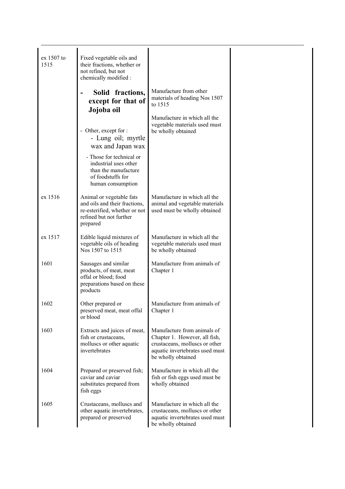| ex 1507 to<br>1515 | Fixed vegetable oils and<br>their fractions, whether or<br>not refined, but not<br>chemically modified :                          |                                                                                                                                                         |  |
|--------------------|-----------------------------------------------------------------------------------------------------------------------------------|---------------------------------------------------------------------------------------------------------------------------------------------------------|--|
|                    | Solid fractions,<br>except for that of<br>Jojoba oil                                                                              | Manufacture from other<br>materials of heading Nos 1507<br>to 1515<br>Manufacture in which all the                                                      |  |
|                    | - Other, except for :<br>- Lung oil; myrtle<br>wax and Japan wax                                                                  | vegetable materials used must<br>be wholly obtained                                                                                                     |  |
|                    | - Those for technical or<br>industrial uses other<br>than the manufacture<br>of foodstuffs for<br>human consumption               |                                                                                                                                                         |  |
| ex 1516            | Animal or vegetable fats<br>and oils and their fractions,<br>re-esterified, whether or not<br>refined but not further<br>prepared | Manufacture in which all the<br>animal and vegetable materials<br>used must be wholly obtained                                                          |  |
| ex 1517            | Edible liquid mixtures of<br>vegetable oils of heading<br>Nos 1507 to 1515                                                        | Manufacture in which all the<br>vegetable materials used must<br>be wholly obtained                                                                     |  |
| 1601               | Sausages and similar<br>products, of meat, meat<br>offal or blood; food<br>preparations based on these<br>products                | Manufacture from animals of<br>Chapter 1                                                                                                                |  |
| 1602               | Other prepared or<br>preserved meat, meat offal<br>or blood                                                                       | Manufacture from animals of<br>Chapter 1                                                                                                                |  |
| 1603               | Extracts and juices of meat,<br>fish or crustaceans,<br>molluscs or other aquatic<br>invertebrates                                | Manufacture from animals of<br>Chapter 1. However, all fish,<br>crustaceans, molluscs or other<br>aquatic invertebrates used must<br>be wholly obtained |  |
| 1604               | Prepared or preserved fish;<br>caviar and caviar<br>substitutes prepared from<br>fish eggs                                        | Manufacture in which all the<br>fish or fish eggs used must be<br>wholly obtained                                                                       |  |
| 1605               | Crustaceans, molluscs and<br>other aquatic invertebrates,<br>prepared or preserved                                                | Manufacture in which all the<br>crustaceans, molluscs or other<br>aquatic invertebrates used must<br>be wholly obtained                                 |  |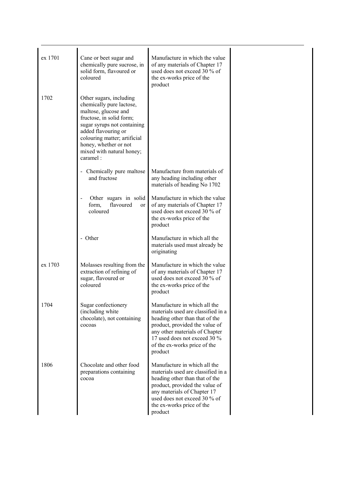| ex 1701 | Cane or beet sugar and<br>chemically pure sucrose, in<br>solid form, flavoured or<br>coloured                                                                                                                                                                   | Manufacture in which the value<br>of any materials of Chapter 17<br>used does not exceed 30 % of<br>the ex-works price of the<br>product                                                                                                            |  |
|---------|-----------------------------------------------------------------------------------------------------------------------------------------------------------------------------------------------------------------------------------------------------------------|-----------------------------------------------------------------------------------------------------------------------------------------------------------------------------------------------------------------------------------------------------|--|
| 1702    | Other sugars, including<br>chemically pure lactose,<br>maltose, glucose and<br>fructose, in solid form;<br>sugar syrups not containing<br>added flavouring or<br>colouring matter; artificial<br>honey, whether or not<br>mixed with natural honey;<br>caramel: |                                                                                                                                                                                                                                                     |  |
|         | - Chemically pure maltose<br>and fructose                                                                                                                                                                                                                       | Manufacture from materials of<br>any heading including other<br>materials of heading No 1702                                                                                                                                                        |  |
|         | Other sugars in solid<br>flavoured<br>form,<br><sub>or</sub><br>coloured                                                                                                                                                                                        | Manufacture in which the value<br>of any materials of Chapter 17<br>used does not exceed 30 % of<br>the ex-works price of the<br>product                                                                                                            |  |
|         | - Other                                                                                                                                                                                                                                                         | Manufacture in which all the<br>materials used must already be<br>originating                                                                                                                                                                       |  |
| ex 1703 | Molasses resulting from the<br>extraction of refining of<br>sugar, flavoured or<br>coloured                                                                                                                                                                     | Manufacture in which the value<br>of any materials of Chapter 17<br>used does not exceed 30 % of<br>the ex-works price of the<br>product                                                                                                            |  |
| 1704    | Sugar confectionery<br>(including white<br>chocolate), not containing<br>cocoas                                                                                                                                                                                 | Manufacture in which all the<br>materials used are classified in a<br>heading other than that of the<br>product, provided the value of<br>any other materials of Chapter<br>17 used does not exceed 30 %<br>of the ex-works price of the<br>product |  |
| 1806    | Chocolate and other food<br>preparations containing<br>cocoa                                                                                                                                                                                                    | Manufacture in which all the<br>materials used are classified in a<br>heading other than that of the<br>product, provided the value of<br>any materials of Chapter 17<br>used does not exceed 30 % of<br>the ex-works price of the<br>product       |  |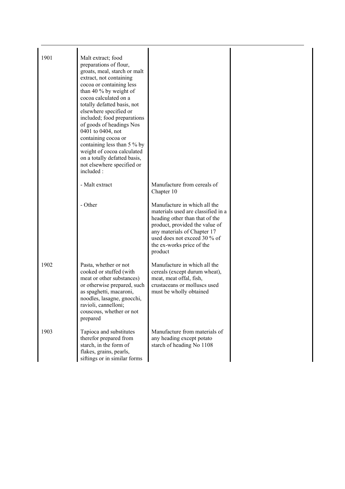| 1901 | Malt extract; food<br>preparations of flour,<br>groats, meal, starch or malt<br>extract, not containing<br>cocoa or containing less<br>than 40 % by weight of<br>cocoa calculated on a<br>totally defatted basis, not<br>elsewhere specified or<br>included; food preparations<br>of goods of headings Nos<br>0401 to 0404, not<br>containing cocoa or<br>containing less than 5 % by<br>weight of cocoa calculated<br>on a totally defatted basis,<br>not elsewhere specified or<br>included: |                                                                                                                                                                                                                                               |  |
|------|------------------------------------------------------------------------------------------------------------------------------------------------------------------------------------------------------------------------------------------------------------------------------------------------------------------------------------------------------------------------------------------------------------------------------------------------------------------------------------------------|-----------------------------------------------------------------------------------------------------------------------------------------------------------------------------------------------------------------------------------------------|--|
|      | - Malt extract                                                                                                                                                                                                                                                                                                                                                                                                                                                                                 | Manufacture from cereals of<br>Chapter 10                                                                                                                                                                                                     |  |
|      | - Other                                                                                                                                                                                                                                                                                                                                                                                                                                                                                        | Manufacture in which all the<br>materials used are classified in a<br>heading other than that of the<br>product, provided the value of<br>any materials of Chapter 17<br>used does not exceed 30 % of<br>the ex-works price of the<br>product |  |
| 1902 | Pasta, whether or not<br>cooked or stuffed (with<br>meat or other substances)<br>or otherwise prepared, such<br>as spaghetti, macaroni,<br>noodles, lasagne, gnocchi,<br>ravioli, cannelloni;<br>couscous, whether or not<br>prepared                                                                                                                                                                                                                                                          | Manufacture in which all the<br>cereals (except durum wheat),<br>meat, meat offal, fish,<br>crustaceans or molluscs used<br>must be wholly obtained                                                                                           |  |
| 1903 | Tapioca and substitutes<br>therefor prepared from<br>starch, in the form of<br>flakes, grains, pearls,<br>siftings or in similar forms                                                                                                                                                                                                                                                                                                                                                         | Manufacture from materials of<br>any heading except potato<br>starch of heading No 1108                                                                                                                                                       |  |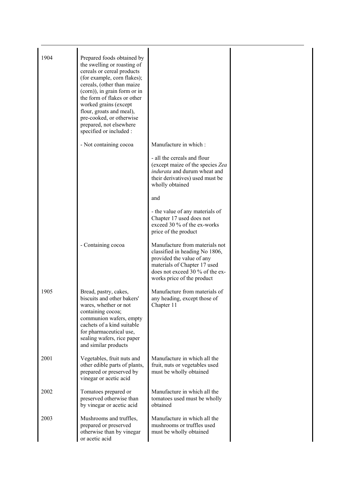| 1904 | Prepared foods obtained by<br>the swelling or roasting of<br>cereals or cereal products<br>(for example, corn flakes);<br>cereals, (other than maize<br>(corn)), in grain form or in<br>the form of flakes or other<br>worked grains (except<br>flour, groats and meal),<br>pre-cooked, or otherwise<br>prepared, not elsewhere<br>specified or included : |                                                                                                                                                                                                |  |
|------|------------------------------------------------------------------------------------------------------------------------------------------------------------------------------------------------------------------------------------------------------------------------------------------------------------------------------------------------------------|------------------------------------------------------------------------------------------------------------------------------------------------------------------------------------------------|--|
|      | - Not containing cocoa                                                                                                                                                                                                                                                                                                                                     | Manufacture in which:                                                                                                                                                                          |  |
|      |                                                                                                                                                                                                                                                                                                                                                            | - all the cereals and flour<br>(except maize of the species Zea<br>indurata and durum wheat and<br>their derivatives) used must be<br>wholly obtained                                          |  |
|      |                                                                                                                                                                                                                                                                                                                                                            | and                                                                                                                                                                                            |  |
|      |                                                                                                                                                                                                                                                                                                                                                            | - the value of any materials of<br>Chapter 17 used does not<br>exceed 30 % of the ex-works<br>price of the product                                                                             |  |
|      | - Containing cocoa                                                                                                                                                                                                                                                                                                                                         | Manufacture from materials not<br>classified in heading No 1806,<br>provided the value of any<br>materials of Chapter 17 used<br>does not exceed 30 % of the ex-<br>works price of the product |  |
| 1905 | Bread, pastry, cakes,<br>biscuits and other bakers'<br>wares, whether or not<br>containing cocoa;<br>communion wafers, empty<br>cachets of a kind suitable<br>for pharmaceutical use,<br>sealing wafers, rice paper<br>and similar products                                                                                                                | Manufacture from materials of<br>any heading, except those of<br>Chapter 11                                                                                                                    |  |
| 2001 | Vegetables, fruit nuts and<br>other edible parts of plants,<br>prepared or preserved by<br>vinegar or acetic acid                                                                                                                                                                                                                                          | Manufacture in which all the<br>fruit, nuts or vegetables used<br>must be wholly obtained                                                                                                      |  |
| 2002 | Tomatoes prepared or<br>preserved otherwise than<br>by vinegar or acetic acid                                                                                                                                                                                                                                                                              | Manufacture in which all the<br>tomatoes used must be wholly<br>obtained                                                                                                                       |  |
| 2003 | Mushrooms and truffles,<br>prepared or preserved<br>otherwise than by vinegar<br>or acetic acid                                                                                                                                                                                                                                                            | Manufacture in which all the<br>mushrooms or truffles used<br>must be wholly obtained                                                                                                          |  |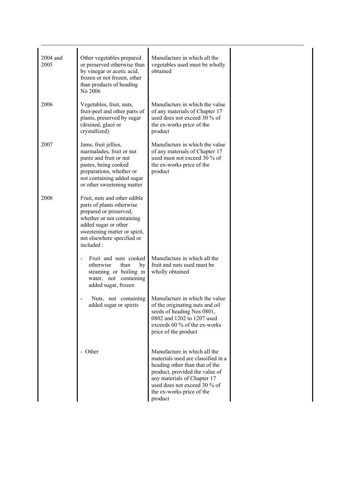| 2004 and<br>2005 | Other vegetables prepared<br>or preserved otherwise than<br>by vinegar or acetic acid,<br>frozen or not frozen, other<br>than products of heading<br>No 2006                                                        | Manufacture in which all the<br>vegetables used must be wholly<br>obtained                                                                                                                                                                    |  |
|------------------|---------------------------------------------------------------------------------------------------------------------------------------------------------------------------------------------------------------------|-----------------------------------------------------------------------------------------------------------------------------------------------------------------------------------------------------------------------------------------------|--|
| 2006             | Vegetables, fruit, nuts,<br>fruit-peel and other parts of<br>plants, preserved by sugar<br>(drained, glacé or<br>crystallized)                                                                                      | Manufacture in which the value<br>of any materials of Chapter 17<br>used does not exceed 30 % of<br>the ex-works price of the<br>product                                                                                                      |  |
| 2007             | Jams, fruit jellies,<br>marmalades, fruit or nut<br>purée and fruit or nut<br>pastes, being cooked<br>preparations, whether or<br>not containing added sugar<br>or other sweetening matter                          | Manufacture in which the value<br>of any materials of Chapter 17<br>used must not exceed 30 % of<br>the ex-works price of the<br>product                                                                                                      |  |
| 2008             | Fruit, nuts and other edible<br>parts of plants otherwise<br>prepared or preserved,<br>whether or not containing<br>added sugar or other<br>sweetening matter or spirit,<br>not elsewhere specified or<br>included: |                                                                                                                                                                                                                                               |  |
|                  | Fruit and nuts cooked<br>than<br>by<br>otherwise<br>steaming or boiling in<br>water, not containing<br>added sugar, frozen                                                                                          | Manufacture in which all the<br>fruit and nuts used must be<br>wholly obtained                                                                                                                                                                |  |
|                  | Nuts, not containing<br>added sugar or spirits                                                                                                                                                                      | Manufacture in which the value<br>of the originating nuts and oil<br>seeds of heading Nos 0801,<br>0802 and 1202 to 1207 used<br>exceeds 60 % of the ex-works<br>price of the product                                                         |  |
|                  | - Other                                                                                                                                                                                                             | Manufacture in which all the<br>materials used are classified in a<br>heading other than that of the<br>product, provided the value of<br>any materials of Chapter 17<br>used does not exceed 30 % of<br>the ex-works price of the<br>product |  |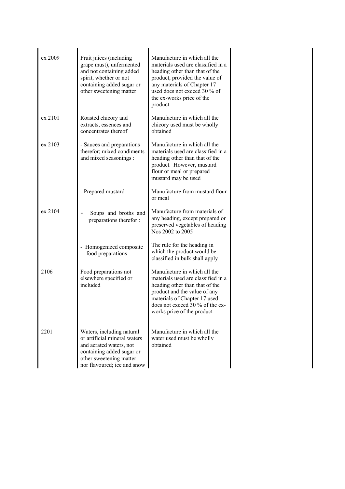| ex 2009 | Fruit juices (including<br>grape must), unfermented<br>and not containing added<br>spirit, whether or not<br>containing added sugar or<br>other sweetening matter           | Manufacture in which all the<br>materials used are classified in a<br>heading other than that of the<br>product, provided the value of<br>any materials of Chapter 17<br>used does not exceed 30 % of<br>the ex-works price of the<br>product |  |
|---------|-----------------------------------------------------------------------------------------------------------------------------------------------------------------------------|-----------------------------------------------------------------------------------------------------------------------------------------------------------------------------------------------------------------------------------------------|--|
| ex 2101 | Roasted chicory and<br>extracts, essences and<br>concentrates thereof                                                                                                       | Manufacture in which all the<br>chicory used must be wholly<br>obtained                                                                                                                                                                       |  |
| ex 2103 | - Sauces and preparations<br>therefor; mixed condiments<br>and mixed seasonings :                                                                                           | Manufacture in which all the<br>materials used are classified in a<br>heading other than that of the<br>product. However, mustard<br>flour or meal or prepared<br>mustard may be used                                                         |  |
|         | - Prepared mustard                                                                                                                                                          | Manufacture from mustard flour<br>or meal                                                                                                                                                                                                     |  |
| ex 2104 | Soups and broths and<br>preparations therefor :                                                                                                                             | Manufacture from materials of<br>any heading, except prepared or<br>preserved vegetables of heading<br>Nos 2002 to 2005                                                                                                                       |  |
|         | - Homogenized composite<br>food preparations                                                                                                                                | The rule for the heading in<br>which the product would be<br>classified in bulk shall apply                                                                                                                                                   |  |
| 2106    | Food preparations not<br>elsewhere specified or<br>included                                                                                                                 | Manufacture in which all the<br>materials used are classified in a<br>heading other than that of the<br>product and the value of any<br>materials of Chapter 17 used<br>does not exceed 30 % of the ex-<br>works price of the product         |  |
| 2201    | Waters, including natural<br>or artificial mineral waters<br>and aerated waters, not<br>containing added sugar or<br>other sweetening matter<br>nor flavoured; ice and snow | Manufacture in which all the<br>water used must be wholly<br>obtained                                                                                                                                                                         |  |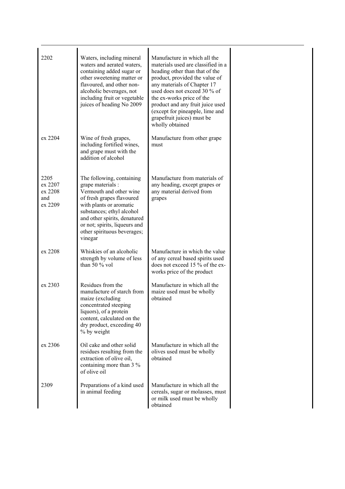| 2202                                         | Waters, including mineral<br>waters and aerated waters,<br>containing added sugar or<br>other sweetening matter or<br>flavoured, and other non-<br>alcoholic beverages, not<br>including fruit or vegetable<br>juices of heading No 2009                                  | Manufacture in which all the<br>materials used are classified in a<br>heading other than that of the<br>product, provided the value of<br>any materials of Chapter 17<br>used does not exceed 30 % of<br>the ex-works price of the<br>product and any fruit juice used<br>(except for pineapple, lime and<br>grapefruit juices) must be<br>wholly obtained |  |
|----------------------------------------------|---------------------------------------------------------------------------------------------------------------------------------------------------------------------------------------------------------------------------------------------------------------------------|------------------------------------------------------------------------------------------------------------------------------------------------------------------------------------------------------------------------------------------------------------------------------------------------------------------------------------------------------------|--|
| ex 2204                                      | Wine of fresh grapes,<br>including fortified wines,<br>and grape must with the<br>addition of alcohol                                                                                                                                                                     | Manufacture from other grape<br>must                                                                                                                                                                                                                                                                                                                       |  |
| 2205<br>ex 2207<br>ex 2208<br>and<br>ex 2209 | The following, containing<br>grape materials :<br>Vermouth and other wine<br>of fresh grapes flavoured<br>with plants or aromatic<br>substances; ethyl alcohol<br>and other spirits, denatured<br>or not; spirits, liqueurs and<br>other spirituous beverages;<br>vinegar | Manufacture from materials of<br>any heading, except grapes or<br>any material derived from<br>grapes                                                                                                                                                                                                                                                      |  |
| ex 2208                                      | Whiskies of an alcoholic<br>strength by volume of less<br>than 50 % vol                                                                                                                                                                                                   | Manufacture in which the value<br>of any cereal based spirits used<br>does not exceed 15 % of the ex-<br>works price of the product                                                                                                                                                                                                                        |  |
| ex 2303                                      | Residues from the<br>manufacture of starch from<br>maize (excluding<br>concentrated steeping<br>liquors), of a protein<br>content, calculated on the<br>dry product, exceeding 40<br>% by weight                                                                          | Manufacture in which all the<br>maize used must be wholly<br>obtained                                                                                                                                                                                                                                                                                      |  |
| ex 2306                                      | Oil cake and other solid<br>residues resulting from the<br>extraction of olive oil,<br>containing more than 3 %<br>of olive oil                                                                                                                                           | Manufacture in which all the<br>olives used must be wholly<br>obtained                                                                                                                                                                                                                                                                                     |  |
| 2309                                         | Preparations of a kind used<br>in animal feeding                                                                                                                                                                                                                          | Manufacture in which all the<br>cereals, sugar or molasses, must<br>or milk used must be wholly<br>obtained                                                                                                                                                                                                                                                |  |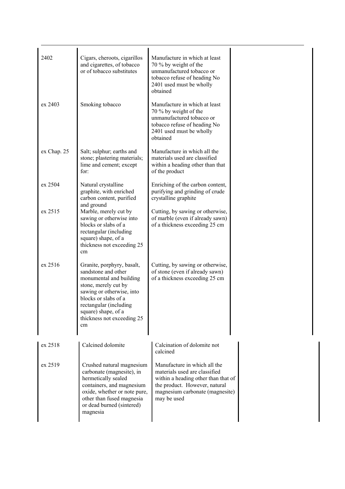| 2402        | Cigars, cheroots, cigarillos<br>and cigarettes, of tobacco<br>or of tobacco substitutes                                                                                                                                                        | Manufacture in which at least<br>70 % by weight of the<br>unmanufactured tobacco or<br>tobacco refuse of heading No<br>2401 used must be wholly<br>obtained                             |  |
|-------------|------------------------------------------------------------------------------------------------------------------------------------------------------------------------------------------------------------------------------------------------|-----------------------------------------------------------------------------------------------------------------------------------------------------------------------------------------|--|
| ex 2403     | Smoking tobacco                                                                                                                                                                                                                                | Manufacture in which at least<br>70 % by weight of the<br>unmanufactured tobacco or<br>tobacco refuse of heading No<br>2401 used must be wholly<br>obtained                             |  |
| ex Chap. 25 | Salt; sulphur; earths and<br>stone; plastering materials;<br>lime and cement; except<br>for:                                                                                                                                                   | Manufacture in which all the<br>materials used are classified<br>within a heading other than that<br>of the product                                                                     |  |
| ex 2504     | Natural crystalline<br>graphite, with enriched<br>carbon content, purified<br>and ground                                                                                                                                                       | Enriching of the carbon content,<br>purifying and grinding of crude<br>crystalline graphite                                                                                             |  |
| ex 2515     | Marble, merely cut by<br>sawing or otherwise into<br>blocks or slabs of a<br>rectangular (including<br>square) shape, of a<br>thickness not exceeding 25<br>cm                                                                                 | Cutting, by sawing or otherwise,<br>of marble (even if already sawn)<br>of a thickness exceeding 25 cm                                                                                  |  |
| ex 2516     | Granite, porphyry, basalt,<br>sandstone and other<br>monumental and building<br>stone, merely cut by<br>sawing or otherwise, into<br>blocks or slabs of a<br>rectangular (including<br>square) shape, of a<br>thickness not exceeding 25<br>cm | Cutting, by sawing or otherwise,<br>of stone (even if already sawn)<br>of a thickness exceeding 25 cm                                                                                   |  |
| ex 2518     | Calcined dolomite                                                                                                                                                                                                                              | Calcination of dolomite not<br>calcined                                                                                                                                                 |  |
| ex 2519     | Crushed natural magnesium<br>carbonate (magnesite), in<br>hermetically sealed<br>containers, and magnesium<br>oxide, whether or note pure,<br>other than fused magnesia<br>or dead burned (sintered)<br>magnesia                               | Manufacture in which all the<br>materials used are classified<br>within a heading other than that of<br>the product. However, natural<br>magnesium carbonate (magnesite)<br>may be used |  |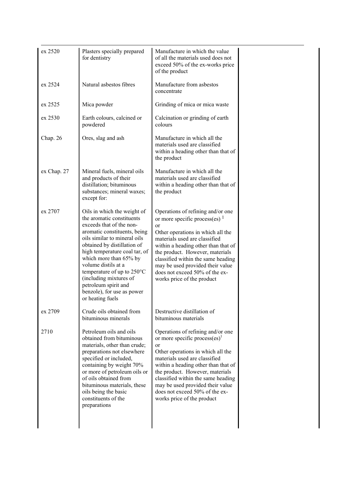| ex 2520     | Plasters specially prepared<br>for dentistry                                                                                                                                                                                                                                                                                                                                                                      | Manufacture in which the value<br>of all the materials used does not<br>exceed 50% of the ex-works price<br>of the product                                                                                                                                                                                                                                                     |  |
|-------------|-------------------------------------------------------------------------------------------------------------------------------------------------------------------------------------------------------------------------------------------------------------------------------------------------------------------------------------------------------------------------------------------------------------------|--------------------------------------------------------------------------------------------------------------------------------------------------------------------------------------------------------------------------------------------------------------------------------------------------------------------------------------------------------------------------------|--|
| ex 2524     | Natural asbestos fibres                                                                                                                                                                                                                                                                                                                                                                                           | Manufacture from asbestos<br>concentrate                                                                                                                                                                                                                                                                                                                                       |  |
| ex 2525     | Mica powder                                                                                                                                                                                                                                                                                                                                                                                                       | Grinding of mica or mica waste                                                                                                                                                                                                                                                                                                                                                 |  |
| ex 2530     | Earth colours, calcined or<br>powdered                                                                                                                                                                                                                                                                                                                                                                            | Calcination or grinding of earth<br>colours                                                                                                                                                                                                                                                                                                                                    |  |
| Chap. 26    | Ores, slag and ash                                                                                                                                                                                                                                                                                                                                                                                                | Manufacture in which all the<br>materials used are classified<br>within a heading other than that of<br>the product                                                                                                                                                                                                                                                            |  |
| ex Chap. 27 | Mineral fuels, mineral oils<br>and products of their<br>distillation; bituminous<br>substances; mineral waxes;<br>except for:                                                                                                                                                                                                                                                                                     | Manufacture in which all the<br>materials used are classified<br>within a heading other than that of<br>the product                                                                                                                                                                                                                                                            |  |
| ex 2707     | Oils in which the weight of<br>the aromatic constituents<br>exceeds that of the non-<br>aromatic constituents, being<br>oils similar to mineral oils<br>obtained by distillation of<br>high temperature coal tar, of<br>which more than 65% by<br>volume distils at a<br>temperature of up to $250^{\circ}$ C<br>(including mixtures of<br>petroleum spirit and<br>benzole), for use as power<br>or heating fuels | Operations of refining and/or one<br>or more specific process(es) $1$<br>or<br>Other operations in which all the<br>materials used are classified<br>within a heading other than that of<br>the product. However, materials<br>classified within the same heading<br>may be used provided their value<br>does not exceed 50% of the ex-<br>works price of the product          |  |
| ex 2709     | Crude oils obtained from<br>bituminous minerals                                                                                                                                                                                                                                                                                                                                                                   | Destructive distillation of<br>bituminous materials                                                                                                                                                                                                                                                                                                                            |  |
| 2710        | Petroleum oils and oils<br>obtained from bituminous<br>materials, other than crude;<br>preparations not elsewhere<br>specified or included,<br>containing by weight 70%<br>or more of petroleum oils or<br>of oils obtained from<br>bituminous materials, these<br>oils being the basic<br>constituents of the<br>preparations                                                                                    | Operations of refining and/or one<br>or more specific process(es) <sup>1</sup><br>or<br>Other operations in which all the<br>materials used are classified<br>within a heading other than that of<br>the product. However, materials<br>classified within the same heading<br>may be used provided their value<br>does not exceed 50% of the ex-<br>works price of the product |  |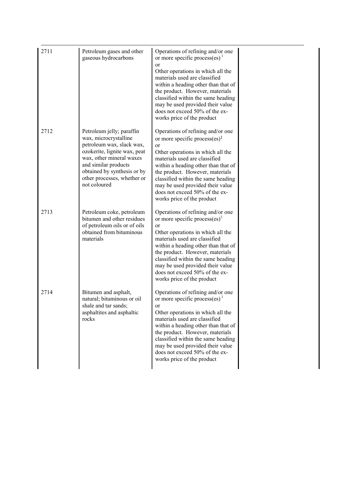| 2711 | Petroleum gases and other<br>gaseous hydrocarbons                                                                                                                                                                                                 | Operations of refining and/or one<br>or more specific process(es) $1$<br>or<br>Other operations in which all the<br>materials used are classified<br>within a heading other than that of<br>the product. However, materials<br>classified within the same heading<br>may be used provided their value<br>does not exceed 50% of the ex-<br>works price of the product                   |  |
|------|---------------------------------------------------------------------------------------------------------------------------------------------------------------------------------------------------------------------------------------------------|-----------------------------------------------------------------------------------------------------------------------------------------------------------------------------------------------------------------------------------------------------------------------------------------------------------------------------------------------------------------------------------------|--|
| 2712 | Petroleum jelly; paraffin<br>wax, microcrystalline<br>petroleum wax, slack wax,<br>ozokerite, lignite wax, peat<br>wax, other mineral waxes<br>and similar products<br>obtained by synthesis or by<br>other processes, whether or<br>not coloured | Operations of refining and/or one<br>or more specific process(es) <sup>1</sup><br>or<br>Other operations in which all the<br>materials used are classified<br>within a heading other than that of<br>the product. However, materials<br>classified within the same heading<br>may be used provided their value<br>does not exceed 50% of the ex-<br>works price of the product          |  |
| 2713 | Petroleum coke, petroleum<br>bitumen and other residues<br>of petroleum oils or of oils<br>obtained from bituminous<br>materials                                                                                                                  | Operations of refining and/or one<br>or more specific process(es) $\text{ }^{\text{i}}$<br>or<br>Other operations in which all the<br>materials used are classified<br>within a heading other than that of<br>the product. However, materials<br>classified within the same heading<br>may be used provided their value<br>does not exceed 50% of the ex-<br>works price of the product |  |
| 2714 | Bitumen and asphalt,<br>natural; bituminous or oil<br>shale and tar sands;<br>asphaltites and asphaltic<br>rocks                                                                                                                                  | Operations of refining and/or one<br>or more specific process(es) $1$<br>or<br>Other operations in which all the<br>materials used are classified<br>within a heading other than that of<br>the product. However, materials<br>classified within the same heading<br>may be used provided their value<br>does not exceed 50% of the ex-<br>works price of the product                   |  |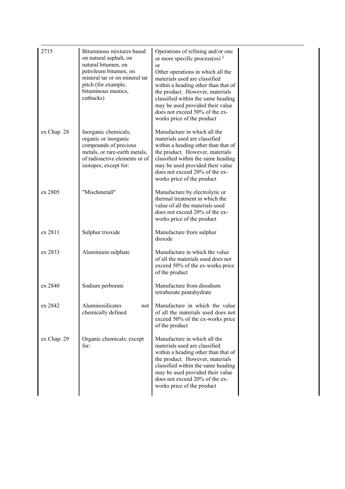| 2715        | Bituminous mixtures based<br>on natural asphalt, on<br>natural bitumen, on<br>petroleum bitumen, on<br>mineral tar or on mineral tar<br>pitch (for example,<br>bituminous mastics,<br>cutbacks) | Operations of refining and/or one<br>or more specific process(es) $1$<br>or<br>Other operations in which all the<br>materials used are classified<br>within a heading other than that of<br>the product. However, materials<br>classified within the same heading<br>may be used provided their value<br>does not exceed 50% of the ex-<br>works price of the product |  |
|-------------|-------------------------------------------------------------------------------------------------------------------------------------------------------------------------------------------------|-----------------------------------------------------------------------------------------------------------------------------------------------------------------------------------------------------------------------------------------------------------------------------------------------------------------------------------------------------------------------|--|
| ex Chap. 28 | Inorganic chemicals;<br>organic or inorganic<br>compounds of precious<br>metals, or rare-earth metals,<br>of radioactive elements or of<br>isotopes; except for:                                | Manufacture in which all the<br>materials used are classified<br>within a heading other than that of<br>the product. However, materials<br>classified within the same heading<br>may be used provided their value<br>does not exceed 20% of the ex-<br>works price of the product                                                                                     |  |
| ex 2805     | "Mischmetall"                                                                                                                                                                                   | Manufacture by electrolytic or<br>thermal treatment in which the<br>value of all the materials used<br>does not exceed 20% of the ex-<br>works price of the product                                                                                                                                                                                                   |  |
| ex 2811     | Sulphur trioxide                                                                                                                                                                                | Manufacture from sulphur<br>dioxide                                                                                                                                                                                                                                                                                                                                   |  |
| ex 2833     | Aluminium sulphate                                                                                                                                                                              | Manufacture in which the value<br>of all the materials used does not<br>exceed 50% of the ex-works price<br>of the product                                                                                                                                                                                                                                            |  |
| ex 2840     | Sodium perborate                                                                                                                                                                                | Manufacture from disodium<br>tetraborate pentahydrate                                                                                                                                                                                                                                                                                                                 |  |
| ex 2842     | Aluminosilicates<br>not<br>chemically defined                                                                                                                                                   | Manufacture in which the value<br>of all the materials used does not<br>exceed 50% of the ex-works price<br>of the product                                                                                                                                                                                                                                            |  |
| ex Chap. 29 | Organic chemicals; except<br>for:                                                                                                                                                               | Manufacture in which all the<br>materials used are classified<br>within a heading other than that of<br>the product. However, materials<br>classified within the same heading<br>may be used provided their value<br>does not exceed 20% of the ex-<br>works price of the product                                                                                     |  |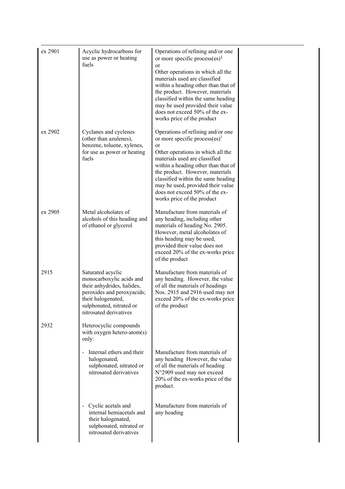| ex 2901 | Acyclic hydrocarbons for<br>use as power or heating<br>fuels                                                                                                                          | Operations of refining and/or one<br>or more specific process(es) <sup>1</sup><br>or<br>Other operations in which all the<br>materials used are classified<br>within a heading other than that of<br>the product. However, materials<br>classified within the same heading<br>may be used provided their value<br>does not exceed 50% of the ex-<br>works price of the product           |  |
|---------|---------------------------------------------------------------------------------------------------------------------------------------------------------------------------------------|------------------------------------------------------------------------------------------------------------------------------------------------------------------------------------------------------------------------------------------------------------------------------------------------------------------------------------------------------------------------------------------|--|
| ex 2902 | Cyclanes and cyclenes<br>(other than azulenes),<br>benzene, toluene, xylenes,<br>for use as power or heating<br>fuels                                                                 | Operations of refining and/or one<br>or more specific process(es) $\text{ }^{\text{i}}$<br>or<br>Other operations in which all the<br>materials used are classified<br>within a heading other than that of<br>the product. However, materials<br>classified within the same heading<br>may be used, provided their value<br>does not exceed 50% of the ex-<br>works price of the product |  |
| ex 2905 | Metal alcoholates of<br>alcohols of this heading and<br>of ethanol or glycerol                                                                                                        | Manufacture from materials of<br>any heading, including other<br>materials of heading No. 2905.<br>However, metal alcoholates of<br>this heading may be used,<br>provided their value does not<br>exceed 20% of the ex-works price<br>of the product                                                                                                                                     |  |
| 2915    | Saturated acyclic<br>monocarboxylic acids and<br>their anhydrides, halides,<br>peroxides and peroxyacids;<br>their halogenated,<br>sulphonated, nitrated or<br>nitrosated derivatives | Manufacture from materials of<br>any heading. However, the value<br>of all the materials of headings<br>Nos. 2915 and 2916 used may not<br>exceed 20% of the ex-works price<br>of the product                                                                                                                                                                                            |  |
| 2932    | Heterocyclic compounds<br>with oxygen hetero-atom(s)<br>only:                                                                                                                         |                                                                                                                                                                                                                                                                                                                                                                                          |  |
|         | Internal ethers and their<br>halogenated,<br>sulphonated, nitrated or<br>nitrosated derivatives                                                                                       | Manufacture from materials of<br>any heading However, the value<br>of all the materials of heading<br>N°2909 used may not exceed<br>20% of the ex-works price of the<br>product.                                                                                                                                                                                                         |  |
|         | Cyclic acetals and<br>$\blacksquare$<br>internal hemiacetals and<br>their halogenated,<br>sulphonated, nitrated or<br>nitrosated derivatives                                          | Manufacture from materials of<br>any heading                                                                                                                                                                                                                                                                                                                                             |  |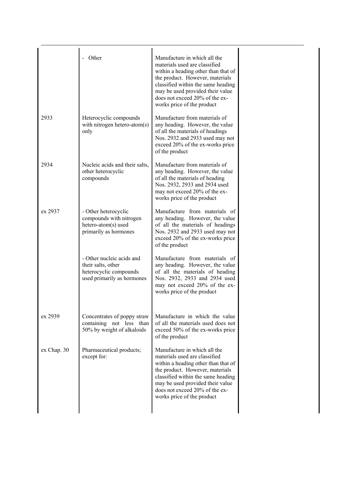|             | - Other                                                                                                 | Manufacture in which all the<br>materials used are classified<br>within a heading other than that of<br>the product. However, materials<br>classified within the same heading<br>may be used provided their value<br>does not exceed 20% of the ex-<br>works price of the product |  |
|-------------|---------------------------------------------------------------------------------------------------------|-----------------------------------------------------------------------------------------------------------------------------------------------------------------------------------------------------------------------------------------------------------------------------------|--|
| 2933        | Heterocyclic compounds<br>with nitrogen hetero-atom(s)<br>only                                          | Manufacture from materials of<br>any heading. However, the value<br>of all the materials of headings<br>Nos. 2932 and 2933 used may not<br>exceed 20% of the ex-works price<br>of the product                                                                                     |  |
| 2934        | Nucleic acids and their salts,<br>other heterocyclic<br>compounds                                       | Manufacture from materials of<br>any heading. However, the value<br>of all the materials of heading<br>Nos. 2932, 2933 and 2934 used<br>may not exceed 20% of the ex-<br>works price of the product                                                                               |  |
| ex 2937     | - Other heterocyclic<br>compounds with nitrogen<br>hetero-atom(s) used<br>primarily as hormones         | Manufacture from materials of<br>any heading. However, the value<br>of all the materials of headings<br>Nos. 2932 and 2933 used may not<br>exceed 20% of the ex-works price<br>of the product                                                                                     |  |
|             | - Other nucleic acids and<br>their salts, other<br>heterocyclic compounds<br>used primarily as hormones | Manufacture from materials of<br>any heading. However, the value<br>of all the materials of heading<br>Nos. 2932, 2933 and 2934 used<br>may not exceed 20% of the ex-<br>works price of the product                                                                               |  |
| ex 2939     | Concentrates of poppy straw<br>containing not less than<br>50% by weight of alkaloids                   | Manufacture in which the value<br>of all the materials used does not<br>exceed 50% of the ex-works price<br>of the product                                                                                                                                                        |  |
| ex Chap. 30 | Pharmaceutical products;<br>except for:                                                                 | Manufacture in which all the<br>materials used are classified<br>within a heading other than that of<br>the product. However, materials<br>classified within the same heading<br>may be used provided their value<br>does not exceed 20% of the ex-<br>works price of the product |  |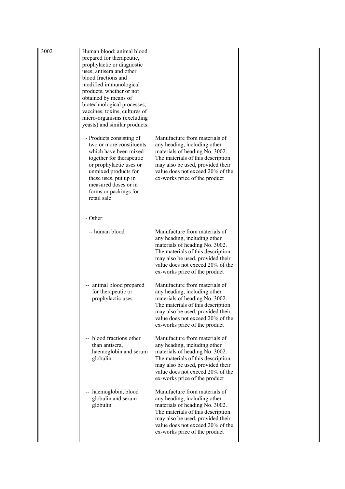| 3002 | Human blood; animal blood<br>prepared for therapeutic,<br>prophylactic or diagnostic<br>uses; antisera and other<br>blood fractions and<br>modified immunological<br>products, whether or not<br>obtained by means of<br>biotechnological processes;<br>vaccines, toxins, cultures of<br>micro-organisms (excluding<br>yeasts) and similar products:<br>- Products consisting of<br>two or more constituents<br>which have been mixed<br>together for therapeutic<br>or prophylactic uses or<br>unmixed products for<br>these uses, put up in<br>measured doses or in<br>forms or packings for<br>retail sale<br>- Other: | Manufacture from materials of<br>any heading, including other<br>materials of heading No. 3002.<br>The materials of this description<br>may also be used, provided their<br>value does not exceed 20% of the<br>ex-works price of the product |  |
|------|---------------------------------------------------------------------------------------------------------------------------------------------------------------------------------------------------------------------------------------------------------------------------------------------------------------------------------------------------------------------------------------------------------------------------------------------------------------------------------------------------------------------------------------------------------------------------------------------------------------------------|-----------------------------------------------------------------------------------------------------------------------------------------------------------------------------------------------------------------------------------------------|--|
|      | -- human blood                                                                                                                                                                                                                                                                                                                                                                                                                                                                                                                                                                                                            | Manufacture from materials of<br>any heading, including other<br>materials of heading No. 3002.<br>The materials of this description<br>may also be used, provided their<br>value does not exceed 20% of the<br>ex-works price of the product |  |
|      | -- animal blood prepared<br>for therapeutic or<br>prophylactic uses                                                                                                                                                                                                                                                                                                                                                                                                                                                                                                                                                       | Manufacture from materials of<br>any heading, including other<br>materials of heading No. 3002.<br>The materials of this description<br>may also be used, provided their<br>value does not exceed 20% of the<br>ex-works price of the product |  |
|      | -- blood fractions other<br>than antisera,<br>haemoglobin and serum<br>globulin                                                                                                                                                                                                                                                                                                                                                                                                                                                                                                                                           | Manufacture from materials of<br>any heading, including other<br>materials of heading No. 3002.<br>The materials of this description<br>may also be used, provided their<br>value does not exceed 20% of the<br>ex-works price of the product |  |
|      | -- haemoglobin, blood<br>globulin and serum<br>globulin                                                                                                                                                                                                                                                                                                                                                                                                                                                                                                                                                                   | Manufacture from materials of<br>any heading, including other<br>materials of heading No. 3002.<br>The materials of this description<br>may also be used, provided their<br>value does not exceed 20% of the<br>ex-works price of the product |  |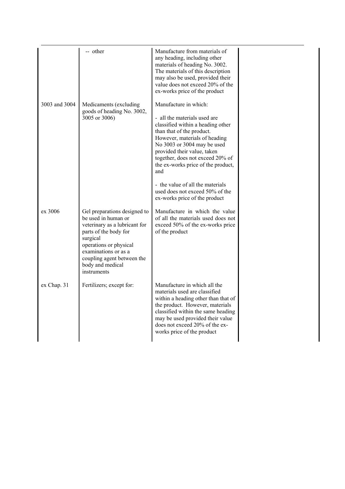|               | -- other                                                                                                                                                                                                                                     | Manufacture from materials of<br>any heading, including other<br>materials of heading No. 3002.<br>The materials of this description<br>may also be used, provided their<br>value does not exceed 20% of the<br>ex-works price of the product                                                                                                                                                                   |  |
|---------------|----------------------------------------------------------------------------------------------------------------------------------------------------------------------------------------------------------------------------------------------|-----------------------------------------------------------------------------------------------------------------------------------------------------------------------------------------------------------------------------------------------------------------------------------------------------------------------------------------------------------------------------------------------------------------|--|
| 3003 and 3004 | Medicaments (excluding<br>goods of heading No. 3002,<br>3005 or 3006)                                                                                                                                                                        | Manufacture in which:<br>- all the materials used are<br>classified within a heading other<br>than that of the product.<br>However, materials of heading<br>No 3003 or 3004 may be used<br>provided their value, taken<br>together, does not exceed 20% of<br>the ex-works price of the product,<br>and<br>- the value of all the materials<br>used does not exceed 50% of the<br>ex-works price of the product |  |
| ex 3006       | Gel preparations designed to<br>be used in human or<br>veterinary as a lubricant for<br>parts of the body for<br>surgical<br>operations or physical<br>examinations or as a<br>coupling agent between the<br>body and medical<br>instruments | Manufacture in which the value<br>of all the materials used does not<br>exceed 50% of the ex-works price<br>of the product                                                                                                                                                                                                                                                                                      |  |
| ex Chap. 31   | Fertilizers; except for:                                                                                                                                                                                                                     | Manufacture in which all the<br>materials used are classified<br>within a heading other than that of<br>the product. However, materials<br>classified within the same heading<br>may be used provided their value<br>does not exceed 20% of the ex-<br>works price of the product                                                                                                                               |  |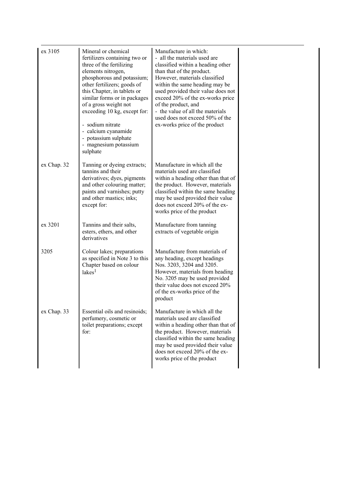| ex 3105     | Mineral or chemical<br>fertilizers containing two or<br>three of the fertilizing<br>elements nitrogen,<br>phosphorous and potassium;<br>other fertilizers; goods of<br>this Chapter, in tablets or<br>similar forms or in packages<br>of a gross weight not<br>exceeding 10 kg, except for:<br>- sodium nitrate<br>- calcium cyanamide<br>- potassium sulphate<br>- magnesium potassium<br>sulphate | Manufacture in which:<br>- all the materials used are<br>classified within a heading other<br>than that of the product.<br>However, materials classified<br>within the same heading may be<br>used provided their value does not<br>exceed 20% of the ex-works price<br>of the product, and<br>- the value of all the materials<br>used does not exceed 50% of the<br>ex-works price of the product |
|-------------|-----------------------------------------------------------------------------------------------------------------------------------------------------------------------------------------------------------------------------------------------------------------------------------------------------------------------------------------------------------------------------------------------------|-----------------------------------------------------------------------------------------------------------------------------------------------------------------------------------------------------------------------------------------------------------------------------------------------------------------------------------------------------------------------------------------------------|
| ex Chap. 32 | Tanning or dyeing extracts;<br>tannins and their<br>derivatives; dyes, pigments<br>and other colouring matter;<br>paints and varnishes; putty<br>and other mastics; inks;<br>except for:                                                                                                                                                                                                            | Manufacture in which all the<br>materials used are classified<br>within a heading other than that of<br>the product. However, materials<br>classified within the same heading<br>may be used provided their value<br>does not exceed 20% of the ex-<br>works price of the product                                                                                                                   |
| ex 3201     | Tannins and their salts,<br>esters, ethers, and other<br>derivatives                                                                                                                                                                                                                                                                                                                                | Manufacture from tanning<br>extracts of vegetable origin                                                                                                                                                                                                                                                                                                                                            |
| 3205        | Colour lakes; preparations<br>as specified in Note 3 to this<br>Chapter based on colour<br>lakes <sup>1</sup>                                                                                                                                                                                                                                                                                       | Manufacture from materials of<br>any heading, except headings<br>Nos. 3203, 3204 and 3205.<br>However, materials from heading<br>No. 3205 may be used provided<br>their value does not exceed 20%<br>of the ex-works price of the<br>product                                                                                                                                                        |
| ex Chap. 33 | Essential oils and resinoids;<br>perfumery, cosmetic or<br>toilet preparations; except<br>for:                                                                                                                                                                                                                                                                                                      | Manufacture in which all the<br>materials used are classified<br>within a heading other than that of<br>the product. However, materials<br>classified within the same heading<br>may be used provided their value<br>does not exceed 20% of the ex-<br>works price of the product                                                                                                                   |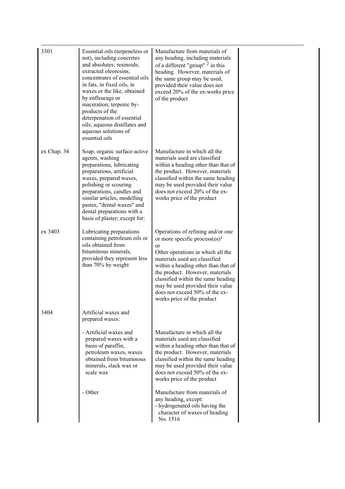| 3301        | Essential oils (terpeneless or<br>not), including concretes<br>and absolutes; resinoids;<br>extracted oleoresins;<br>concentrates of essential oils<br>in fats, in fixed oils, in<br>waxes or the like, obtained<br>by enfleurage or<br>maceration; terpenic by-<br>products of the<br>deterpenation of essential<br>oils; aqueous distillates and<br>aqueous solutions of<br>essential oils | Manufacture from materials of<br>any heading, including materials<br>of a different "group" $2$ in this<br>heading. However, materials of<br>the same group may be used,<br>provided their value does not<br>exceed 20% of the ex-works price<br>of the product                                                                                                                |  |
|-------------|----------------------------------------------------------------------------------------------------------------------------------------------------------------------------------------------------------------------------------------------------------------------------------------------------------------------------------------------------------------------------------------------|--------------------------------------------------------------------------------------------------------------------------------------------------------------------------------------------------------------------------------------------------------------------------------------------------------------------------------------------------------------------------------|--|
| ex Chap. 34 | Soap, organic surface-active<br>agents, washing<br>preparations, lubricating<br>preparations, artificial<br>waxes, prepared waxes,<br>polishing or scouring<br>preparations, candles and<br>similar articles, modelling<br>pastes, "dental waxes" and<br>dental preparations with a<br>basis of plaster; except for:                                                                         | Manufacture in which all the<br>materials used are classified<br>within a heading other than that of<br>the product. However, materials<br>classified within the same heading<br>may be used provided their value<br>does not exceed 20% of the ex-<br>works price of the product                                                                                              |  |
| ex 3403     | Lubricating preparations<br>containing petroleum oils or<br>oils obtained from<br>bituminous minerals,<br>provided they represent less<br>than 70% by weight                                                                                                                                                                                                                                 | Operations of refining and/or one<br>or more specific process(es) <sup>1</sup><br>or<br>Other operations in which all the<br>materials used are classified<br>within a heading other than that of<br>the product. However, materials<br>classified within the same heading<br>may be used provided their value<br>does not exceed 50% of the ex-<br>works price of the product |  |
| 3404        | Artificial waxes and<br>prepared waxes:<br>- Artificial waxes and<br>prepared waxes with a<br>basis of paraffin,<br>petroleum waxes, waxes<br>obtained from bituminous<br>minerals, slack wax or<br>scale wax                                                                                                                                                                                | Manufacture in which all the<br>materials used are classified<br>within a heading other than that of<br>the product. However, materials<br>classified within the same heading<br>may be used provided their value<br>does not exceed 50% of the ex-<br>works price of the product                                                                                              |  |
|             | - Other                                                                                                                                                                                                                                                                                                                                                                                      | Manufacture from materials of<br>any heading, except:<br>- hydrogenated oils having the<br>character of waxes of heading<br>No. 1516                                                                                                                                                                                                                                           |  |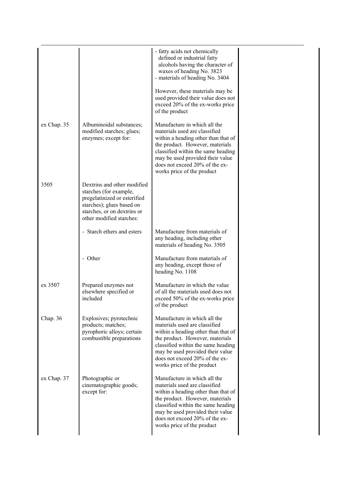|             |                                                                                                                                                                               | - fatty acids not chemically<br>defined or industrial fatty<br>alcohols having the character of<br>waxes of heading No. 3823<br>- materials of heading No. 3404                                                                                                                   |  |
|-------------|-------------------------------------------------------------------------------------------------------------------------------------------------------------------------------|-----------------------------------------------------------------------------------------------------------------------------------------------------------------------------------------------------------------------------------------------------------------------------------|--|
|             |                                                                                                                                                                               | However, these materials may be<br>used provided their value does not<br>exceed 20% of the ex-works price<br>of the product                                                                                                                                                       |  |
| ex Chap. 35 | Albuminoidal substances;<br>modified starches; glues;<br>enzymes; except for:                                                                                                 | Manufacture in which all the<br>materials used are classified<br>within a heading other than that of<br>the product. However, materials<br>classified within the same heading<br>may be used provided their value<br>does not exceed 20% of the ex-<br>works price of the product |  |
| 3505        | Dextrins and other modified<br>starches (for example,<br>pregelatinized or esterified<br>starches); glues based on<br>starches, or on dextrins or<br>other modified starches: |                                                                                                                                                                                                                                                                                   |  |
|             | - Starch ethers and esters                                                                                                                                                    | Manufacture from materials of<br>any heading, including other<br>materials of heading No. 3505                                                                                                                                                                                    |  |
|             | - Other                                                                                                                                                                       | Manufacture from materials of<br>any heading, except those of<br>heading No. 1108                                                                                                                                                                                                 |  |
| ex 3507     | Prepared enzymes not<br>elsewhere specified or<br>included                                                                                                                    | Manufacture in which the value<br>of all the materials used does not<br>exceed 50% of the ex-works price<br>of the product                                                                                                                                                        |  |
| Chap. $36$  | Explosives; pyrotechnic<br>products; matches;<br>pyrophoric alloys; certain<br>combustible preparations                                                                       | Manufacture in which all the<br>materials used are classified<br>within a heading other than that of<br>the product. However, materials<br>classified within the same heading<br>may be used provided their value<br>does not exceed 20% of the ex-<br>works price of the product |  |
| ex Chap. 37 | Photographic or<br>cinematographic goods;<br>except for:                                                                                                                      | Manufacture in which all the<br>materials used are classified<br>within a heading other than that of<br>the product. However, materials<br>classified within the same heading<br>may be used provided their value<br>does not exceed 20% of the ex-<br>works price of the product |  |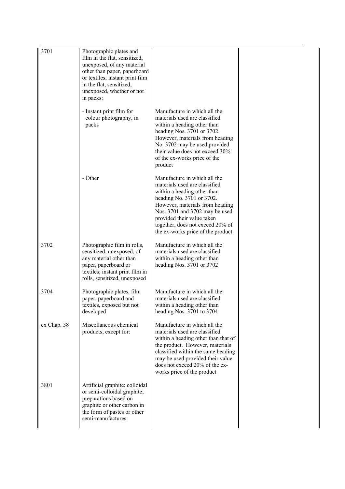| 3701        | Photographic plates and<br>film in the flat, sensitized,<br>unexposed, of any material<br>other than paper, paperboard<br>or textiles; instant print film<br>in the flat, sensitized,<br>unexposed, whether or not<br>in packs: |                                                                                                                                                                                                                                                                                                       |  |
|-------------|---------------------------------------------------------------------------------------------------------------------------------------------------------------------------------------------------------------------------------|-------------------------------------------------------------------------------------------------------------------------------------------------------------------------------------------------------------------------------------------------------------------------------------------------------|--|
|             | - Instant print film for<br>colour photography, in<br>packs                                                                                                                                                                     | Manufacture in which all the<br>materials used are classified<br>within a heading other than<br>heading Nos. 3701 or 3702.<br>However, materials from heading<br>No. 3702 may be used provided<br>their value does not exceed 30%<br>of the ex-works price of the<br>product                          |  |
|             | - Other                                                                                                                                                                                                                         | Manufacture in which all the<br>materials used are classified<br>within a heading other than<br>heading No. 3701 or 3702.<br>However, materials from heading<br>Nos. 3701 and 3702 may be used<br>provided their value taken<br>together, does not exceed 20% of<br>the ex-works price of the product |  |
| 3702        | Photographic film in rolls,<br>sensitized, unexposed, of<br>any material other than<br>paper, paperboard or<br>textiles; instant print film in<br>rolls, sensitized, unexposed                                                  | Manufacture in which all the<br>materials used are classified<br>within a heading other than<br>heading Nos. 3701 or 3702                                                                                                                                                                             |  |
| 3704        | Photographic plates, film<br>paper, paperboard and<br>textiles, exposed but not<br>developed                                                                                                                                    | Manufacture in which all the<br>materials used are classified<br>within a heading other than<br>heading Nos. $3701$ to $3704$                                                                                                                                                                         |  |
| ex Chap. 38 | Miscellaneous chemical<br>products; except for:                                                                                                                                                                                 | Manufacture in which all the<br>materials used are classified<br>within a heading other than that of<br>the product. However, materials<br>classified within the same heading<br>may be used provided their value<br>does not exceed 20% of the ex-<br>works price of the product                     |  |
| 3801        | Artificial graphite; colloidal<br>or semi-colloidal graphite;<br>preparations based on<br>graphite or other carbon in<br>the form of pastes or other<br>semi-manufactures:                                                      |                                                                                                                                                                                                                                                                                                       |  |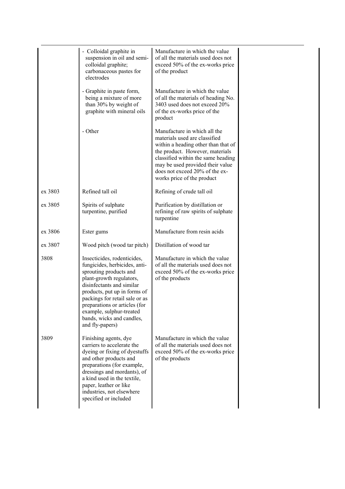|         | - Colloidal graphite in<br>suspension in oil and semi-<br>colloidal graphite;<br>carbonaceous pastes for<br>electrodes                                                                                                                                                                                                         | Manufacture in which the value<br>of all the materials used does not<br>exceed 50% of the ex-works price<br>of the product                                                                                                                                                        |
|---------|--------------------------------------------------------------------------------------------------------------------------------------------------------------------------------------------------------------------------------------------------------------------------------------------------------------------------------|-----------------------------------------------------------------------------------------------------------------------------------------------------------------------------------------------------------------------------------------------------------------------------------|
|         | - Graphite in paste form,<br>being a mixture of more<br>than 30% by weight of<br>graphite with mineral oils                                                                                                                                                                                                                    | Manufacture in which the value<br>of all the materials of heading No.<br>3403 used does not exceed 20%<br>of the ex-works price of the<br>product                                                                                                                                 |
|         | - Other                                                                                                                                                                                                                                                                                                                        | Manufacture in which all the<br>materials used are classified<br>within a heading other than that of<br>the product. However, materials<br>classified within the same heading<br>may be used provided their value<br>does not exceed 20% of the ex-<br>works price of the product |
| ex 3803 | Refined tall oil                                                                                                                                                                                                                                                                                                               | Refining of crude tall oil                                                                                                                                                                                                                                                        |
| ex 3805 | Spirits of sulphate<br>turpentine, purified                                                                                                                                                                                                                                                                                    | Purification by distillation or<br>refining of raw spirits of sulphate<br>turpentine                                                                                                                                                                                              |
| ex 3806 | Ester gums                                                                                                                                                                                                                                                                                                                     | Manufacture from resin acids                                                                                                                                                                                                                                                      |
| ex 3807 | Wood pitch (wood tar pitch)                                                                                                                                                                                                                                                                                                    | Distillation of wood tar                                                                                                                                                                                                                                                          |
| 3808    | Insecticides, rodenticides,<br>fungicides, herbicides, anti-<br>sprouting products and<br>plant-growth regulators,<br>disinfectants and similar<br>products, put up in forms of<br>packings for retail sale or as<br>preparations or articles (for<br>example, sulphur-treated<br>bands, wicks and candles,<br>and fly-papers) | Manufacture in which the value<br>of all the materials used does not<br>exceed 50% of the ex-works price<br>of the products                                                                                                                                                       |
| 3809    | Finishing agents, dye<br>carriers to accelerate the<br>dyeing or fixing of dyestuffs<br>and other products and<br>preparations (for example,<br>dressings and mordants), of<br>a kind used in the textile,<br>paper, leather or like<br>industries, not elsewhere<br>specified or included                                     | Manufacture in which the value<br>of all the materials used does not<br>exceed 50% of the ex-works price<br>of the products                                                                                                                                                       |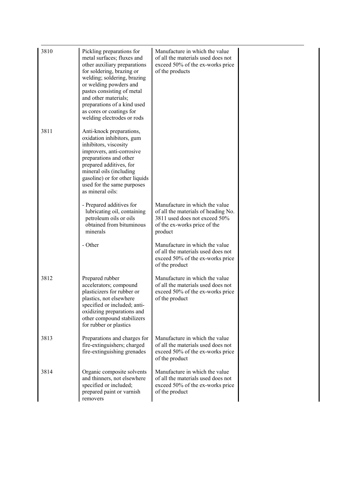| 3810 | Pickling preparations for<br>metal surfaces; fluxes and<br>other auxiliary preparations<br>for soldering, brazing or<br>welding; soldering, brazing<br>or welding powders and<br>pastes consisting of metal<br>and other materials;<br>preparations of a kind used<br>as cores or coatings for<br>welding electrodes or rods | Manufacture in which the value<br>of all the materials used does not<br>exceed 50% of the ex-works price<br>of the products                       |  |
|------|------------------------------------------------------------------------------------------------------------------------------------------------------------------------------------------------------------------------------------------------------------------------------------------------------------------------------|---------------------------------------------------------------------------------------------------------------------------------------------------|--|
| 3811 | Anti-knock preparations,<br>oxidation inhibitors, gum<br>inhibitors, viscosity<br>improvers, anti-corrosive<br>preparations and other<br>prepared additives, for<br>mineral oils (including<br>gasoline) or for other liquids<br>used for the same purposes<br>as mineral oils:                                              |                                                                                                                                                   |  |
|      | - Prepared additives for<br>lubricating oil, containing<br>petroleum oils or oils<br>obtained from bituminous<br>minerals                                                                                                                                                                                                    | Manufacture in which the value<br>of all the materials of heading No.<br>3811 used does not exceed 50%<br>of the ex-works price of the<br>product |  |
|      | - Other                                                                                                                                                                                                                                                                                                                      | Manufacture in which the value<br>of all the materials used does not<br>exceed 50% of the ex-works price<br>of the product                        |  |
| 3812 | Prepared rubber<br>accelerators; compound<br>plasticizers for rubber or<br>plastics, not elsewhere<br>specified or included; anti-<br>oxidizing preparations and<br>other compound stabilizers<br>for rubber or plastics                                                                                                     | Manufacture in which the value<br>of all the materials used does not<br>exceed 50% of the ex-works price<br>of the product                        |  |
| 3813 | Preparations and charges for<br>fire-extinguishers; charged<br>fire-extinguishing grenades                                                                                                                                                                                                                                   | Manufacture in which the value<br>of all the materials used does not<br>exceed 50% of the ex-works price<br>of the product                        |  |
| 3814 | Organic composite solvents<br>and thinners, not elsewhere<br>specified or included;<br>prepared paint or varnish<br>removers                                                                                                                                                                                                 | Manufacture in which the value<br>of all the materials used does not<br>exceed 50% of the ex-works price<br>of the product                        |  |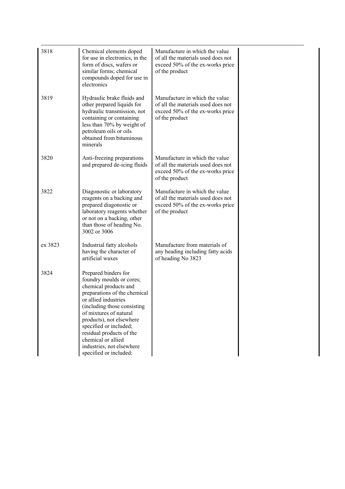| 3818    | Chemical elements doped<br>for use in electronics, in the<br>form of discs, wafers or<br>similar forms; chemical<br>compounds doped for use in<br>electronics                                                                                                                                                                                             | Manufacture in which the value<br>of all the materials used does not<br>exceed 50% of the ex-works price<br>of the product |  |
|---------|-----------------------------------------------------------------------------------------------------------------------------------------------------------------------------------------------------------------------------------------------------------------------------------------------------------------------------------------------------------|----------------------------------------------------------------------------------------------------------------------------|--|
| 3819    | Hydraulic brake fluids and<br>other prepared liquids for<br>hydraulic transmission, not<br>containing or containing<br>less than 70% by weight of<br>petroleum oils or oils<br>obtained from bituminous<br>minerals                                                                                                                                       | Manufacture in which the value<br>of all the materials used does not<br>exceed 50% of the ex-works price<br>of the product |  |
| 3820    | Anti-freezing preparations<br>and prepared de-icing fluids                                                                                                                                                                                                                                                                                                | Manufacture in which the value<br>of all the materials used does not<br>exceed 50% of the ex-works price<br>of the product |  |
| 3822    | Diagonostic or laboratory<br>reagents on a backing and<br>prepared diagonostic or<br>laboratory reagents whether<br>or not on a backing, other<br>than those of heading No.<br>3002 or 3006                                                                                                                                                               | Manufacture in which the value<br>of all the materials used does not<br>exceed 50% of the ex-works price<br>of the product |  |
| ex 3823 | Industrial fatty alcohols<br>having the character of<br>artificial waxes                                                                                                                                                                                                                                                                                  | Manufacture from materials of<br>any heading including fatty acids<br>of heading No 3823                                   |  |
| 3824    | Prepared binders for<br>foundry moulds or cores;<br>chemical products and<br>preparations of the chemical<br>or allied industries<br>(including those consisting<br>of mixtures of natural<br>products), not elsewhere<br>specified or included;<br>residual products of the<br>chemical or allied<br>industries, not elsewhere<br>specified or included: |                                                                                                                            |  |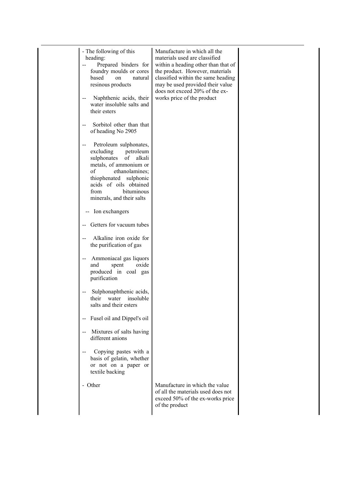| - The following of this<br>heading:<br>Prepared binders for<br>$-$<br>foundry moulds or cores<br>based<br>natural<br>on<br>resinous products<br>Naphthenic acids, their<br>$\overline{\phantom{m}}$<br>water insoluble salts and<br>their esters<br>Sorbitol other than that<br>of heading No 2905<br>Petroleum sulphonates,<br>$\overline{\phantom{a}}$<br>excluding<br>petroleum<br>sulphonates<br>of<br>alkali<br>metals, of ammonium or<br>ethanolamines;<br>of<br>thiophenated sulphonic<br>acids of oils obtained<br>from<br>bituminous<br>minerals, and their salts<br>-- Ion exchangers<br>-- Getters for vacuum tubes | Manufacture in which all the<br>materials used are classified<br>within a heading other than that of<br>the product. However, materials<br>classified within the same heading<br>may be used provided their value<br>does not exceed 20% of the ex-<br>works price of the product |  |
|--------------------------------------------------------------------------------------------------------------------------------------------------------------------------------------------------------------------------------------------------------------------------------------------------------------------------------------------------------------------------------------------------------------------------------------------------------------------------------------------------------------------------------------------------------------------------------------------------------------------------------|-----------------------------------------------------------------------------------------------------------------------------------------------------------------------------------------------------------------------------------------------------------------------------------|--|
| Alkaline iron oxide for<br>$\mathbf{--}$<br>the purification of gas                                                                                                                                                                                                                                                                                                                                                                                                                                                                                                                                                            |                                                                                                                                                                                                                                                                                   |  |
| Ammoniacal gas liquors<br>$\overline{\phantom{m}}$<br>and<br>oxide<br>spent<br>produced in coal gas<br>purification                                                                                                                                                                                                                                                                                                                                                                                                                                                                                                            |                                                                                                                                                                                                                                                                                   |  |
| Sulphonaphthenic acids,<br>their<br>water<br>insoluble<br>salts and their esters                                                                                                                                                                                                                                                                                                                                                                                                                                                                                                                                               |                                                                                                                                                                                                                                                                                   |  |
| -- Fusel oil and Dippel's oil                                                                                                                                                                                                                                                                                                                                                                                                                                                                                                                                                                                                  |                                                                                                                                                                                                                                                                                   |  |
| Mixtures of salts having<br>$\overline{\phantom{a}}$<br>different anions                                                                                                                                                                                                                                                                                                                                                                                                                                                                                                                                                       |                                                                                                                                                                                                                                                                                   |  |
| Copying pastes with a<br>basis of gelatin, whether<br>or not on a paper or<br>textile backing                                                                                                                                                                                                                                                                                                                                                                                                                                                                                                                                  |                                                                                                                                                                                                                                                                                   |  |
| - Other                                                                                                                                                                                                                                                                                                                                                                                                                                                                                                                                                                                                                        | Manufacture in which the value<br>of all the materials used does not<br>exceed 50% of the ex-works price<br>of the product                                                                                                                                                        |  |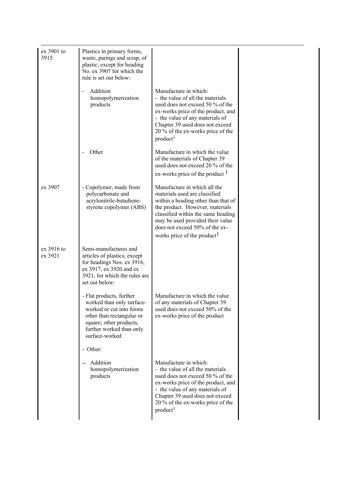| ex 3901 to<br>3915    | Plastics in primary forms,<br>waste, parings and scrap, of<br>plastic; except for heading<br>No. ex 3907 for which the<br>rule is set out below:                                        |                                                                                                                                                                                                                                                                                                |  |
|-----------------------|-----------------------------------------------------------------------------------------------------------------------------------------------------------------------------------------|------------------------------------------------------------------------------------------------------------------------------------------------------------------------------------------------------------------------------------------------------------------------------------------------|--|
|                       | Addition<br>homopolymerization<br>products                                                                                                                                              | Manufacture in which:<br>- the value of all the materials<br>used does not exceed 50 % of the<br>ex-works price of the product, and<br>- the value of any materials of<br>Chapter 39 used does not exceed<br>20 % of the ex-works price of the<br>product <sup>1</sup>                         |  |
|                       | Other                                                                                                                                                                                   | Manufacture in which the value<br>of the materials of Chapter 39<br>used does not exceed 20 % of the<br>ex-works price of the product <sup>1</sup>                                                                                                                                             |  |
| ex 3907               | - Copolymer, made from<br>polycarbonate and<br>acrylonitrile-butadiene-<br>styrene copolymer (ABS)                                                                                      | Manufacture in which all the<br>materials used are classified<br>within a heading other than that of<br>the product. However, materials<br>classified within the same heading<br>may be used provided their value<br>does not exceed 50% of the ex-<br>works price of the product <sup>1</sup> |  |
| ex 3916 to<br>ex 3921 | Semi-manufactures and<br>articles of plastics; except<br>for headings Nos. ex 3916,<br>ex 3917, ex 3920 and ex<br>3921, for which the rules are<br>set out below:                       |                                                                                                                                                                                                                                                                                                |  |
|                       | - Flat products, further<br>worked than only surface-<br>worked or cut into forms<br>other than rectangular or<br>square; other products,<br>further worked than only<br>surface-worked | Manufacture in which the value<br>of any materials of Chapter 39<br>used does not exceed 50% of the<br>ex-works price of the product                                                                                                                                                           |  |
|                       | - Other:                                                                                                                                                                                |                                                                                                                                                                                                                                                                                                |  |
|                       | -- Addition<br>homopolymerization<br>products                                                                                                                                           | Manufacture in which:<br>- the value of all the materials<br>used does not exceed 50 % of the<br>ex-works price of the product, and<br>- the value of any materials of<br>Chapter 39 used does not exceed<br>20 % of the ex-works price of the<br>product <sup>1</sup>                         |  |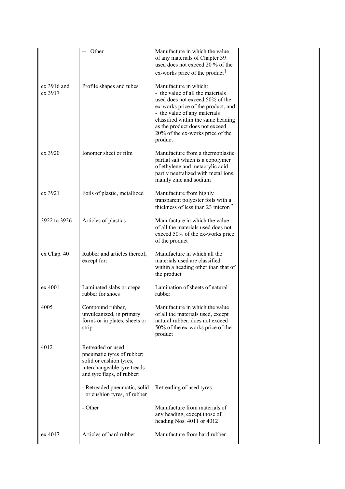|                        | - Other                                                                                                                                 | Manufacture in which the value                                                                                                                                                                                                                                                            |
|------------------------|-----------------------------------------------------------------------------------------------------------------------------------------|-------------------------------------------------------------------------------------------------------------------------------------------------------------------------------------------------------------------------------------------------------------------------------------------|
|                        |                                                                                                                                         | of any materials of Chapter 39<br>used does not exceed 20 % of the                                                                                                                                                                                                                        |
|                        |                                                                                                                                         | ex-works price of the product <sup>1</sup>                                                                                                                                                                                                                                                |
| ex 3916 and<br>ex 3917 | Profile shapes and tubes                                                                                                                | Manufacture in which:<br>- the value of all the materials<br>used does not exceed 50% of the<br>ex-works price of the product, and<br>- the value of any materials<br>classified within the same heading<br>as the product does not exceed<br>20% of the ex-works price of the<br>product |
| ex 3920                | Ionomer sheet or film                                                                                                                   | Manufacture from a thermoplastic<br>partial salt which is a copolymer<br>of ethylene and metacrylic acid<br>partly neutralized with metal ions,<br>mainly zinc and sodium                                                                                                                 |
| ex 3921                | Foils of plastic, metallized                                                                                                            | Manufacture from highly<br>transparent polyester foils with a<br>thickness of less than 23 micron $2$                                                                                                                                                                                     |
| 3922 to 3926           | Articles of plastics                                                                                                                    | Manufacture in which the value<br>of all the materials used does not<br>exceed 50% of the ex-works price<br>of the product                                                                                                                                                                |
| ex Chap. 40            | Rubber and articles thereof;<br>except for:                                                                                             | Manufacture in which all the<br>materials used are classified<br>within a heading other than that of<br>the product                                                                                                                                                                       |
| ex 4001                | Laminated slabs or crepe<br>rubber for shoes                                                                                            | Lamination of sheets of natural<br>rubber                                                                                                                                                                                                                                                 |
| 4005                   | Compound rubber,<br>unvulcanized, in primary<br>forms or in plates, sheets or<br>strip                                                  | Manufacture in which the value<br>of all the materials used, except<br>natural rubber, does not exceed<br>50% of the ex-works price of the<br>product                                                                                                                                     |
| 4012                   | Retreaded or used<br>pneumatic tyres of rubber;<br>solid or cushion tyres,<br>interchangeable tyre treads<br>and tyre flaps, of rubber: |                                                                                                                                                                                                                                                                                           |
|                        | - Retreaded pneumatic, solid<br>or cushion tyres, of rubber                                                                             | Retreading of used tyres                                                                                                                                                                                                                                                                  |
|                        | - Other                                                                                                                                 | Manufacture from materials of<br>any heading, except those of<br>heading Nos. 4011 or 4012                                                                                                                                                                                                |
| ex 4017                | Articles of hard rubber                                                                                                                 | Manufacture from hard rubber                                                                                                                                                                                                                                                              |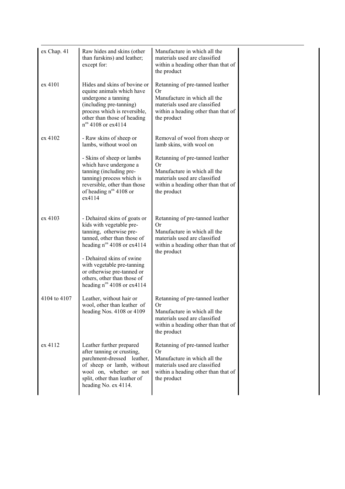| ex Chap. 41  | Raw hides and skins (other<br>than furskins) and leather;<br>except for:                                                                                                                                              | Manufacture in which all the<br>materials used are classified<br>within a heading other than that of<br>the product                                                 |  |
|--------------|-----------------------------------------------------------------------------------------------------------------------------------------------------------------------------------------------------------------------|---------------------------------------------------------------------------------------------------------------------------------------------------------------------|--|
| ex 4101      | Hides and skins of bovine or<br>equine animals which have<br>undergone a tanning<br>(including pre-tanning)<br>process which is reversible,<br>other than those of heading<br>$n^{os}$ 4108 or ex4114                 | Retanning of pre-tanned leather<br>Or<br>Manufacture in which all the<br>materials used are classified<br>within a heading other than that of<br>the product        |  |
| ex 4102      | - Raw skins of sheep or<br>lambs, without wool on                                                                                                                                                                     | Removal of wool from sheep or<br>lamb skins, with wool on                                                                                                           |  |
|              | - Skins of sheep or lambs<br>which have undergone a<br>tanning (including pre-<br>tanning) process which is<br>reversible, other than those<br>of heading $n^{\circ s}$ 4108 or<br>ex4114                             | Retanning of pre-tanned leather<br><b>Or</b><br>Manufacture in which all the<br>materials used are classified<br>within a heading other than that of<br>the product |  |
| ex 4103      | - Dehaired skins of goats or<br>kids with vegetable pre-<br>tanning, otherwise pre-<br>tanned, other than those of<br>heading $n^{\circ s}$ 4108 or ex4114<br>- Dehaired skins of swine<br>with vegetable pre-tanning | Retanning of pre-tanned leather<br>Or<br>Manufacture in which all the<br>materials used are classified<br>within a heading other than that of<br>the product        |  |
|              | or otherwise pre-tanned or<br>others, other than those of<br>heading $n^{os}$ 4108 or ex4114                                                                                                                          |                                                                                                                                                                     |  |
| 4104 to 4107 | Leather, without hair or<br>wool, other than leather of<br>heading Nos. 4108 or 4109                                                                                                                                  | Retanning of pre-tanned leather<br><b>Or</b><br>Manufacture in which all the<br>materials used are classified<br>within a heading other than that of<br>the product |  |
| ex 4112      | Leather further prepared<br>after tanning or crusting,<br>parchment-dressed leather,<br>of sheep or lamb, without<br>wool on, whether or not<br>split, other than leather of<br>heading No. ex 4114.                  | Retanning of pre-tanned leather<br><b>Or</b><br>Manufacture in which all the<br>materials used are classified<br>within a heading other than that of<br>the product |  |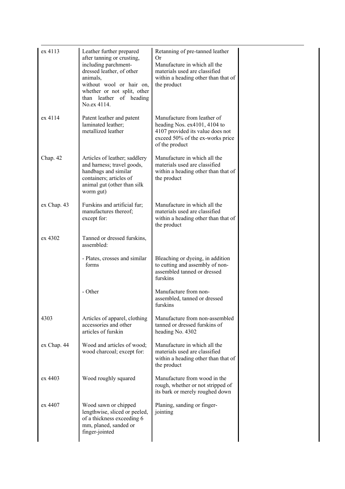| ex 4113     | Leather further prepared<br>after tanning or crusting,<br>including parchment-<br>dressed leather, of other<br>animals,<br>without wool or hair on,<br>whether or not split, other<br>than leather of heading<br>No.ex 4114. | Retanning of pre-tanned leather<br>Or.<br>Manufacture in which all the<br>materials used are classified<br>within a heading other than that of<br>the product |  |
|-------------|------------------------------------------------------------------------------------------------------------------------------------------------------------------------------------------------------------------------------|---------------------------------------------------------------------------------------------------------------------------------------------------------------|--|
| ex 4114     | Patent leather and patent<br>laminated leather;<br>metallized leather                                                                                                                                                        | Manufacture from leather of<br>heading Nos. ex4101, 4104 to<br>4107 provided its value does not<br>exceed 50% of the ex-works price<br>of the product         |  |
| Chap. 42    | Articles of leather; saddlery<br>and harness; travel goods,<br>handbags and similar<br>containers; articles of<br>animal gut (other than silk<br>worm gut)                                                                   | Manufacture in which all the<br>materials used are classified<br>within a heading other than that of<br>the product                                           |  |
| ex Chap. 43 | Furskins and artificial fur;<br>manufactures thereof;<br>except for:                                                                                                                                                         | Manufacture in which all the<br>materials used are classified<br>within a heading other than that of<br>the product                                           |  |
| ex 4302     | Tanned or dressed furskins,<br>assembled:                                                                                                                                                                                    |                                                                                                                                                               |  |
|             | - Plates, crosses and similar<br>forms                                                                                                                                                                                       | Bleaching or dyeing, in addition<br>to cutting and assembly of non-<br>assembled tanned or dressed<br>furskins                                                |  |
|             | - Other                                                                                                                                                                                                                      | Manufacture from non-<br>assembled, tanned or dressed<br>furskins                                                                                             |  |
| 4303        | Articles of apparel, clothing<br>accessories and other<br>articles of furskin                                                                                                                                                | Manufacture from non-assembled<br>tanned or dressed furskins of<br>heading No. 4302                                                                           |  |
| ex Chap. 44 | Wood and articles of wood;<br>wood charcoal; except for:                                                                                                                                                                     | Manufacture in which all the<br>materials used are classified<br>within a heading other than that of<br>the product                                           |  |
| ex 4403     | Wood roughly squared                                                                                                                                                                                                         | Manufacture from wood in the<br>rough, whether or not stripped of<br>its bark or merely roughed down                                                          |  |
| ex 4407     | Wood sawn or chipped<br>lengthwise, sliced or peeled,<br>of a thickness exceeding 6<br>mm, planed, sanded or<br>finger-jointed                                                                                               | Planing, sanding or finger-<br>jointing                                                                                                                       |  |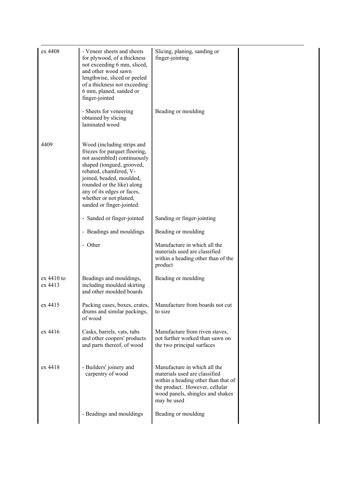| ex 4408               | - Veneer sheets and sheets<br>for plywood, of a thickness<br>not exceeding 6 mm, sliced,<br>and other wood sawn<br>lengthwise, sliced or peeled<br>of a thickness not exceeding<br>6 mm, planed, sanded or<br>finger-jointed                                                                     | Slicing, planing, sanding or<br>finger-jointing                                                                                                                                           |  |
|-----------------------|--------------------------------------------------------------------------------------------------------------------------------------------------------------------------------------------------------------------------------------------------------------------------------------------------|-------------------------------------------------------------------------------------------------------------------------------------------------------------------------------------------|--|
|                       | - Sheets for veneering<br>obtained by slicing<br>laminated wood                                                                                                                                                                                                                                  | Beading or moulding                                                                                                                                                                       |  |
| 4409                  | Wood (including strips and<br>friezes for parquet flooring,<br>not assembled) continuously<br>shaped (tongued, grooved,<br>rebated, chamfered, V-<br>joined, beaded, moulded,<br>rounded or the like) along<br>any of its edges or faces,<br>whether or not planed,<br>sanded or finger-jointed: |                                                                                                                                                                                           |  |
|                       | - Sanded or finger-jointed                                                                                                                                                                                                                                                                       | Sanding or finger-jointing                                                                                                                                                                |  |
|                       | - Beadings and mouldings                                                                                                                                                                                                                                                                         | Beading or moulding                                                                                                                                                                       |  |
|                       | - Other                                                                                                                                                                                                                                                                                          | Manufacture in which all the<br>materials used are classified<br>within a heading other than of the<br>product                                                                            |  |
| ex 4410 to<br>ex 4413 | Beadings and mouldings,<br>including moulded skirting<br>and other moulded boards                                                                                                                                                                                                                | Beading or moulding                                                                                                                                                                       |  |
| ex 4415               | Packing cases, boxes, crates,<br>drums and similar packings,<br>of wood                                                                                                                                                                                                                          | Manufacture from boards not cut<br>to size                                                                                                                                                |  |
| ex 4416               | Casks, barrels, vats, tubs<br>and other coopers' products<br>and parts thereof, of wood                                                                                                                                                                                                          | Manufacture from riven staves,<br>not further worked than sawn on<br>the two principal surfaces                                                                                           |  |
| ex 4418               | - Builders' joinery and<br>carpentry of wood                                                                                                                                                                                                                                                     | Manufacture in which all the<br>materials used are classified<br>within a heading other than that of<br>the product. However, cellular<br>wood panels, shingles and shakes<br>may be used |  |
|                       | - Beadings and mouldings                                                                                                                                                                                                                                                                         | Beading or moulding                                                                                                                                                                       |  |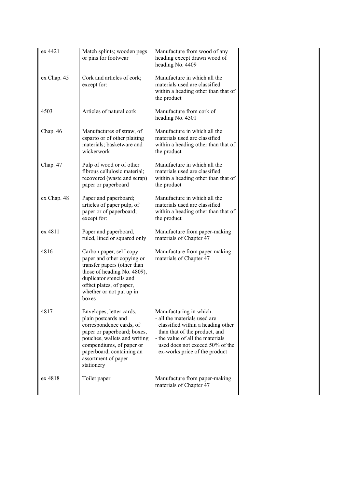| ex 4421     | Match splints; wooden pegs<br>or pins for footwear                                                                                                                                                                                       | Manufacture from wood of any<br>heading except drawn wood of<br>heading No. 4409                                                                                                                                                      |  |
|-------------|------------------------------------------------------------------------------------------------------------------------------------------------------------------------------------------------------------------------------------------|---------------------------------------------------------------------------------------------------------------------------------------------------------------------------------------------------------------------------------------|--|
| ex Chap. 45 | Cork and articles of cork;<br>except for:                                                                                                                                                                                                | Manufacture in which all the<br>materials used are classified<br>within a heading other than that of<br>the product                                                                                                                   |  |
| 4503        | Articles of natural cork                                                                                                                                                                                                                 | Manufacture from cork of<br>heading No. 4501                                                                                                                                                                                          |  |
| Chap. 46    | Manufactures of straw, of<br>esparto or of other plaiting<br>materials; basketware and<br>wickerwork                                                                                                                                     | Manufacture in which all the<br>materials used are classified<br>within a heading other than that of<br>the product                                                                                                                   |  |
| Chap. 47    | Pulp of wood or of other<br>fibrous cellulosic material;<br>recovered (waste and scrap)<br>paper or paperboard                                                                                                                           | Manufacture in which all the<br>materials used are classified<br>within a heading other than that of<br>the product                                                                                                                   |  |
| ex Chap. 48 | Paper and paperboard;<br>articles of paper pulp, of<br>paper or of paperboard;<br>except for:                                                                                                                                            | Manufacture in which all the<br>materials used are classified<br>within a heading other than that of<br>the product                                                                                                                   |  |
| ex 4811     | Paper and paperboard,<br>ruled, lined or squared only                                                                                                                                                                                    | Manufacture from paper-making<br>materials of Chapter 47                                                                                                                                                                              |  |
| 4816        | Carbon paper, self-copy<br>paper and other copying or<br>transfer papers (other than<br>those of heading No. 4809),<br>duplicator stencils and<br>offset plates, of paper,<br>whether or not put up in<br>boxes                          | Manufacture from paper-making<br>materials of Chapter 47                                                                                                                                                                              |  |
| 4817        | Envelopes, letter cards,<br>plain postcards and<br>correspondence cards, of<br>paper or paperboard; boxes,<br>pouches, wallets and writing<br>compendiums, of paper or<br>paperboard, containing an<br>assortment of paper<br>stationery | Manufacturing in which:<br>- all the materials used are<br>classified within a heading other<br>than that of the product, and<br>- the value of all the materials<br>used does not exceed 50% of the<br>ex-works price of the product |  |
| ex 4818     | Toilet paper                                                                                                                                                                                                                             | Manufacture from paper-making<br>materials of Chapter 47                                                                                                                                                                              |  |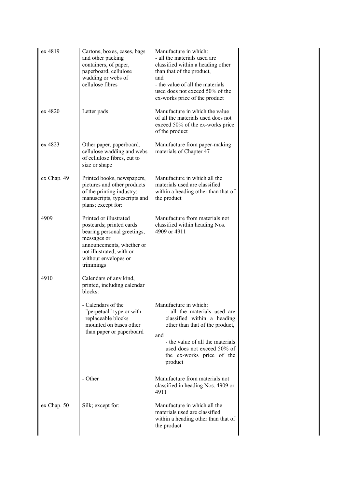| ex 4819     | Cartons, boxes, cases, bags<br>and other packing<br>containers, of paper,<br>paperboard, cellulose<br>wadding or webs of<br>cellulose fibres                                                   | Manufacture in which:<br>- all the materials used are<br>classified within a heading other<br>than that of the product,<br>and<br>- the value of all the materials<br>used does not exceed 50% of the<br>ex-works price of the product    |  |
|-------------|------------------------------------------------------------------------------------------------------------------------------------------------------------------------------------------------|-------------------------------------------------------------------------------------------------------------------------------------------------------------------------------------------------------------------------------------------|--|
| ex 4820     | Letter pads                                                                                                                                                                                    | Manufacture in which the value<br>of all the materials used does not<br>exceed 50% of the ex-works price<br>of the product                                                                                                                |  |
| ex 4823     | Other paper, paperboard,<br>cellulose wadding and webs<br>of cellulose fibres, cut to<br>size or shape                                                                                         | Manufacture from paper-making<br>materials of Chapter 47                                                                                                                                                                                  |  |
| ex Chap. 49 | Printed books, newspapers,<br>pictures and other products<br>of the printing industry;<br>manuscripts, typescripts and<br>plans; except for:                                                   | Manufacture in which all the<br>materials used are classified<br>within a heading other than that of<br>the product                                                                                                                       |  |
| 4909        | Printed or illustrated<br>postcards; printed cards<br>bearing personal greetings,<br>messages or<br>announcements, whether or<br>not illustrated, with or<br>without envelopes or<br>trimmings | Manufacture from materials not<br>classified within heading Nos.<br>4909 or 4911                                                                                                                                                          |  |
| 4910        | Calendars of any kind,<br>printed, including calendar<br>blocks:                                                                                                                               |                                                                                                                                                                                                                                           |  |
|             | - Calendars of the<br>"perpetual" type or with<br>replaceable blocks<br>mounted on bases other<br>than paper or paperboard                                                                     | Manufacture in which:<br>- all the materials used are<br>classified within a heading<br>other than that of the product,<br>and<br>- the value of all the materials<br>used does not exceed 50% of<br>the ex-works price of the<br>product |  |
|             | - Other                                                                                                                                                                                        | Manufacture from materials not<br>classified in heading Nos. 4909 or<br>4911                                                                                                                                                              |  |
| ex Chap. 50 | Silk; except for:                                                                                                                                                                              | Manufacture in which all the<br>materials used are classified<br>within a heading other than that of<br>the product                                                                                                                       |  |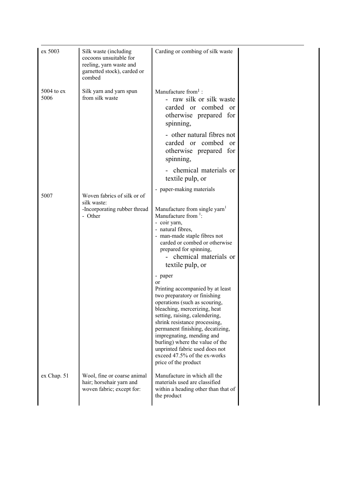| ex 5003              | Silk waste (including<br>cocoons unsuitable for<br>reeling, yarn waste and<br>garnetted stock), carded or<br>combed | Carding or combing of silk waste                                                                                                                                                                                                                                                                                                                                                                                    |  |
|----------------------|---------------------------------------------------------------------------------------------------------------------|---------------------------------------------------------------------------------------------------------------------------------------------------------------------------------------------------------------------------------------------------------------------------------------------------------------------------------------------------------------------------------------------------------------------|--|
| $5004$ to ex<br>5006 | Silk yarn and yarn spun<br>from silk waste                                                                          | Manufacture from $\cdot$ :<br>- raw silk or silk waste<br>carded or combed or<br>otherwise prepared for<br>spinning,                                                                                                                                                                                                                                                                                                |  |
|                      |                                                                                                                     | - other natural fibres not<br>carded or combed or<br>otherwise prepared for<br>spinning,                                                                                                                                                                                                                                                                                                                            |  |
|                      |                                                                                                                     | chemical materials or<br>textile pulp, or                                                                                                                                                                                                                                                                                                                                                                           |  |
| 5007                 | Woven fabrics of silk or of                                                                                         | - paper-making materials                                                                                                                                                                                                                                                                                                                                                                                            |  |
|                      | silk waste:<br>-Incorporating rubber thread<br>- Other                                                              | Manufacture from single yarn <sup>1</sup><br>Manufacture from $\frac{1}{1}$ .<br>- coir yarn,<br>- natural fibres,<br>- man-made staple fibres not<br>carded or combed or otherwise<br>prepared for spinning,<br>- chemical materials or<br>textile pulp, or                                                                                                                                                        |  |
|                      |                                                                                                                     | - paper<br>or<br>Printing accompanied by at least<br>two preparatory or finishing<br>operations (such as scouring,<br>bleaching, mercerizing, heat<br>setting, raising, calendering,<br>shrink resistance processing,<br>permanent finishing, decatizing,<br>impregnating, mending and<br>burling) where the value of the<br>unprinted fabric used does not<br>exceed 47.5% of the ex-works<br>price of the product |  |
| ex Chap. 51          | Wool, fine or coarse animal<br>hair; horsehair yarn and<br>woven fabric; except for:                                | Manufacture in which all the<br>materials used are classified<br>within a heading other than that of<br>the product                                                                                                                                                                                                                                                                                                 |  |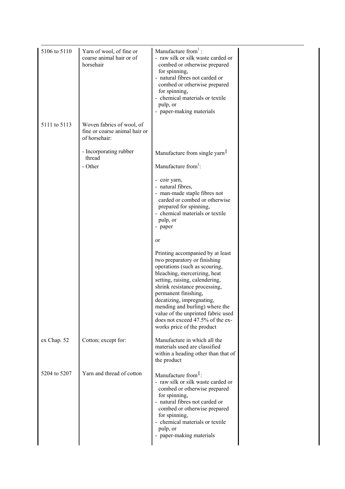| 5106 to 5110 | Yarn of wool, of fine or<br>coarse animal hair or of<br>horsehair           | Manufacture from $1$ :<br>- raw silk or silk waste carded or<br>combed or otherwise prepared<br>for spinning,<br>- natural fibres not carded or<br>combed or otherwise prepared<br>for spinning,<br>- chemical materials or textile<br>pulp, or<br>- paper-making materials                                                                                                                         |  |
|--------------|-----------------------------------------------------------------------------|-----------------------------------------------------------------------------------------------------------------------------------------------------------------------------------------------------------------------------------------------------------------------------------------------------------------------------------------------------------------------------------------------------|--|
| 5111 to 5113 | Woven fabrics of wool, of<br>fine or coarse animal hair or<br>of horsehair: |                                                                                                                                                                                                                                                                                                                                                                                                     |  |
|              | - Incorporating rubber<br>thread                                            | Manufacture from single yarn <sup>1</sup>                                                                                                                                                                                                                                                                                                                                                           |  |
|              | - Other                                                                     | Manufacture from <sup>1</sup> :                                                                                                                                                                                                                                                                                                                                                                     |  |
|              |                                                                             | - coir yarn,<br>- natural fibres,<br>- man-made staple fibres not<br>carded or combed or otherwise<br>prepared for spinning,<br>- chemical materials or textile<br>pulp, or<br>- paper                                                                                                                                                                                                              |  |
|              |                                                                             | or                                                                                                                                                                                                                                                                                                                                                                                                  |  |
|              |                                                                             | Printing accompanied by at least<br>two preparatory or finishing<br>operations (such as scouring,<br>bleaching, mercerizing, heat<br>setting, raising, calendering,<br>shrink resistance processing,<br>permanent finishing,<br>decatizing, impregnating,<br>mending and burling) where the<br>value of the unprinted fabric used<br>does not exceed 47.5% of the ex-<br>works price of the product |  |
| ex Chap. 52  | Cotton; except for:                                                         | Manufacture in which all the<br>materials used are classified<br>within a heading other than that of<br>the product                                                                                                                                                                                                                                                                                 |  |
| 5204 to 5207 | Yarn and thread of cotton                                                   | Manufacture from $\frac{1}{1}$ :<br>- raw silk or silk waste carded or<br>combed or otherwise prepared<br>for spinning,<br>- natural fibres not carded or<br>combed or otherwise prepared<br>for spinning,<br>- chemical materials or textile<br>pulp, or<br>- paper-making materials                                                                                                               |  |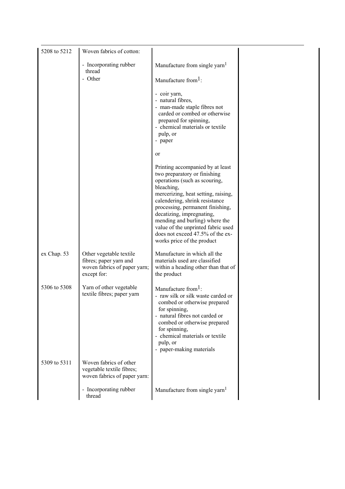| 5208 to 5212 | Woven fabrics of cotton:                                                                         |                                                                                                                                                                                                                                                                                                                                                                                                     |  |
|--------------|--------------------------------------------------------------------------------------------------|-----------------------------------------------------------------------------------------------------------------------------------------------------------------------------------------------------------------------------------------------------------------------------------------------------------------------------------------------------------------------------------------------------|--|
|              | - Incorporating rubber<br>thread<br>- Other                                                      | Manufacture from single yarn <sup>1</sup>                                                                                                                                                                                                                                                                                                                                                           |  |
|              |                                                                                                  | Manufacture from <sup>1</sup> :<br>- coir yarn,<br>- natural fibres,<br>- man-made staple fibres not<br>carded or combed or otherwise<br>prepared for spinning,<br>- chemical materials or textile<br>pulp, or<br>- paper                                                                                                                                                                           |  |
|              |                                                                                                  | <sub>or</sub>                                                                                                                                                                                                                                                                                                                                                                                       |  |
|              |                                                                                                  | Printing accompanied by at least<br>two preparatory or finishing<br>operations (such as scouring,<br>bleaching,<br>mercerizing, heat setting, raising,<br>calendering, shrink resistance<br>processing, permanent finishing,<br>decatizing, impregnating,<br>mending and burling) where the<br>value of the unprinted fabric used<br>does not exceed 47.5% of the ex-<br>works price of the product |  |
| ex Chap. 53  | Other vegetable textile<br>fibres; paper yarn and<br>woven fabrics of paper yarn;<br>except for: | Manufacture in which all the<br>materials used are classified<br>within a heading other than that of<br>the product                                                                                                                                                                                                                                                                                 |  |
| 5306 to 5308 | Yarn of other vegetable<br>textile fibres; paper yarn                                            | Manufacture from <sup>1</sup> :<br>- raw silk or silk waste carded or<br>combed or otherwise prepared<br>for spinning,<br>- natural fibres not carded or<br>combed or otherwise prepared<br>for spinning,<br>- chemical materials or textile<br>pulp, or<br>- paper-making materials                                                                                                                |  |
| 5309 to 5311 | Woven fabrics of other<br>vegetable textile fibres;<br>woven fabrics of paper yarn:              |                                                                                                                                                                                                                                                                                                                                                                                                     |  |
|              | - Incorporating rubber<br>thread                                                                 | Manufacture from single yarn <sup>1</sup>                                                                                                                                                                                                                                                                                                                                                           |  |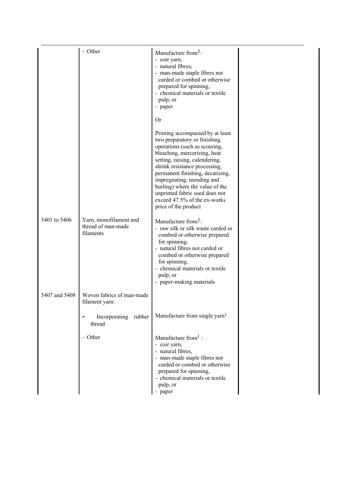|               | - Other                                                                       | Manufacture from <sup>1</sup> :<br>- coir yarn,<br>- natural fibres,<br>- man-made staple fibres not<br>carded or combed or otherwise<br>prepared for spinning,<br>- chemical materials or textile<br>pulp, or<br>- paper<br><b>Or</b><br>Printing accompanied by at least<br>two preparatory or finishing<br>operations (such as scouring,<br>bleaching, mercerizing, heat<br>setting, raising, calendering,<br>shrink resistance processing,<br>permanent finishing, decatizing,<br>impregnating, mending and<br>burling) where the value of the<br>unprinted fabric used does not<br>exceed 47.5% of the ex-works<br>price of the product |  |
|---------------|-------------------------------------------------------------------------------|----------------------------------------------------------------------------------------------------------------------------------------------------------------------------------------------------------------------------------------------------------------------------------------------------------------------------------------------------------------------------------------------------------------------------------------------------------------------------------------------------------------------------------------------------------------------------------------------------------------------------------------------|--|
| 5401 to 5406  | Yarn, monofilament and<br>thread of man-made<br>filaments                     | Manufacture from $l$ :<br>- raw silk or silk waste carded or<br>combed or otherwise prepared<br>for spinning,<br>- natural fibres not carded or<br>combed or otherwise prepared<br>for spinning,<br>- chemical materials or textile<br>pulp, or<br>- paper-making materials                                                                                                                                                                                                                                                                                                                                                                  |  |
| 5407 and 5408 | Woven fabrics of man-made<br>filament yarn:<br>Incorporating rubber<br>thread | Manufacture from single yarn <sup>1</sup>                                                                                                                                                                                                                                                                                                                                                                                                                                                                                                                                                                                                    |  |
|               | - Other                                                                       | Manufacture from $\cdot$ :<br>- coir yarn,<br>- natural fibres,<br>- man-made staple fibres not<br>carded or combed or otherwise<br>prepared for spinning,<br>- chemical materials or textile<br>pulp, or<br>- paper                                                                                                                                                                                                                                                                                                                                                                                                                         |  |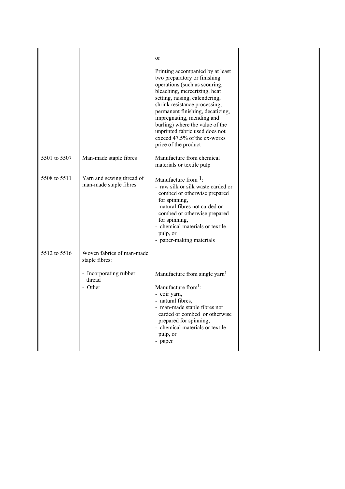|              |                                                     | or<br>Printing accompanied by at least<br>two preparatory or finishing<br>operations (such as scouring,<br>bleaching, mercerizing, heat<br>setting, raising, calendering,<br>shrink resistance processing,<br>permanent finishing, decatizing,<br>impregnating, mending and<br>burling) where the value of the<br>unprinted fabric used does not<br>exceed 47.5% of the ex-works<br>price of the product |
|--------------|-----------------------------------------------------|----------------------------------------------------------------------------------------------------------------------------------------------------------------------------------------------------------------------------------------------------------------------------------------------------------------------------------------------------------------------------------------------------------|
| 5501 to 5507 | Man-made staple fibres                              | Manufacture from chemical<br>materials or textile pulp                                                                                                                                                                                                                                                                                                                                                   |
| 5508 to 5511 | Yarn and sewing thread of<br>man-made staple fibres | Manufacture from $l$ :<br>- raw silk or silk waste carded or<br>combed or otherwise prepared<br>for spinning,<br>- natural fibres not carded or<br>combed or otherwise prepared<br>for spinning,<br>- chemical materials or textile<br>pulp, or<br>paper-making materials                                                                                                                                |
| 5512 to 5516 | Woven fabrics of man-made<br>staple fibres:         |                                                                                                                                                                                                                                                                                                                                                                                                          |
|              | - Incorporating rubber<br>thread<br>- Other         | Manufacture from single yarn <sup>1</sup><br>Manufacture from <sup>1</sup> :<br>- coir yarn,<br>natural fibres.<br>- man-made staple fibres not<br>carded or combed or otherwise<br>prepared for spinning,<br>- chemical materials or textile<br>pulp, or<br>- paper                                                                                                                                     |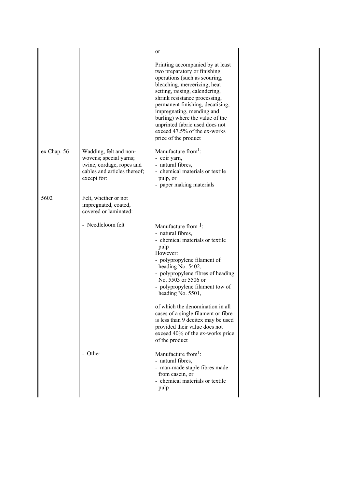|             |                                                                                                                              | or                                                                                                                                                                                                                                                                                                                                                                                                 |
|-------------|------------------------------------------------------------------------------------------------------------------------------|----------------------------------------------------------------------------------------------------------------------------------------------------------------------------------------------------------------------------------------------------------------------------------------------------------------------------------------------------------------------------------------------------|
|             |                                                                                                                              | Printing accompanied by at least<br>two preparatory or finishing<br>operations (such as scouring,<br>bleaching, mercerizing, heat<br>setting, raising, calendering,<br>shrink resistance processing,<br>permanent finishing, decatising,<br>impregnating, mending and<br>burling) where the value of the<br>unprinted fabric used does not<br>exceed 47.5% of the ex-works<br>price of the product |
| ex Chap. 56 | Wadding, felt and non-<br>wovens; special yarns;<br>twine, cordage, ropes and<br>cables and articles thereof;<br>except for: | Manufacture from <sup>1</sup> :<br>- coir yarn,<br>- natural fibres,<br>- chemical materials or textile<br>pulp, or<br>- paper making materials                                                                                                                                                                                                                                                    |
| 5602        | Felt, whether or not<br>impregnated, coated,<br>covered or laminated:                                                        |                                                                                                                                                                                                                                                                                                                                                                                                    |
|             | - Needleloom felt                                                                                                            | Manufacture from $1$ :<br>- natural fibres,<br>- chemical materials or textile<br>pulp<br>However:<br>- polypropylene filament of<br>heading No. 5402,<br>- polypropylene fibres of heading<br>No. 5503 or 5506 or<br>- polypropylene filament tow of<br>heading No. 5501,                                                                                                                         |
|             |                                                                                                                              | of which the denomination in all<br>cases of a single filament or fibre<br>is less than 9 decitex may be used<br>provided their value does not<br>exceed 40% of the ex-works price<br>of the product                                                                                                                                                                                               |
|             | - Other                                                                                                                      | Manufacture from <sup>1</sup> :<br>- natural fibres,<br>- man-made staple fibres made<br>from casein, or<br>- chemical materials or textile<br>pulp                                                                                                                                                                                                                                                |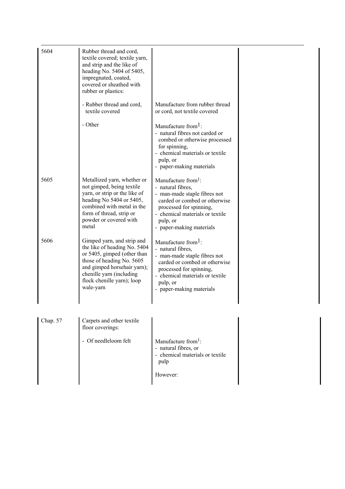| Rubber thread and cord,<br>textile covered; textile yarn,<br>and strip and the like of<br>heading No. 5404 of 5405,<br>impregnated, coated,<br>covered or sheathed with<br>rubber or plastics:<br>- Rubber thread and cord,<br>textile covered | Manufacture from rubber thread<br>or cord, not textile covered                                                                                                                                                              |  |
|------------------------------------------------------------------------------------------------------------------------------------------------------------------------------------------------------------------------------------------------|-----------------------------------------------------------------------------------------------------------------------------------------------------------------------------------------------------------------------------|--|
| - Other                                                                                                                                                                                                                                        | Manufacture from $\frac{1}{1}$ .<br>- natural fibres not carded or<br>combed or otherwise processed<br>for spinning,<br>- chemical materials or textile<br>pulp, or<br>- paper-making materials                             |  |
| Metallized yarn, whether or<br>not gimped, being textile<br>yarn, or strip or the like of<br>heading No 5404 or 5405,<br>combined with metal in the<br>form of thread, strip or<br>powder or covered with<br>metal                             | Manufacture from <sup>1</sup> :<br>- natural fibres,<br>- man-made staple fibres not<br>carded or combed or otherwise<br>processed for spinning,<br>- chemical materials or textile<br>pulp, or<br>- paper-making materials |  |
| Gimped yarn, and strip and<br>the like of heading No. 5404<br>or 5405, gimped (other than<br>those of heading No. 5605<br>and gimped horsehair yarn);<br>chenille yarn (including<br>flock chenille yarn); loop<br>wale-yarn                   | Manufacture from $\cdot$ :<br>- natural fibres,<br>- man-made staple fibres not<br>carded or combed or otherwise<br>processed for spinning,<br>- chemical materials or textile<br>pulp, or<br>- paper-making materials      |  |
| Carpets and other textile<br>floor coverings:<br>- Of needleloom felt                                                                                                                                                                          | Manufacture from <sup>1</sup> :<br>- natural fibres, or<br>- chemical materials or textile<br>pulp<br>However:                                                                                                              |  |
|                                                                                                                                                                                                                                                |                                                                                                                                                                                                                             |  |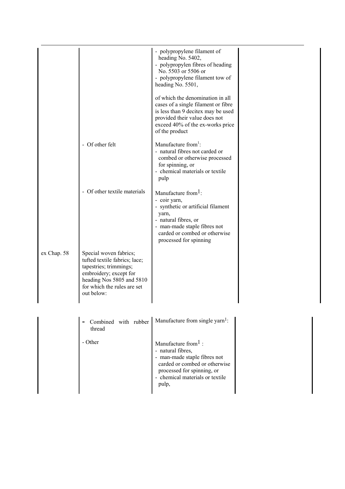|             |                                                                                                                                                                                       | - polypropylene filament of<br>heading No. 5402,<br>- polypropylen fibres of heading<br>No. 5503 or 5506 or<br>- polypropylene filament tow of<br>heading No. 5501,<br>of which the denomination in all<br>cases of a single filament or fibre<br>is less than 9 decitex may be used<br>provided their value does not<br>exceed 40% of the ex-works price<br>of the product |  |
|-------------|---------------------------------------------------------------------------------------------------------------------------------------------------------------------------------------|-----------------------------------------------------------------------------------------------------------------------------------------------------------------------------------------------------------------------------------------------------------------------------------------------------------------------------------------------------------------------------|--|
|             | - Of other felt                                                                                                                                                                       | Manufacture from $\frac{1}{1}$ :<br>- natural fibres not carded or<br>combed or otherwise processed<br>for spinning, or<br>- chemical materials or textile<br>pulp                                                                                                                                                                                                          |  |
|             | - Of other textile materials                                                                                                                                                          | Manufacture from <sup>1</sup> :<br>- coir yarn,<br>- synthetic or artificial filament<br>yarn,<br>- natural fibres, or<br>- man-made staple fibres not<br>carded or combed or otherwise<br>processed for spinning                                                                                                                                                           |  |
| ex Chap. 58 | Special woven fabrics;<br>tufted textile fabrics; lace;<br>tapestries; trimmings;<br>embroidery; except for<br>heading Nos 5805 and 5810<br>for which the rules are set<br>out below: |                                                                                                                                                                                                                                                                                                                                                                             |  |
|             | Combined with rubber<br>thread                                                                                                                                                        | Manufacture from single yarn <sup>1</sup> :                                                                                                                                                                                                                                                                                                                                 |  |
|             | - Other                                                                                                                                                                               | Manufacture from $\frac{1}{1}$ :<br>- natural fibres,<br>- man-made staple fibres not<br>carded or combed or otherwise<br>processed for spinning, or<br>- chemical materials or textile<br>pulp,                                                                                                                                                                            |  |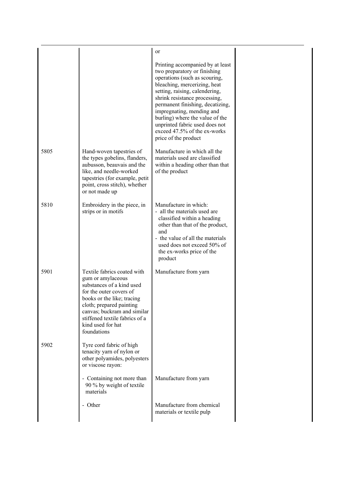|      |                                                                                                                                                                                                                                                                         | <sub>or</sub>                                                                                                                                                                                                                                                                                                                                                                                      |  |
|------|-------------------------------------------------------------------------------------------------------------------------------------------------------------------------------------------------------------------------------------------------------------------------|----------------------------------------------------------------------------------------------------------------------------------------------------------------------------------------------------------------------------------------------------------------------------------------------------------------------------------------------------------------------------------------------------|--|
|      |                                                                                                                                                                                                                                                                         | Printing accompanied by at least<br>two preparatory or finishing<br>operations (such as scouring,<br>bleaching, mercerizing, heat<br>setting, raising, calendering,<br>shrink resistance processing,<br>permanent finishing, decatizing,<br>impregnating, mending and<br>burling) where the value of the<br>unprinted fabric used does not<br>exceed 47.5% of the ex-works<br>price of the product |  |
| 5805 | Hand-woven tapestries of<br>the types gobelins, flanders,<br>aubusson, beauvais and the<br>like, and needle-worked<br>tapestries (for example, petit<br>point, cross stitch), whether<br>or not made up                                                                 | Manufacture in which all the<br>materials used are classified<br>within a heading other than that<br>of the product                                                                                                                                                                                                                                                                                |  |
| 5810 | Embroidery in the piece, in<br>strips or in motifs                                                                                                                                                                                                                      | Manufacture in which:<br>- all the materials used are<br>classified within a heading<br>other than that of the product,<br>and<br>- the value of all the materials<br>used does not exceed 50% of<br>the ex-works price of the<br>product                                                                                                                                                          |  |
| 5901 | Textile fabrics coated with<br>gum or amylaceous<br>substances of a kind used<br>for the outer covers of<br>books or the like; tracing<br>cloth; prepared painting<br>canvas; buckram and similar<br>stiffened textile fabrics of a<br>kind used for hat<br>foundations | Manufacture from yarn                                                                                                                                                                                                                                                                                                                                                                              |  |
| 5902 | Tyre cord fabric of high<br>tenacity yarn of nylon or<br>other polyamides, polyesters<br>or viscose rayon:                                                                                                                                                              |                                                                                                                                                                                                                                                                                                                                                                                                    |  |
|      | - Containing not more than<br>90 % by weight of textile<br>materials                                                                                                                                                                                                    | Manufacture from yarn                                                                                                                                                                                                                                                                                                                                                                              |  |
|      | - Other                                                                                                                                                                                                                                                                 | Manufacture from chemical<br>materials or textile pulp                                                                                                                                                                                                                                                                                                                                             |  |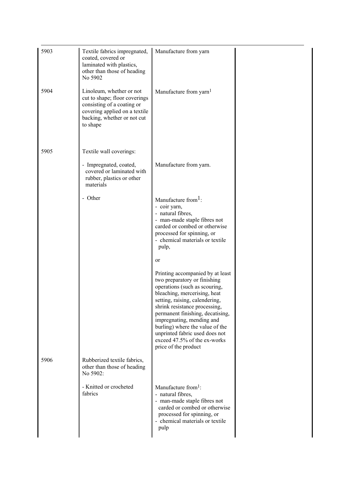| 5903 | Textile fabrics impregnated,<br>coated, covered or<br>laminated with plastics,<br>other than those of heading<br>No 5902                                            | Manufacture from yarn                                                                                                                                                                                                                                                                                                                                                                              |  |
|------|---------------------------------------------------------------------------------------------------------------------------------------------------------------------|----------------------------------------------------------------------------------------------------------------------------------------------------------------------------------------------------------------------------------------------------------------------------------------------------------------------------------------------------------------------------------------------------|--|
| 5904 | Linoleum, whether or not<br>cut to shape; floor coverings<br>consisting of a coating or<br>covering applied on a textile<br>backing, whether or not cut<br>to shape | Manufacture from yarn <sup>1</sup>                                                                                                                                                                                                                                                                                                                                                                 |  |
| 5905 | Textile wall coverings:                                                                                                                                             |                                                                                                                                                                                                                                                                                                                                                                                                    |  |
|      | - Impregnated, coated,<br>covered or laminated with<br>rubber, plastics or other<br>materials                                                                       | Manufacture from yarn.                                                                                                                                                                                                                                                                                                                                                                             |  |
|      | - Other                                                                                                                                                             | Manufacture from <sup>1</sup> :<br>- coir yarn,<br>- natural fibres,<br>- man-made staple fibres not<br>carded or combed or otherwise<br>processed for spinning, or<br>- chemical materials or textile<br>pulp,                                                                                                                                                                                    |  |
|      |                                                                                                                                                                     | or                                                                                                                                                                                                                                                                                                                                                                                                 |  |
|      |                                                                                                                                                                     | Printing accompanied by at least<br>two preparatory or finishing<br>operations (such as scouring,<br>bleaching, mercerising, heat<br>setting, raising, calendering,<br>shrink resistance processing,<br>permanent finishing, decatising,<br>impregnating, mending and<br>burling) where the value of the<br>unprinted fabric used does not<br>exceed 47.5% of the ex-works<br>price of the product |  |
| 5906 | Rubberized textile fabrics,<br>other than those of heading<br>No 5902:                                                                                              |                                                                                                                                                                                                                                                                                                                                                                                                    |  |
|      | - Knitted or crocheted<br>fabrics                                                                                                                                   | Manufacture from <sup>1</sup> :<br>- natural fibres,<br>- man-made staple fibres not<br>carded or combed or otherwise<br>processed for spinning, or<br>- chemical materials or textile<br>pulp                                                                                                                                                                                                     |  |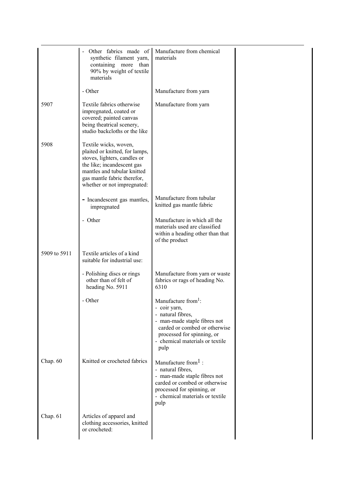|              | Other fabrics made of<br>synthetic filament yarn,<br>containing more than<br>90% by weight of textile<br>materials                                                                                                 | Manufacture from chemical<br>materials                                                                                                                                                                         |  |
|--------------|--------------------------------------------------------------------------------------------------------------------------------------------------------------------------------------------------------------------|----------------------------------------------------------------------------------------------------------------------------------------------------------------------------------------------------------------|--|
|              | - Other                                                                                                                                                                                                            | Manufacture from yarn                                                                                                                                                                                          |  |
| 5907         | Textile fabrics otherwise<br>impregnated, coated or<br>covered; painted canvas<br>being theatrical scenery,<br>studio backcloths or the like                                                                       | Manufacture from yarn                                                                                                                                                                                          |  |
| 5908         | Textile wicks, woven,<br>plaited or knitted, for lamps,<br>stoves, lighters, candles or<br>the like; incandescent gas<br>mantles and tubular knitted<br>gas mantle fabric therefor,<br>whether or not impregnated: |                                                                                                                                                                                                                |  |
|              | - Incandescent gas mantles,<br>impregnated                                                                                                                                                                         | Manufacture from tubular<br>knitted gas mantle fabric                                                                                                                                                          |  |
|              | - Other                                                                                                                                                                                                            | Manufacture in which all the<br>materials used are classified<br>within a heading other than that<br>of the product                                                                                            |  |
| 5909 to 5911 | Textile articles of a kind<br>suitable for industrial use:                                                                                                                                                         |                                                                                                                                                                                                                |  |
|              | - Polishing discs or rings<br>other than of felt of<br>heading No. 5911                                                                                                                                            | Manufacture from yarn or waste<br>fabrics or rags of heading No.<br>6310                                                                                                                                       |  |
|              | - Other                                                                                                                                                                                                            | Manufacture from <sup>1</sup> :<br>- coir yarn,<br>- natural fibres,<br>- man-made staple fibres not<br>carded or combed or otherwise<br>processed for spinning, or<br>- chemical materials or textile<br>pulp |  |
| Chap. 60     | Knitted or crocheted fabrics                                                                                                                                                                                       | Manufacture from $1$ :<br>- natural fibres,<br>- man-made staple fibres not<br>carded or combed or otherwise<br>processed for spinning, or<br>- chemical materials or textile<br>pulp                          |  |
| Chap. 61     | Articles of apparel and<br>clothing accessories, knitted<br>or crocheted:                                                                                                                                          |                                                                                                                                                                                                                |  |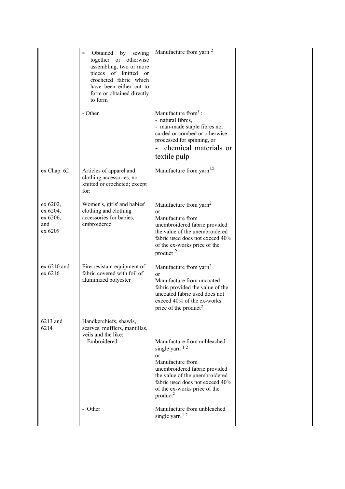|                                                    | Obtained by<br>sewing<br>together or otherwise<br>assembling, two or more<br>pieces of knitted or<br>crocheted fabric which<br>have been either cut to<br>form or obtained directly<br>to form | Manufacture from yarn <sup>2</sup>                                                                                                                                                                                                                 |  |
|----------------------------------------------------|------------------------------------------------------------------------------------------------------------------------------------------------------------------------------------------------|----------------------------------------------------------------------------------------------------------------------------------------------------------------------------------------------------------------------------------------------------|--|
|                                                    | - Other                                                                                                                                                                                        | Manufacture from $\cdot$ :<br>- natural fibres,<br>- man-made staple fibres not<br>carded or combed or otherwise<br>processed for spinning, or<br>chemical materials or<br>$\overline{a}$<br>textile pulp                                          |  |
| ex Chap. 62                                        | Articles of apparel and<br>clothing accessories, not<br>knitted or crocheted; except<br>for:                                                                                                   | Manufacture from yarn <sup>1,2</sup>                                                                                                                                                                                                               |  |
| ex 6202,<br>ex 6204,<br>ex 6206,<br>and<br>ex 6209 | Women's, girls' and babies'<br>clothing and clothing<br>accessories for babies,<br>embroidered                                                                                                 | Manufacture from yarn <sup>2</sup><br>$\alpha$ r<br>Manufacture from<br>unembroidered fabric provided<br>the value of the unembroidered<br>fabric used does not exceed 40%<br>of the ex-works price of the<br>product $2$                          |  |
| ex 6210 and<br>ex 6216                             | Fire-resistant equipment of<br>fabric covered with foil of<br>aluminized polyester                                                                                                             | Manufacture from yarn <sup>2</sup><br>$\alpha$ r<br>Manufacture from uncoated<br>fabric provided the value of the<br>uncoated fabric used does not<br>exceed 40% of the ex-works<br>price of the product <sup>2</sup>                              |  |
| 6213 and<br>6214                                   | Handkerchiefs, shawls,<br>scarves, mufflers, mantillas,<br>veils and the like:<br>- Embroidered                                                                                                | Manufacture from unbleached<br>single yarn $12$<br><sub>or</sub><br>Manufacture from<br>unembroidered fabric provided<br>the value of the unembroidered<br>fabric used does not exceed 40%<br>of the ex-works price of the<br>product <sup>2</sup> |  |
|                                                    | - Other                                                                                                                                                                                        | Manufacture from unbleached<br>single yarn <sup>12</sup>                                                                                                                                                                                           |  |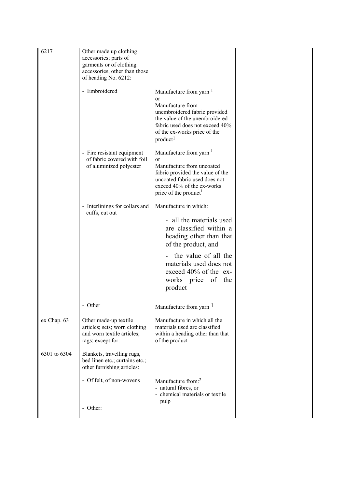| 6217         | Other made up clothing<br>accessories; parts of<br>garments or of clothing<br>accessories, other than those<br>of heading No. 6212: |                                                                                                                                                                                                                            |  |
|--------------|-------------------------------------------------------------------------------------------------------------------------------------|----------------------------------------------------------------------------------------------------------------------------------------------------------------------------------------------------------------------------|--|
|              | - Embroidered                                                                                                                       | Manufacture from yarn 1<br><sub>or</sub><br>Manufacture from<br>unembroidered fabric provided<br>the value of the unembroidered<br>fabric used does not exceed 40%<br>of the ex-works price of the<br>product <sup>1</sup> |  |
|              | - Fire resistant equipment<br>of fabric covered with foil<br>of aluminized polyester                                                | Manufacture from yarn <sup>1</sup><br>or<br>Manufacture from uncoated<br>fabric provided the value of the<br>uncoated fabric used does not<br>exceed 40% of the ex-works<br>price of the product <sup>1</sup>              |  |
|              | - Interlinings for collars and<br>cuffs, cut out                                                                                    | Manufacture in which:                                                                                                                                                                                                      |  |
|              |                                                                                                                                     | - all the materials used<br>are classified within a<br>heading other than that<br>of the product, and                                                                                                                      |  |
|              |                                                                                                                                     | the value of all the<br>materials used does not<br>exceed 40% of the ex-<br>works price<br>of<br>the<br>product                                                                                                            |  |
|              | - Other                                                                                                                             | Manufacture from yarn <sup>1</sup>                                                                                                                                                                                         |  |
| ex Chap. 63  | Other made-up textile<br>articles; sets; worn clothing<br>and worn textile articles;<br>rags; except for:                           | Manufacture in which all the<br>materials used are classified<br>within a heading other than that<br>of the product                                                                                                        |  |
| 6301 to 6304 | Blankets, travelling rugs,<br>bed linen etc.; curtains etc.;<br>other furnishing articles:                                          |                                                                                                                                                                                                                            |  |
|              | - Of felt, of non-wovens                                                                                                            | Manufacture from: <sup>2</sup><br>- natural fibres, or<br>- chemical materials or textile                                                                                                                                  |  |
|              | - Other:                                                                                                                            | pulp                                                                                                                                                                                                                       |  |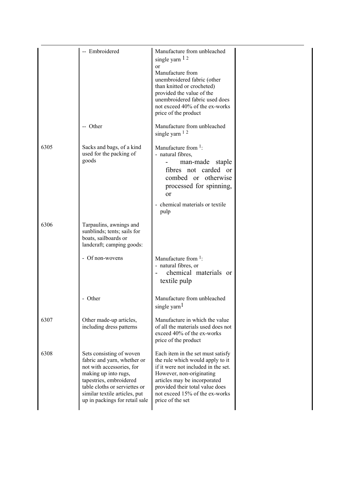|      | -- Embroidered<br>-- Other                                                                                                                                                                                                                  | Manufacture from unbleached<br>single yarn $12$<br><sub>or</sub><br>Manufacture from<br>unembroidered fabric (other<br>than knitted or crocheted)<br>provided the value of the<br>unembroidered fabric used does<br>not exceed 40% of the ex-works<br>price of the product<br>Manufacture from unbleached |  |
|------|---------------------------------------------------------------------------------------------------------------------------------------------------------------------------------------------------------------------------------------------|-----------------------------------------------------------------------------------------------------------------------------------------------------------------------------------------------------------------------------------------------------------------------------------------------------------|--|
|      |                                                                                                                                                                                                                                             | single yarn 12                                                                                                                                                                                                                                                                                            |  |
| 6305 | Sacks and bags, of a kind<br>used for the packing of<br>goods                                                                                                                                                                               | Manufacture from $1$ :<br>- natural fibres,<br>man-made<br>staple<br>fibres not carded or<br>combed or otherwise<br>processed for spinning,<br><sub>or</sub>                                                                                                                                              |  |
|      |                                                                                                                                                                                                                                             | - chemical materials or textile<br>pulp                                                                                                                                                                                                                                                                   |  |
| 6306 | Tarpaulins, awnings and<br>sunblinds; tents; sails for<br>boats, sailboards or<br>landcraft; camping goods:                                                                                                                                 |                                                                                                                                                                                                                                                                                                           |  |
|      | - Of non-wovens                                                                                                                                                                                                                             | Manufacture from $1$ :<br>- natural fibres, or<br>chemical materials or<br>textile pulp                                                                                                                                                                                                                   |  |
|      | - Other                                                                                                                                                                                                                                     | Manufacture from unbleached<br>single yarn <sup>1</sup>                                                                                                                                                                                                                                                   |  |
| 6307 | Other made-up articles,<br>including dress patterns                                                                                                                                                                                         | Manufacture in which the value<br>of all the materials used does not<br>exceed 40% of the ex-works<br>price of the product                                                                                                                                                                                |  |
| 6308 | Sets consisting of woven<br>fabric and yarn, whether or<br>not with accessories, for<br>making up into rugs,<br>tapestries, embroidered<br>table cloths or serviettes or<br>similar textile articles, put<br>up in packings for retail sale | Each item in the set must satisfy<br>the rule which would apply to it<br>if it were not included in the set.<br>However, non-originating<br>articles may be incorporated<br>provided their total value does<br>not exceed 15% of the ex-works<br>price of the set                                         |  |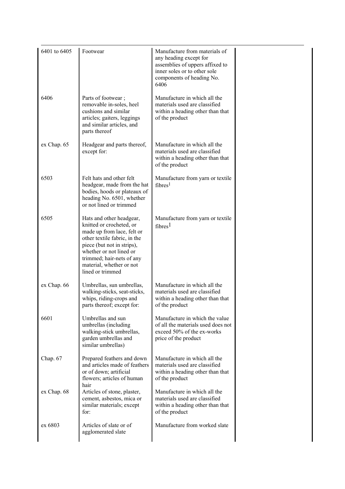| 6401 to 6405 | Footwear                                                                                                                                                                                                                                                 | Manufacture from materials of<br>any heading except for<br>assemblies of uppers affixed to<br>inner soles or to other sole<br>components of heading No.<br>6406 |  |
|--------------|----------------------------------------------------------------------------------------------------------------------------------------------------------------------------------------------------------------------------------------------------------|-----------------------------------------------------------------------------------------------------------------------------------------------------------------|--|
| 6406         | Parts of footwear;<br>removable in-soles, heel<br>cushions and similar<br>articles; gaiters, leggings<br>and similar articles, and<br>parts thereof                                                                                                      | Manufacture in which all the<br>materials used are classified<br>within a heading other than that<br>of the product                                             |  |
| ex Chap. 65  | Headgear and parts thereof,<br>except for:                                                                                                                                                                                                               | Manufacture in which all the<br>materials used are classified<br>within a heading other than that<br>of the product                                             |  |
| 6503         | Felt hats and other felt<br>headgear, made from the hat<br>bodies, hoods or plateaux of<br>heading No. 6501, whether<br>or not lined or trimmed                                                                                                          | Manufacture from yarn or textile<br>fibres <sup>1</sup>                                                                                                         |  |
| 6505         | Hats and other headgear,<br>knitted or crocheted, or<br>made up from lace, felt or<br>other textile fabric, in the<br>piece (but not in strips),<br>whether or not lined or<br>trimmed; hair-nets of any<br>material, whether or not<br>lined or trimmed | Manufacture from yarn or textile<br>fibres <sup>1</sup>                                                                                                         |  |
| ex Chap. 66  | Umbrellas, sun umbrellas,<br>walking-sticks, seat-sticks,<br>whips, riding-crops and<br>parts thereof; except for:                                                                                                                                       | Manufacture in which all the<br>materials used are classified<br>within a heading other than that<br>of the product                                             |  |
| 6601         | Umbrellas and sun<br>umbrellas (including<br>walking-stick umbrellas,<br>garden umbrellas and<br>similar umbrellas)                                                                                                                                      | Manufacture in which the value<br>of all the materials used does not<br>exceed 50% of the ex-works<br>price of the product                                      |  |
| Chap. 67     | Prepared feathers and down<br>and articles made of feathers<br>or of down; artificial<br>flowers; articles of human<br>hair                                                                                                                              | Manufacture in which all the<br>materials used are classified<br>within a heading other than that<br>of the product                                             |  |
| ex Chap. 68  | Articles of stone, plaster,<br>cement, asbestos, mica or<br>similar materials; except<br>for:                                                                                                                                                            | Manufacture in which all the<br>materials used are classified<br>within a heading other than that<br>of the product                                             |  |
| ex 6803      | Articles of slate or of<br>agglomerated slate                                                                                                                                                                                                            | Manufacture from worked slate                                                                                                                                   |  |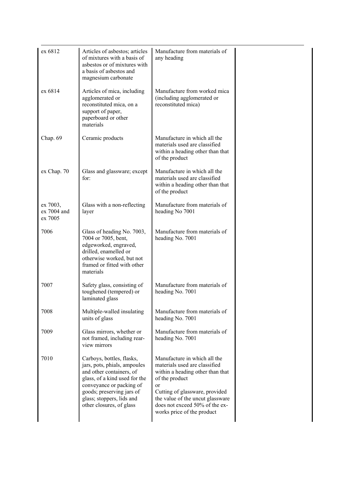| ex 6812                            | Articles of asbestos; articles<br>of mixtures with a basis of<br>asbestos or of mixtures with<br>a basis of asbestos and<br>magnesium carbonate                                                                                          | Manufacture from materials of<br>any heading                                                                                                                                                                                                                    |  |
|------------------------------------|------------------------------------------------------------------------------------------------------------------------------------------------------------------------------------------------------------------------------------------|-----------------------------------------------------------------------------------------------------------------------------------------------------------------------------------------------------------------------------------------------------------------|--|
| ex 6814                            | Articles of mica, including<br>agglomerated or<br>reconstituted mica, on a<br>support of paper,<br>paperboard or other<br>materials                                                                                                      | Manufacture from worked mica<br>(including agglomerated or<br>reconstituted mica)                                                                                                                                                                               |  |
| Chap. 69                           | Ceramic products                                                                                                                                                                                                                         | Manufacture in which all the<br>materials used are classified<br>within a heading other than that<br>of the product                                                                                                                                             |  |
| ex Chap. 70                        | Glass and glassware; except<br>for:                                                                                                                                                                                                      | Manufacture in which all the<br>materials used are classified<br>within a heading other than that<br>of the product                                                                                                                                             |  |
| ex 7003,<br>ex 7004 and<br>ex 7005 | Glass with a non-reflecting<br>layer                                                                                                                                                                                                     | Manufacture from materials of<br>heading No 7001                                                                                                                                                                                                                |  |
| 7006                               | Glass of heading No. 7003,<br>7004 or 7005, bent,<br>edgeworked, engraved,<br>drilled, enamelled or<br>otherwise worked, but not<br>framed or fitted with other<br>materials                                                             | Manufacture from materials of<br>heading No. 7001                                                                                                                                                                                                               |  |
| 7007                               | Safety glass, consisting of<br>toughened (tempered) or<br>laminated glass                                                                                                                                                                | Manufacture from materials of<br>heading No. 7001                                                                                                                                                                                                               |  |
| 7008                               | Multiple-walled insulating<br>units of glass                                                                                                                                                                                             | Manufacture from materials of<br>heading No. 7001                                                                                                                                                                                                               |  |
| 7009                               | Glass mirrors, whether or<br>not framed, including rear-<br>view mirrors                                                                                                                                                                 | Manufacture from materials of<br>heading No. 7001                                                                                                                                                                                                               |  |
| 7010                               | Carboys, bottles, flasks,<br>jars, pots, phials, ampoules<br>and other containers, of<br>glass, of a kind used for the<br>conveyance or packing of<br>goods; preserving jars of<br>glass; stoppers, lids and<br>other closures, of glass | Manufacture in which all the<br>materials used are classified<br>within a heading other than that<br>of the product<br>or<br>Cutting of glassware, provided<br>the value of the uncut glassware<br>does not exceed 50% of the ex-<br>works price of the product |  |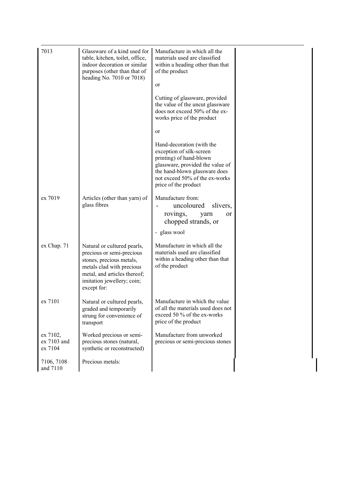| 7013                               | Glassware of a kind used for<br>table, kitchen, toilet, office,<br>indoor decoration or similar<br>purposes (other than that of<br>heading No. 7010 or 7018)                                   | Manufacture in which all the<br>materials used are classified<br>within a heading other than that<br>of the product                                                                                             |  |
|------------------------------------|------------------------------------------------------------------------------------------------------------------------------------------------------------------------------------------------|-----------------------------------------------------------------------------------------------------------------------------------------------------------------------------------------------------------------|--|
|                                    |                                                                                                                                                                                                | <sub>or</sub>                                                                                                                                                                                                   |  |
|                                    |                                                                                                                                                                                                | Cutting of glassware, provided<br>the value of the uncut glassware<br>does not exceed 50% of the ex-<br>works price of the product                                                                              |  |
|                                    |                                                                                                                                                                                                | or                                                                                                                                                                                                              |  |
|                                    |                                                                                                                                                                                                | Hand-decoration (with the<br>exception of silk-screen<br>printing) of hand-blown<br>glassware, provided the value of<br>the hand-blown glassware does<br>not exceed 50% of the ex-works<br>price of the product |  |
| ex 7019                            | Articles (other than yarn) of<br>glass fibres                                                                                                                                                  | Manufacture from:<br>uncoloured<br>slivers,<br>rovings,<br>yarn<br><sub>or</sub><br>chopped strands, or<br>- glass wool                                                                                         |  |
| ex Chap. 71                        | Natural or cultured pearls,<br>precious or semi-precious<br>stones, precious metals,<br>metals clad with precious<br>metal, and articles thereof;<br>imitation jewellery; coin;<br>except for: | Manufacture in which all the<br>materials used are classified<br>within a heading other than that<br>of the product                                                                                             |  |
| ex 7101                            | Natural or cultured pearls,<br>graded and temporarily<br>strung for convenience of<br>transport                                                                                                | Manufacture in which the value<br>of all the materials used does not<br>exceed 50 % of the ex-works<br>price of the product                                                                                     |  |
| ex 7102,<br>ex 7103 and<br>ex 7104 | Worked precious or semi-<br>precious stones (natural,<br>synthetic or reconstructed)                                                                                                           | Manufacture from unworked<br>precious or semi-precious stones                                                                                                                                                   |  |
| 7106, 7108<br>and 7110             | Precious metals:                                                                                                                                                                               |                                                                                                                                                                                                                 |  |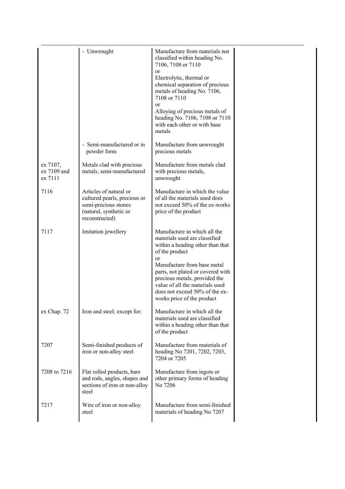|                                    | - Unwrought                                                                                                                | Manufacture from materials not<br>classified within heading No.<br>7106, 7108 or 7110<br>or                                                                                                                                                                                                                                       |
|------------------------------------|----------------------------------------------------------------------------------------------------------------------------|-----------------------------------------------------------------------------------------------------------------------------------------------------------------------------------------------------------------------------------------------------------------------------------------------------------------------------------|
|                                    |                                                                                                                            | Electrolytic, thermal or<br>chemical separation of precious<br>metals of heading No. 7106,<br>7108 or 7110                                                                                                                                                                                                                        |
|                                    |                                                                                                                            | or<br>Alloying of precious metals of<br>heading No. 7106, 7108 or 7110<br>with each other or with base<br>metals                                                                                                                                                                                                                  |
|                                    | - Semi-manufactured or in<br>powder form                                                                                   | Manufacture from unwrought<br>precious metals                                                                                                                                                                                                                                                                                     |
| ex 7107,<br>ex 7109 and<br>ex 7111 | Metals clad with precious<br>metals, semi-manufactured                                                                     | Manufacture from metals clad<br>with precious metals,<br>unwrought                                                                                                                                                                                                                                                                |
| 7116                               | Articles of natural or<br>cultured pearls, precious or<br>semi-precious stones<br>(natural, synthetic or<br>reconstructed) | Manufacture in which the value<br>of all the materials used does<br>not exceed 50% of the ex-works<br>price of the product                                                                                                                                                                                                        |
| 7117                               | Imitation jewellery                                                                                                        | Manufacture in which all the<br>materials used are classified<br>within a heading other than that<br>of the product<br>or<br>Manufacture from base metal<br>parts, not plated or covered with<br>precious metals, provided the<br>value of all the materials used<br>does not exceed 50% of the ex-<br>works price of the product |
| ex Chap. 72                        | Iron and steel; except for:                                                                                                | Manufacture in which all the<br>materials used are classified<br>within a heading other than that<br>of the product                                                                                                                                                                                                               |
| 7207                               | Semi-finished products of<br>iron or non-alloy steel                                                                       | Manufacture from materials of<br>heading No 7201, 7202, 7203,<br>7204 or 7205                                                                                                                                                                                                                                                     |
| 7208 to 7216                       | Flat rolled products, bars<br>and rods, angles, shapes and<br>sections of iron or non-alloy<br>steel                       | Manufacture from ingots or<br>other primary forms of heading<br>No 7206                                                                                                                                                                                                                                                           |
| 7217                               | Wire of iron or non-alloy<br>steel                                                                                         | Manufacture from semi-finished<br>materials of heading No 7207                                                                                                                                                                                                                                                                    |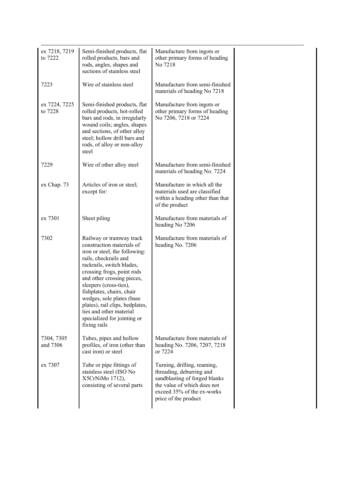| ex 7218, 7219<br>to 7222 | Semi-finished products, flat<br>rolled products, bars and<br>rods, angles, shapes and<br>sections of stainless steel                                                                                                                                                                                                                                                                                      | Manufacture from ingots or<br>other primary forms of heading<br>No 7218                                                                                                       |
|--------------------------|-----------------------------------------------------------------------------------------------------------------------------------------------------------------------------------------------------------------------------------------------------------------------------------------------------------------------------------------------------------------------------------------------------------|-------------------------------------------------------------------------------------------------------------------------------------------------------------------------------|
| 7223                     | Wire of stainless steel                                                                                                                                                                                                                                                                                                                                                                                   | Manufacture from semi-finished<br>materials of heading No 7218                                                                                                                |
| ex 7224, 7225<br>to 7228 | Semi-finished products, flat<br>rolled products, hot-rolled<br>bars and rods, in irregularly<br>wound coils; angles, shapes<br>and sections, of other alloy<br>steel; hollow drill bars and<br>rods, of alloy or non-alloy<br>steel                                                                                                                                                                       | Manufacture from ingots or<br>other primary forms of heading<br>No 7206, 7218 or 7224                                                                                         |
| 7229                     | Wire of other alloy steel                                                                                                                                                                                                                                                                                                                                                                                 | Manufacture from semi-finished<br>materials of heading No. 7224                                                                                                               |
| ex Chap. 73              | Articles of iron or steel;<br>except for:                                                                                                                                                                                                                                                                                                                                                                 | Manufacture in which all the<br>materials used are classified<br>within a heading other than that<br>of the product                                                           |
| ex 7301                  | Sheet piling                                                                                                                                                                                                                                                                                                                                                                                              | Manufacture from materials of<br>heading No 7206                                                                                                                              |
| 7302                     | Railway or tramway track<br>construction materials of<br>iron or steel, the following:<br>rails, checkrails and<br>rackrails, switch blades,<br>crossing frogs, point rods<br>and other crossing pieces,<br>sleepers (cross-ties),<br>fishplates, chairs, chair<br>wedges, sole plates (base<br>plates), rail clips, bedplates,<br>ties and other material<br>specialized for jointing or<br>fixing rails | Manufacture from materials of<br>heading No. 7206                                                                                                                             |
| 7304, 7305<br>and 7306   | Tubes, pipes and hollow<br>profiles, of iron (other than<br>cast iron) or steel                                                                                                                                                                                                                                                                                                                           | Manufacture from materials of<br>heading No. 7206, 7207, 7218<br>or 7224                                                                                                      |
| ex 7307                  | Tube or pipe fittings of<br>stainless steel (ISO No<br>X5CrNiMo 1712),<br>consisting of several parts                                                                                                                                                                                                                                                                                                     | Turning, drilling, reaming,<br>threading, deburring and<br>sandblasting of forged blanks<br>the value of which does not<br>exceed 35% of the ex-works<br>price of the product |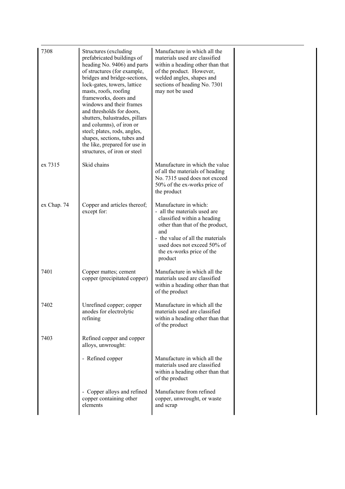| 7308        | Structures (excluding<br>prefabricated buildings of<br>heading No. 9406) and parts<br>of structures (for example,<br>bridges and bridge-sections,<br>lock-gates, towers, lattice<br>masts, roofs, roofing<br>frameworks, doors and<br>windows and their frames<br>and thresholds for doors,<br>shutters, balustrades, pillars<br>and columns), of iron or<br>steel; plates, rods, angles,<br>shapes, sections, tubes and<br>the like, prepared for use in<br>structures, of iron or steel | Manufacture in which all the<br>materials used are classified<br>within a heading other than that<br>of the product. However,<br>welded angles, shapes and<br>sections of heading No. 7301<br>may not be used                             |  |
|-------------|-------------------------------------------------------------------------------------------------------------------------------------------------------------------------------------------------------------------------------------------------------------------------------------------------------------------------------------------------------------------------------------------------------------------------------------------------------------------------------------------|-------------------------------------------------------------------------------------------------------------------------------------------------------------------------------------------------------------------------------------------|--|
| ex 7315     | Skid chains                                                                                                                                                                                                                                                                                                                                                                                                                                                                               | Manufacture in which the value<br>of all the materials of heading<br>No. 7315 used does not exceed<br>50% of the ex-works price of<br>the product                                                                                         |  |
| ex Chap. 74 | Copper and articles thereof;<br>except for:                                                                                                                                                                                                                                                                                                                                                                                                                                               | Manufacture in which:<br>- all the materials used are<br>classified within a heading<br>other than that of the product,<br>and<br>- the value of all the materials<br>used does not exceed 50% of<br>the ex-works price of the<br>product |  |
| 7401        | Copper mattes; cement<br>copper (precipitated copper)                                                                                                                                                                                                                                                                                                                                                                                                                                     | Manufacture in which all the<br>materials used are classified<br>within a heading other than that<br>of the product                                                                                                                       |  |
| 7402        | Unrefined copper; copper<br>anodes for electrolytic<br>refining                                                                                                                                                                                                                                                                                                                                                                                                                           | Manufacture in which all the<br>materials used are classified<br>within a heading other than that<br>of the product                                                                                                                       |  |
| 7403        | Refined copper and copper<br>alloys, unwrought:                                                                                                                                                                                                                                                                                                                                                                                                                                           |                                                                                                                                                                                                                                           |  |
|             | - Refined copper                                                                                                                                                                                                                                                                                                                                                                                                                                                                          | Manufacture in which all the<br>materials used are classified<br>within a heading other than that<br>of the product                                                                                                                       |  |
|             | - Copper alloys and refined<br>copper containing other<br>elements                                                                                                                                                                                                                                                                                                                                                                                                                        | Manufacture from refined<br>copper, unwrought, or waste<br>and scrap                                                                                                                                                                      |  |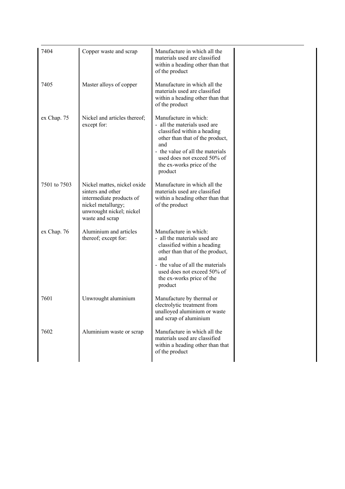| 7404         | Copper waste and scrap                                                                                                                            | Manufacture in which all the<br>materials used are classified<br>within a heading other than that<br>of the product                                                                                                                       |  |
|--------------|---------------------------------------------------------------------------------------------------------------------------------------------------|-------------------------------------------------------------------------------------------------------------------------------------------------------------------------------------------------------------------------------------------|--|
| 7405         | Master alloys of copper                                                                                                                           | Manufacture in which all the<br>materials used are classified<br>within a heading other than that<br>of the product                                                                                                                       |  |
| ex Chap. 75  | Nickel and articles thereof;<br>except for:                                                                                                       | Manufacture in which:<br>- all the materials used are<br>classified within a heading<br>other than that of the product,<br>and<br>- the value of all the materials<br>used does not exceed 50% of<br>the ex-works price of the<br>product |  |
| 7501 to 7503 | Nickel mattes, nickel oxide<br>sinters and other<br>intermediate products of<br>nickel metallurgy;<br>unwrought nickel; nickel<br>waste and scrap | Manufacture in which all the<br>materials used are classified<br>within a heading other than that<br>of the product                                                                                                                       |  |
| ex Chap. 76  | Aluminium and articles<br>thereof; except for:                                                                                                    | Manufacture in which:<br>- all the materials used are<br>classified within a heading<br>other than that of the product,<br>and<br>- the value of all the materials<br>used does not exceed 50% of<br>the ex-works price of the<br>product |  |
| 7601         | Unwrought aluminium                                                                                                                               | Manufacture by thermal or<br>electrolytic treatment from<br>unalloyed aluminium or waste<br>and scrap of aluminium                                                                                                                        |  |
| 7602         | Aluminium waste or scrap                                                                                                                          | Manufacture in which all the<br>materials used are classified<br>within a heading other than that<br>of the product                                                                                                                       |  |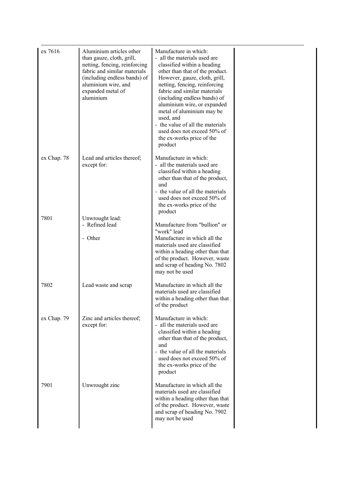| ex 7616     | Aluminium articles other<br>than gauze, cloth, grill,<br>netting, fencing, reinforcing<br>fabric and similar materials<br>(including endless bands) of<br>aluminium wire, and<br>expanded metal of<br>aluminium | Manufacture in which:<br>- all the materials used are<br>classified within a heading<br>other than that of the product.<br>However, gauze, cloth, grill,<br>netting, fencing, reinforcing<br>fabric and similar materials<br>(including endless bands) of<br>aluminium wire, or expanded<br>metal of aluminium may be<br>used, and<br>- the value of all the materials<br>used does not exceed 50% of<br>the ex-works price of the<br>product |  |
|-------------|-----------------------------------------------------------------------------------------------------------------------------------------------------------------------------------------------------------------|-----------------------------------------------------------------------------------------------------------------------------------------------------------------------------------------------------------------------------------------------------------------------------------------------------------------------------------------------------------------------------------------------------------------------------------------------|--|
| ex Chap. 78 | Lead and articles thereof;<br>except for:                                                                                                                                                                       | Manufacture in which:<br>- all the materials used are<br>classified within a heading<br>other than that of the product,<br>and<br>- the value of all the materials<br>used does not exceed 50% of<br>the ex-works price of the<br>product                                                                                                                                                                                                     |  |
| 7801        | Unwrought lead:<br>- Refined lead<br>- Other                                                                                                                                                                    | Manufacture from "bullion" or<br>"work" lead<br>Manufacture in which all the<br>materials used are classified<br>within a heading other than that<br>of the product. However, waste<br>and scrap of heading No. 7802<br>may not be used                                                                                                                                                                                                       |  |
| 7802        | Lead waste and scrap                                                                                                                                                                                            | Manufacture in which all the<br>materials used are classified<br>within a heading other than that<br>of the product                                                                                                                                                                                                                                                                                                                           |  |
| ex Chap. 79 | Zinc and articles thereof;<br>except for:                                                                                                                                                                       | Manufacture in which:<br>- all the materials used are<br>classified within a heading<br>other than that of the product,<br>and<br>- the value of all the materials<br>used does not exceed 50% of<br>the ex-works price of the<br>product                                                                                                                                                                                                     |  |
| 7901        | Unwrought zinc                                                                                                                                                                                                  | Manufacture in which all the<br>materials used are classified<br>within a heading other than that<br>of the product. However, waste<br>and scrap of heading No. 7902<br>may not be used                                                                                                                                                                                                                                                       |  |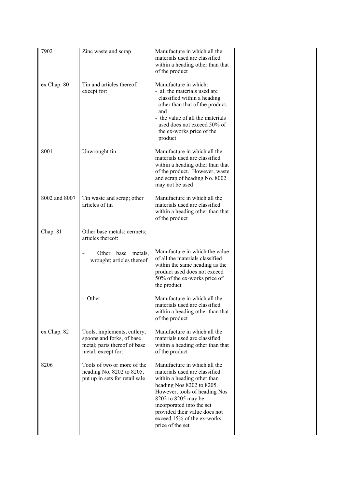| 7902          | Zinc waste and scrap                                                                                           | Manufacture in which all the<br>materials used are classified<br>within a heading other than that<br>of the product                                                                                                                                                                               |  |
|---------------|----------------------------------------------------------------------------------------------------------------|---------------------------------------------------------------------------------------------------------------------------------------------------------------------------------------------------------------------------------------------------------------------------------------------------|--|
| ex Chap. 80   | Tin and articles thereof;<br>except for:                                                                       | Manufacture in which:<br>- all the materials used are<br>classified within a heading<br>other than that of the product,<br>and<br>- the value of all the materials<br>used does not exceed 50% of<br>the ex-works price of the<br>product                                                         |  |
| 8001          | Unwrought tin                                                                                                  | Manufacture in which all the<br>materials used are classified<br>within a heading other than that<br>of the product. However, waste<br>and scrap of heading No. 8002<br>may not be used                                                                                                           |  |
| 8002 and 8007 | Tin waste and scrap; other<br>articles of tin                                                                  | Manufacture in which all the<br>materials used are classified<br>within a heading other than that<br>of the product                                                                                                                                                                               |  |
| Chap. 81      | Other base metals; cermets;<br>articles thereof:                                                               |                                                                                                                                                                                                                                                                                                   |  |
|               | Other<br>base metals,<br>wrought; articles thereof                                                             | Manufacture in which the value<br>of all the materials classified<br>within the same heading as the<br>product used does not exceed<br>50% of the ex-works price of<br>the product                                                                                                                |  |
|               | - Other                                                                                                        | Manufacture in which all the<br>materials used are classified<br>within a heading other than that<br>of the product                                                                                                                                                                               |  |
| ex Chap. 82   | Tools, implements, cutlery,<br>spoons and forks, of base<br>metal; parts thereof of base<br>metal; except for: | Manufacture in which all the<br>materials used are classified<br>within a heading other than that<br>of the product                                                                                                                                                                               |  |
| 8206          | Tools of two or more of the<br>heading No. 8202 to 8205,<br>put up in sets for retail sale                     | Manufacture in which all the<br>materials used are classified<br>within a heading other than<br>heading Nos 8202 to 8205.<br>However, tools of heading Nos<br>8202 to 8205 may be<br>incorporated into the set<br>provided their value does not<br>exceed 15% of the ex-works<br>price of the set |  |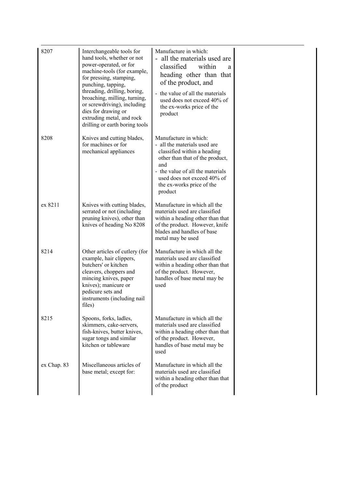| 8207        | Interchangeable tools for<br>hand tools, whether or not<br>power-operated, or for<br>machine-tools (for example,<br>for pressing, stamping,<br>punching, tapping,<br>threading, drilling, boring,<br>broaching, milling, turning,<br>or screwdriving), including<br>dies for drawing or<br>extruding metal, and rock<br>drilling or earth boring tools | Manufacture in which:<br>- all the materials used are<br>classified<br>within<br>a<br>heading other than that<br>of the product, and<br>- the value of all the materials<br>used does not exceed 40% of<br>the ex-works price of the<br>product |  |
|-------------|--------------------------------------------------------------------------------------------------------------------------------------------------------------------------------------------------------------------------------------------------------------------------------------------------------------------------------------------------------|-------------------------------------------------------------------------------------------------------------------------------------------------------------------------------------------------------------------------------------------------|--|
| 8208        | Knives and cutting blades,<br>for machines or for<br>mechanical appliances                                                                                                                                                                                                                                                                             | Manufacture in which:<br>- all the materials used are<br>classified within a heading<br>other than that of the product,<br>and<br>the value of all the materials<br>used does not exceed 40% of<br>the ex-works price of the<br>product         |  |
| ex 8211     | Knives with cutting blades,<br>serrated or not (including<br>pruning knives), other than<br>knives of heading No 8208                                                                                                                                                                                                                                  | Manufacture in which all the<br>materials used are classified<br>within a heading other than that<br>of the product. However, knife<br>blades and handles of base<br>metal may be used                                                          |  |
| 8214        | Other articles of cutlery (for<br>example, hair clippers,<br>butchers' or kitchen<br>cleavers, choppers and<br>mincing knives, paper<br>knives); manicure or<br>pedicure sets and<br>instruments (including nail<br>files)                                                                                                                             | Manufacture in which all the<br>materials used are classified<br>within a heading other than that<br>of the product. However,<br>handles of base metal may be<br>used                                                                           |  |
| 8215        | Spoons, forks, ladles,<br>skimmers, cake-servers,<br>fish-knives, butter knives,<br>sugar tongs and similar<br>kitchen or tableware                                                                                                                                                                                                                    | Manufacture in which all the<br>materials used are classified<br>within a heading other than that<br>of the product. However,<br>handles of base metal may be<br>used                                                                           |  |
| ex Chap. 83 | Miscellaneous articles of<br>base metal; except for:                                                                                                                                                                                                                                                                                                   | Manufacture in which all the<br>materials used are classified<br>within a heading other than that<br>of the product                                                                                                                             |  |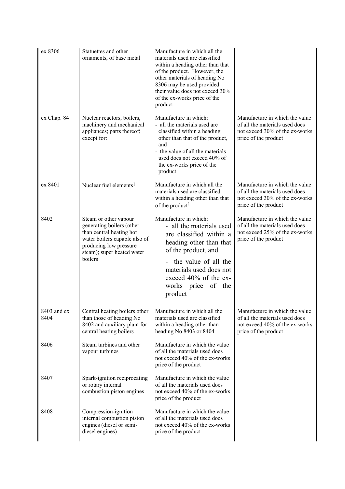| ex 8306             | Statuettes and other<br>ornaments, of base metal                                                                                                                                   | Manufacture in which all the<br>materials used are classified<br>within a heading other than that<br>of the product. However, the<br>other materials of heading No<br>8306 may be used provided<br>their value does not exceed 30%<br>of the ex-works price of the<br>product |                                                                                                                            |
|---------------------|------------------------------------------------------------------------------------------------------------------------------------------------------------------------------------|-------------------------------------------------------------------------------------------------------------------------------------------------------------------------------------------------------------------------------------------------------------------------------|----------------------------------------------------------------------------------------------------------------------------|
| ex Chap. 84         | Nuclear reactors, boilers,<br>machinery and mechanical<br>appliances; parts thereof;<br>except for:                                                                                | Manufacture in which:<br>- all the materials used are<br>classified within a heading<br>other than that of the product,<br>and<br>- the value of all the materials<br>used does not exceed 40% of<br>the ex-works price of the<br>product                                     | Manufacture in which the value<br>of all the materials used does<br>not exceed 30% of the ex-works<br>price of the product |
| ex 8401             | Nuclear fuel elements <sup>1</sup>                                                                                                                                                 | Manufacture in which all the<br>materials used are classified<br>within a heading other than that<br>of the product <sup>1</sup>                                                                                                                                              | Manufacture in which the value<br>of all the materials used does<br>not exceed 30% of the ex-works<br>price of the product |
| 8402                | Steam or other vapour<br>generating boilers (other<br>than central heating hot<br>water boilers capable also of<br>producing low pressure<br>steam); super heated water<br>boilers | Manufacture in which:<br>- all the materials used<br>are classified within a<br>heading other than that<br>of the product, and<br>the value of all the<br>materials used does not<br>exceed 40% of the ex-<br>works price<br>of the<br>product                                | Manufacture in which the value<br>of all the materials used does<br>not exceed 25% of the ex-works<br>price of the product |
| 8403 and ex<br>8404 | Central heating boilers other<br>than those of heading No<br>8402 and auxiliary plant for<br>central heating boilers                                                               | Manufacture in which all the<br>materials used are classified<br>within a heading other than<br>heading No 8403 or 8404                                                                                                                                                       | Manufacture in which the value<br>of all the materials used does<br>not exceed 40% of the ex-works<br>price of the product |
| 8406                | Steam turbines and other<br>vapour turbines                                                                                                                                        | Manufacture in which the value<br>of all the materials used does<br>not exceed 40% of the ex-works<br>price of the product                                                                                                                                                    |                                                                                                                            |
| 8407                | Spark-ignition reciprocating<br>or rotary internal<br>combustion piston engines                                                                                                    | Manufacture in which the value<br>of all the materials used does<br>not exceed 40% of the ex-works<br>price of the product                                                                                                                                                    |                                                                                                                            |
| 8408                | Compression-ignition<br>internal combustion piston<br>engines (diesel or semi-<br>diesel engines)                                                                                  | Manufacture in which the value<br>of all the materials used does<br>not exceed 40% of the ex-works<br>price of the product                                                                                                                                                    |                                                                                                                            |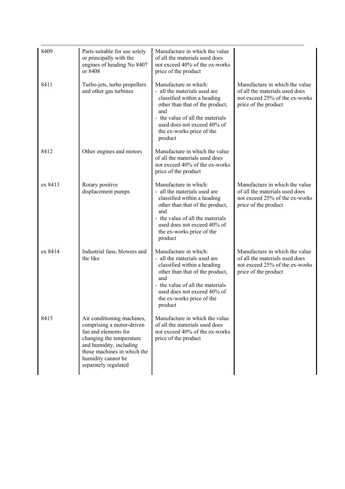| 8409    | Parts suitable for use solely<br>or principally with the<br>engines of heading No 8407<br>or 8408                                                                                                                   | Manufacture in which the value<br>of all the materials used does<br>not exceed 40% of the ex-works<br>price of the product                                                                                                                |                                                                                                                            |
|---------|---------------------------------------------------------------------------------------------------------------------------------------------------------------------------------------------------------------------|-------------------------------------------------------------------------------------------------------------------------------------------------------------------------------------------------------------------------------------------|----------------------------------------------------------------------------------------------------------------------------|
| 8411    | Turbo-jets, turbo propellers<br>and other gas turbines                                                                                                                                                              | Manufacture in which:<br>- all the materials used are<br>classified within a heading<br>other than that of the product,<br>and<br>- the value of all the materials<br>used does not exceed 40% of<br>the ex-works price of the<br>product | Manufacture in which the value<br>of all the materials used does<br>not exceed 25% of the ex-works<br>price of the product |
| 8412    | Other engines and motors                                                                                                                                                                                            | Manufacture in which the value<br>of all the materials used does<br>not exceed 40% of the ex-works<br>price of the product                                                                                                                |                                                                                                                            |
| ex 8413 | Rotary positive<br>displacement pumps                                                                                                                                                                               | Manufacture in which:<br>- all the materials used are<br>classified within a heading<br>other than that of the product,<br>and<br>- the value of all the materials<br>used does not exceed 40% of<br>the ex-works price of the<br>product | Manufacture in which the value<br>of all the materials used does<br>not exceed 25% of the ex-works<br>price of the product |
| ex 8414 | Industrial fans, blowers and<br>the like                                                                                                                                                                            | Manufacture in which:<br>- all the materials used are<br>classified within a heading<br>other than that of the product,<br>and<br>- the value of all the materials<br>used does not exceed 40% of<br>the ex-works price of the<br>product | Manufacture in which the value<br>of all the materials used does<br>not exceed 25% of the ex-works<br>price of the product |
| 8415    | Air conditioning machines,<br>comprising a motor-driven<br>fan and elements for<br>changing the temperature<br>and humidity, including<br>those machines in which the<br>humidity cannot be<br>separately regulated | Manufacture in which the value<br>of all the materials used does<br>not exceed 40% of the ex-works<br>price of the product                                                                                                                |                                                                                                                            |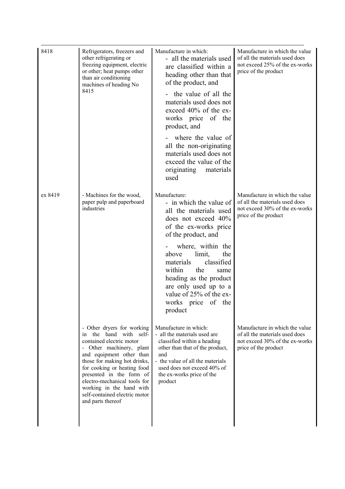| 8418    | Refrigerators, freezers and<br>other refrigerating or<br>freezing equipment, electric<br>or other; heat pumps other<br>than air conditioning<br>machines of heading No                                                                                                                                                                                   | Manufacture in which:<br>- all the materials used<br>are classified within a<br>heading other than that<br>of the product, and                                                                                                            | Manufacture in which the value<br>of all the materials used does<br>not exceed 25% of the ex-works<br>price of the product |
|---------|----------------------------------------------------------------------------------------------------------------------------------------------------------------------------------------------------------------------------------------------------------------------------------------------------------------------------------------------------------|-------------------------------------------------------------------------------------------------------------------------------------------------------------------------------------------------------------------------------------------|----------------------------------------------------------------------------------------------------------------------------|
|         | 8415                                                                                                                                                                                                                                                                                                                                                     | the value of all the<br>materials used does not<br>exceed 40% of the ex-<br>works price of the<br>product, and                                                                                                                            |                                                                                                                            |
|         |                                                                                                                                                                                                                                                                                                                                                          | where the value of<br>all the non-originating<br>materials used does not<br>exceed the value of the<br>materials<br>originating<br>used                                                                                                   |                                                                                                                            |
| ex 8419 | - Machines for the wood,<br>paper pulp and paperboard<br>industries                                                                                                                                                                                                                                                                                      | Manufacture:<br>- in which the value of<br>all the materials used<br>does not exceed 40%<br>of the ex-works price<br>of the product, and                                                                                                  | Manufacture in which the value<br>of all the materials used does<br>not exceed 30% of the ex-works<br>price of the product |
|         |                                                                                                                                                                                                                                                                                                                                                          | where, within the<br>limit,<br>above<br>the<br>classified<br>materials<br>within<br>the<br>same<br>heading as the product<br>are only used up to a<br>value of 25% of the ex-<br>works price of the<br>product                            |                                                                                                                            |
|         | - Other dryers for working<br>the hand with self-<br>in<br>contained electric motor<br>- Other machinery, plant<br>and equipment other than<br>those for making hot drinks,<br>for cooking or heating food<br>presented in the form of<br>electro-mechanical tools for<br>working in the hand with<br>self-contained electric motor<br>and parts thereof | Manufacture in which:<br>- all the materials used are<br>classified within a heading<br>other than that of the product,<br>and<br>- the value of all the materials<br>used does not exceed 40% of<br>the ex-works price of the<br>product | Manufacture in which the value<br>of all the materials used does<br>not exceed 30% of the ex-works<br>price of the product |
|         |                                                                                                                                                                                                                                                                                                                                                          |                                                                                                                                                                                                                                           |                                                                                                                            |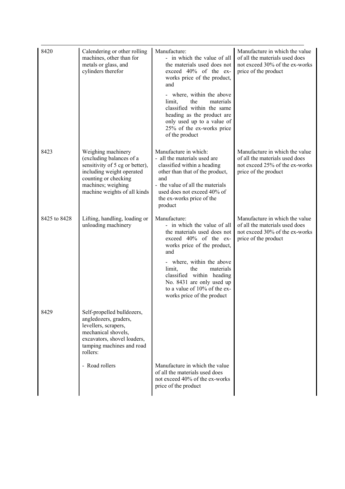| 8420         | Calendering or other rolling<br>machines, other than for<br>metals or glass, and<br>cylinders therefor                                                                                       | Manufacture:<br>- in which the value of all<br>the materials used does not<br>exceed $40\%$ of the ex-<br>works price of the product,<br>and                                                                                              | Manufacture in which the value<br>of all the materials used does<br>not exceed 30% of the ex-works<br>price of the product |
|--------------|----------------------------------------------------------------------------------------------------------------------------------------------------------------------------------------------|-------------------------------------------------------------------------------------------------------------------------------------------------------------------------------------------------------------------------------------------|----------------------------------------------------------------------------------------------------------------------------|
|              |                                                                                                                                                                                              | - where, within the above<br>limit,<br>the<br>materials<br>classified within the same<br>heading as the product are<br>only used up to a value of<br>25% of the ex-works price<br>of the product                                          |                                                                                                                            |
| 8423         | Weighing machinery<br>(excluding balances of a<br>sensitivity of 5 cg or better),<br>including weight operated<br>counting or checking<br>machines; weighing<br>machine weights of all kinds | Manufacture in which:<br>- all the materials used are<br>classified within a heading<br>other than that of the product,<br>and<br>- the value of all the materials<br>used does not exceed 40% of<br>the ex-works price of the<br>product | Manufacture in which the value<br>of all the materials used does<br>not exceed 25% of the ex-works<br>price of the product |
| 8425 to 8428 | Lifting, handling, loading or<br>unloading machinery                                                                                                                                         | Manufacture:<br>- in which the value of all<br>the materials used does not<br>exceed 40% of the ex-<br>works price of the product,<br>and                                                                                                 | Manufacture in which the value<br>of all the materials used does<br>not exceed 30% of the ex-works<br>price of the product |
|              |                                                                                                                                                                                              | - where, within the above<br>limit,<br>the<br>materials<br>classified within heading<br>No. 8431 are only used up<br>to a value of 10% of the ex-<br>works price of the product                                                           |                                                                                                                            |
| 8429         | Self-propelled bulldozers,<br>angledozers, graders,<br>levellers, scrapers,<br>mechanical shovels,<br>excavators, shovel loaders,<br>tamping machines and road<br>rollers:                   |                                                                                                                                                                                                                                           |                                                                                                                            |
|              | - Road rollers                                                                                                                                                                               | Manufacture in which the value<br>of all the materials used does<br>not exceed 40% of the ex-works<br>price of the product                                                                                                                |                                                                                                                            |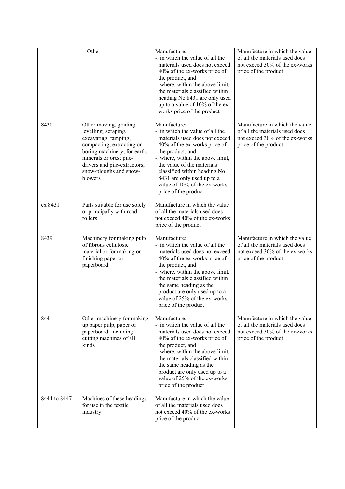|              | - Other                                                                                                                                                                                                                             | Manufacture:<br>- in which the value of all the<br>materials used does not exceed<br>40% of the ex-works price of<br>the product, and<br>- where, within the above limit,<br>the materials classified within<br>heading No 8431 are only used<br>up to a value of 10% of the ex-<br>works price of the product                   | Manufacture in which the value<br>of all the materials used does<br>not exceed 30% of the ex-works<br>price of the product |
|--------------|-------------------------------------------------------------------------------------------------------------------------------------------------------------------------------------------------------------------------------------|----------------------------------------------------------------------------------------------------------------------------------------------------------------------------------------------------------------------------------------------------------------------------------------------------------------------------------|----------------------------------------------------------------------------------------------------------------------------|
| 8430         | Other moving, grading,<br>levelling, scraping,<br>excavating, tamping,<br>compacting, extracting or<br>boring machinery, for earth,<br>minerals or ores; pile-<br>drivers and pile-extractors;<br>snow-ploughs and snow-<br>blowers | Manufacture:<br>- in which the value of all the<br>materials used does not exceed<br>40% of the ex-works price of<br>the product, and<br>- where, within the above limit,<br>the value of the materials<br>classified within heading No<br>8431 are only used up to a<br>value of 10% of the ex-works<br>price of the product    | Manufacture in which the value<br>of all the materials used does<br>not exceed 30% of the ex-works<br>price of the product |
| ex 8431      | Parts suitable for use solely<br>or principally with road<br>rollers                                                                                                                                                                | Manufacture in which the value<br>of all the materials used does<br>not exceed 40% of the ex-works<br>price of the product                                                                                                                                                                                                       |                                                                                                                            |
| 8439         | Machinery for making pulp<br>of fibrous cellulosic<br>material or for making or<br>finishing paper or<br>paperboard                                                                                                                 | Manufacture:<br>- in which the value of all the<br>materials used does not exceed<br>40% of the ex-works price of<br>the product, and<br>- where, within the above limit,<br>the materials classified within<br>the same heading as the<br>product are only used up to a<br>value of 25% of the ex-works<br>price of the product | Manufacture in which the value<br>of all the materials used does<br>not exceed 30% of the ex-works<br>price of the product |
| 8441         | Other machinery for making<br>up paper pulp, paper or<br>paperboard, including<br>cutting machines of all<br>kinds                                                                                                                  | Manufacture:<br>- in which the value of all the<br>materials used does not exceed<br>40% of the ex-works price of<br>the product, and<br>- where, within the above limit,<br>the materials classified within<br>the same heading as the<br>product are only used up to a<br>value of 25% of the ex-works<br>price of the product | Manufacture in which the value<br>of all the materials used does<br>not exceed 30% of the ex-works<br>price of the product |
| 8444 to 8447 | Machines of these headings<br>for use in the textile<br>industry                                                                                                                                                                    | Manufacture in which the value<br>of all the materials used does<br>not exceed 40% of the ex-works<br>price of the product                                                                                                                                                                                                       |                                                                                                                            |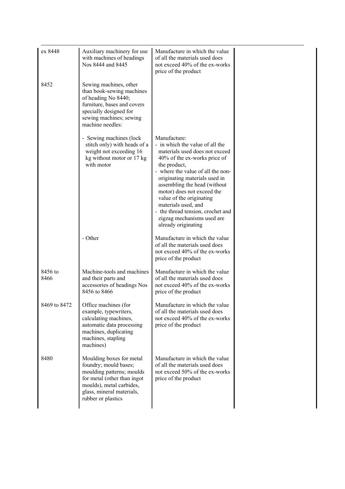| ex 8448         | Auxiliary machinery for use<br>with machines of headings<br>Nos 8444 and 8445                                                                                                                | Manufacture in which the value<br>of all the materials used does<br>not exceed 40% of the ex-works<br>price of the product                                                                                                                                                                                                                                                                                         |  |
|-----------------|----------------------------------------------------------------------------------------------------------------------------------------------------------------------------------------------|--------------------------------------------------------------------------------------------------------------------------------------------------------------------------------------------------------------------------------------------------------------------------------------------------------------------------------------------------------------------------------------------------------------------|--|
| 8452            | Sewing machines, other<br>than book-sewing machines<br>of heading No 8440;<br>furniture, bases and covers<br>specially designed for<br>sewing machines; sewing<br>machine needles:           |                                                                                                                                                                                                                                                                                                                                                                                                                    |  |
|                 | - Sewing machines (lock<br>stitch only) with heads of a<br>weight not exceeding 16<br>kg without motor or 17 kg<br>with motor                                                                | Manufacture:<br>- in which the value of all the<br>materials used does not exceed<br>40% of the ex-works price of<br>the product,<br>- where the value of all the non-<br>originating materials used in<br>assembling the head (without<br>motor) does not exceed the<br>value of the originating<br>materials used, and<br>- the thread tension, crochet and<br>zigzag mechanisms used are<br>already originating |  |
|                 | - Other                                                                                                                                                                                      | Manufacture in which the value<br>of all the materials used does<br>not exceed 40% of the ex-works<br>price of the product                                                                                                                                                                                                                                                                                         |  |
| 8456 to<br>8466 | Machine-tools and machines<br>and their parts and<br>accessories of headings Nos<br>8456 to 8466                                                                                             | Manufacture in which the value<br>of all the materials used does<br>not exceed 40% of the ex-works<br>price of the product                                                                                                                                                                                                                                                                                         |  |
| 8469 to 8472    | Office machines (for<br>example, typewriters,<br>calculating machines,<br>automatic data processing<br>machines, duplicating<br>machines, stapling<br>machines)                              | Manufacture in which the value<br>of all the materials used does<br>not exceed 40% of the ex-works<br>price of the product                                                                                                                                                                                                                                                                                         |  |
| 8480            | Moulding boxes for metal<br>foundry; mould bases;<br>moulding patterns; moulds<br>for metal (other than ingot<br>moulds), metal carbides,<br>glass, mineral materials,<br>rubber or plastics | Manufacture in which the value<br>of all the materials used does<br>not exceed 50% of the ex-works<br>price of the product                                                                                                                                                                                                                                                                                         |  |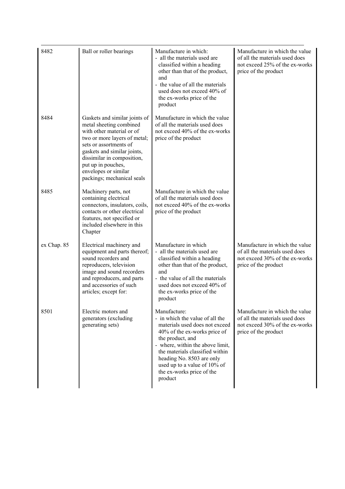| 8482        | Ball or roller bearings                                                                                                                                                                                                                                                                  | Manufacture in which:<br>- all the materials used are<br>classified within a heading<br>other than that of the product,<br>and<br>- the value of all the materials<br>used does not exceed 40% of<br>the ex-works price of the<br>product                                                                         | Manufacture in which the value<br>of all the materials used does<br>not exceed 25% of the ex-works<br>price of the product |
|-------------|------------------------------------------------------------------------------------------------------------------------------------------------------------------------------------------------------------------------------------------------------------------------------------------|-------------------------------------------------------------------------------------------------------------------------------------------------------------------------------------------------------------------------------------------------------------------------------------------------------------------|----------------------------------------------------------------------------------------------------------------------------|
| 8484        | Gaskets and similar joints of<br>metal sheeting combined<br>with other material or of<br>two or more layers of metal;<br>sets or assortments of<br>gaskets and similar joints,<br>dissimilar in composition,<br>put up in pouches,<br>envelopes or similar<br>packings; mechanical seals | Manufacture in which the value<br>of all the materials used does<br>not exceed 40% of the ex-works<br>price of the product                                                                                                                                                                                        |                                                                                                                            |
| 8485        | Machinery parts, not<br>containing electrical<br>connectors, insulators, coils,<br>contacts or other electrical<br>features, not specified or<br>included elsewhere in this<br>Chapter                                                                                                   | Manufacture in which the value<br>of all the materials used does<br>not exceed 40% of the ex-works<br>price of the product                                                                                                                                                                                        |                                                                                                                            |
| ex Chap. 85 | Electrical machinery and<br>equipment and parts thereof;<br>sound recorders and<br>reproducers, television<br>image and sound recorders<br>and reproducers, and parts<br>and accessories of such<br>articles; except for:                                                                | Manufacture in which<br>- all the materials used are<br>classified within a heading<br>other than that of the product,<br>and<br>- the value of all the materials<br>used does not exceed 40% of<br>the ex-works price of the<br>product                                                                          | Manufacture in which the value<br>of all the materials used does<br>not exceed 30% of the ex-works<br>price of the product |
| 8501        | Electric motors and<br>generators (excluding<br>generating sets)                                                                                                                                                                                                                         | Manufacture:<br>- in which the value of all the<br>materials used does not exceed<br>40% of the ex-works price of<br>the product, and<br>- where, within the above limit,<br>the materials classified within<br>heading No. 8503 are only<br>used up to a value of 10% of<br>the ex-works price of the<br>product | Manufacture in which the value<br>of all the materials used does<br>not exceed 30% of the ex-works<br>price of the product |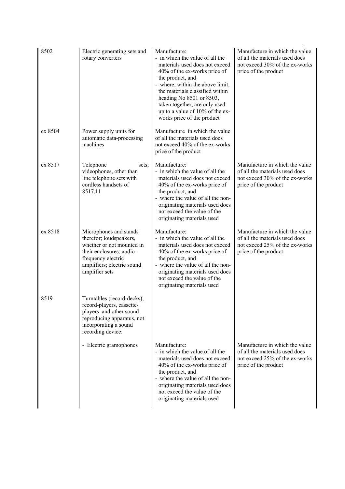| 8502    | Electric generating sets and<br>rotary converters                                                                                                                                | Manufacture:<br>- in which the value of all the<br>materials used does not exceed<br>40% of the ex-works price of<br>the product, and<br>- where, within the above limit,<br>the materials classified within<br>heading No 8501 or 8503,<br>taken together, are only used<br>up to a value of 10% of the ex-<br>works price of the product | Manufacture in which the value<br>of all the materials used does<br>not exceed 30% of the ex-works<br>price of the product |
|---------|----------------------------------------------------------------------------------------------------------------------------------------------------------------------------------|--------------------------------------------------------------------------------------------------------------------------------------------------------------------------------------------------------------------------------------------------------------------------------------------------------------------------------------------|----------------------------------------------------------------------------------------------------------------------------|
| ex 8504 | Power supply units for<br>automatic data-processing<br>machines                                                                                                                  | Manufacture in which the value<br>of all the materials used does<br>not exceed 40% of the ex-works<br>price of the product                                                                                                                                                                                                                 |                                                                                                                            |
| ex 8517 | Telephone<br>sets;<br>videophones, other than<br>line telephone sets with<br>cordless handsets of<br>8517.11                                                                     | Manufacture:<br>- in which the value of all the<br>materials used does not exceed<br>40% of the ex-works price of<br>the product, and<br>- where the value of all the non-<br>originating materials used does<br>not exceed the value of the<br>originating materials used                                                                 | Manufacture in which the value<br>of all the materials used does<br>not exceed 30% of the ex-works<br>price of the product |
| ex 8518 | Microphones and stands<br>therefor; loudspeakers,<br>whether or not mounted in<br>their enclosures; audio-<br>frequency electric<br>amplifiers; electric sound<br>amplifier sets | Manufacture:<br>- in which the value of all the<br>materials used does not exceed<br>40% of the ex-works price of<br>the product, and<br>where the value of all the non-<br>originating materials used does<br>not exceed the value of the<br>originating materials used                                                                   | Manufacture in which the value<br>of all the materials used does<br>not exceed 25% of the ex-works<br>price of the product |
| 8519    | Turntables (record-decks),<br>record-players, cassette-<br>players and other sound<br>reproducing apparatus, not<br>incorporating a sound<br>recording device:                   |                                                                                                                                                                                                                                                                                                                                            |                                                                                                                            |
|         | - Electric gramophones                                                                                                                                                           | Manufacture:<br>- in which the value of all the<br>materials used does not exceed<br>40% of the ex-works price of<br>the product, and<br>- where the value of all the non-<br>originating materials used does<br>not exceed the value of the<br>originating materials used                                                                 | Manufacture in which the value<br>of all the materials used does<br>not exceed 25% of the ex-works<br>price of the product |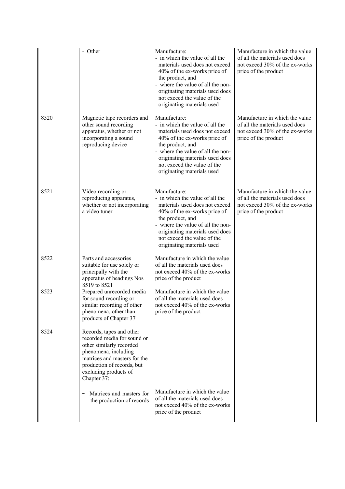|      | - Other                                                                                                                                                                                                           | Manufacture:                                                                                                                                                                                                                                                               | Manufacture in which the value                                                                                             |
|------|-------------------------------------------------------------------------------------------------------------------------------------------------------------------------------------------------------------------|----------------------------------------------------------------------------------------------------------------------------------------------------------------------------------------------------------------------------------------------------------------------------|----------------------------------------------------------------------------------------------------------------------------|
|      |                                                                                                                                                                                                                   | - in which the value of all the<br>materials used does not exceed<br>40% of the ex-works price of<br>the product, and<br>- where the value of all the non-<br>originating materials used does<br>not exceed the value of the<br>originating materials used                 | of all the materials used does<br>not exceed 30% of the ex-works<br>price of the product                                   |
| 8520 | Magnetic tape recorders and<br>other sound recording<br>apparatus, whether or not<br>incorporating a sound<br>reproducing device                                                                                  | Manufacture:<br>- in which the value of all the<br>materials used does not exceed<br>40% of the ex-works price of<br>the product, and<br>where the value of all the non-<br>originating materials used does<br>not exceed the value of the<br>originating materials used   | Manufacture in which the value<br>of all the materials used does<br>not exceed 30% of the ex-works<br>price of the product |
| 8521 | Video recording or<br>reproducing apparatus,<br>whether or not incorporating<br>a video tuner                                                                                                                     | Manufacture:<br>- in which the value of all the<br>materials used does not exceed<br>40% of the ex-works price of<br>the product, and<br>- where the value of all the non-<br>originating materials used does<br>not exceed the value of the<br>originating materials used | Manufacture in which the value<br>of all the materials used does<br>not exceed 30% of the ex-works<br>price of the product |
| 8522 | Parts and accessories<br>suitable for use solely or<br>principally with the<br>apperatus of headings Nos<br>8519 to 8521                                                                                          | Manufacture in which the value<br>of all the materials used does<br>not exceed 40% of the ex-works<br>price of the product                                                                                                                                                 |                                                                                                                            |
| 8523 | Prepared unrecorded media<br>for sound recording or<br>similar recording of other<br>phenomena, other than<br>products of Chapter 37                                                                              | Manufacture in which the value<br>of all the materials used does<br>not exceed 40% of the ex-works<br>price of the product                                                                                                                                                 |                                                                                                                            |
| 8524 | Records, tapes and other<br>recorded media for sound or<br>other similarly recorded<br>phenomena, including<br>matrices and masters for the<br>production of records, but<br>excluding products of<br>Chapter 37: |                                                                                                                                                                                                                                                                            |                                                                                                                            |
|      | Matrices and masters for<br>the production of records                                                                                                                                                             | Manufacture in which the value<br>of all the materials used does<br>not exceed 40% of the ex-works<br>price of the product                                                                                                                                                 |                                                                                                                            |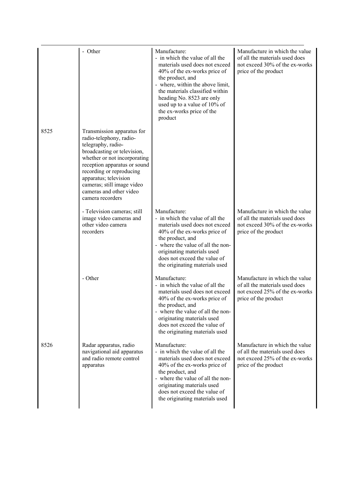|      | - Other                                                                                                                                                                                                                                                                                                      | Manufacture:<br>- in which the value of all the<br>materials used does not exceed<br>40% of the ex-works price of<br>the product, and<br>- where, within the above limit,<br>the materials classified within<br>heading No. 8523 are only<br>used up to a value of 10% of<br>the ex-works price of the<br>product | Manufacture in which the value<br>of all the materials used does<br>not exceed 30% of the ex-works<br>price of the product |
|------|--------------------------------------------------------------------------------------------------------------------------------------------------------------------------------------------------------------------------------------------------------------------------------------------------------------|-------------------------------------------------------------------------------------------------------------------------------------------------------------------------------------------------------------------------------------------------------------------------------------------------------------------|----------------------------------------------------------------------------------------------------------------------------|
| 8525 | Transmission apparatus for<br>radio-telephony, radio-<br>telegraphy, radio-<br>broadcasting or television,<br>whether or not incorporating<br>reception apparatus or sound<br>recording or reproducing<br>apparatus; television<br>cameras; still image video<br>cameras and other video<br>camera recorders |                                                                                                                                                                                                                                                                                                                   |                                                                                                                            |
|      | - Television cameras; still<br>image video cameras and<br>other video camera<br>recorders                                                                                                                                                                                                                    | Manufacture:<br>- in which the value of all the<br>materials used does not exceed<br>40% of the ex-works price of<br>the product, and<br>- where the value of all the non-<br>originating materials used<br>does not exceed the value of<br>the originating materials used                                        | Manufacture in which the value<br>of all the materials used does<br>not exceed 30% of the ex-works<br>price of the product |
|      | - Other                                                                                                                                                                                                                                                                                                      | Manufacture:<br>- in which the value of all the<br>materials used does not exceed<br>40% of the ex-works price of<br>the product, and<br>- where the value of all the non-<br>originating materials used<br>does not exceed the value of<br>the originating materials used                                        | Manufacture in which the value<br>of all the materials used does<br>not exceed 25% of the ex-works<br>price of the product |
| 8526 | Radar apparatus, radio<br>navigational aid apparatus<br>and radio remote control<br>apparatus                                                                                                                                                                                                                | Manufacture:<br>- in which the value of all the<br>materials used does not exceed<br>40% of the ex-works price of<br>the product, and<br>- where the value of all the non-<br>originating materials used<br>does not exceed the value of<br>the originating materials used                                        | Manufacture in which the value<br>of all the materials used does<br>not exceed 25% of the ex-works<br>price of the product |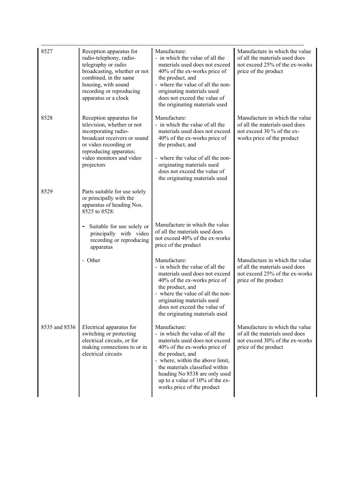| 8527          | Reception apparatus for<br>radio-telephony, radio-<br>telegraphy or radio<br>broadcasting, whether or not<br>combined, in the same<br>housing, with sound<br>recording or reproducing<br>apparatus or a clock | Manufacture:<br>- in which the value of all the<br>materials used does not exceed<br>40% of the ex-works price of<br>the product, and<br>- where the value of all the non-<br>originating materials used<br>does not exceed the value of<br>the originating materials used                                     | Manufacture in which the value<br>of all the materials used does<br>not exceed 25% of the ex-works<br>price of the product   |
|---------------|---------------------------------------------------------------------------------------------------------------------------------------------------------------------------------------------------------------|----------------------------------------------------------------------------------------------------------------------------------------------------------------------------------------------------------------------------------------------------------------------------------------------------------------|------------------------------------------------------------------------------------------------------------------------------|
| 8528          | Reception apparatus for<br>television, whether or not<br>incorporating radio-<br>broadcast receivers or sound<br>or video recording or<br>reproducing apparatus;<br>video monitors and video<br>projectors    | Manufacture:<br>- in which the value of all the<br>materials used does not exceed<br>40% of the ex-works price of<br>the product, and<br>where the value of all the non-<br>originating materials used<br>does not exceed the value of<br>the originating materials used                                       | Manufacture in which the value<br>of all the materials used does<br>not exceed 30 % of the ex-<br>works price of the product |
| 8529          | Parts suitable for use solely<br>or principally with the<br>apparatus of heading Nos.<br>8525 to 8528:                                                                                                        |                                                                                                                                                                                                                                                                                                                |                                                                                                                              |
|               | Suitable for use solely or<br>$\blacksquare$<br>principally with video<br>recording or reproducing<br>apparatus                                                                                               | Manufacture in which the value<br>of all the materials used does<br>not exceed 40% of the ex-works<br>price of the product                                                                                                                                                                                     |                                                                                                                              |
|               | - Other                                                                                                                                                                                                       | Manufacture:<br>- in which the value of all the<br>materials used does not exceed<br>40% of the ex-works price of<br>the product, and<br>- where the value of all the non-<br>originating materials used<br>does not exceed the value of<br>the originating materials used                                     | Manufacture in which the value<br>of all the materials used does<br>not exceed 25% of the ex-works<br>price of the product   |
| 8535 and 8536 | Electrical apparatus for<br>switching or protecting<br>electrical circuits, or for<br>making connections to or in<br>electrical circuits                                                                      | Manufacture:<br>- in which the value of all the<br>materials used does not exceed<br>40% of the ex-works price of<br>the product, and<br>- where, within the above limit,<br>the materials classified within<br>heading No 8538 are only used<br>up to a value of 10% of the ex-<br>works price of the product | Manufacture in which the value<br>of all the materials used does<br>not exceed 30% of the ex-works<br>price of the product   |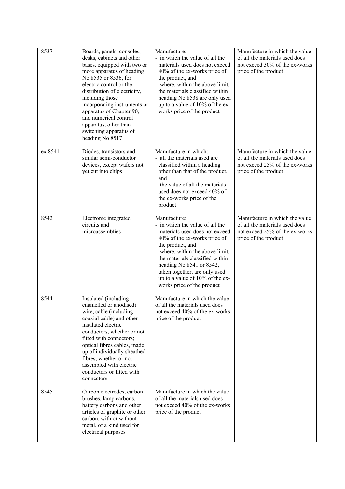| 8537    | Boards, panels, consoles,<br>desks, cabinets and other<br>bases, equipped with two or<br>more apparatus of heading<br>No 8535 or 8536, for<br>electric control or the<br>distribution of electricity,<br>including those<br>incorporating instruments or<br>apparatus of Chapter 90,<br>and numerical control<br>apparatus, other than<br>switching apparatus of<br>heading No 8517 | Manufacture:<br>- in which the value of all the<br>materials used does not exceed<br>40% of the ex-works price of<br>the product, and<br>- where, within the above limit,<br>the materials classified within<br>heading No 8538 are only used<br>up to a value of 10% of the ex-<br>works price of the product                             | Manufacture in which the value<br>of all the materials used does<br>not exceed 30% of the ex-works<br>price of the product |
|---------|-------------------------------------------------------------------------------------------------------------------------------------------------------------------------------------------------------------------------------------------------------------------------------------------------------------------------------------------------------------------------------------|--------------------------------------------------------------------------------------------------------------------------------------------------------------------------------------------------------------------------------------------------------------------------------------------------------------------------------------------|----------------------------------------------------------------------------------------------------------------------------|
| ex 8541 | Diodes, transistors and<br>similar semi-conductor<br>devices, except wafers not<br>yet cut into chips                                                                                                                                                                                                                                                                               | Manufacture in which:<br>- all the materials used are<br>classified within a heading<br>other than that of the product,<br>and<br>- the value of all the materials<br>used does not exceed 40% of<br>the ex-works price of the<br>product                                                                                                  | Manufacture in which the value<br>of all the materials used does<br>not exceed 25% of the ex-works<br>price of the product |
| 8542    | Electronic integrated<br>circuits and<br>microassemblies                                                                                                                                                                                                                                                                                                                            | Manufacture:<br>- in which the value of all the<br>materials used does not exceed<br>40% of the ex-works price of<br>the product, and<br>- where, within the above limit,<br>the materials classified within<br>heading No 8541 or 8542,<br>taken together, are only used<br>up to a value of 10% of the ex-<br>works price of the product | Manufacture in which the value<br>of all the materials used does<br>not exceed 25% of the ex-works<br>price of the product |
| 8544    | Insulated (including<br>enamelled or anodised)<br>wire, cable (including<br>coaxial cable) and other<br>insulated electric<br>conductors, whether or not<br>fitted with connectors;<br>optical fibres cables, made<br>up of individually sheathed<br>fibres, whether or not<br>assembled with electric<br>conductors or fitted with<br>connectors                                   | Manufacture in which the value<br>of all the materials used does<br>not exceed 40% of the ex-works<br>price of the product                                                                                                                                                                                                                 |                                                                                                                            |
| 8545    | Carbon electrodes, carbon<br>brushes, lamp carbons,<br>battery carbons and other<br>articles of graphite or other<br>carbon, with or without<br>metal, of a kind used for<br>electrical purposes                                                                                                                                                                                    | Manufacture in which the value<br>of all the materials used does<br>not exceed 40% of the ex-works<br>price of the product                                                                                                                                                                                                                 |                                                                                                                            |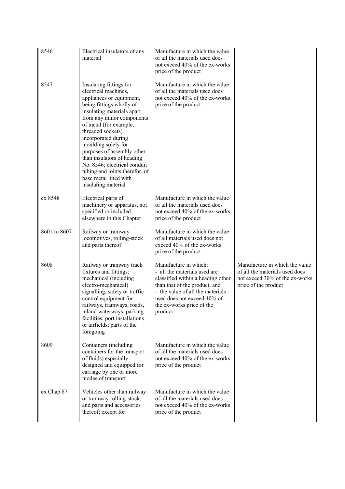| 8546         | Electrical insulators of any<br>material                                                                                                                                                                                                                                                                                                                                                                                                      | Manufacture in which the value<br>of all the materials used does<br>not exceed 40% of the ex-works<br>price of the product                                                                                                             |                                                                                                                            |
|--------------|-----------------------------------------------------------------------------------------------------------------------------------------------------------------------------------------------------------------------------------------------------------------------------------------------------------------------------------------------------------------------------------------------------------------------------------------------|----------------------------------------------------------------------------------------------------------------------------------------------------------------------------------------------------------------------------------------|----------------------------------------------------------------------------------------------------------------------------|
| 8547         | Insulating fittings for<br>electrical machines,<br>appliances or equipment,<br>being fittings wholly of<br>insulating materials apart<br>from any minor components<br>of metal (for example,<br>threaded sockets)<br>incorporated during<br>moulding solely for<br>purposes of assembly other<br>than insulators of heading<br>No. 8546; electrical conduit<br>tubing and joints therefor, of<br>base metal lined with<br>insulating material | Manufacture in which the value<br>of all the materials used does<br>not exceed 40% of the ex-works<br>price of the product                                                                                                             |                                                                                                                            |
| ex 8548      | Electrical parts of<br>machinery or apparatus, not<br>specified or included<br>elsewhere in this Chapter                                                                                                                                                                                                                                                                                                                                      | Manufacture in which the value<br>of all the materials used does<br>not exceed 40% of the ex-works<br>price of the product                                                                                                             |                                                                                                                            |
| 8601 to 8607 | Railway or tramway<br>locomotives, rolling-stock<br>and parts thereof                                                                                                                                                                                                                                                                                                                                                                         | Manufacture in which the value<br>of all materials used does not<br>exceed 40% of the ex-works<br>price of the product                                                                                                                 |                                                                                                                            |
| 8608         | Railway or tramway track<br>fixtures and fittings;<br>mechanical (including<br>electro-mechanical)<br>signalling, safety or traffic<br>control equipment for<br>railways, tramways, roads,<br>inland waterways, parking<br>facilities, port installations<br>or airfields; parts of the<br>foregoing                                                                                                                                          | Manufacture in which:<br>- all the materials used are<br>classified within a heading other<br>than that of the product, and<br>- the value of all the materials<br>used does not exceed 40% of<br>the ex-works price of the<br>product | Manufacture in which the value<br>of all the materials used does<br>not exceed 30% of the ex-works<br>price of the product |
| 8609         | Containers (including<br>containers for the transport<br>of fluids) especially<br>designed and equipped for<br>carriage by one or more<br>modes of transport                                                                                                                                                                                                                                                                                  | Manufacture in which the value<br>of all the materials used does<br>not exceed 40% of the ex-works<br>price of the product                                                                                                             |                                                                                                                            |
| ex Chap.87   | Vehicles other than railway<br>or tramway rolling-stock,<br>and parts and accessories<br>thereof; except for:                                                                                                                                                                                                                                                                                                                                 | Manufacture in which the value<br>of all the materials used does<br>not exceed 40% of the ex-works<br>price of the product                                                                                                             |                                                                                                                            |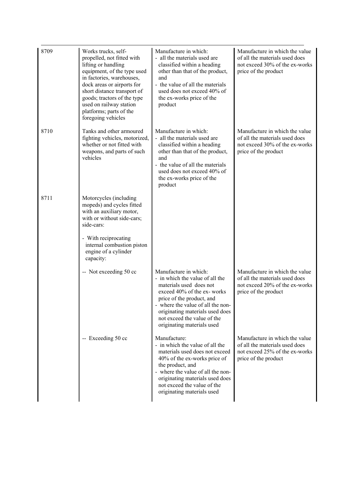| 8709 | Works trucks, self-<br>propelled, not fitted with<br>lifting or handling<br>equipment, of the type used<br>in factories, warehouses,<br>dock areas or airports for<br>short distance transport of<br>goods; tractors of the type<br>used on railway station<br>platforms; parts of the<br>foregoing vehicles | Manufacture in which:<br>- all the materials used are<br>classified within a heading<br>other than that of the product,<br>and<br>- the value of all the materials<br>used does not exceed 40% of<br>the ex-works price of the<br>product                                           | Manufacture in which the value<br>of all the materials used does<br>not exceed 30% of the ex-works<br>price of the product |
|------|--------------------------------------------------------------------------------------------------------------------------------------------------------------------------------------------------------------------------------------------------------------------------------------------------------------|-------------------------------------------------------------------------------------------------------------------------------------------------------------------------------------------------------------------------------------------------------------------------------------|----------------------------------------------------------------------------------------------------------------------------|
| 8710 | Tanks and other armoured<br>fighting vehicles, motorized,<br>whether or not fitted with<br>weapons, and parts of such<br>vehicles                                                                                                                                                                            | Manufacture in which:<br>- all the materials used are<br>classified within a heading<br>other than that of the product,<br>and<br>- the value of all the materials<br>used does not exceed 40% of<br>the ex-works price of the<br>product                                           | Manufacture in which the value<br>of all the materials used does<br>not exceed 30% of the ex-works<br>price of the product |
| 8711 | Motorcycles (including<br>mopeds) and cycles fitted<br>with an auxiliary motor,<br>with or without side-cars;<br>side-cars:<br>- With reciprocating                                                                                                                                                          |                                                                                                                                                                                                                                                                                     |                                                                                                                            |
|      | internal combustion piston<br>engine of a cylinder<br>capacity:                                                                                                                                                                                                                                              |                                                                                                                                                                                                                                                                                     |                                                                                                                            |
|      | -- Not exceeding 50 cc                                                                                                                                                                                                                                                                                       | Manufacture in which:<br>- in which the value of all the<br>materials used does not<br>exceed 40% of the ex-works<br>price of the product, and<br>- where the value of all the non-<br>originating materials used does<br>not exceed the value of the<br>originating materials used | Manufacture in which the value<br>of all the materials used does<br>not exceed 20% of the ex-works<br>price of the product |
|      | -- Exceeding 50 cc                                                                                                                                                                                                                                                                                           | Manufacture:<br>- in which the value of all the<br>materials used does not exceed<br>40% of the ex-works price of<br>the product, and<br>- where the value of all the non-<br>originating materials used does<br>not exceed the value of the<br>originating materials used          | Manufacture in which the value<br>of all the materials used does<br>not exceed 25% of the ex-works<br>price of the product |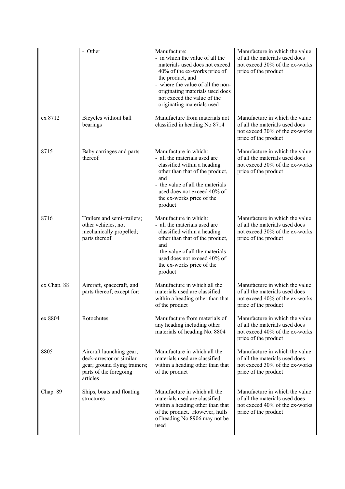|             | - Other                                                                                                                     | Manufacture:<br>- in which the value of all the<br>materials used does not exceed<br>40% of the ex-works price of<br>the product, and<br>- where the value of all the non-<br>originating materials used does<br>not exceed the value of the<br>originating materials used | Manufacture in which the value<br>of all the materials used does<br>not exceed 30% of the ex-works<br>price of the product |
|-------------|-----------------------------------------------------------------------------------------------------------------------------|----------------------------------------------------------------------------------------------------------------------------------------------------------------------------------------------------------------------------------------------------------------------------|----------------------------------------------------------------------------------------------------------------------------|
| ex 8712     | Bicycles without ball<br>bearings                                                                                           | Manufacture from materials not<br>classified in heading No 8714                                                                                                                                                                                                            | Manufacture in which the value<br>of all the materials used does<br>not exceed 30% of the ex-works<br>price of the product |
| 8715        | Baby carriages and parts<br>thereof                                                                                         | Manufacture in which:<br>- all the materials used are<br>classified within a heading<br>other than that of the product,<br>and<br>- the value of all the materials<br>used does not exceed 40% of<br>the ex-works price of the<br>product                                  | Manufacture in which the value<br>of all the materials used does<br>not exceed 30% of the ex-works<br>price of the product |
| 8716        | Trailers and semi-trailers;<br>other vehicles, not<br>mechanically propelled;<br>parts thereof                              | Manufacture in which:<br>- all the materials used are<br>classified within a heading<br>other than that of the product,<br>and<br>- the value of all the materials<br>used does not exceed 40% of<br>the ex-works price of the<br>product                                  | Manufacture in which the value<br>of all the materials used does<br>not exceed 30% of the ex-works<br>price of the product |
| ex Chap. 88 | Aircraft, spacecraft, and<br>parts thereof; except for:                                                                     | Manufacture in which all the<br>materials used are classified<br>within a heading other than that<br>of the product                                                                                                                                                        | Manufacture in which the value<br>of all the materials used does<br>not exceed 40% of the ex-works<br>price of the product |
| ex 8804     | Rotochutes                                                                                                                  | Manufacture from materials of<br>any heading including other<br>materials of heading No. 8804                                                                                                                                                                              | Manufacture in which the value<br>of all the materials used does<br>not exceed 40% of the ex-works<br>price of the product |
| 8805        | Aircraft launching gear;<br>deck-arrestor or similar<br>gear; ground flying trainers;<br>parts of the foregoing<br>articles | Manufacture in which all the<br>materials used are classified<br>within a heading other than that<br>of the product                                                                                                                                                        | Manufacture in which the value<br>of all the materials used does<br>not exceed 30% of the ex-works<br>price of the product |
| Chap. 89    | Ships, boats and floating<br>structures                                                                                     | Manufacture in which all the<br>materials used are classified<br>within a heading other than that<br>of the product. However, hulls<br>of heading No 8906 may not be<br>used                                                                                               | Manufacture in which the value<br>of all the materials used does<br>not exceed 40% of the ex-works<br>price of the product |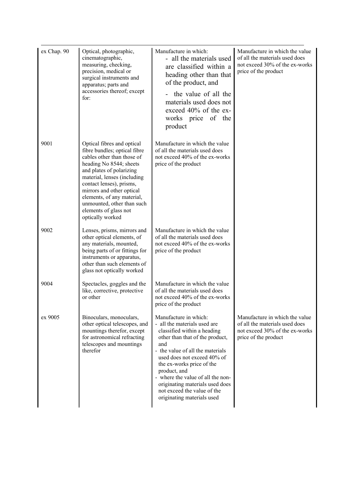| ex Chap. 90 | Optical, photographic,<br>cinematographic,<br>measuring, checking,<br>precision, medical or<br>surgical instruments and<br>apparatus; parts and<br>accessories thereof; except<br>for:                                                                                                                                                           | Manufacture in which:<br>- all the materials used<br>are classified within a<br>heading other than that<br>of the product, and<br>the value of all the<br>materials used does not<br>exceed 40% of the ex-<br>works price of the<br>product                                                                                                                                         | Manufacture in which the value<br>of all the materials used does<br>not exceed 30% of the ex-works<br>price of the product |
|-------------|--------------------------------------------------------------------------------------------------------------------------------------------------------------------------------------------------------------------------------------------------------------------------------------------------------------------------------------------------|-------------------------------------------------------------------------------------------------------------------------------------------------------------------------------------------------------------------------------------------------------------------------------------------------------------------------------------------------------------------------------------|----------------------------------------------------------------------------------------------------------------------------|
| 9001        | Optical fibres and optical<br>fibre bundles; optical fibre<br>cables other than those of<br>heading No 8544; sheets<br>and plates of polarizing<br>material, lenses (including<br>contact lenses), prisms,<br>mirrors and other optical<br>elements, of any material,<br>unmounted, other than such<br>elements of glass not<br>optically worked | Manufacture in which the value<br>of all the materials used does<br>not exceed 40% of the ex-works<br>price of the product                                                                                                                                                                                                                                                          |                                                                                                                            |
| 9002        | Lenses, prisms, mirrors and<br>other optical elements, of<br>any materials, mounted,<br>being parts of or fittings for<br>instruments or apparatus,<br>other than such elements of<br>glass not optically worked                                                                                                                                 | Manufacture in which the value<br>of all the materials used does<br>not exceed 40% of the ex-works<br>price of the product                                                                                                                                                                                                                                                          |                                                                                                                            |
| 9004        | Spectacles, goggles and the<br>like, corrective, protective<br>or other                                                                                                                                                                                                                                                                          | Manufacture in which the value<br>of all the materials used does<br>not exceed 40% of the ex-works<br>price of the product                                                                                                                                                                                                                                                          |                                                                                                                            |
| ex 9005     | Binoculars, monoculars,<br>other optical telescopes, and<br>mountings therefor, except<br>for astronomical refracting<br>telescopes and mountings<br>therefor                                                                                                                                                                                    | Manufacture in which:<br>- all the materials used are<br>classified within a heading<br>other than that of the product,<br>and<br>- the value of all the materials<br>used does not exceed 40% of<br>the ex-works price of the<br>product, and<br>- where the value of all the non-<br>originating materials used does<br>not exceed the value of the<br>originating materials used | Manufacture in which the value<br>of all the materials used does<br>not exceed 30% of the ex-works<br>price of the product |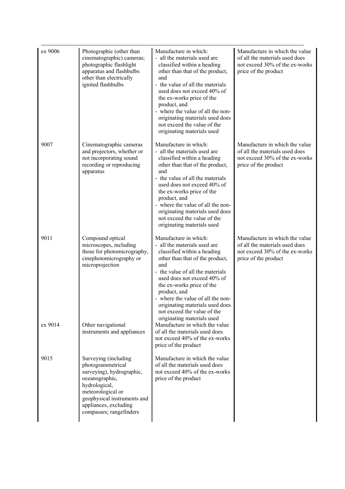| ex 9006 | Photographic (other than<br>cinematographic) cameras;<br>photographic flashlight<br>apparatus and flashbulbs<br>other than electrically<br>ignited flashbulbs                                                     | Manufacture in which:<br>- all the materials used are<br>classified within a heading<br>other than that of the product,<br>and<br>- the value of all the materials<br>used does not exceed 40% of<br>the ex-works price of the<br>product, and<br>- where the value of all the non-<br>originating materials used does<br>not exceed the value of the<br>originating materials used | Manufacture in which the value<br>of all the materials used does<br>not exceed 30% of the ex-works<br>price of the product |
|---------|-------------------------------------------------------------------------------------------------------------------------------------------------------------------------------------------------------------------|-------------------------------------------------------------------------------------------------------------------------------------------------------------------------------------------------------------------------------------------------------------------------------------------------------------------------------------------------------------------------------------|----------------------------------------------------------------------------------------------------------------------------|
| 9007    | Cinematographic cameras<br>and projectors, whether or<br>not incorporating sound<br>recording or reproducing<br>apparatus                                                                                         | Manufacture in which:<br>- all the materials used are<br>classified within a heading<br>other than that of the product,<br>and<br>- the value of all the materials<br>used does not exceed 40% of<br>the ex-works price of the<br>product, and<br>- where the value of all the non-<br>originating materials used does<br>not exceed the value of the<br>originating materials used | Manufacture in which the value<br>of all the materials used does<br>not exceed 30% of the ex-works<br>price of the product |
| 9011    | Compound optical<br>microscopes, including<br>those for photomicrography,<br>cinephotomicrography or<br>microprojection                                                                                           | Manufacture in which:<br>- all the materials used are<br>classified within a heading<br>other than that of the product,<br>and<br>- the value of all the materials<br>used does not exceed 40% of<br>the ex-works price of the<br>product, and<br>- where the value of all the non-<br>originating materials used does<br>not exceed the value of the<br>originating materials used | Manufacture in which the value<br>of all the materials used does<br>not exceed 30% of the ex-works<br>price of the product |
| ex 9014 | Other navigational<br>instruments and appliances                                                                                                                                                                  | Manufacture in which the value<br>of all the materials used does<br>not exceed 40% of the ex-works<br>price of the product                                                                                                                                                                                                                                                          |                                                                                                                            |
| 9015    | Surveying (including<br>photogrammetrical<br>surveying), hydrographic,<br>oceanographic,<br>hydrological,<br>meteorological or<br>geophysical instruments and<br>appliances, excluding<br>compasses; rangefinders | Manufacture in which the value<br>of all the materials used does<br>not exceed 40% of the ex-works<br>price of the product                                                                                                                                                                                                                                                          |                                                                                                                            |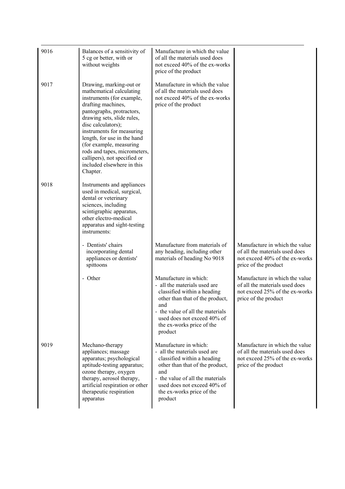| 9016 | Balances of a sensitivity of<br>5 cg or better, with or<br>without weights                                                                                                                                                                                                                                                                                                               | Manufacture in which the value<br>of all the materials used does<br>not exceed 40% of the ex-works<br>price of the product                                                                                                                |                                                                                                                            |
|------|------------------------------------------------------------------------------------------------------------------------------------------------------------------------------------------------------------------------------------------------------------------------------------------------------------------------------------------------------------------------------------------|-------------------------------------------------------------------------------------------------------------------------------------------------------------------------------------------------------------------------------------------|----------------------------------------------------------------------------------------------------------------------------|
| 9017 | Drawing, marking-out or<br>mathematical calculating<br>instruments (for example,<br>drafting machines,<br>pantographs, protractors,<br>drawing sets, slide rules,<br>disc calculators);<br>instruments for measuring<br>length, for use in the hand<br>(for example, measuring<br>rods and tapes, micrometers,<br>callipers), not specified or<br>included elsewhere in this<br>Chapter. | Manufacture in which the value<br>of all the materials used does<br>not exceed 40% of the ex-works<br>price of the product                                                                                                                |                                                                                                                            |
| 9018 | Instruments and appliances<br>used in medical, surgical,<br>dental or veterinary<br>sciences, including<br>scintigraphic apparatus,<br>other electro-medical<br>apparatus and sight-testing<br>instruments:                                                                                                                                                                              |                                                                                                                                                                                                                                           |                                                                                                                            |
|      | - Dentists' chairs<br>incorporating dental<br>appliances or dentists'<br>spittoons                                                                                                                                                                                                                                                                                                       | Manufacture from materials of<br>any heading, including other<br>materials of heading No 9018                                                                                                                                             | Manufacture in which the value<br>of all the materials used does<br>not exceed 40% of the ex-works<br>price of the product |
|      | - Other                                                                                                                                                                                                                                                                                                                                                                                  | Manufacture in which:<br>- all the materials used are<br>classified within a heading<br>other than that of the product,<br>and<br>- the value of all the materials<br>used does not exceed 40% of<br>the ex-works price of the<br>product | Manufacture in which the value<br>of all the materials used does<br>not exceed 25% of the ex-works<br>price of the product |
| 9019 | Mechano-therapy<br>appliances; massage<br>apparatus; psychological<br>aptitude-testing apparatus;<br>ozone therapy, oxygen<br>therapy, aerosol therapy,<br>artificial respiration or other<br>therapeutic respiration<br>apparatus                                                                                                                                                       | Manufacture in which:<br>- all the materials used are<br>classified within a heading<br>other than that of the product,<br>and<br>- the value of all the materials<br>used does not exceed 40% of<br>the ex-works price of the<br>product | Manufacture in which the value<br>of all the materials used does<br>not exceed 25% of the ex-works<br>price of the product |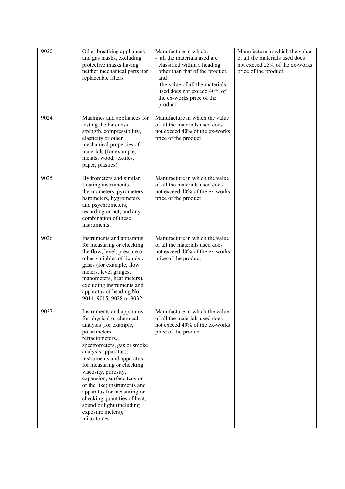| 9020 | Other breathing appliances<br>and gas masks, excluding<br>protective masks having<br>neither mechanical parts nor<br>replaceable filters                                                                                                                                                                                                                                                                                                                 | Manufacture in which:<br>- all the materials used are<br>classified within a heading<br>other than that of the product,<br>and<br>- the value of all the materials<br>used does not exceed 40% of<br>the ex-works price of the<br>product | Manufacture in which the value<br>of all the materials used does<br>not exceed 25% of the ex-works<br>price of the product |
|------|----------------------------------------------------------------------------------------------------------------------------------------------------------------------------------------------------------------------------------------------------------------------------------------------------------------------------------------------------------------------------------------------------------------------------------------------------------|-------------------------------------------------------------------------------------------------------------------------------------------------------------------------------------------------------------------------------------------|----------------------------------------------------------------------------------------------------------------------------|
| 9024 | Machines and appliances for<br>testing the hardness,<br>strength, compressibility,<br>elasticity or other<br>mechanical properties of<br>materials (for example,<br>metals, wood, textiles,<br>paper, plastics)                                                                                                                                                                                                                                          | Manufacture in which the value<br>of all the materials used does<br>not exceed 40% of the ex-works<br>price of the product                                                                                                                |                                                                                                                            |
| 9025 | Hydrometers and similar<br>floating instruments,<br>thermometers, pyrometers,<br>barometers, hygrometers<br>and psychrometers,<br>recording or not, and any<br>combination of these<br>instruments                                                                                                                                                                                                                                                       | Manufacture in which the value<br>of all the materials used does<br>not exceed 40% of the ex-works<br>price of the product                                                                                                                |                                                                                                                            |
| 9026 | Instruments and apparatus<br>for measuring or checking<br>the flow, level, pressure or<br>other variables of liquids or<br>gases (for example, flow<br>meters, level gauges,<br>manometers, heat meters),<br>excluding instruments and<br>apparatus of heading No.<br>9014, 9015, 9028 or 9032                                                                                                                                                           | Manufacture in which the value<br>of all the materials used does<br>not exceed 40% of the ex-works<br>price of the product                                                                                                                |                                                                                                                            |
| 9027 | Instruments and apparatus<br>for physical or chemical<br>analysis (for example,<br>polarimeters,<br>refractometers,<br>spectrometers, gas or smoke<br>analysis apparatus);<br>instruments and apparatus<br>for measuring or checking<br>viscosity, porosity,<br>expansion, surface tension<br>or the like; instruments and<br>apparatus for measuring or<br>checking quantities of heat,<br>sound or light (including<br>exposure meters);<br>microtomes | Manufacture in which the value<br>of all the materials used does<br>not exceed 40% of the ex-works<br>price of the product                                                                                                                |                                                                                                                            |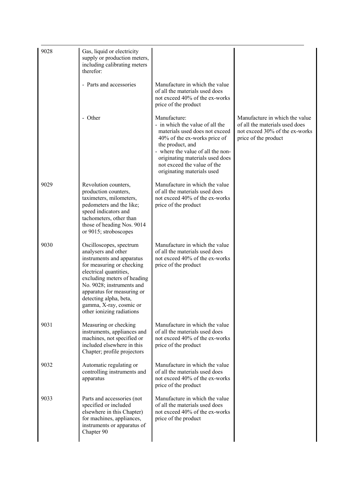| 9028 | Gas, liquid or electricity<br>supply or production meters,<br>including calibrating meters<br>therefor:                                                                                                                                                                                                        |                                                                                                                                                                                                                                                                            |                                                                                                                            |
|------|----------------------------------------------------------------------------------------------------------------------------------------------------------------------------------------------------------------------------------------------------------------------------------------------------------------|----------------------------------------------------------------------------------------------------------------------------------------------------------------------------------------------------------------------------------------------------------------------------|----------------------------------------------------------------------------------------------------------------------------|
|      | - Parts and accessories                                                                                                                                                                                                                                                                                        | Manufacture in which the value<br>of all the materials used does<br>not exceed 40% of the ex-works<br>price of the product                                                                                                                                                 |                                                                                                                            |
|      | - Other                                                                                                                                                                                                                                                                                                        | Manufacture:<br>- in which the value of all the<br>materials used does not exceed<br>40% of the ex-works price of<br>the product, and<br>- where the value of all the non-<br>originating materials used does<br>not exceed the value of the<br>originating materials used | Manufacture in which the value<br>of all the materials used does<br>not exceed 30% of the ex-works<br>price of the product |
| 9029 | Revolution counters,<br>production counters,<br>taximeters, milometers,<br>pedometers and the like;<br>speed indicators and<br>tachometers, other than<br>those of heading Nos. 9014<br>or 9015; stroboscopes                                                                                                  | Manufacture in which the value<br>of all the materials used does<br>not exceed 40% of the ex-works<br>price of the product                                                                                                                                                 |                                                                                                                            |
| 9030 | Oscilloscopes, spectrum<br>analysers and other<br>instruments and apparatus<br>for measuring or checking<br>electrical quantities,<br>excluding meters of heading<br>No. 9028; instruments and<br>apparatus for measuring or<br>detecting alpha, beta,<br>gamma, X-ray, cosmic or<br>other ionizing radiations | Manufacture in which the value<br>of all the materials used does<br>not exceed 40% of the ex-works<br>price of the product                                                                                                                                                 |                                                                                                                            |
| 9031 | Measuring or checking<br>instruments, appliances and<br>machines, not specified or<br>included elsewhere in this<br>Chapter; profile projectors                                                                                                                                                                | Manufacture in which the value<br>of all the materials used does<br>not exceed 40% of the ex-works<br>price of the product                                                                                                                                                 |                                                                                                                            |
| 9032 | Automatic regulating or<br>controlling instruments and<br>apparatus                                                                                                                                                                                                                                            | Manufacture in which the value<br>of all the materials used does<br>not exceed 40% of the ex-works<br>price of the product                                                                                                                                                 |                                                                                                                            |
| 9033 | Parts and accessories (not<br>specified or included<br>elsewhere in this Chapter)<br>for machines, appliances,<br>instruments or apparatus of<br>Chapter 90                                                                                                                                                    | Manufacture in which the value<br>of all the materials used does<br>not exceed 40% of the ex-works<br>price of the product                                                                                                                                                 |                                                                                                                            |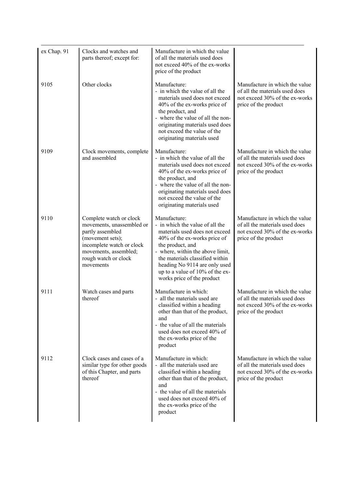| ex Chap. 91 | Clocks and watches and<br>parts thereof; except for:                                                                                                                                    | Manufacture in which the value<br>of all the materials used does<br>not exceed 40% of the ex-works<br>price of the product                                                                                                                                                                                        |                                                                                                                            |
|-------------|-----------------------------------------------------------------------------------------------------------------------------------------------------------------------------------------|-------------------------------------------------------------------------------------------------------------------------------------------------------------------------------------------------------------------------------------------------------------------------------------------------------------------|----------------------------------------------------------------------------------------------------------------------------|
| 9105        | Other clocks                                                                                                                                                                            | Manufacture:<br>- in which the value of all the<br>materials used does not exceed<br>40% of the ex-works price of<br>the product, and<br>- where the value of all the non-<br>originating materials used does<br>not exceed the value of the<br>originating materials used                                        | Manufacture in which the value<br>of all the materials used does<br>not exceed 30% of the ex-works<br>price of the product |
| 9109        | Clock movements, complete<br>and assembled                                                                                                                                              | Manufacture:<br>- in which the value of all the<br>materials used does not exceed<br>40% of the ex-works price of<br>the product, and<br>- where the value of all the non-<br>originating materials used does<br>not exceed the value of the<br>originating materials used                                        | Manufacture in which the value<br>of all the materials used does<br>not exceed 30% of the ex-works<br>price of the product |
| 9110        | Complete watch or clock<br>movements, unassembled or<br>partly assembled<br>(movement sets);<br>incomplete watch or clock<br>movements, assembled;<br>rough watch or clock<br>movements | Manufacture:<br>- in which the value of all the<br>materials used does not exceed<br>40% of the ex-works price of<br>the product, and<br>- where, within the above limit,<br>the materials classified within<br>heading No 9114 are only used<br>up to a value of $10\%$ of the ex-<br>works price of the product | Manufacture in which the value<br>of all the materials used does<br>not exceed 30% of the ex-works<br>price of the product |
| 9111        | Watch cases and parts<br>thereof                                                                                                                                                        | Manufacture in which:<br>- all the materials used are<br>classified within a heading<br>other than that of the product,<br>and<br>- the value of all the materials<br>used does not exceed 40% of<br>the ex-works price of the<br>product                                                                         | Manufacture in which the value<br>of all the materials used does<br>not exceed 30% of the ex-works<br>price of the product |
| 9112        | Clock cases and cases of a<br>similar type for other goods<br>of this Chapter, and parts<br>thereof                                                                                     | Manufacture in which:<br>- all the materials used are<br>classified within a heading<br>other than that of the product,<br>and<br>- the value of all the materials<br>used does not exceed 40% of<br>the ex-works price of the<br>product                                                                         | Manufacture in which the value<br>of all the materials used does<br>not exceed 30% of the ex-works<br>price of the product |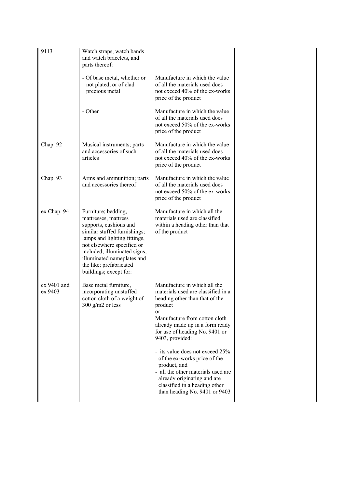| 9113                   | Watch straps, watch bands<br>and watch bracelets, and<br>parts thereof:                                                                                                                                                                                                                |                                                                                                                                                                                                                                                           |  |
|------------------------|----------------------------------------------------------------------------------------------------------------------------------------------------------------------------------------------------------------------------------------------------------------------------------------|-----------------------------------------------------------------------------------------------------------------------------------------------------------------------------------------------------------------------------------------------------------|--|
|                        | - Of base metal, whether or<br>not plated, or of clad<br>precious metal                                                                                                                                                                                                                | Manufacture in which the value<br>of all the materials used does<br>not exceed 40% of the ex-works<br>price of the product                                                                                                                                |  |
|                        | - Other                                                                                                                                                                                                                                                                                | Manufacture in which the value<br>of all the materials used does<br>not exceed 50% of the ex-works<br>price of the product                                                                                                                                |  |
| Chap. 92               | Musical instruments; parts<br>and accessories of such<br>articles                                                                                                                                                                                                                      | Manufacture in which the value<br>of all the materials used does<br>not exceed 40% of the ex-works<br>price of the product                                                                                                                                |  |
| Chap. 93               | Arms and ammunition; parts<br>and accessories thereof                                                                                                                                                                                                                                  | Manufacture in which the value<br>of all the materials used does<br>not exceed 50% of the ex-works<br>price of the product                                                                                                                                |  |
| ex Chap. 94            | Furniture; bedding,<br>mattresses, mattress<br>supports, cushions and<br>similar stuffed furnishings;<br>lamps and lighting fittings,<br>not elsewhere specified or<br>included; illuminated signs,<br>illuminated nameplates and<br>the like; prefabricated<br>buildings; except for: | Manufacture in which all the<br>materials used are classified<br>within a heading other than that<br>of the product                                                                                                                                       |  |
| ex 9401 and<br>ex 9403 | Base metal furniture,<br>incorporating unstuffed<br>cotton cloth of a weight of<br>$300$ g/m2 or less                                                                                                                                                                                  | Manufacture in which all the<br>materials used are classified in a<br>heading other than that of the<br>product<br><sub>or</sub><br>Manufacture from cotton cloth<br>already made up in a form ready<br>for use of heading No. 9401 or<br>9403, provided: |  |
|                        |                                                                                                                                                                                                                                                                                        | - its value does not exceed 25%<br>of the ex-works price of the<br>product, and<br>- all the other materials used are<br>already originating and are<br>classified in a heading other<br>than heading No. 9401 or 9403                                    |  |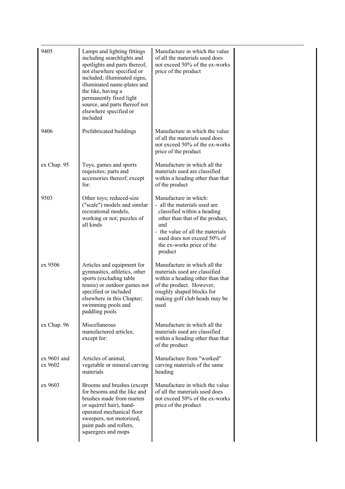| 9405                   | Lamps and lighting fittings<br>including searchlights and<br>spotlights and parts thereof,<br>not elsewhere specified or<br>included; illuminated signs,<br>illuminated name-plates and<br>the like, having a<br>permanently fixed light<br>source, and parts thereof not<br>elsewhere specified or<br>included | Manufacture in which the value<br>of all the materials used does<br>not exceed 50% of the ex-works<br>price of the product                                                                                                                |  |
|------------------------|-----------------------------------------------------------------------------------------------------------------------------------------------------------------------------------------------------------------------------------------------------------------------------------------------------------------|-------------------------------------------------------------------------------------------------------------------------------------------------------------------------------------------------------------------------------------------|--|
| 9406                   | Prefabricated buildings                                                                                                                                                                                                                                                                                         | Manufacture in which the value<br>of all the materials used does<br>not exceed 50% of the ex-works<br>price of the product                                                                                                                |  |
| ex Chap. 95            | Toys, games and sports<br>requisites; parts and<br>accessories thereof; except<br>for:                                                                                                                                                                                                                          | Manufacture in which all the<br>materials used are classified<br>within a heading other than that<br>of the product                                                                                                                       |  |
| 9503                   | Other toys; reduced-size<br>("scale") models and similar<br>recreational models,<br>working or not; puzzles of<br>all kinds                                                                                                                                                                                     | Manufacture in which:<br>- all the materials used are<br>classified within a heading<br>other than that of the product,<br>and<br>- the value of all the materials<br>used does not exceed 50% of<br>the ex-works price of the<br>product |  |
| ex 9506                | Articles and equipment for<br>gymnastics, athletics, other<br>sports (excluding table<br>tennis) or outdoor games not<br>specified or included<br>elsewhere in this Chapter;<br>swimming pools and<br>paddling pools                                                                                            | Manufacture in which all the<br>materials used are classified<br>within a heading other than that<br>of the product. However,<br>roughly shaped blocks for<br>making golf club heads may be<br>used                                       |  |
| ex Chap. 96            | Miscellaneous<br>manufactured articles;<br>except for:                                                                                                                                                                                                                                                          | Manufacture in which all the<br>materials used are classified<br>within a heading other than that<br>of the product                                                                                                                       |  |
| ex 9601 and<br>ex 9602 | Articles of animal,<br>vegetable or mineral carving<br>materials                                                                                                                                                                                                                                                | Manufacture from "worked"<br>carving materials of the same<br>heading                                                                                                                                                                     |  |
| ex 9603                | Brooms and brushes (except<br>for besoms and the like and<br>brushes made from marten<br>or squirrel hair), hand-<br>operated mechanical floor<br>sweepers, not motorized,<br>paint pads and rollers,<br>squeegees and mops                                                                                     | Manufacture in which the value<br>of all the materials used does<br>not exceed 50% of the ex-works<br>price of the product                                                                                                                |  |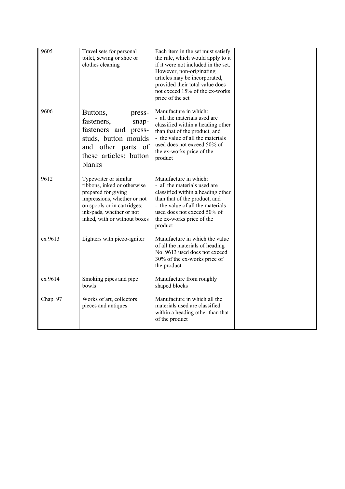| 9605     | Travel sets for personal<br>toilet, sewing or shoe or<br>clothes cleaning                                                                                                                             | Each item in the set must satisfy<br>the rule, which would apply to it<br>if it were not included in the set.<br>However, non-originating<br>articles may be incorporated,<br>provided their total value does<br>not exceed 15% of the ex-works<br>price of the set |  |
|----------|-------------------------------------------------------------------------------------------------------------------------------------------------------------------------------------------------------|---------------------------------------------------------------------------------------------------------------------------------------------------------------------------------------------------------------------------------------------------------------------|--|
| 9606     | Buttons,<br>press-<br>fasteners,<br>snap-<br>fasteners and press-<br>studs, button moulds<br>and other parts of<br>these articles; button<br>blanks                                                   | Manufacture in which:<br>- all the materials used are<br>classified within a heading other<br>than that of the product, and<br>- the value of all the materials<br>used does not exceed 50% of<br>the ex-works price of the<br>product                              |  |
| 9612     | Typewriter or similar<br>ribbons, inked or otherwise<br>prepared for giving<br>impressions, whether or not<br>on spools or in cartridges;<br>ink-pads, whether or not<br>inked, with or without boxes | Manufacture in which:<br>- all the materials used are<br>classified within a heading other<br>than that of the product, and<br>- the value of all the materials<br>used does not exceed 50% of<br>the ex-works price of the<br>product                              |  |
| ex 9613  | Lighters with piezo-igniter                                                                                                                                                                           | Manufacture in which the value<br>of all the materials of heading<br>No. 9613 used does not exceed<br>30% of the ex-works price of<br>the product                                                                                                                   |  |
| ex 9614  | Smoking pipes and pipe<br>bowls                                                                                                                                                                       | Manufacture from roughly<br>shaped blocks                                                                                                                                                                                                                           |  |
| Chap. 97 | Works of art, collectors<br>pieces and antiques                                                                                                                                                       | Manufacture in which all the<br>materials used are classified<br>within a heading other than that<br>of the product                                                                                                                                                 |  |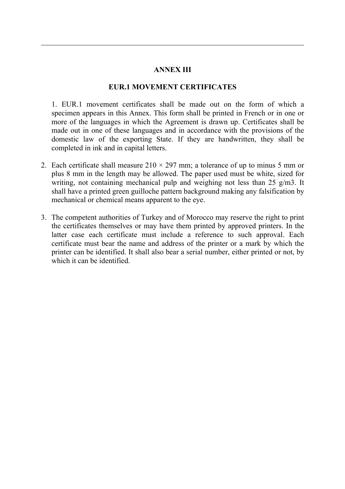### **ANNEX III**

-

### **EUR.1 MOVEMENT CERTIFICATES**

1. EUR.1 movement certificates shall be made out on the form of which a specimen appears in this Annex. This form shall be printed in French or in one or more of the languages in which the Agreement is drawn up. Certificates shall be made out in one of these languages and in accordance with the provisions of the domestic law of the exporting State. If they are handwritten, they shall be completed in ink and in capital letters.

- 2. Each certificate shall measure  $210 \times 297$  mm; a tolerance of up to minus 5 mm or plus 8 mm in the length may be allowed. The paper used must be white, sized for writing, not containing mechanical pulp and weighing not less than 25 g/m3. It shall have a printed green guilloche pattern background making any falsification by mechanical or chemical means apparent to the eye.
- 3. The competent authorities of Turkey and of Morocco may reserve the right to print the certificates themselves or may have them printed by approved printers. In the latter case each certificate must include a reference to such approval. Each certificate must bear the name and address of the printer or a mark by which the printer can be identified. It shall also bear a serial number, either printed or not, by which it can be identified.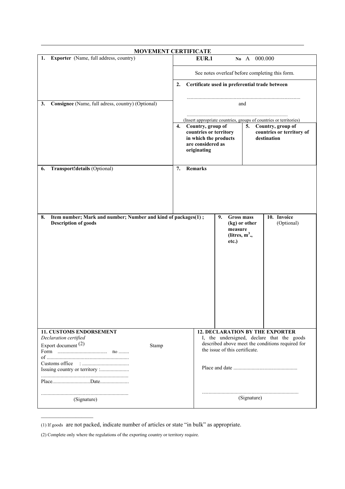| MOVEMENT CERTIFICATE                                                                               |                                                                                                           |
|----------------------------------------------------------------------------------------------------|-----------------------------------------------------------------------------------------------------------|
| Exporter (Name, full address, country)<br>1.                                                       | <b>EUR.1</b><br>No A 000.000                                                                              |
|                                                                                                    | See notes overleaf before completing this form.                                                           |
|                                                                                                    | 2.<br>Certificate used in preferential trade between                                                      |
|                                                                                                    |                                                                                                           |
| Consignee (Name, full adress, country) (Optional)<br>3.                                            | and                                                                                                       |
|                                                                                                    | (Insert appropriate countries, groups of countries or territories)                                        |
|                                                                                                    | Country, group of<br>Country, group of<br>5.<br>4.<br>countries or territory<br>countries or territory of |
|                                                                                                    | in which the products<br>destination<br>are considered as<br>originating                                  |
|                                                                                                    |                                                                                                           |
| Transport!details (Optional)<br>6.                                                                 | 7.<br>Remarks                                                                                             |
|                                                                                                    |                                                                                                           |
|                                                                                                    |                                                                                                           |
|                                                                                                    |                                                                                                           |
| Item number; Mark and number; Number and kind of packages(1);<br>8.<br><b>Description of goods</b> | <b>Gross mass</b><br>10. Invoice<br>9.<br>(Optional)<br>(kg) or other                                     |
|                                                                                                    | measure<br>(litres, $m^3$ .,<br>etc.)                                                                     |
|                                                                                                    |                                                                                                           |
|                                                                                                    |                                                                                                           |
|                                                                                                    |                                                                                                           |
|                                                                                                    |                                                                                                           |
|                                                                                                    |                                                                                                           |
|                                                                                                    |                                                                                                           |
|                                                                                                    |                                                                                                           |
| 11. CUSTOMS ENDORSEMENT                                                                            | <b>12. DECLARATION BY THE EXPORTER</b>                                                                    |
| Declaration certified                                                                              | I, the undersigned, declare that the goods<br>described above meet the conditions required for            |
| Export document $(2)$<br>Stamp                                                                     | the issue of this certificate.                                                                            |
|                                                                                                    |                                                                                                           |
| Issuing country or territory :                                                                     |                                                                                                           |
|                                                                                                    |                                                                                                           |
|                                                                                                    | (Signature)                                                                                               |
| (Signature)                                                                                        |                                                                                                           |

 $\mathcal{L}_\text{max}$ 

<sup>(1)</sup> If goods are not packed, indicate number of articles or state "in bulk" as appropriate.

<sup>(2)</sup> Complete only where the regulations of the exporting country or territory require.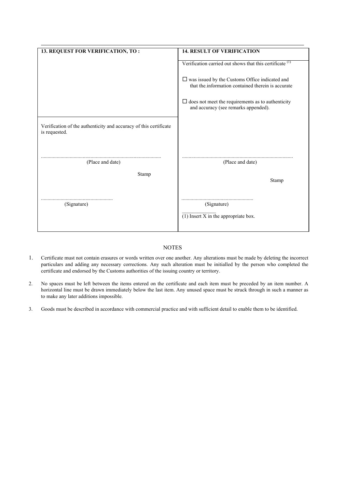| 13. REQUEST FOR VERIFICATION, TO:                                                  | <b>14. RESULT OF VERIFICATION</b>                                                                |
|------------------------------------------------------------------------------------|--------------------------------------------------------------------------------------------------|
|                                                                                    |                                                                                                  |
|                                                                                    | Verification carried out shows that this certificate <sup>(1)</sup>                              |
|                                                                                    |                                                                                                  |
|                                                                                    | $\square$ was issued by the Customs Office indicated and                                         |
|                                                                                    | that the information contained therein is accurate                                               |
|                                                                                    |                                                                                                  |
|                                                                                    | $\Box$ does not meet the requirements as to authenticity<br>and accuracy (see remarks appended). |
|                                                                                    |                                                                                                  |
| Verification of the authenticity and accuracy of this certificate<br>is requested. |                                                                                                  |
|                                                                                    |                                                                                                  |
| (Place and date)                                                                   | (Place and date)                                                                                 |
|                                                                                    |                                                                                                  |
| Stamp                                                                              | Stamp                                                                                            |
|                                                                                    |                                                                                                  |
|                                                                                    |                                                                                                  |
| (Signature)                                                                        | (Signature)                                                                                      |
|                                                                                    | $(1)$ Insert X in the appropriate box.                                                           |
|                                                                                    |                                                                                                  |
|                                                                                    |                                                                                                  |

#### NOTES

- 1. Certificate must not contain erasures or words written over one another. Any alterations must be made by deleting the incorrect particulars and adding any necessary corrections. Any such alteration must be initialled by the person who completed the certificate and endorsed by the Customs authorities of the issuing country or territory.
- 2. No spaces must be left between the items entered on the certificate and each item must be preceded by an item number. A horizontal line must be drawn immediately below the last item. Any unused space must be struck through in such a manner as to make any later additions impossible.
- 3. Goods must be described in accordance with commercial practice and with sufficient detail to enable them to be identified.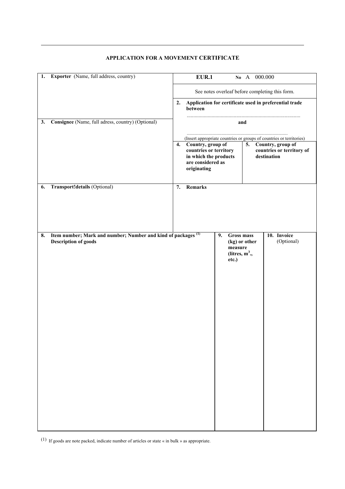| 1. | Exporter (Name, full address, country)                                                                  | <b>EUR.1</b><br>No A 000.000                                                                                         |
|----|---------------------------------------------------------------------------------------------------------|----------------------------------------------------------------------------------------------------------------------|
|    |                                                                                                         | See notes overleaf before completing this form.                                                                      |
|    |                                                                                                         | 2.<br>Application for certificate used in preferential trade<br>between                                              |
| 3. | Consignee (Name, full adress, country) (Optional)                                                       | and                                                                                                                  |
|    |                                                                                                         | (Insert appropriate countries or groups of countries or territories)                                                 |
|    |                                                                                                         | Country, group of<br>Country, group of<br>4.<br>5.<br>countries or territory<br>countries or territory of            |
|    |                                                                                                         | in which the products<br>destination<br>are considered as                                                            |
|    |                                                                                                         | originating                                                                                                          |
| 6. | Transport!details (Optional)                                                                            | Remarks<br>7.                                                                                                        |
|    |                                                                                                         |                                                                                                                      |
|    |                                                                                                         |                                                                                                                      |
| 8. | Item number; Mark and number; Number and kind of packages <sup>(1)</sup><br><b>Description of goods</b> | 10. Invoice<br>9.<br><b>Gross mass</b><br>(Optional)<br>(kg) or other<br>$\bf measure$<br>(litres, $m^3$ .,<br>etc.) |
|    |                                                                                                         |                                                                                                                      |

#### **APPLICATION FOR A MOVEMENT CERTIFICATE**

-

(1) If goods are note packed, indicate number of articles or state « in bulk » as appropriate.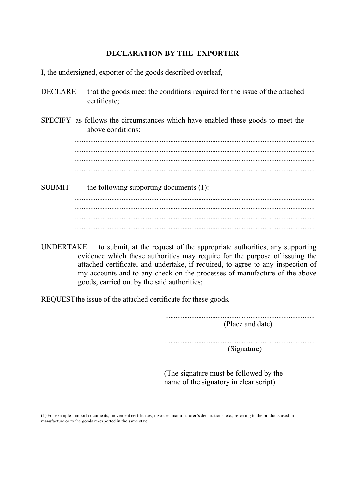### **DECLARATION BY THE EXPORTER**

I, the undersigned, exporter of the goods described overleaf,

-

- DECLARE that the goods meet the conditions required for the issue of the attached certificate;
- SPECIFY as follows the circumstances which have enabled these goods to meet the above conditions:

.......................................................................................................................................... ..........................................................................................................................................

..........................................................................................................................................

SUBMIT the following supporting documents (1): ..........................................................................................................................................

UNDERTAKE to submit, at the request of the appropriate authorities, any supporting evidence which these authorities may require for the purpose of issuing the attached certificate, and undertake, if required, to agree to any inspection of my accounts and to any check on the processes of manufacture of the above goods, carried out by the said authorities;

REQUEST the issue of the attached certificate for these goods.

 $\overline{\phantom{a}}$  , where  $\overline{\phantom{a}}$  , where  $\overline{\phantom{a}}$ 

 .............................................. ....................................... (Place and date)

 . ..................................................................................... (Signature)

> (The signature must be followed by the name of the signatory in clear script)

<sup>(1)</sup> For example : import documents, movement certificates, invoices, manufacturer's declarations, etc., referring to the products used in manufacture or to the goods re-exported in the same state.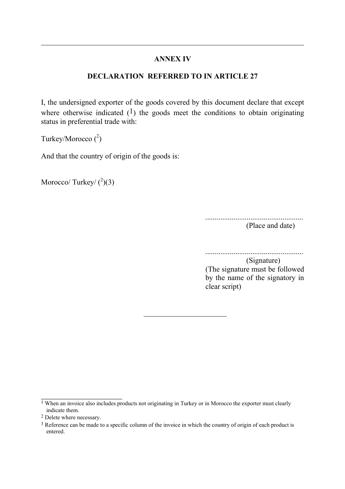### **ANNEX IV**

### **DECLARATION REFERRED TO IN ARTICLE 27**

I, the undersigned exporter of the goods covered by this document declare that except where otherwise indicated  $(1)$  the goods meet the conditions to obtain originating status in preferential trade with:

Turkey/Morocco $(^2)$ 

-

And that the country of origin of the goods is:

Morocco/ Turkey/ $(^2)$ (3)

....................................................

(Place and date)

....................................................

 (Signature) (The signature must be followed by the name of the signatory in clear script)

 $\mathcal{L}_\text{max}$  and  $\mathcal{L}_\text{max}$  and  $\mathcal{L}_\text{max}$  and  $\mathcal{L}_\text{max}$  and  $\mathcal{L}_\text{max}$ 

 $\frac{1}{1}$  When an invoice also includes products not originating in Turkey or in Morocco the exporter must clearly indicate them.

<sup>2</sup> Delete where necessary.

<sup>&</sup>lt;sup>3</sup> Reference can be made to a specific column of the invoice in which the country of origin of each product is entered.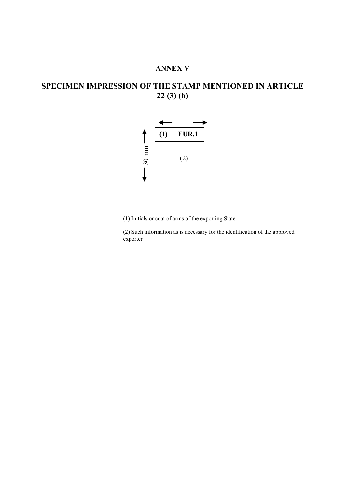# **ANNEX V**

-

# **SPECIMEN IMPRESSION OF THE STAMP MENTIONED IN ARTICLE 22 (3) (b)**



(1) Initials or coat of arms of the exporting State

(2) Such information as is necessary for the identification of the approved exporter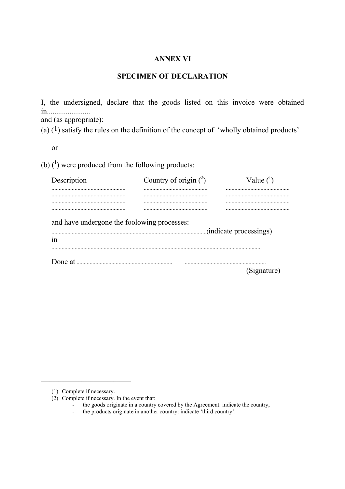### **ANNEX VI**

### **SPECIMEN OF DECLARATION**

I, the undersigned, declare that the goods listed on this invoice were obtained in.......................

and (as appropriate):

(a)  $(1)$  satisfy the rules on the definition of the concept of 'wholly obtained products'

or

-

(b)  $({}^{1})$  were produced from the following products:

| Description                                 | Country of origin $(^2)$ | Value $\binom{1}{1}$    |
|---------------------------------------------|--------------------------|-------------------------|
|                                             |                          |                         |
|                                             |                          |                         |
| and have undergone the foolowing processes: |                          | (indicate processings). |
|                                             |                          |                         |
| Done at                                     |                          |                         |
|                                             |                          | (Signature)             |

(1) Complete if necessary.

 $\overline{\phantom{a}}$  , and the set of the set of the set of the set of the set of the set of the set of the set of the set of the set of the set of the set of the set of the set of the set of the set of the set of the set of the s

- (2) Complete if necessary. In the event that:
	- the goods originate in a country covered by the Agreement: indicate the country,<br>the products originate in another country: indicate 'third country'.
		- the products originate in another country: indicate 'third country'.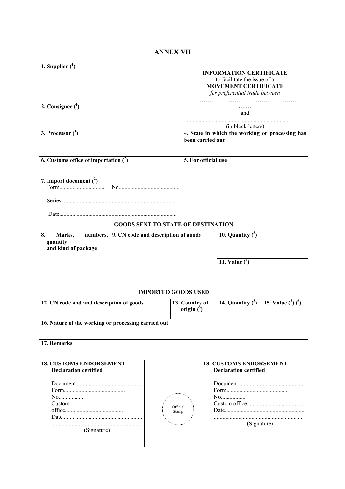| <b>ANNEX VII</b>                                               |                                                |                                                                                           |                                |                     |                                                                                                                                 |                             |  |
|----------------------------------------------------------------|------------------------------------------------|-------------------------------------------------------------------------------------------|--------------------------------|---------------------|---------------------------------------------------------------------------------------------------------------------------------|-----------------------------|--|
| 1. Supplier $\binom{1}{1}$                                     |                                                |                                                                                           |                                |                     | <b>INFORMATION CERTIFICATE</b><br>to facilitate the issue of a<br><b>MOVEMENT CERTIFICATE</b><br>for preferential trade between |                             |  |
| 2. Consignee $(^1)$                                            |                                                |                                                                                           |                                |                     | and                                                                                                                             |                             |  |
| 3. Processor $(^1)$                                            |                                                | (in block letters)<br>4. State in which the working or processing has<br>been carried out |                                |                     |                                                                                                                                 |                             |  |
| 6. Customs office of importation $(^2)$                        |                                                |                                                                                           |                                | 5. For official use |                                                                                                                                 |                             |  |
| 7. Import document $\binom{2}{1}$                              | No                                             |                                                                                           |                                |                     |                                                                                                                                 |                             |  |
|                                                                | <b>GOODS SENT TO STATE OF DESTINATION</b>      |                                                                                           |                                |                     |                                                                                                                                 |                             |  |
| 8.<br>Marks,<br>quantity<br>and kind of package                | numbers,   9. CN code and description of goods |                                                                                           |                                |                     | 10. Quantity $(3)$<br>11. Value $(^4)$                                                                                          |                             |  |
|                                                                |                                                |                                                                                           | <b>IMPORTED GOODS USED</b>     |                     |                                                                                                                                 |                             |  |
| 12. CN code and and description of goods                       |                                                |                                                                                           | 13. Country of<br>origin $(5)$ |                     | 14. Quantity $(^3)$                                                                                                             | 15. Value $(^{2})$ $(^{6})$ |  |
| 16. Nature of the working or processing carried out            |                                                |                                                                                           |                                |                     |                                                                                                                                 |                             |  |
| 17. Remarks                                                    |                                                |                                                                                           |                                |                     |                                                                                                                                 |                             |  |
| <b>18. CUSTOMS ENDORSEMENT</b><br><b>Declaration certified</b> |                                                |                                                                                           |                                |                     | <b>18. CUSTOMS ENDORSEMENT</b><br><b>Declaration certified</b>                                                                  |                             |  |
| No<br>Custom<br>(Signature)                                    |                                                |                                                                                           | Official<br>Stamp              |                     | No<br>(Signature)                                                                                                               |                             |  |

-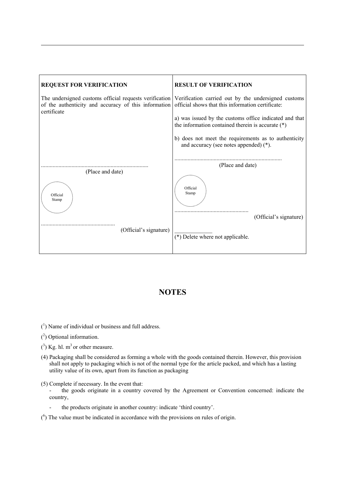| <b>REQUEST FOR VERIFICATION</b>                                     | <b>RESULT OF VERIFICATION</b>                                                                                                                                                                                             |  |  |  |
|---------------------------------------------------------------------|---------------------------------------------------------------------------------------------------------------------------------------------------------------------------------------------------------------------------|--|--|--|
| of the authenticity and accuracy of this information<br>certificate | The undersigned customs official requests verification Verification carried out by the undersigned customs<br>official shows that this information certificate:<br>a) was issued by the customs office indicated and that |  |  |  |
|                                                                     | the information contained therein is accurate (*)<br>b) does not meet the requirements as to authenticity<br>and accuracy (see notes appended) (*).                                                                       |  |  |  |
|                                                                     | (Place and date)                                                                                                                                                                                                          |  |  |  |
| (Place and date)<br>Official<br>Stamp                               | Official<br>Stamp                                                                                                                                                                                                         |  |  |  |
|                                                                     | (Official's signature)                                                                                                                                                                                                    |  |  |  |
| (Official's signature)                                              | (*) Delete where not applicable.                                                                                                                                                                                          |  |  |  |

# **NOTES**

- $(1)$  Name of individual or business and full address.
- ( 2 ) Optional information.

-

- $(3)$  Kg. hl. m<sup>3</sup> or other measure.
- (4) Packaging shall be considered as forming a whole with the goods contained therein. However, this provision shall not apply to packaging which is not of the normal type for the article packed, and which has a lasting utility value of its own, apart from its function as packaging
- (5) Complete if necessary. In the event that:
	- the goods originate in a country covered by the Agreement or Convention concerned: indicate the country,
		- the products originate in another country: indicate 'third country'.
- $(6)$  The value must be indicated in accordance with the provisions on rules of origin.